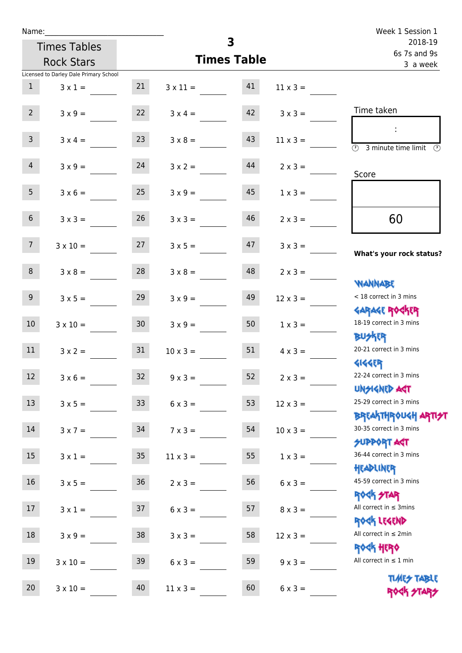| Week 1 Session 1                                                                           |                                         | Name: |                    |                 |                                        |                  |
|--------------------------------------------------------------------------------------------|-----------------------------------------|-------|--------------------|-----------------|----------------------------------------|------------------|
| 2018-19<br>6s 7s and 9s                                                                    |                                         |       | 3                  |                 | <b>Times Tables</b>                    |                  |
| 3 a week                                                                                   | <b>Times Table</b><br><b>Rock Stars</b> |       |                    |                 |                                        |                  |
|                                                                                            |                                         |       |                    |                 | Licensed to Darley Dale Primary School |                  |
|                                                                                            | $11 \times 3 =$                         |       | $3 \times 11 = 41$ | 21              | $3 \times 1 =$                         | 1                |
| Time taken                                                                                 | $3 \times 3 =$                          | 42    | $3 \times 4 =$     | 22              | $3 \times 9 =$                         | 2 <sup>7</sup>   |
| $\ddot{\phantom{a}}$<br>$\overline{(\mathcal{V})}$<br>3 minute time limit<br>$\mathcal{O}$ | $11 \times 3 =$                         | 43    | $3 \times 8 =$     | 23              | $3 \times 4 =$                         | 3 <sup>7</sup>   |
| Score                                                                                      | $2 \times 3 =$                          | 44    | $3 \times 2 =$     | 24              | $3 \times 9 =$                         | $\overline{4}$   |
|                                                                                            | $1 \times 3 =$                          | 45    | $3 \times 9 =$     | 25              | $3 \times 6 =$                         | 5 <sub>1</sub>   |
| 60                                                                                         | $2 \times 3 =$                          | 46    | $3 \times 3 =$     | 26              | $3 \times 3 =$                         | 6 <sup>1</sup>   |
| What's your rock status?                                                                   | $3 \times 3 =$                          | 47    | $3 \times 5 =$     |                 | $3 \times 10 = 27$                     | 7 <sup>7</sup>   |
| <b>JARNARY</b>                                                                             | $2 \times 3 =$                          | 48    | $3 \times 8 =$     | 28              | $3 \times 8 =$                         | 8                |
| < 18 correct in 3 mins<br><b>GARAGE ROGKER</b>                                             | $12 \times 3 =$                         | 49    | $3 \times 9 =$     | 29              | $3 \times 5 =$                         | 9 <sub>o</sub>   |
| 18-19 correct in 3 mins<br><b>BUSKR</b>                                                    | $1 \times 3 =$                          | 50    | $3 \times 9 =$     | 30 <sup>°</sup> | $3 \times 10 =$                        | 10 <sup>°</sup>  |
| 20-21 correct in 3 mins<br><b>4144ER</b>                                                   | $4 \times 3 =$                          | 51    | $10 \times 3 =$    | 31              | $3 \times 2 =$                         | 11               |
| 22-24 correct in 3 mins<br><b>UNGIGNED AGT</b>                                             | $2 \times 3 =$                          | 52    | $9 \times 3 =$     | 32              | $3 \times 6 =$                         | 12 <sup>7</sup>  |
| 25-29 correct in 3 mins<br><b>BREAKTHROUGH ARTI<del>S</del>T</b>                           | $12 \times 3 =$                         | 53    | $6 \times 3 =$     | 33 <sup>°</sup> | $3 \times 5 =$                         | 13               |
| 30-35 correct in 3 mins<br><b>SUPPORT AGT</b>                                              | $10 \times 3 =$                         | 54    | $7 \times 3 =$     | 34              | $3x7 =$                                | 14               |
| 36-44 correct in 3 mins<br>HEADLINER                                                       | $1 \times 3 =$                          | 55    | $11 \times 3 =$    | $35\,$          | $3 \times 1 =$                         | 15 <sub>15</sub> |
| 45-59 correct in 3 mins<br>ROCK STAR                                                       | $6 \times 3 =$                          | 56    | $2 \times 3 =$     | 36              | $3 \times 5 =$                         | 16               |
| All correct in $\leq$ 3mins<br>ROCK LEGEND                                                 | $8 \times 3 =$                          | 57    | $6 \times 3 =$     | 37              | $3 \times 1 =$                         | 17               |
| All correct in $\leq 2$ min<br><b>ROCK HERO</b>                                            | $12 \times 3 =$                         | 58    | $3 \times 3 =$     | 38              | $3 \times 9 =$                         | 18               |
| All correct in $\leq 1$ min                                                                | $9 \times 3 =$                          | 59    | $6 \times 3 =$     | 39              | $3 \times 10 =$                        | 19               |
| <b>TLARY TABLE</b><br>ROCK STARS                                                           | $6 \times 3 =$                          | 60    | $11 \times 3 =$    | 40              | $3 \times 10 =$                        | 20               |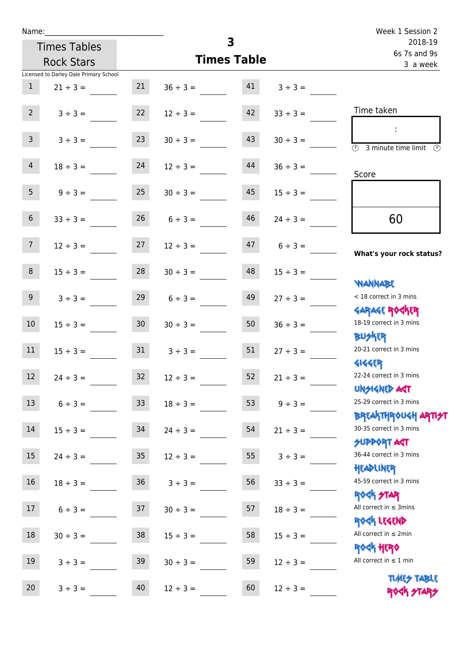| Name:           |                                        |                 |               |                    |                         | Week 1 Session 2                                                 |
|-----------------|----------------------------------------|-----------------|---------------|--------------------|-------------------------|------------------------------------------------------------------|
|                 | <b>Times Tables</b>                    |                 |               | 3                  | 2018-19<br>6s 7s and 9s |                                                                  |
|                 | <b>Rock Stars</b>                      |                 |               | <b>Times Table</b> |                         | 3 a week                                                         |
|                 | Licensed to Darley Dale Primary School |                 |               |                    |                         |                                                                  |
| $\mathbf{1}$    | $21 \div 3 =$                          | 21              | $36 \div 3 =$ | 41                 | $3 ÷ 3 =$               |                                                                  |
| $2^{\circ}$     | $3 \div 3 =$                           | 22              | $12 \div 3 =$ | 42                 | $33 \div 3 =$           | Time taken                                                       |
| $\overline{3}$  | $3 ÷ 3 =$                              | 23              | $30 \div 3 =$ | 43                 | $30 \div 3 =$           | 3 minute time limit<br>$\circled{r}$                             |
| $\overline{4}$  | $18 \div 3 =$                          | 24              | $12 \div 3 =$ | 44                 | $36 \div 3 =$           | Score                                                            |
| 5 <sub>1</sub>  | $9 \div 3 =$                           | 25              | $30 \div 3 =$ | 45                 | $15 \div 3 =$           |                                                                  |
| $6\overline{6}$ | $33 \div 3 =$                          | 26              | $6 \div 3 =$  | 46                 | $24 \div 3 =$           | 60                                                               |
| 7 <sup>7</sup>  | $12 \div 3 =$                          | 27              | $12 \div 3 =$ | 47                 | $6 \div 3 =$            | What's your rock status?                                         |
| 8               | $15 \div 3 =$                          | 28              | $30 \div 3 =$ | 48                 | $15 \div 3 =$           |                                                                  |
| 9 <sub>o</sub>  | $3 \div 3 =$                           | 29              | $6 \div 3 =$  | 49                 | $27 \div 3 =$           | WANNABE<br>< 18 correct in 3 mins                                |
| 10 <sup>°</sup> | $15 \div 3 =$                          | 30 <sup>°</sup> | $30 \div 3 =$ | 50                 | $36 \div 3 =$           | <b>GARAGE ROGKER</b><br>18-19 correct in 3 mins                  |
| 11              | $15 \div 3 =$                          | 31              | $3 \div 3 =$  | 51                 | $27 \div 3 =$           | <b>BUSKER</b><br>20-21 correct in 3 mins                         |
| 12              | $24 \div 3 =$                          | 32              | $12 \div 3 =$ | 52                 | $21 \div 3 =$           | <b>4144EP</b><br>22-24 correct in 3 mins<br><b>UNSIGNED AGT</b>  |
| 13              | $6 ÷ 3 =$                              | 33              | $18 \div 3 =$ | 53                 | $9 ÷ 3 =$               | 25-29 correct in 3 mins<br><b>BREAKTHROUGH ARTI<del>S</del>T</b> |
| 14              | $15 \div 3 =$                          | 34              | $24 \div 3 =$ | 54                 | $21 \div 3 =$           | 30-35 correct in 3 mins<br>SUPPORT ART                           |
| 15              | $24 \div 3 =$                          | 35              | $12 \div 3 =$ | 55                 | $3 ÷ 3 =$               | 36-44 correct in 3 mins<br>HEADLINER                             |
| 16              | $18 \div 3 =$                          | $36\,$          | $3 ÷ 3 =$     | 56                 | $33 \div 3 =$           | 45-59 correct in 3 mins<br><b>ROCK STAR</b>                      |
| 17              | $6 ÷ 3 =$                              | 37              | $30 \div 3 =$ | 57                 | $18 \div 3 =$           | All correct in $\leq$ 3mins<br>ROCK LEGEND                       |
| $18\,$          | $30 \div 3 =$                          | 38              | $15 \div 3 =$ | 58                 | $15 \div 3 =$           | All correct in $\leq 2$ min<br><b>ROCK HERO</b>                  |
| 19              | $3 ÷ 3 =$                              | 39              | $30 \div 3 =$ | 59                 | $12 \div 3 =$           | All correct in $\leq 1$ min                                      |
| 20              | $3 ÷ 3 =$                              | 40              | $12 \div 3 =$ | 60                 | $12 \div 3 =$           | <b>TUARS TABLE</b><br>ROCK STARS                                 |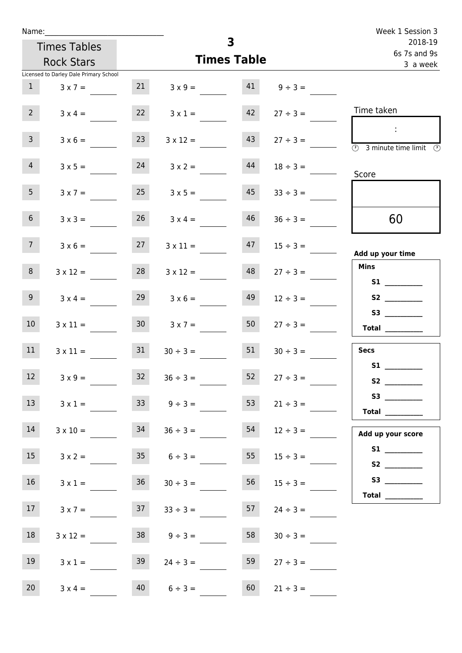| Name:             |                                        |                 |                    | 3                       |                                | Week 1 Session 3                                                                     |
|-------------------|----------------------------------------|-----------------|--------------------|-------------------------|--------------------------------|--------------------------------------------------------------------------------------|
|                   | <b>Times Tables</b>                    |                 |                    | 2018-19<br>6s 7s and 9s |                                |                                                                                      |
|                   | <b>Rock Stars</b>                      |                 | <b>Times Table</b> |                         |                                | 3 a week                                                                             |
|                   | Licensed to Darley Dale Primary School |                 |                    |                         |                                |                                                                                      |
| 1                 | $3 \times 7 =$                         | 21              |                    |                         | $3 \times 9 = 41$ $9 \div 3 =$ |                                                                                      |
| $2 \overline{ }$  | $3 \times 4 =$                         | 22              | $3 \times 1 =$     | 42                      | $27 \div 3 =$                  | Time taken                                                                           |
| $\mathbf{3}$      | $3 \times 6 =$                         | 23              | $3 \times 12 =$    | 43                      | $27 \div 3 =$                  | $\sim 10$<br>$\overline{\circledcirc}$ 3 minute time limit $\overline{\circledcirc}$ |
| 4                 | $3 \times 5 =$                         | 24              | $3 \times 2 =$     | 44                      | $18 \div 3 =$                  | Score                                                                                |
| 5 <sub>1</sub>    | $3 \times 7 =$                         | 25              | $3 \times 5 =$     | 45                      | $33 \div 3 =$                  |                                                                                      |
| 6 <sup>1</sup>    | $3 \times 3 =$                         | 26              | $3 \times 4 =$     | 46                      | $36 \div 3 =$                  | 60                                                                                   |
| 7 <sub>1</sub>    | $3 \times 6 =$                         | 27              | $3 \times 11 =$    | 47                      | $15 \div 3 =$                  | Add up your time                                                                     |
| 8 <sup>°</sup>    | $3 \times 12 =$                        | 28              | $3 \times 12 =$    | 48                      | $27 \div 3 =$                  | <b>Mins</b><br><b>S1 S1</b>                                                          |
| 9                 | $3 \times 4 =$                         | 29              | $3 \times 6 =$     | 49                      | $12 \div 3 =$                  |                                                                                      |
| 10 <sup>°</sup>   | $3 \times 11 =$                        | 30 <sup>°</sup> | $3 \times 7 = 50$  |                         | $27 \div 3 =$                  | $\begin{tabular}{c} Total \end{tabular}$                                             |
| 11                | $3 \times 11 =$                        | 31              | $30 \div 3 =$      | 51                      | $30 \div 3 =$                  | <b>Secs</b>                                                                          |
| $12 \overline{ }$ | $3 \times 9 =$                         | 32              | $36 \div 3 =$      | 52                      | $27 \div 3 =$                  | <b>S1</b><br><b>S2 S2</b>                                                            |
| 13                | $3 \times 1 =$                         | 33              | $9 \div 3 =$       | 53                      | $21 \div 3 =$                  | S3<br>Total $\_\_$                                                                   |
| 14                | $3 \times 10 =$                        | 34              | $36 \div 3 =$      | 54                      | $12 \div 3 =$                  | Add up your score                                                                    |
| 15                | $3 \times 2 =$                         | 35              | $6 \div 3 =$       | 55                      | $15 \div 3 =$                  | S2                                                                                   |
| 16                | $3 \times 1 =$                         | 36              | $30 \div 3 =$      | 56                      | $15 \div 3 =$                  | Total $\_\_$                                                                         |
| 17 <sub>1</sub>   | $3 \times 7 =$                         | 37              | $33 \div 3 =$      | 57                      | $24 \div 3 =$                  |                                                                                      |
| 18                | $3 \times 12 =$                        | 38              | $9 \div 3 =$       | 58                      | $30 \div 3 =$                  |                                                                                      |
| 19                | $3 \times 1 =$                         | 39              | $24 \div 3 =$      | 59                      | $27 \div 3 =$                  |                                                                                      |
| 20 <sub>2</sub>   | $3 \times 4 =$                         | 40              | $6 \div 3 =$       | 60                      | $21 \div 3 =$                  |                                                                                      |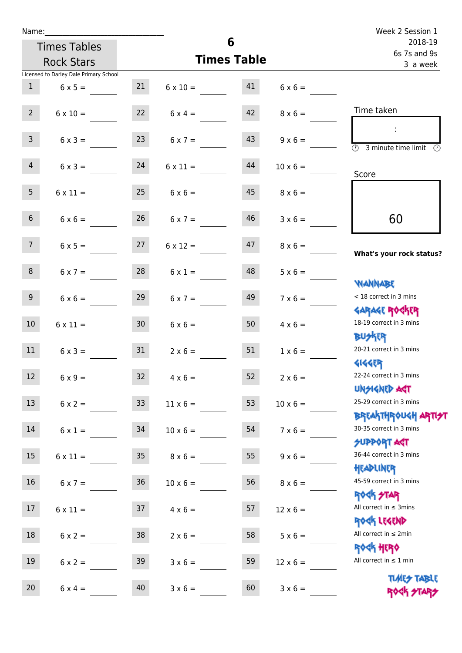| Name:             |                                        |                    |                      |    |                 | Week 2 Session 1                                                 |  |                          |
|-------------------|----------------------------------------|--------------------|----------------------|----|-----------------|------------------------------------------------------------------|--|--------------------------|
|                   | 6<br><b>Times Tables</b>               |                    |                      |    | 2018-19         |                                                                  |  |                          |
| <b>Rock Stars</b> |                                        | <b>Times Table</b> |                      |    |                 |                                                                  |  | 6s 7s and 9s<br>3 a week |
|                   | Licensed to Darley Dale Primary School |                    |                      |    |                 |                                                                  |  |                          |
| 1                 | $6 \times 5 =$                         | 21                 | $6 \times 10 = 41$   |    | $6 \times 6 =$  |                                                                  |  |                          |
| $2^{\circ}$       | $6 \times 10 =$                        |                    | $22 \t 6 \times 4 =$ | 42 | $8 \times 6 =$  | Time taken                                                       |  |                          |
| $\mathbf{3}$      | $6 \times 3 =$                         | 23                 | $6 \times 7 =$       | 43 | $9 \times 6 =$  | $\overline{\textcircled{2}}$ 3 minute time limit                 |  |                          |
| $\overline{4}$    | $6 \times 3 = 24$                      |                    | $6 \times 11 =$      | 44 | $10 \times 6 =$ | Score                                                            |  |                          |
| 5 <sub>1</sub>    | $6 \times 11 =$                        |                    | $25 \t 6 \times 6 =$ | 45 | $8 \times 6 =$  |                                                                  |  |                          |
| 6 <sup>1</sup>    | $6 \times 6 =$                         | 26                 | $6 \times 7 =$       | 46 | $3 \times 6 =$  | 60                                                               |  |                          |
| 7 <sup>7</sup>    | $6 \times 5 = 27$                      |                    | $6 \times 12 =$      | 47 | $8 \times 6 =$  | What's your rock status?                                         |  |                          |
| 8                 | $6 \times 7 =$                         | 28                 | $6 \times 1 =$       | 48 | $5 \times 6 =$  | <b>NANNABE</b>                                                   |  |                          |
| 9 <sub>o</sub>    | $6 \times 6 =$                         | 29                 | $6 \times 7 =$       | 49 | $7 \times 6 =$  | < 18 correct in 3 mins<br><b>GARAGE ROCKER</b>                   |  |                          |
| 10 <sup>°</sup>   | $6 \times 11 =$                        | 30 <sub>2</sub>    | $6 \times 6 =$       | 50 | $4 \times 6 =$  | 18-19 correct in 3 mins<br><b>BUSKER</b>                         |  |                          |
| 11                | $6 \times 3 =$                         | 31                 | $2 \times 6 =$       | 51 | $1 \times 6 =$  | 20-21 correct in 3 mins<br><b>4144EP</b>                         |  |                          |
| 12                | $6 \times 9 =$                         | 32                 | $4 \times 6 =$       | 52 | $2 \times 6 =$  | 22-24 correct in 3 mins<br><b>UNSIGNED AGT</b>                   |  |                          |
| 13                | $6 \times 2 =$                         | 33 <sup>°</sup>    | $11 \times 6 =$      | 53 | $10 \times 6 =$ | 25-29 correct in 3 mins<br><b>BREAKTHROUGH ARTI<del>S</del>T</b> |  |                          |
| 14                | $6 \times 1 =$                         | 34                 | $10 \times 6 =$      | 54 | $7 \times 6 =$  | 30-35 correct in 3 mins<br><b>SUPPORT ART</b>                    |  |                          |
| 15 <sub>15</sub>  | $6 \times 11 =$                        | 35 <sub>o</sub>    | $8 \times 6 =$       | 55 | $9 \times 6 =$  | 36-44 correct in 3 mins<br>HEADLINER                             |  |                          |
| 16                | $6 \times 7 =$                         | $36\phantom{a}$    | $10 \times 6 =$      | 56 | $8 \times 6 =$  | 45-59 correct in 3 mins<br><b>ROCK STAR</b>                      |  |                          |
| 17                | $6 \times 11 =$                        | 37                 | $4 \times 6 =$       | 57 | $12 \times 6 =$ | All correct in $\leq$ 3mins<br>ROCK LEGEND                       |  |                          |
| 18                | $6 \times 2 =$                         | 38                 | $2 \times 6 =$       | 58 | $5 \times 6 =$  | All correct in $\leq 2$ min<br><b>ROCK HERO</b>                  |  |                          |
| 19                | $6 \times 2 =$                         | 39                 | $3 \times 6 =$       | 59 | $12 \times 6 =$ | All correct in $\leq 1$ min                                      |  |                          |
| 20                | $6 \times 4 =$                         | 40                 | $3 \times 6 =$       | 60 | $3 \times 6 =$  | <b>TUARS TABLE</b><br>ROCK STARS                                 |  |                          |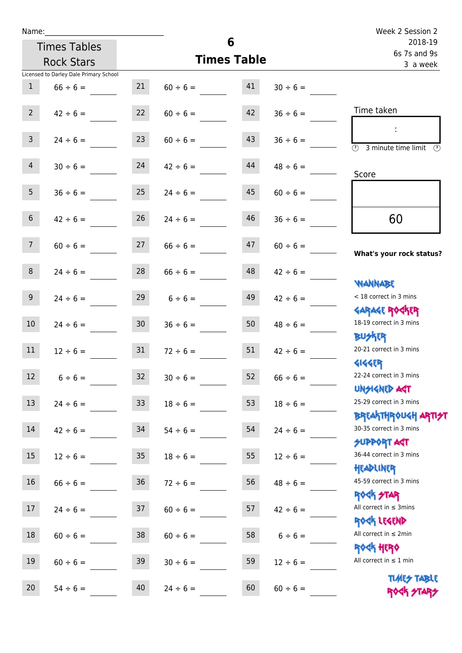| Name:            |                                        |                    |               |    |               | Week 2 Session 2                                                   |  |                          |
|------------------|----------------------------------------|--------------------|---------------|----|---------------|--------------------------------------------------------------------|--|--------------------------|
|                  | <b>Times Tables</b>                    |                    | 6             |    |               | 2018-19                                                            |  |                          |
|                  | <b>Rock Stars</b>                      | <b>Times Table</b> |               |    |               |                                                                    |  | 6s 7s and 9s<br>3 a week |
|                  | Licensed to Darley Dale Primary School |                    |               |    |               |                                                                    |  |                          |
| $\mathbf{1}$     | $66 \div 6 =$                          | 21                 | $60 \div 6 =$ | 41 | $30 \div 6 =$ |                                                                    |  |                          |
| $2^{\circ}$      | $42 \div 6 =$                          | 22                 | $60 \div 6 =$ | 42 | $36 \div 6 =$ | Time taken                                                         |  |                          |
| 3 <sup>1</sup>   | $24 \div 6 =$                          | 23                 | $60 \div 6 =$ | 43 | $36 \div 6 =$ | $\overline{(\mathcal{V})}$<br>3 minute time limit<br>$\mathcal{O}$ |  |                          |
| $\overline{4}$   | $30 \div 6 =$                          | 24                 | $42 \div 6 =$ | 44 | $48 \div 6 =$ | Score                                                              |  |                          |
| 5 <sub>1</sub>   | $36 \div 6 =$                          | 25                 | $24 \div 6 =$ | 45 | $60 \div 6 =$ |                                                                    |  |                          |
| 6 <sup>1</sup>   | $42 \div 6 =$                          | 26                 | $24 \div 6 =$ | 46 | $36 \div 6 =$ | 60                                                                 |  |                          |
| 7 <sup>7</sup>   | $60 \div 6 =$                          | 27                 | $66 \div 6 =$ | 47 | $60 \div 6 =$ | What's your rock status?                                           |  |                          |
| 8                | $24 \div 6 =$                          | 28                 | $66 \div 6 =$ | 48 | $42 \div 6 =$ | <b>NANNABE</b>                                                     |  |                          |
| 9                | $24 \div 6 =$                          | 29                 | $6 \div 6 =$  | 49 | $42 \div 6 =$ | < 18 correct in 3 mins<br><b>GARAGE ROGKER</b>                     |  |                          |
| 10 <sup>°</sup>  | $24 \div 6 =$                          | 30 <sub>o</sub>    | $36 \div 6 =$ | 50 | $48 \div 6 =$ | 18-19 correct in 3 mins<br><b>BUSKER</b>                           |  |                          |
| 11               | $12 \div 6 =$                          | 31                 | $72 \div 6 =$ | 51 | $42 \div 6 =$ | 20-21 correct in 3 mins<br><b>4144EP</b>                           |  |                          |
| 12               | $6 \div 6 =$                           | 32                 | $30 \div 6 =$ | 52 | $66 \div 6 =$ | 22-24 correct in 3 mins<br><b>UNSIGNED AST</b>                     |  |                          |
| 13               | $24 \div 6 =$                          | 33                 | $18 \div 6 =$ | 53 | $18 \div 6 =$ | 25-29 correct in 3 mins<br><b>BREAKTHROUGH ARTI<del>S</del>T</b>   |  |                          |
| 14               | $42 \div 6 =$                          | 34                 | $54 \div 6 =$ | 54 | $24 \div 6 =$ | 30-35 correct in 3 mins<br>SUPPORT AGT                             |  |                          |
| 15               | $12 \div 6 =$                          | 35                 | $18 \div 6 =$ | 55 | $12 \div 6 =$ | 36-44 correct in 3 mins<br>HEADLINER                               |  |                          |
| 16               | $66 \div 6 =$                          | 36 <sup>°</sup>    | $72 \div 6 =$ | 56 | $48 \div 6 =$ | 45-59 correct in 3 mins<br><b>ROCK STAR</b>                        |  |                          |
| 17 <sup>17</sup> | $24 \div 6 =$                          | 37                 | $60 \div 6 =$ | 57 | $42 \div 6 =$ | All correct in $\leq$ 3mins<br>ROCK LEGEND                         |  |                          |
| 18               | $60 \div 6 =$                          | 38                 | $60 \div 6 =$ | 58 | $6 \div 6 =$  | All correct in $\leq 2$ min<br><b>ROCK HERO</b>                    |  |                          |
| 19               | $60 \div 6 =$                          | 39                 | $30 \div 6 =$ | 59 | $12 \div 6 =$ | All correct in $\leq 1$ min                                        |  |                          |
| 20               | 40<br>$54 \div 6 =$                    |                    | $24 \div 6 =$ | 60 | $60 \div 6 =$ | <b>TIMES TABLE</b><br>ROCK STARS                                   |  |                          |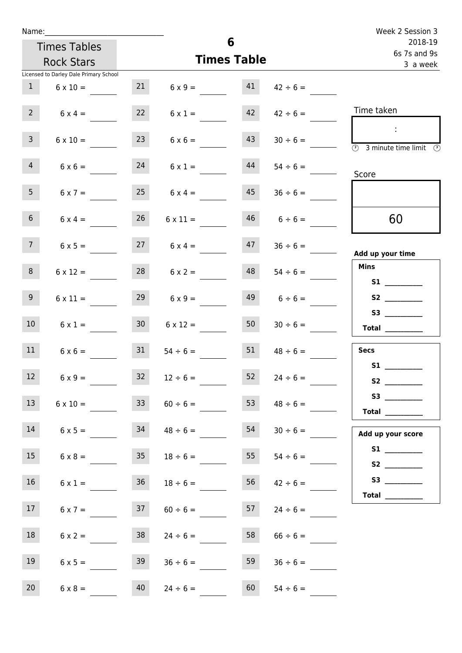| Name:           |                                        |                 |                      |    |                    | Week 2 Session 3                                                                                                                                                                                                                                                                                                                                                                                                                                                                                                                                                                                                          |
|-----------------|----------------------------------------|-----------------|----------------------|----|--------------------|---------------------------------------------------------------------------------------------------------------------------------------------------------------------------------------------------------------------------------------------------------------------------------------------------------------------------------------------------------------------------------------------------------------------------------------------------------------------------------------------------------------------------------------------------------------------------------------------------------------------------|
|                 | <b>Times Tables</b>                    |                 |                      | 6  |                    | 2018-19<br>6s 7s and 9s                                                                                                                                                                                                                                                                                                                                                                                                                                                                                                                                                                                                   |
|                 | <b>Rock Stars</b>                      |                 | <b>Times Table</b>   |    |                    | 3 a week                                                                                                                                                                                                                                                                                                                                                                                                                                                                                                                                                                                                                  |
|                 | Licensed to Darley Dale Primary School |                 |                      |    |                    |                                                                                                                                                                                                                                                                                                                                                                                                                                                                                                                                                                                                                           |
| 1               | $6 \times 10 =$                        | 21              | $6 \times 9 = 41$    |    | $42 \div 6 =$      |                                                                                                                                                                                                                                                                                                                                                                                                                                                                                                                                                                                                                           |
| 2               | $6 \times 4 =$                         | 22              | $6 \times 1 =$       | 42 | $42 \div 6 =$      | Time taken                                                                                                                                                                                                                                                                                                                                                                                                                                                                                                                                                                                                                |
| $\mathbf{3}$    | $6 \times 10 =$                        | 23              | $6 \times 6 =$       | 43 | $30 \div 6 =$      | $\sim 10$<br>$\circled{1}$ 3 minute time limit $\circled{1}$                                                                                                                                                                                                                                                                                                                                                                                                                                                                                                                                                              |
| $\overline{4}$  | $6 \times 6 =$                         | 24              | $6 \times 1 =$       | 44 | $54 \div 6 =$      | Score                                                                                                                                                                                                                                                                                                                                                                                                                                                                                                                                                                                                                     |
| 5 <sub>1</sub>  | $6 \times 7 =$                         | 25              | $6 \times 4 =$       | 45 | $36 \div 6 =$      |                                                                                                                                                                                                                                                                                                                                                                                                                                                                                                                                                                                                                           |
| 6 <sup>1</sup>  | $6 \times 4 =$                         | 26              | $6 \times 11 =$      | 46 | $6 \div 6 =$       | 60                                                                                                                                                                                                                                                                                                                                                                                                                                                                                                                                                                                                                        |
| 7 <sup>7</sup>  | $6 \times 5 =$                         |                 | $27 \t 6 \times 4 =$ |    | $47 \t36 \div 6 =$ | Add up your time                                                                                                                                                                                                                                                                                                                                                                                                                                                                                                                                                                                                          |
| 8               | $6 \times 12 =$                        | 28              | $6 \times 2 =$       | 48 | $54 \div 6 =$      | <b>Mins</b><br>S1                                                                                                                                                                                                                                                                                                                                                                                                                                                                                                                                                                                                         |
| 9 <sub>o</sub>  | $6 \times 11 =$                        | 29              | $6 \times 9 =$       | 49 | $6 \div 6 =$       |                                                                                                                                                                                                                                                                                                                                                                                                                                                                                                                                                                                                                           |
| 10 <sup>°</sup> | $6 \times 1 =$                         | 30 <sub>o</sub> | $6 \times 12 =$      | 50 | $30 \div 6 =$      | $\begin{tabular}{c} Total \end{tabular}$                                                                                                                                                                                                                                                                                                                                                                                                                                                                                                                                                                                  |
| 11              | $6 \times 6 =$                         | 31              | $54 \div 6 =$        | 51 | $48 \div 6 =$      | <b>Secs</b><br>S1                                                                                                                                                                                                                                                                                                                                                                                                                                                                                                                                                                                                         |
| 12 <sub>2</sub> | $6 \times 9 =$                         | 32              | $12 \div 6 =$        | 52 | $24 \div 6 =$      |                                                                                                                                                                                                                                                                                                                                                                                                                                                                                                                                                                                                                           |
| 13              | $6 \times 10 =$                        | 33              | $60 \div 6 =$        | 53 | $48 \div 6 =$      | S3<br>$\begin{tabular}{c} Total & \underline{\hspace{1cm}} & \underline{\hspace{1cm}} & \underline{\hspace{1cm}} & \underline{\hspace{1cm}} & \underline{\hspace{1cm}} & \underline{\hspace{1cm}} & \underline{\hspace{1cm}} & \underline{\hspace{1cm}} & \underline{\hspace{1cm}} & \underline{\hspace{1cm}} & \underline{\hspace{1cm}} & \underline{\hspace{1cm}} & \underline{\hspace{1cm}} & \underline{\hspace{1cm}} & \underline{\hspace{1cm}} & \underline{\hspace{1cm}} & \underline{\hspace{1cm}} & \underline{\hspace{1cm}} & \underline{\hspace{1cm}} & \underline{\hspace{1cm}} & \underline{\hspace{1cm}} &$ |
| 14              | $6 \times 5 =$                         | 34              | $48 \div 6 =$        | 54 | $30 \div 6 =$      | Add up your score                                                                                                                                                                                                                                                                                                                                                                                                                                                                                                                                                                                                         |
| 15              | $6 \times 8 =$                         | 35              | $18 \div 6 =$        | 55 | $54 \div 6 =$      |                                                                                                                                                                                                                                                                                                                                                                                                                                                                                                                                                                                                                           |
| 16              | $6 \times 1 =$                         | 36              | $18 \div 6 =$        | 56 | $42 \div 6 =$      | Total _________                                                                                                                                                                                                                                                                                                                                                                                                                                                                                                                                                                                                           |
| 17 <sub>1</sub> | $6 \times 7 =$                         | 37              | $60 \div 6 =$        | 57 | $24 \div 6 =$      |                                                                                                                                                                                                                                                                                                                                                                                                                                                                                                                                                                                                                           |
| 18              | $6 \times 2 =$                         | 38              | $24 \div 6 =$        | 58 | $66 \div 6 =$      |                                                                                                                                                                                                                                                                                                                                                                                                                                                                                                                                                                                                                           |
| 19              | $6 \times 5 =$                         | 39              | $36 \div 6 =$        | 59 | $36 \div 6 =$      |                                                                                                                                                                                                                                                                                                                                                                                                                                                                                                                                                                                                                           |
| 20              | $6 \times 8 =$                         | 40              | $24 \div 6 =$        | 60 | $54 \div 6 =$      |                                                                                                                                                                                                                                                                                                                                                                                                                                                                                                                                                                                                                           |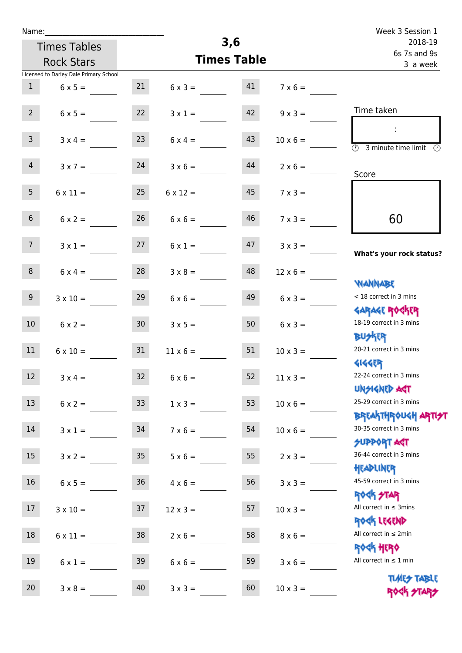| Name:           |                                        |                 |                 | 3,6                     |                 | Week 3 Session 1                                                 |
|-----------------|----------------------------------------|-----------------|-----------------|-------------------------|-----------------|------------------------------------------------------------------|
|                 | <b>Times Tables</b>                    |                 |                 | 2018-19<br>6s 7s and 9s |                 |                                                                  |
|                 | <b>Rock Stars</b>                      |                 | 3 a week        |                         |                 |                                                                  |
|                 | Licensed to Darley Dale Primary School |                 |                 |                         |                 |                                                                  |
| $\mathbf{1}$    | $6 \times 5 =$                         | 21              | $6 \times 3 =$  | 41                      | $7 \times 6 =$  |                                                                  |
| $2^{\circ}$     | $6 \times 5 =$                         | 22              | $3 \times 1 =$  | 42                      | $9 \times 3 =$  | Time taken                                                       |
| $\overline{3}$  | $3 \times 4 =$                         | 23              | $6 \times 4 =$  | 43                      | $10 \times 6 =$ | $\overline{\mathcal{O}}$<br>3 minute time limit<br>$\circled{r}$ |
| $\overline{4}$  | $3 \times 7 =$                         | 24              | $3 \times 6 =$  | 44                      | $2 \times 6 =$  | Score                                                            |
| 5 <sub>1</sub>  | $6 \times 11 =$                        | 25              | $6 \times 12 =$ | 45                      | $7 \times 3 =$  |                                                                  |
| 6 <sup>1</sup>  | $6 \times 2 =$                         | 26              | $6 \times 6 =$  | 46                      | $7 \times 3 =$  | 60                                                               |
| 7 <sup>7</sup>  | $3 \times 1 =$                         | 27              | $6 \times 1 =$  | 47                      | $3 \times 3 =$  | What's your rock status?                                         |
| 8               | $6 \times 4 =$                         | 28              | $3 \times 8 =$  | 48                      | $12 \times 6 =$ | <b>NANNABE</b>                                                   |
| 9 <sub>o</sub>  | $3 \times 10 =$                        | 29              | $6 \times 6 =$  | 49                      | $6 \times 3 =$  | < 18 correct in 3 mins<br><b>GARAGE ROGKER</b>                   |
| 10 <sup>°</sup> | $6 \times 2 =$                         | 30 <sup>°</sup> | $3 \times 5 =$  | 50                      | $6 \times 3 =$  | 18-19 correct in 3 mins<br><b>BUSKER</b>                         |
| 11              | $6 \times 10 =$                        | 31              | $11 \times 6 =$ | 51                      | $10 \times 3 =$ | 20-21 correct in 3 mins<br><b>4144EP</b>                         |
| 12              | $3 \times 4 =$                         | 32              | $6 \times 6 =$  | 52                      | $11 \times 3 =$ | 22-24 correct in 3 mins<br><b>UNSIGNED AGT</b>                   |
| 13              | $6 \times 2 =$                         | 33 <sup>°</sup> | $1 \times 3 =$  | 53                      | $10 \times 6 =$ | 25-29 correct in 3 mins<br><b>BREAKTHROUGH ARTI<del>S</del>T</b> |
| 14              | $3 \times 1 =$                         | 34              | $7 \times 6 =$  | 54                      | $10 \times 6 =$ | 30-35 correct in 3 mins<br><b>SUPPORT AGT</b>                    |
| 15              | $3 \times 2 =$                         | 35 <sub>1</sub> | $5 \times 6 =$  | 55                      | $2 \times 3 =$  | 36-44 correct in 3 mins<br>HEADLINER                             |
| 16 <sup>1</sup> | $6 \times 5 =$                         | 36 <sup>°</sup> | $4 \times 6 =$  | 56                      | $3 \times 3 =$  | 45-59 correct in 3 mins<br><b>ROCK STAR</b>                      |
| 17              | $3 \times 10 =$                        | 37              | $12 \times 3 =$ | 57                      | $10 \times 3 =$ | All correct in $\leq$ 3mins<br>ROCK LEGEND                       |
| 18              | $6 \times 11 =$                        | 38              | $2 \times 6 =$  | 58                      | $8 \times 6 =$  | All correct in $\leq 2$ min<br><b>ROCK HERO</b>                  |
| 19              | $6 \times 1 =$                         | 39              | $6 \times 6 =$  | 59                      | $3 \times 6 =$  | All correct in $\leq 1$ min                                      |
| 20              | $3 \times 8 =$                         | 40              | $3 \times 3 =$  | 60                      | $10 \times 3 =$ | <b>TUARS TABLE</b><br>ROCK STARS                                 |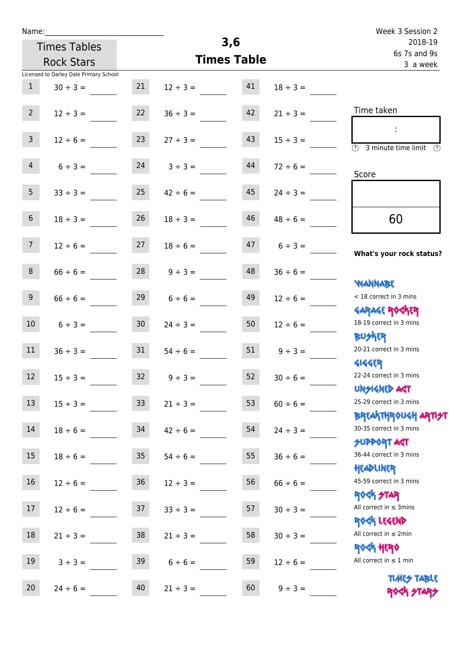| Name:           |                                        |                    |               |     |                         | Week 3 Session 2                                                   |
|-----------------|----------------------------------------|--------------------|---------------|-----|-------------------------|--------------------------------------------------------------------|
|                 | <b>Times Tables</b>                    |                    |               | 3,6 | 2018-19<br>6s 7s and 9s |                                                                    |
|                 | <b>Rock Stars</b>                      | <b>Times Table</b> |               |     |                         | 3 a week                                                           |
|                 | Licensed to Darley Dale Primary School |                    |               |     |                         |                                                                    |
| $\mathbf{1}$    | $30 \div 3 =$                          | 21                 | $12 \div 3 =$ | 41  | $18 \div 3 =$           |                                                                    |
| 2 <sup>7</sup>  | $12 \div 3 =$                          | 22                 | $36 \div 3 =$ | 42  | $21 \div 3 =$           | Time taken                                                         |
| 3 <sup>7</sup>  | $12 \div 6 =$                          | 23                 | $27 \div 3 =$ | 43  | $15 \div 3 =$           | $\overline{(\mathcal{V})}$<br>3 minute time limit<br>$\mathcal{O}$ |
| $\overline{4}$  | $6 \div 3 =$                           | 24                 | $3 ÷ 3 =$     | 44  | $72 \div 6 =$           | Score                                                              |
| 5 <sub>1</sub>  | $33 \div 3 =$                          | 25                 | $42 \div 6 =$ | 45  | $24 \div 3 =$           |                                                                    |
| 6 <sup>1</sup>  | $18 \div 3 =$                          | 26                 | $18 \div 3 =$ | 46  | $48 \div 6 =$           | 60                                                                 |
| 7 <sup>7</sup>  | $12 \div 6 =$                          | 27                 | $18 \div 6 =$ | 47  | $6 \div 3 =$            | What's your rock status?                                           |
| 8               | $66 \div 6 =$                          | 28                 | $9 ÷ 3 =$     | 48  | $36 \div 6 =$           | <b>NANNABE</b>                                                     |
| 9 <sub>o</sub>  | $66 \div 6 =$                          | 29                 | $6 \div 6 =$  | 49  | $12 \div 6 =$           | < 18 correct in 3 mins<br><b>GARAGE ROCKER</b>                     |
| 10 <sup>°</sup> | $6 \div 3 =$                           | 30 <sup>°</sup>    | $24 \div 3 =$ | 50  | $12 \div 6 =$           | 18-19 correct in 3 mins<br><b>BUSKER</b>                           |
| 11              | $36 \div 3 =$                          | 31                 | $54 \div 6 =$ | 51  | $9 \div 3 =$            | 20-21 correct in 3 mins<br><b>414459</b>                           |
| 12              | $15 \div 3 =$                          | 32                 | $9 ÷ 3 =$     | 52  | $30 \div 6 =$           | 22-24 correct in 3 mins<br><b>UNSIGNED AST</b>                     |
| 13              | $15 \div 3 =$                          | 33                 | $21 \div 3 =$ | 53  | $60 \div 6 =$           | 25-29 correct in 3 mins<br>BREAKTHRÓUGH ARTI <del>2</del> 1        |
| 14              | $18 \div 6 =$                          | 34                 | $42 \div 6 =$ | 54  | $24 \div 3 =$           | 30-35 correct in 3 mins<br><b>SUPPORT AGT</b>                      |
| 15              | $18 \div 6 =$                          | 35 <sub>2</sub>    | $54 \div 6 =$ | 55  | $36 \div 6 =$           | 36-44 correct in 3 mins<br>HEADLINER                               |
| 16              | $12 \div 6 =$                          | 36                 | $12 \div 3 =$ | 56  | $66 \div 6 =$           | 45-59 correct in 3 mins<br><b>ROCK STAR</b>                        |
| 17              | $12 \div 6 =$                          | 37                 | $33 \div 3 =$ | 57  | $30 \div 3 =$           | All correct in $\leq$ 3mins<br>ROCK LEGEND                         |
| 18              | $21 \div 3 =$                          | 38                 | $21 \div 3 =$ | 58  | $30 \div 3 =$           | All correct in $\leq 2$ min<br>ROCK HERO                           |
| 19              | $3 ÷ 3 =$                              | 39                 | $6 \div 6 =$  | 59  | $12 \div 6 =$           | All correct in $\leq 1$ min                                        |
| 20              | $24 \div 6 =$                          | 40                 | $21 \div 3 =$ | 60  | $9 ÷ 3 =$               | <b>TIMES TABLE</b><br>ROCK STARS                                   |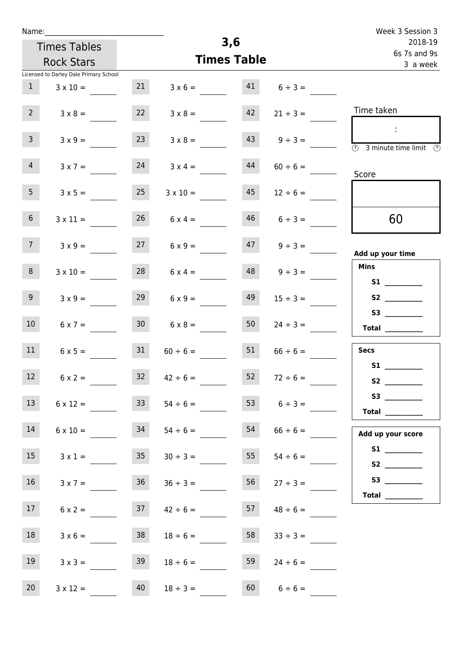| Name:             |                                        |                 |                      |                    |                                | Week 3 Session 3                                                                                                                                                                                                                                                                                                                                                                                                                                                                                                                                                                                                          |
|-------------------|----------------------------------------|-----------------|----------------------|--------------------|--------------------------------|---------------------------------------------------------------------------------------------------------------------------------------------------------------------------------------------------------------------------------------------------------------------------------------------------------------------------------------------------------------------------------------------------------------------------------------------------------------------------------------------------------------------------------------------------------------------------------------------------------------------------|
|                   | <b>Times Tables</b>                    |                 |                      | 3,6                |                                | 2018-19                                                                                                                                                                                                                                                                                                                                                                                                                                                                                                                                                                                                                   |
|                   | <b>Rock Stars</b>                      |                 |                      | <b>Times Table</b> |                                | 6s 7s and 9s<br>3 a week                                                                                                                                                                                                                                                                                                                                                                                                                                                                                                                                                                                                  |
|                   | Licensed to Darley Dale Primary School |                 |                      |                    |                                |                                                                                                                                                                                                                                                                                                                                                                                                                                                                                                                                                                                                                           |
| 1                 | $3 \times 10 =$                        | 21              |                      |                    | $3 \times 6 =$ 41 $6 \div 3 =$ |                                                                                                                                                                                                                                                                                                                                                                                                                                                                                                                                                                                                                           |
| $2^{\circ}$       | $3 \times 8 =$                         | 22              | $3 \times 8 =$       | 42                 | $21 \div 3 =$                  | Time taken                                                                                                                                                                                                                                                                                                                                                                                                                                                                                                                                                                                                                |
| 3 <sup>7</sup>    | $3 \times 9 =$                         | 23              | $3 \times 8 =$       | 43                 | $9 \div 3 =$                   | $\sim 10$<br>$\overline{\textcircled{1}}$ 3 minute time limit                                                                                                                                                                                                                                                                                                                                                                                                                                                                                                                                                             |
| 4                 | $3 \times 7 =$                         | 24              | $3 \times 4 =$       | 44                 | $60 \div 6 =$                  | Score                                                                                                                                                                                                                                                                                                                                                                                                                                                                                                                                                                                                                     |
| 5 <sub>1</sub>    | $3 \times 5 =$                         | 25              | $3 \times 10 =$      | 45                 | $12 \div 6 =$                  |                                                                                                                                                                                                                                                                                                                                                                                                                                                                                                                                                                                                                           |
| 6 <sup>1</sup>    | $3 \times 11 =$                        | 26              | $6 \times 4 =$       | 46                 | $6 \div 3 =$                   | 60                                                                                                                                                                                                                                                                                                                                                                                                                                                                                                                                                                                                                        |
| 7 <sup>7</sup>    | $3 \times 9 =$                         |                 | $27 \t 6 \times 9 =$ |                    | $47 \t 9 \div 3 =$             | Add up your time                                                                                                                                                                                                                                                                                                                                                                                                                                                                                                                                                                                                          |
| 8                 | $3 \times 10 =$                        | 28              | $6 \times 4 =$       |                    | $48 \t 9 \div 3 =$             | Mins<br><b>S1 S1</b>                                                                                                                                                                                                                                                                                                                                                                                                                                                                                                                                                                                                      |
| 9 <sub>o</sub>    | $3 \times 9 =$                         | 29              | $6 \times 9 =$       | 49                 | $15 \div 3 =$                  |                                                                                                                                                                                                                                                                                                                                                                                                                                                                                                                                                                                                                           |
| 10 <sup>1</sup>   | $6 \times 7 =$                         | 30 <sup>°</sup> | $6 \times 8 =$       | 50                 | $24 \div 3 =$                  | S3<br>$\begin{tabular}{c} Total & \underline{\hspace{1cm}} & \underline{\hspace{1cm}} & \underline{\hspace{1cm}} & \underline{\hspace{1cm}} & \underline{\hspace{1cm}} & \underline{\hspace{1cm}} & \underline{\hspace{1cm}} & \underline{\hspace{1cm}} & \underline{\hspace{1cm}} & \underline{\hspace{1cm}} & \underline{\hspace{1cm}} & \underline{\hspace{1cm}} & \underline{\hspace{1cm}} & \underline{\hspace{1cm}} & \underline{\hspace{1cm}} & \underline{\hspace{1cm}} & \underline{\hspace{1cm}} & \underline{\hspace{1cm}} & \underline{\hspace{1cm}} & \underline{\hspace{1cm}} & \underline{\hspace{1cm}} &$ |
| 11                | $6 \times 5 =$                         | 31              | $60 \div 6 =$        | 51                 | $66 \div 6 =$                  | Secs                                                                                                                                                                                                                                                                                                                                                                                                                                                                                                                                                                                                                      |
| $12 \overline{ }$ | $6 \times 2 =$                         | 32              | $42 \div 6 =$        | 52                 | $72 \div 6 =$                  | <b>S1</b>                                                                                                                                                                                                                                                                                                                                                                                                                                                                                                                                                                                                                 |
| 13                | $6 \times 12 =$                        | 33              | $54 \div 6 =$        |                    | 53 $6 \div 3 =$                | Total $\_\_$                                                                                                                                                                                                                                                                                                                                                                                                                                                                                                                                                                                                              |
| 14                | $6 \times 10 =$                        | 34              | $54 \div 6 =$        | 54                 | $66 \div 6 =$                  | Add up your score                                                                                                                                                                                                                                                                                                                                                                                                                                                                                                                                                                                                         |
| 15                | $3 \times 1 =$                         | 35              | $30 \div 3 =$        | 55                 | $54 \div 6 =$                  |                                                                                                                                                                                                                                                                                                                                                                                                                                                                                                                                                                                                                           |
| 16                | $3 \times 7 =$                         | 36              | $36 \div 3 =$        | 56                 | $27 \div 3 =$                  |                                                                                                                                                                                                                                                                                                                                                                                                                                                                                                                                                                                                                           |
| 17 <sub>1</sub>   | $6 \times 2 =$                         | 37              | $42 \div 6 =$        | 57                 | $48 \div 6 =$                  |                                                                                                                                                                                                                                                                                                                                                                                                                                                                                                                                                                                                                           |
| 18                | $3 \times 6 =$                         | 38              | $18 \div 6 =$        | 58                 | $33 \div 3 =$                  |                                                                                                                                                                                                                                                                                                                                                                                                                                                                                                                                                                                                                           |
| 19                | $3 \times 3 =$                         | 39              | $18 \div 6 =$        | 59                 | $24 \div 6 =$                  |                                                                                                                                                                                                                                                                                                                                                                                                                                                                                                                                                                                                                           |
| 20                | $3 \times 12 =$                        | 40              | $18 \div 3 =$        | 60                 | $6 \div 6 =$                   |                                                                                                                                                                                                                                                                                                                                                                                                                                                                                                                                                                                                                           |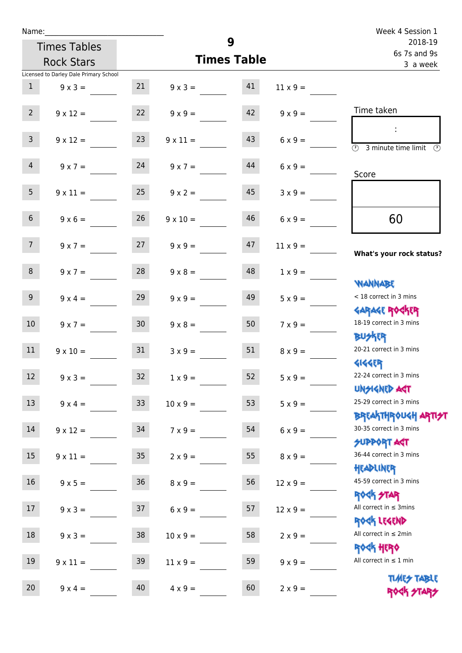| Name:           |                                        |                    |                         |          |                         | Week 4 Session 1                                                          |
|-----------------|----------------------------------------|--------------------|-------------------------|----------|-------------------------|---------------------------------------------------------------------------|
|                 | 9<br><b>Times Tables</b>               |                    |                         |          | 2018-19<br>6s 7s and 9s |                                                                           |
|                 | <b>Rock Stars</b>                      | <b>Times Table</b> |                         | 3 a week |                         |                                                                           |
|                 | Licensed to Darley Dale Primary School |                    |                         |          |                         |                                                                           |
| 1               | $9 \times 3 =$                         |                    | $21 \t 9 \times 3 = 41$ |          | $11 \times 9 =$         |                                                                           |
| $2^{\circ}$     | $9 \times 12 =$                        | 22                 | $9 \times 9 =$          | 42       | $9 \times 9 =$          | Time taken                                                                |
| $\overline{3}$  | $9 \times 12 =$                        | 23                 | $9 \times 11 =$         | 43       | $6 \times 9 =$          | $\mathbb{R}^2$<br>$\overline{(\mathcal{V})}$<br>3 minute time limit<br>O) |
| $\overline{4}$  | $9 \times 7 = 24$                      |                    | $9 \times 7 =$          | 44       | $6 \times 9 =$          | Score                                                                     |
| 5 <sup>5</sup>  | $9 \times 11 =$                        | 25                 | $9 \times 2 =$          | 45       | $3 \times 9 =$          |                                                                           |
| 6 <sup>1</sup>  | $9 \times 6 =$                         | 26                 | $9 \times 10 =$         | 46       | $6 \times 9 =$          | 60                                                                        |
| 7 <sup>7</sup>  | $9 \times 7 = 27$                      |                    | $9 \times 9 =$          | 47       | $11 \times 9 =$         | What's your rock status?                                                  |
| 8               | $9 \times 7 =$                         | 28                 | $9 \times 8 =$          | 48       | $1 \times 9 =$          | <b>NANNABE</b>                                                            |
| 9 <sub>o</sub>  | $9 \times 4 =$                         | 29                 | $9 \times 9 =$          | 49       | $5 \times 9 =$          | < 18 correct in 3 mins<br><b>GARAGE ROGKER</b>                            |
| 10 <sup>°</sup> | $9 \times 7 =$                         | 30                 | $9 \times 8 =$          | 50       | $7 \times 9 =$          | 18-19 correct in 3 mins<br><b>BUSKRA</b>                                  |
| 11              | $9 \times 10 =$                        | 31                 | $3 \times 9 =$          | 51       | $8 \times 9 =$          | 20-21 correct in 3 mins<br><b>4144ER</b>                                  |
| 12              | $9 \times 3 =$                         | 32                 | $1 \times 9 =$          | 52       | $5 \times 9 =$          | 22-24 correct in 3 mins<br><b>UNSIGNED AST</b>                            |
| 13              | $9 \times 4 =$                         | 33                 | $10 \times 9 =$         | 53       | $5 \times 9 =$          | 25-29 correct in 3 mins<br><b>BREAKTHROUGH ARTI<del>S</del>T</b>          |
| 14              | $9 \times 12 =$                        | 34                 | $7 \times 9 =$          | 54       | $6 \times 9 =$          | 30-35 correct in 3 mins<br><b>SUPPORT AGT</b>                             |
| 15              | $9 \times 11 =$                        | $35\,$             | $2 \times 9 =$          | 55       | $8 \times 9 =$          | 36-44 correct in 3 mins<br>HEADLINER                                      |
| 16              | $9 \times 5 =$                         | $36\,$             | $8 \times 9 =$          | 56       | $12 \times 9 =$         | 45-59 correct in 3 mins<br>ROCK STAR                                      |
| 17              | $9 \times 3 =$                         | 37                 | $6 \times 9 =$          | 57       | $12 \times 9 =$         | All correct in $\leq$ 3mins<br>ROCK LEGEND                                |
| $18\,$          | $9 \times 3 =$                         | 38                 | $10 \times 9 =$         | 58       | $2 \times 9 =$          | All correct in $\leq 2$ min<br>ROCK HERO                                  |
| 19              | $9 \times 11 =$                        | 39                 | $11 \times 9 =$         | 59       | $9 \times 9 =$          | All correct in $\leq 1$ min                                               |
| 20              | $9 \times 4 =$                         | 40                 | $4 \times 9 =$          | 60       | $2 \times 9 =$          | <b>TUARS TABLE</b><br>ROCK STARS                                          |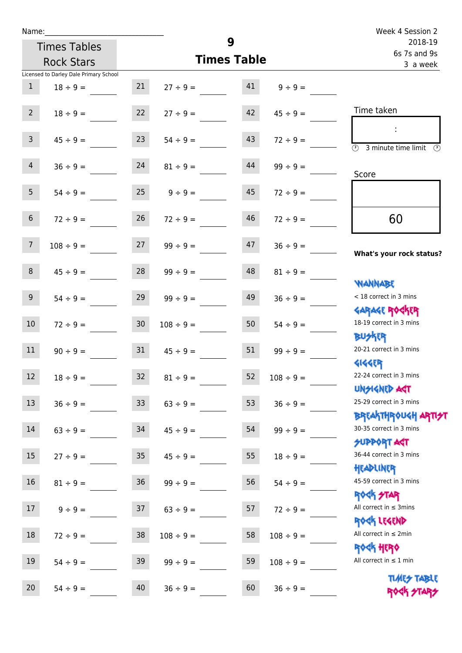| Name:           |                                        |                 |                | 9                       |                | Week 4 Session 2                                  |
|-----------------|----------------------------------------|-----------------|----------------|-------------------------|----------------|---------------------------------------------------|
|                 | <b>Times Tables</b>                    |                 |                | 2018-19<br>6s 7s and 9s |                |                                                   |
|                 | <b>Rock Stars</b>                      |                 |                | <b>Times Table</b>      |                | 3 a week                                          |
|                 | Licensed to Darley Dale Primary School |                 |                |                         |                |                                                   |
| $\mathbf{1}$    | $18 \div 9 =$                          | 21              | $27 \div 9 =$  | 41                      | $9 \div 9 =$   |                                                   |
| $2^{\circ}$     | $18 \div 9 =$                          | 22              | $27 \div 9 =$  | 42                      | $45 \div 9 =$  | Time taken                                        |
|                 |                                        |                 |                |                         |                |                                                   |
| $\mathbf{3}$    | $45 \div 9 =$                          | 23              | $54 \div 9 =$  | 43                      | $72 \div 9 =$  |                                                   |
|                 |                                        |                 |                |                         |                | $\overline{(\mathcal{V})}$<br>3 minute time limit |
| $\overline{4}$  | $36 \div 9 =$                          | 24              | $81 \div 9 =$  | 44                      | $99 \div 9 =$  | Score                                             |
|                 |                                        |                 |                |                         |                |                                                   |
| 5 <sub>5</sub>  | $54 \div 9 =$                          | 25              | $9 \div 9 =$   | 45                      | $72 \div 9 =$  |                                                   |
| $6\,$           | $72 \div 9 =$                          | 26              | $72 \div 9 =$  | 46                      | $72 \div 9 =$  | 60                                                |
|                 |                                        |                 |                |                         |                |                                                   |
| $7\overline{ }$ | $108 \div 9 =$                         | 27              | $99 \div 9 =$  | 47                      | $36 \div 9 =$  |                                                   |
|                 |                                        |                 |                |                         |                | What's your rock status?                          |
| $\,8\,$         | $45 \div 9 =$                          | 28              | $99 \div 9 =$  | 48                      | $81 \div 9 =$  |                                                   |
|                 |                                        |                 |                |                         |                | <b>NANNABE</b>                                    |
| 9               | $54 \div 9 =$                          | 29              | $99 \div 9 =$  | 49                      | $36 \div 9 =$  | < 18 correct in 3 mins                            |
| 10              |                                        | 30 <sub>o</sub> | $108 \div 9 =$ | 50                      | $54 \div 9 =$  | <b>GARAGE ROGKER</b><br>18-19 correct in 3 mins   |
|                 | $72 \div 9 =$                          |                 |                |                         |                | <b>BUSKER</b>                                     |
| 11              | $90 \div 9 =$                          | 31              | $45 \div 9 =$  | 51                      | $99 \div 9 =$  | 20-21 correct in 3 mins                           |
|                 |                                        |                 |                |                         |                | <b>4144EP</b>                                     |
| 12              | $18 \div 9 =$                          | 32              | $81 \div 9 =$  | 52                      | $108 \div 9 =$ | 22-24 correct in 3 mins                           |
|                 |                                        |                 |                |                         |                | <b>UNSIGNED AST</b>                               |
| 13              | $36 ÷ 9 =$                             | $33$            | $63 ÷ 9 =$     | 53                      | $36 ÷ 9 =$     | 25-29 correct in 3 mins                           |
|                 |                                        |                 |                |                         |                | <b>BREAKTHROUGH ARTI<del>S</del>T</b>             |
| $14\,$          | $63 ÷ 9 =$                             | 34              | $45 \div 9 =$  | 54                      | $99 \div 9 =$  | 30-35 correct in 3 mins                           |
| 15              | $27 ÷ 9 =$                             | 35              | $45 \div 9 =$  | 55                      | $18 \div 9 =$  | <b>SUPPORT AGT</b><br>36-44 correct in 3 mins     |
|                 |                                        |                 |                |                         |                | HEADLINER                                         |
| 16              | $81 \div 9 =$                          | 36              | $99 ÷ 9 =$     | 56                      | $54 \div 9 =$  | 45-59 correct in 3 mins                           |
|                 |                                        |                 |                |                         |                | ROCK STAR                                         |
| $17\,$          | $9 ÷ 9 =$                              | 37              | $63 ÷ 9 =$     | 57                      | $72 \div 9 =$  | All correct in $\leq$ 3mins                       |
|                 |                                        |                 |                |                         |                | ROCK LEGEND                                       |
| 18              | $72 \div 9 =$                          | $38\,$          | $108 \div 9 =$ | 58                      | $108 \div 9 =$ | All correct in $\leq 2$ min                       |
| 19              |                                        |                 |                |                         |                | ROCK HERO<br>All correct in $\leq 1$ min          |
|                 | $54 \div 9 =$                          | 39              | $99 \div 9 =$  | 59                      | $108 \div 9 =$ |                                                   |

20  $54 \div 9 =$   $40 \div 36 \div 9 =$   $60 \div 36 \div 9 =$ 

Times Table ROCK STARS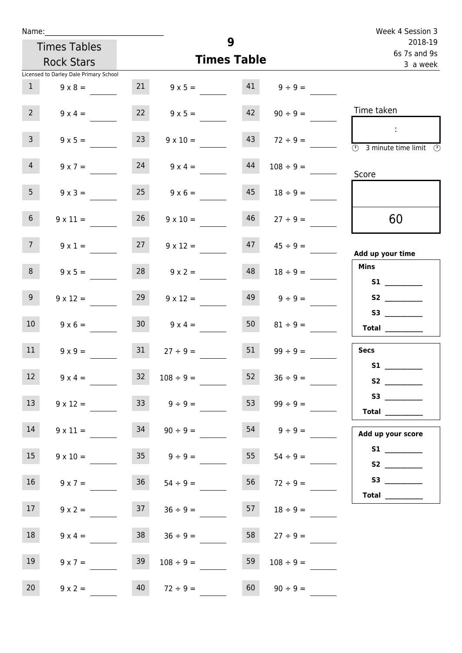| Name:                          |                                        |                 | Week 4 Session 3                    |                         |                         |                                            |
|--------------------------------|----------------------------------------|-----------------|-------------------------------------|-------------------------|-------------------------|--------------------------------------------|
|                                | <b>Times Tables</b>                    |                 |                                     | 2018-19<br>6s 7s and 9s |                         |                                            |
|                                | <b>Rock Stars</b>                      |                 |                                     | <b>Times Table</b>      |                         | 3 a week                                   |
|                                | Licensed to Darley Dale Primary School |                 |                                     |                         |                         |                                            |
| $\mathbf{1}$                   | $9 \times 8 =$                         |                 | 21 $9 \times 5 = 41$ $9 \div 9 = 9$ |                         |                         |                                            |
| $2^{\circ}$                    | $9 \times 4 =$                         |                 | $9 \times 5 =$                      |                         | $42 \t 90 \div 9 =$     | Time taken                                 |
| 3 <sup>7</sup>                 | $9 \times 5 =$                         | 23              | $9 \times 10 =$                     | 43                      | $72 \div 9 =$           | $\mathbb{R}^2$<br>3 minute time limit<br>⊕ |
| $\overline{4}$                 | $9 \times 7 =$                         | 24              | $9 \times 4 =$                      | 44                      | $108 \div 9 =$          | Score                                      |
| 5 <sub>1</sub>                 | $9 \times 3 =$                         | 25              | $9 \times 6 =$                      | 45                      | $18 \div 9 =$           |                                            |
| 6 <sup>1</sup>                 | $9 \times 11 =$                        | 26              | $9 \times 10 =$                     | 46                      | $27 \div 9 =$           | 60                                         |
| 7 <sup>7</sup>                 | $9 \times 1 =$                         | 27              | $9 \times 12 =$                     |                         | $47 \qquad 45 \div 9 =$ | Add up your time                           |
| 8                              | $9 \times 5 =$                         |                 | $28$ $9 \times 2 =$                 | 48                      | $18 \div 9 =$           | <b>Mins</b>                                |
| 9 <sub>o</sub>                 | $9 \times 12 =$                        | 29              | $9 \times 12 =$                     | 49                      | $9 \div 9 =$            | S2                                         |
| 10 <sup>°</sup>                | $9 \times 6 =$                         | 30 <sup>7</sup> | $9 \times 4 =$                      | 50                      | $81 \div 9 =$           | Total $\_\_$                               |
| 11                             | $9 \times 9 =$                         | 31              | $27 \div 9 =$                       | 51                      | $99 \div 9 =$           | <b>Secs</b>                                |
| <b>Contract Contract</b><br>12 | $9 \times 4 =$                         | 32              | $108 \div 9 =$                      | 52                      | $36 \div 9 =$           | S1                                         |
| 13                             | $9 \times 12 =$                        |                 | $33 \t 9 \div 9 =$                  | 53                      | $99 \div 9 =$           | S3<br>Total _________                      |
| 14                             | $9 \times 11 =$                        | 34              | $90 \div 9 =$                       | 54                      | $9 \div 9 =$            | Add up your score                          |
| 15 <sub>15</sub>               | $9 \times 10 =$                        |                 | $35 \t 9 \div 9 =$                  | 55                      | $54 \div 9 =$           |                                            |
| 16                             | $9 \times 7 =$                         | 36              | $54 \div 9 =$                       | 56                      | $72 \div 9 =$           | S3<br>Total $\_\_$                         |
| 17 <sup>7</sup>                | $9 \times 2 =$                         |                 | $37 \t 36 \div 9 =$                 | 57                      | $18 \div 9 =$           |                                            |
| 18                             | $9 \times 4 =$                         | 38              | $36 \div 9 =$                       | 58                      | $27 \div 9 =$           |                                            |
| 19                             | $9 \times 7 =$                         | 39              | $108 \div 9 =$                      | 59                      | $108 \div 9 =$          |                                            |
| 20 <sub>2</sub>                | $9 \times 2 =$                         | 40              | $72 \div 9 =$                       | 60                      | $90 \div 9 =$           |                                            |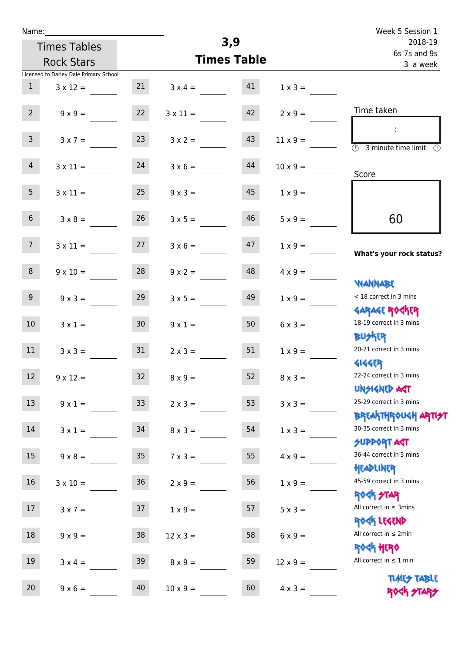| ٠ | а | m |  |  |
|---|---|---|--|--|
|   |   |   |  |  |

| Name:          |                                        |                 |                    |                         |                 | Week 5 Session 1                                                 |
|----------------|----------------------------------------|-----------------|--------------------|-------------------------|-----------------|------------------------------------------------------------------|
|                | <b>Times Tables</b>                    |                 | 3,9                | 2018-19<br>6s 7s and 9s |                 |                                                                  |
|                | <b>Rock Stars</b>                      |                 | <b>Times Table</b> | 3 a week                |                 |                                                                  |
|                | Licensed to Darley Dale Primary School |                 |                    |                         |                 |                                                                  |
| $\mathbf{1}$   | $3 \times 12 =$                        | 21              | $3 \times 4 =$     | 41                      | $1 \times 3 =$  |                                                                  |
| 2 <sup>7</sup> | $9 \times 9 =$                         | 22              | $3 \times 11 =$    | 42                      | $2 \times 9 =$  | Time taken                                                       |
| $\overline{3}$ | $3 \times 7 =$                         | 23              | $3 \times 2 =$     | 43                      | $11 \times 9 =$ | $\overline{\mathcal{D}}$<br>3 minute time limit<br>$\mathcal{O}$ |
| $\overline{4}$ | $3 \times 11 =$                        | 24              | $3 \times 6 =$     | 44                      | $10 \times 9 =$ | Score                                                            |
| 5 <sub>5</sub> | $3 \times 11 =$                        | 25              | $9 \times 3 =$     | 45                      | $1 \times 9 =$  |                                                                  |
| 6 <sup>1</sup> | $3 \times 8 =$                         | 26              | $3 \times 5 =$     | 46                      | $5 \times 9 =$  | 60                                                               |
| 7 <sup>7</sup> | $3 \times 11 =$                        | 27              | $3 \times 6 =$     | 47                      | $1 \times 9 =$  | What's your rock status?                                         |
| 8              | $9 \times 10 =$                        | 28              | $9 \times 2 =$     | 48                      | $4 \times 9 =$  | <b>JARNARY</b>                                                   |
| 9 <sup>°</sup> | $9 \times 3 =$                         | 29              | $3 \times 5 =$     | 49                      | $1 \times 9 =$  | < 18 correct in 3 mins<br><b>GARAGE ROCKER</b>                   |
| 10             | $3 \times 1 =$                         | 30 <sub>2</sub> | $9 \times 1 =$     | 50                      | $6 \times 3 =$  | 18-19 correct in 3 mins<br><b>BUSKER</b>                         |
| 11             | $3 \times 3 =$                         | 31              | $2 \times 3 =$     | 51                      | $1 \times 9 =$  | 20-21 correct in 3 mins<br><b>4144EP</b>                         |
| $12$           | $9 \times 12 =$                        | 32              | $8 \times 9 =$     | 52                      | $8 \times 3 =$  | 22-24 correct in 3 mins<br><b>UNSIGNED AGT</b>                   |
| 13             | $9 \times 1 =$                         | 33 <sup>°</sup> | $2 \times 3 =$     | 53                      | $3 \times 3 =$  | 25-29 correct in 3 mins<br>ΒΡΓΑΚΤΗΡΟUGH ΑΡΤΙ <del>2</del> Τ      |
| 14             | $3 \times 1 =$                         | 34              | $8 \times 3 =$     | 54                      | $1 \times 3 =$  | 30-35 correct in 3 mins<br><b>SUPPORT AGT</b>                    |
| 15             | $9 \times 8 =$                         | 35 <sub>1</sub> | $7 \times 3 =$     | 55                      | $4 \times 9 =$  | 36-44 correct in 3 mins<br>HEADLINER                             |
| $16\,$         | $3 \times 10 =$                        | 36              | $2 \times 9 =$     | 56                      | $1 \times 9 =$  | 45-59 correct in 3 mins<br>ROCK STAR                             |
| $17\,$         | $3 \times 7 =$                         | 37              | $1 \times 9 =$     | 57                      | $5 \times 3 =$  | All correct in $\leq$ 3mins<br>ROCK LEGEND                       |
| 18             | $9 \times 9 =$                         | 38              | $12 \times 3 =$    | 58                      | $6 \times 9 =$  | All correct in $\leq 2$ min<br><b>ROCK HERO</b>                  |
| 19             | $3 \times 4 =$                         | 39              | $8 \times 9 =$     | 59                      | $12 \times 9 =$ | All correct in $\leq 1$ min                                      |
| $20\,$         | $9 \times 6 =$                         | 40              | $10 \times 9 =$    | 60                      | $4 \times 3 =$  | <b>TIMES TABLE</b><br>ROCK STARS                                 |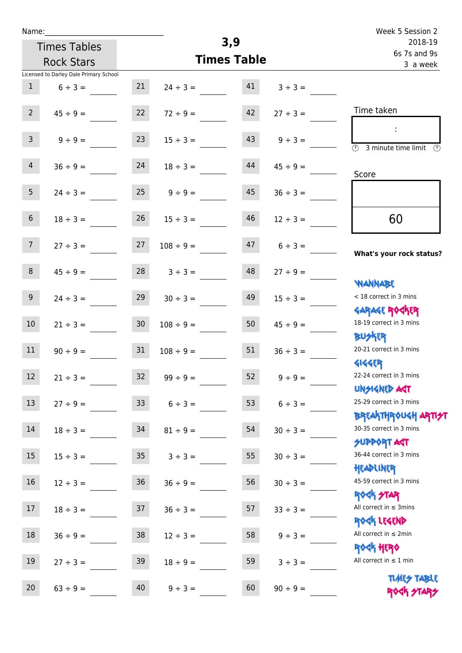| Name:           |                                        |                 |                |                    |               | Week 5 Session 2                                                   |
|-----------------|----------------------------------------|-----------------|----------------|--------------------|---------------|--------------------------------------------------------------------|
|                 | <b>Times Tables</b>                    |                 |                | 3,9                |               | 2018-19                                                            |
|                 | <b>Rock Stars</b>                      |                 |                | <b>Times Table</b> |               | 6s 7s and 9s<br>3 a week                                           |
|                 | Licensed to Darley Dale Primary School |                 |                |                    |               |                                                                    |
| $\mathbf{1}$    | $6 \div 3 =$                           | 21              | $24 \div 3 =$  | 41                 | $3 ÷ 3 =$     |                                                                    |
| $2^{\circ}$     | $45 \div 9 =$                          | 22              | $72 \div 9 =$  | 42                 | $27 \div 3 =$ | Time taken                                                         |
| 3 <sup>1</sup>  | $9 \div 9 =$                           | 23              | $15 \div 3 =$  | 43                 | $9 ÷ 3 =$     | $\overline{(\mathcal{V})}$<br>3 minute time limit<br>$\circled{r}$ |
| $\overline{4}$  | $36 \div 9 =$                          | 24              | $18 \div 3 =$  | 44                 | $45 \div 9 =$ | Score                                                              |
| 5 <sub>1</sub>  | $24 \div 3 =$                          | 25              | $9 \div 9 =$   | 45                 | $36 \div 3 =$ |                                                                    |
| 6 <sup>1</sup>  | $18 \div 3 =$                          | 26              | $15 \div 3 =$  | 46                 | $12 \div 3 =$ | 60                                                                 |
| 7 <sup>7</sup>  | $27 \div 3 =$                          | 27              | $108 \div 9 =$ | 47                 | $6 \div 3 =$  | What's your rock status?                                           |
| 8               | $45 \div 9 =$                          | 28              | $3 \div 3 =$   | 48                 | $27 ÷ 9 =$    | <b>NANNABE</b>                                                     |
| 9 <sup>°</sup>  | $24 \div 3 =$                          | 29              | $30 \div 3 =$  | 49                 | $15 \div 3 =$ | < 18 correct in 3 mins<br><b>GARAGE ROCKER</b>                     |
| 10 <sup>°</sup> | $21 \div 3 =$                          | 30 <sub>o</sub> | $108 \div 9 =$ | 50                 | $45 \div 9 =$ | 18-19 correct in 3 mins<br><b>BUSKER</b>                           |
| 11              | $90 \div 9 =$                          | 31              | $108 \div 9 =$ | 51                 | $36 \div 3 =$ | 20-21 correct in 3 mins<br><b>4144EP</b>                           |
| 12              | $21 \div 3 =$                          | 32              | $99 ÷ 9 =$     | 52                 | $9 ÷ 9 =$     | 22-24 correct in 3 mins<br><b>UNSIGNED AGT</b>                     |
| 13              | $27 \div 9 =$                          | 33              | $6 \div 3 =$   | 53                 | $6 \div 3 =$  | 25-29 correct in 3 mins                                            |
| 14              | $18 \div 3 =$                          | 34              | $81 \div 9 =$  | 54                 | $30 \div 3 =$ | BREAKTHRÓUGH ARTI <del>2</del> 1<br>30-35 correct in 3 mins        |
| 15              | $15 \div 3 =$                          | 35 <sub>5</sub> | $3 ÷ 3 =$      | 55                 | $30 \div 3 =$ | <b>SUPPORT ART</b><br>36-44 correct in 3 mins                      |
| 16              | $12 \div 3 =$                          | 36              | $36 \div 9 =$  | 56                 | $30 \div 3 =$ | HEADLINER<br>45-59 correct in 3 mins                               |
| 17              | $18 \div 3 =$                          | 37              | $36 \div 3 =$  | 57                 | $33 ÷ 3 =$    | <b>ROCK STAR</b><br>All correct in $\leq$ 3mins                    |
| 18              | $36 ÷ 9 =$                             | 38              | $12 \div 3 =$  | 58                 | $9 ÷ 3 =$     | ROCK LEGEND<br>All correct in $\leq 2$ min                         |
| 19              | $27 \div 3 =$                          | 39              | $18 \div 9 =$  | 59                 | $3 ÷ 3 =$     | <b>ROCK HERO</b><br>All correct in $\leq 1$ min                    |
| 20              | $63 ÷ 9 =$                             | 40              | $9 ÷ 3 =$      | 60                 | $90 \div 9 =$ | <b>TUARS TABLE</b><br>ROCK STARS                                   |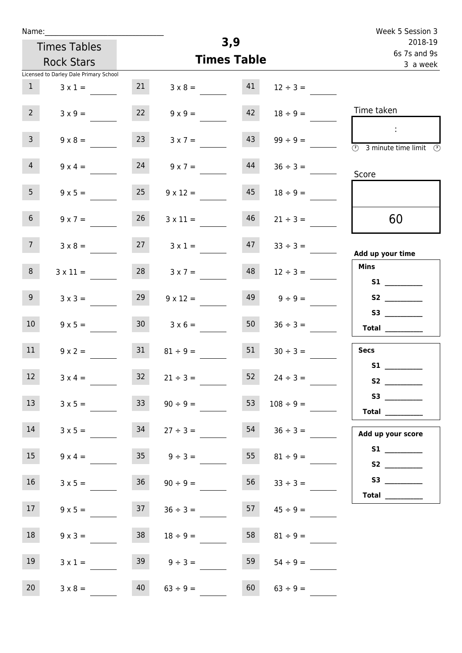| Name:            |                                        |                 |                     |                    |                    | Week 5 Session 3                                                                                                                                                                                                                                        |
|------------------|----------------------------------------|-----------------|---------------------|--------------------|--------------------|---------------------------------------------------------------------------------------------------------------------------------------------------------------------------------------------------------------------------------------------------------|
|                  | <b>Times Tables</b>                    |                 |                     | 3,9                |                    | 2018-19<br>6s 7s and 9s                                                                                                                                                                                                                                 |
|                  | <b>Rock Stars</b>                      |                 |                     | <b>Times Table</b> |                    | 3 a week                                                                                                                                                                                                                                                |
|                  | Licensed to Darley Dale Primary School |                 |                     |                    |                    |                                                                                                                                                                                                                                                         |
| 1                | $3 \times 1 =$                         | 21              | $3 \times 8 = 41$   |                    | $12 \div 3 =$      |                                                                                                                                                                                                                                                         |
| $2^{\circ}$      | $3 \times 9 =$                         | 22              | $9 \times 9 =$      | 42                 | $18 \div 9 =$      | Time taken                                                                                                                                                                                                                                              |
| $\overline{3}$   | $9 \times 8 =$                         | 23              | $3 \times 7 =$      | 43                 | $99 \div 9 =$      | $\sim 10$<br>$\overline{\circledcirc}$ 3 minute time limit $\circledcirc$                                                                                                                                                                               |
| $\overline{4}$   | $9 \times 4 =$                         | 24              | $9 \times 7 = 44$   |                    | $36 \div 3 =$      | Score                                                                                                                                                                                                                                                   |
| 5 <sub>1</sub>   | $9 \times 5 =$                         | 25              | $9 \times 12 =$     | 45                 | $18 \div 9 =$      |                                                                                                                                                                                                                                                         |
| 6 <sup>1</sup>   | $9 \times 7 =$                         | 26              | $3 \times 11 =$     | 46                 | $21 \div 3 =$      | 60                                                                                                                                                                                                                                                      |
| 7 <sup>7</sup>   | $3 \times 8 =$                         |                 | $27 \t3 \times 1 =$ |                    | $47 \t33 \div 3 =$ | Add up your time                                                                                                                                                                                                                                        |
| 8                | $3 \times 11 =$                        | 28              | $3 \times 7 =$      | 48                 | $12 \div 3 =$      | <b>Mins</b><br>S1                                                                                                                                                                                                                                       |
| 9                | $3 \times 3 =$                         | 29              | $9 \times 12 =$     | 49                 | $9 \div 9 =$       |                                                                                                                                                                                                                                                         |
| 10 <sup>°</sup>  | $9 \times 5 =$                         | 30 <sup>°</sup> | $3 \times 6 =$      | 50                 | $36 \div 3 =$      | S3<br>$\begin{tabular}{c} Total \end{tabular}$                                                                                                                                                                                                          |
| 11               | $9 \times 2 =$                         | 31              | $81 \div 9 =$       | 51                 | $30 \div 3 =$      | <b>Secs</b>                                                                                                                                                                                                                                             |
| 12               | $3 \times 4 =$                         | 32              | $21 \div 3 =$       | 52                 | $24 \div 3 =$      | <b>S1 S1</b><br>S <sub>2</sub> and the set of the set of the set of the set of the set of the set of the set of the set of the set of the set of the set of the set of the set of the set of the set of the set of the set of the set of the set of the |
| 13               | $3 \times 5 =$                         | 33 <sup>°</sup> | $90 \div 9 =$       | 53                 | $108 \div 9 =$     | $\begin{tabular}{c} Total \end{tabular}$                                                                                                                                                                                                                |
| 14               | $3 \times 5 =$                         | 34              | $27 \div 3 =$       | 54                 | $36 \div 3 =$      | Add up your score                                                                                                                                                                                                                                       |
| 15 <sub>15</sub> | $9 \times 4 =$                         | 35              | $9 \div 3 =$        | 55                 | $81 \div 9 =$      | S <sub>2</sub> and the set of the set of the set of the set of the set of the set of the set of the set of the set of the set of the set of the set of the set of the set of the set of the set of the set of the set of the set of the                 |
| 16 <sup>°</sup>  | $3 \times 5 =$                         | 36              | $90 \div 9 =$       | 56                 | $33 \div 3 =$      | Total $\_\_$                                                                                                                                                                                                                                            |
| 17 <sub>1</sub>  | $9 \times 5 =$                         | 37              | $36 \div 3 =$       | 57                 | $45 \div 9 =$      |                                                                                                                                                                                                                                                         |
| 18               | $9 \times 3 =$                         | 38              | $18 \div 9 =$       | 58                 | $81 \div 9 =$      |                                                                                                                                                                                                                                                         |
| 19               | $3 \times 1 =$                         | 39              | $9 \div 3 =$        | 59                 | $54 \div 9 =$      |                                                                                                                                                                                                                                                         |
| 20               | $3 \times 8 =$                         | 40              | $63 \div 9 =$       | 60                 | $63 \div 9 =$      |                                                                                                                                                                                                                                                         |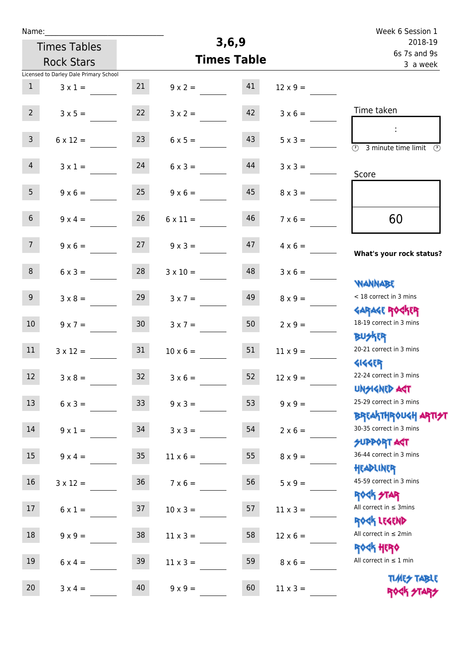| Week 6 Session 1                                                                          |                 |         |                    |                     |                                        | Name:            |
|-------------------------------------------------------------------------------------------|-----------------|---------|--------------------|---------------------|----------------------------------------|------------------|
| 2018-19<br>6s 7s and 9s                                                                   |                 | 3, 6, 9 |                    | <b>Times Tables</b> |                                        |                  |
| 3 a week                                                                                  |                 |         | <b>Times Table</b> |                     | <b>Rock Stars</b>                      |                  |
|                                                                                           |                 |         |                    |                     | Licensed to Darley Dale Primary School |                  |
|                                                                                           | $12 \times 9 =$ | 41      | $9 \times 2 =$     | 21                  | $3 \times 1 =$                         | $\mathbf{1}$     |
| Time taken                                                                                | $3 \times 6 =$  | 42      | $3 \times 2 =$     | 22                  | $3 \times 5 =$                         | $2^{\circ}$      |
| $\mathcal{L}_{\mathcal{C}}$<br>$\overline{(\Omega)}$<br>3 minute time limit $\circled{0}$ | $5 \times 3 =$  | 43      | $6 \times 5 =$     | 23                  | $6 \times 12 =$                        | $\mathbf{3}$     |
| Score                                                                                     | $3 \times 3 =$  | 44      | $6 \times 3 =$     | 24                  | $3 \times 1 =$                         | $\overline{4}$   |
|                                                                                           | $8 \times 3 =$  | 45      | $9 \times 6 =$     | 25                  | $9 \times 6 =$                         | 5 <sub>1</sub>   |
| 60                                                                                        | $7 \times 6 =$  | 46      | $6 \times 11 =$    | 26                  | $9 \times 4 =$                         | 6 <sup>1</sup>   |
| What's your rock status?                                                                  | $4 \times 6 =$  | 47      | $9 \times 3 =$     | 27                  | $9 \times 6 =$                         | 7 <sup>7</sup>   |
| <b>NANNABE</b>                                                                            | $3 \times 6 =$  | 48      | $3 \times 10 =$    | 28                  | $6 \times 3 =$                         | 8                |
| < 18 correct in 3 mins<br><b>GARAGE ROGKER</b>                                            | $8 \times 9 =$  | 49      | $3 \times 7 =$     | 29                  | $3 \times 8 =$                         | 9 <sup>°</sup>   |
| 18-19 correct in 3 mins<br><b>BUSKRR</b>                                                  | $2 \times 9 =$  | 50      | $3 \times 7 =$     | 30 <sub>2</sub>     | $9 \times 7 =$                         | 10 <sup>°</sup>  |
| 20-21 correct in 3 mins<br><b>4144EP</b>                                                  | $11 \times 9 =$ | 51      | $10 \times 6 =$    | 31                  | $3 \times 12 =$                        | 11               |
| 22-24 correct in 3 mins<br><b>UNSIGNED AST</b>                                            | $12 \times 9 =$ | 52      | $3 \times 6 =$     | 32                  | $3 \times 8 =$                         | 12 <sup>12</sup> |
| 25-29 correct in 3 mins<br>ΒΡ[Α  THP\0U <h αρ  7 <del="">2 </h>                           | $9 \times 9 =$  | 53      | $9 \times 3 =$     | 33 <sup>°</sup>     | $6 \times 3 =$                         | 13               |
| 30-35 correct in 3 mins<br><b>SUPPORT AGT</b>                                             | $2 \times 6 =$  | 54      | $3 \times 3 =$     | 34                  | $9 \times 1 =$                         | 14               |
| 36-44 correct in 3 mins<br>HEADLINER                                                      | $8 \times 9 =$  | 55      | $11 \times 6 =$    | 35 <sub>2</sub>     | $9 \times 4 =$                         | 15               |
| 45-59 correct in 3 mins<br>ROCK STAR                                                      | $5 \times 9 =$  | 56      | $7 \times 6 =$     | 36                  | $3 \times 12 =$                        | 16               |
| All correct in $\leq$ 3mins<br>ROCK LEGEND                                                | $11 \times 3 =$ | 57      | $10 \times 3 =$    | 37                  | $6 \times 1 =$                         | 17               |
| All correct in $\leq 2$ min<br><b>ROCK HERO</b>                                           | $12 \times 6 =$ | 58      | $11 \times 3 =$    | 38                  | $9 \times 9 =$                         | 18               |
| All correct in $\leq 1$ min<br><b>TIMES TABLE</b>                                         | $8 \times 6 =$  | 59      | $11 \times 3 =$    | 39                  | $6 \times 4 =$                         | 19               |
| ROGH STARS                                                                                | $11 \times 3 =$ | 60      | $9 \times 9 =$     | 40                  | $3 \times 4 =$                         | 20               |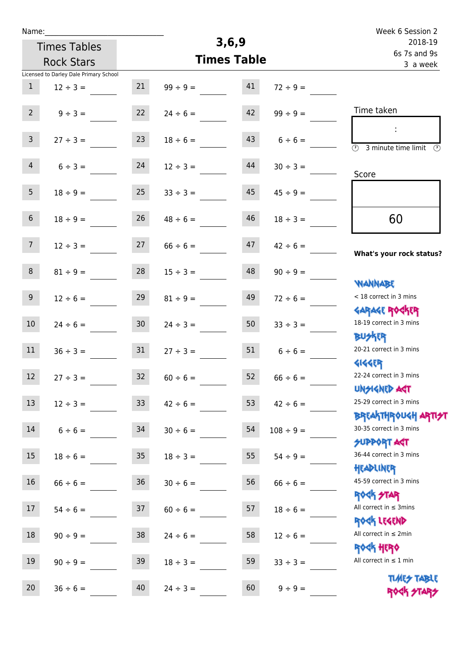| Name:               |                                        |                 |                    |         |                | Week 6 Session 2                                           |
|---------------------|----------------------------------------|-----------------|--------------------|---------|----------------|------------------------------------------------------------|
| <b>Times Tables</b> |                                        |                 | 3, 6, 9            | 2018-19 |                |                                                            |
| <b>Rock Stars</b>   |                                        |                 | <b>Times Table</b> |         |                | 6s 7s and 9s<br>3 a week                                   |
|                     | Licensed to Darley Dale Primary School |                 |                    |         |                |                                                            |
| $\mathbf{1}$        | $12 \div 3 =$                          | 21              | $99 ÷ 9 =$         | 41      | $72 \div 9 =$  |                                                            |
|                     |                                        |                 |                    |         |                |                                                            |
| $2^{\circ}$         | $9 ÷ 3 =$                              | 22              | $24 \div 6 =$      | 42      | $99 \div 9 =$  | Time taken                                                 |
|                     |                                        |                 |                    |         |                | ÷                                                          |
| $\mathsf{3}$        | $27 ÷ 3 =$                             | 23              | $18 \div 6 =$      | 43      | $6 \div 6 =$   | $\overline{\odot}$<br>3 minute time limit<br>$\mathcal{O}$ |
|                     |                                        |                 |                    |         |                |                                                            |
| $\overline{4}$      | $6 ÷ 3 =$                              | 24              | $12 \div 3 =$      | 44      | $30 \div 3 =$  | Score                                                      |
| 5 <sub>1</sub>      | $18 \div 9 =$                          | 25              | $33 \div 3 =$      | 45      | $45 \div 9 =$  |                                                            |
|                     |                                        |                 |                    |         |                |                                                            |
| $6\,$               | $18 \div 9 =$                          | 26              | $48 \div 6 =$      | 46      | $18 \div 3 =$  | 60                                                         |
|                     |                                        |                 |                    |         |                |                                                            |
| 7 <sup>7</sup>      | $12 \div 3 =$                          | 27              | $66 \div 6 =$      | 47      | $42 \div 6 =$  |                                                            |
|                     |                                        |                 |                    |         |                | What's your rock status?                                   |
| 8                   | $81 \div 9 =$                          | 28              | $15 \div 3 =$      | 48      | $90 \div 9 =$  |                                                            |
|                     |                                        |                 |                    |         |                | <b>NANNABE</b>                                             |
| $9\phantom{.0}$     | $12 \div 6 =$                          | 29              | $81 \div 9 =$      | 49      | $72 \div 6 =$  | < 18 correct in 3 mins                                     |
|                     |                                        |                 |                    |         |                | <b>GARAGE ROCKER</b>                                       |
| 10 <sup>°</sup>     | $24 \div 6 =$                          | 30              | $24 \div 3 =$      | 50      | $33 \div 3 =$  | 18-19 correct in 3 mins                                    |
|                     |                                        |                 |                    |         |                | <b>BUSKRR</b>                                              |
| 11                  | $36 \div 3 =$                          | 31              | $27 \div 3 =$      | 51      | $6 \div 6 =$   | 20-21 correct in 3 mins                                    |
| 12                  |                                        | 32              |                    | 52      |                | <b>4144EP</b><br>22-24 correct in 3 mins                   |
|                     | $27 \div 3 =$                          |                 | $60 \div 6 =$      |         | $66 \div 6 =$  | <b>UNSIGNED AGT</b>                                        |
| 13                  | $12 \div 3 =$                          | 33 <sup>°</sup> | $42 \div 6 =$      | 53      | $42 \div 6 =$  | 25-29 correct in 3 mins                                    |
|                     |                                        |                 |                    |         |                | <b>BREAKTHROUGH ARTI<del>S</del>T</b>                      |
| 14                  | $6 \div 6 =$                           | 34              | $30 \div 6 =$      | 54      | $108 \div 9 =$ | 30-35 correct in 3 mins                                    |
|                     |                                        |                 |                    |         |                | <b>SUPPORT AGT</b>                                         |
| 15 <sub>15</sub>    | $18 \div 6 =$                          | 35 <sub>1</sub> | $18 \div 3 =$      | 55      | $54 \div 9 =$  | 36-44 correct in 3 mins                                    |
|                     |                                        |                 |                    |         |                | HEADLINER                                                  |
| 16                  | $66 \div 6 =$                          | 36 <sup>°</sup> | $30 \div 6 =$      | 56      | $66 \div 6 =$  | 45-59 correct in 3 mins                                    |
|                     |                                        |                 |                    |         |                | <b>ROCK STAR</b>                                           |
| 17                  | $54 \div 6 =$                          | 37              | $60 \div 6 =$      | 57      | $18 \div 6 =$  | All correct in $\leq$ 3mins                                |
|                     |                                        |                 |                    |         |                | ROCK LEGEND                                                |
| 18                  | $90 \div 9 =$                          | 38              | $24 \div 6 =$      | 58      | $12 \div 6 =$  | All correct in $\leq 2$ min                                |
| 19                  |                                        |                 |                    |         |                | <b>ROGH HERO</b><br>All correct in $\leq 1$ min            |
|                     | $90 \div 9 =$                          | 39              | $18 \div 3 =$      | 59      | $33 \div 3 =$  |                                                            |
| 20                  | $36 \div 6 =$                          | 40              | $24 \div 3 =$      | 60      | $9 ÷ 9 =$      | <b>TUARS TABLE</b>                                         |
|                     |                                        |                 |                    |         |                | ROCK STARS                                                 |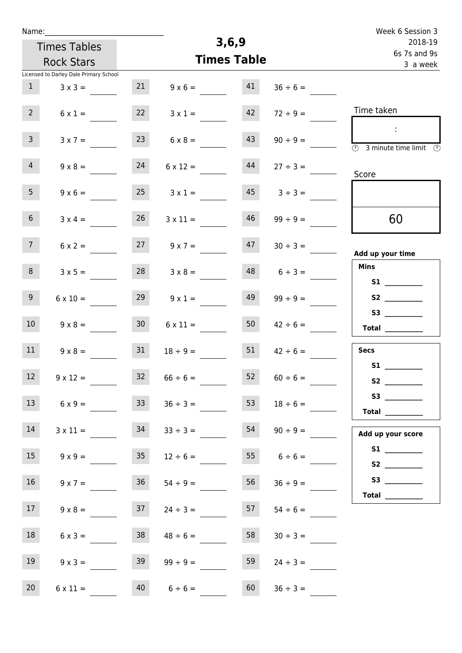| Name:           |                                        |                 |                    |                          |                   | Week 6 Session 3                                                      |
|-----------------|----------------------------------------|-----------------|--------------------|--------------------------|-------------------|-----------------------------------------------------------------------|
|                 | <b>Times Tables</b>                    |                 | 3, 6, 9            | 2018-19                  |                   |                                                                       |
|                 | <b>Rock Stars</b>                      |                 | <b>Times Table</b> | 6s 7s and 9s<br>3 a week |                   |                                                                       |
|                 | Licensed to Darley Dale Primary School |                 |                    |                          |                   |                                                                       |
| $\mathbf{1}$    | $3 \times 3 =$                         | 21              | $9 \times 6 =$     | 41                       | $36 \div 6 =$     |                                                                       |
| $2^{\circ}$     | $6 \times 1 =$                         | 22              | $3 \times 1 =$     | 42                       | $72 \div 9 =$     | Time taken                                                            |
| 3 <sup>7</sup>  | $3 \times 7 =$                         | 23              | $6 \times 8 =$     | 43                       | $90 \div 9 =$     | ÷.<br>$\overline{(\mathcal{V})}$<br>3 minute time limit $\circled{0}$ |
| $\overline{4}$  | $9 \times 8 =$                         | 24              | $6 \times 12 =$    | 44                       | $27 \div 3 =$     | Score                                                                 |
| 5 <sub>1</sub>  | $9 \times 6 =$                         | 25              | $3 \times 1 =$     | 45                       | $3 ÷ 3 =$         |                                                                       |
| 6 <sup>1</sup>  | $3 \times 4 =$                         | 26              | $3 \times 11 =$    | 46                       | $99 \div 9 =$     | 60                                                                    |
| 7 <sup>7</sup>  | $6 \times 2 =$                         | 27              | $9 \times 7 =$     | 47                       | $30 \div 3 =$     | Add up your time                                                      |
| 8               | $3 \times 5 =$                         | 28              | $3 \times 8 =$     | 48                       | $6 \div 3 =$      | <b>Mins</b>                                                           |
| 9 <sub>o</sub>  | $6 \times 10 =$                        | 29              | $9 \times 1 =$     | 49                       | $99 \div 9 =$     | S2                                                                    |
| 10 <sup>°</sup> | $9 \times 8 =$                         | 30 <sup>°</sup> | $6 \times 11 =$    | 50                       | $42 \div 6 =$     | Total $\qquad$                                                        |
| 11              | $9 \times 8 =$                         | 31              | $18 \div 9 =$      | 51                       | $42 \div 6 =$     | <b>Secs</b>                                                           |
| 12              | $9 \times 12 =$                        | 32              | $66 \div 6 =$      | 52                       | $60 \div 6 =$     |                                                                       |
| 13              | $6 \times 9 =$                         | 33              | $36 \div 3 =$      | 53                       | $18 \div 6 =$     | Total                                                                 |
| 14              | $3 \times 11 =$                        | 34              | $33 \div 3 =$      | 54                       | $90 \div 9 =$     | Add up your score                                                     |
| 15              | $9 \times 9 = 35$                      |                 | $12 \div 6 =$      |                          | $55$ $6 \div 6 =$ |                                                                       |
| 16              | $9 \times 7 =$                         | 36              | $54 \div 9 =$      | 56                       | $36 \div 9 =$     | Total $\qquad$                                                        |
| 17 <sup>7</sup> | $9 \times 8 =$                         | 37              | $24 \div 3 =$      | 57                       | $54 \div 6 =$     |                                                                       |
| 18              | $6 \times 3 =$                         | 38              | $48 \div 6 =$      | 58                       | $30 \div 3 =$     |                                                                       |
| 19              | $9 \times 3 =$                         | 39              | $99 \div 9 =$      | 59                       | $24 \div 3 =$     |                                                                       |
| 20 <sub>2</sub> | $6 \times 11 =$                        |                 | $40 \t 6 \div 6 =$ | 60                       | $36 \div 3 =$     |                                                                       |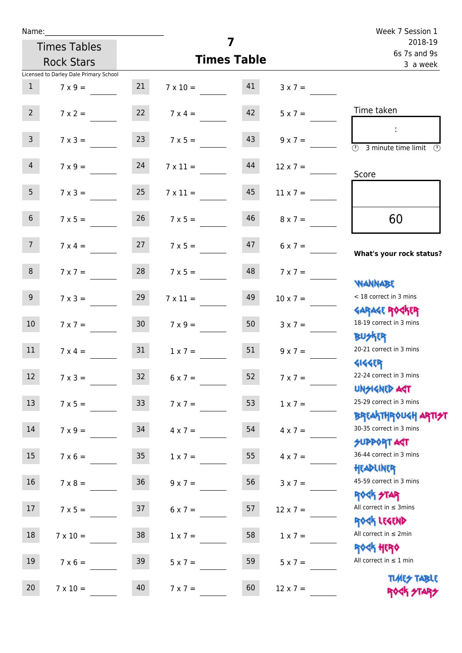| Name:           |                                        |                 |                                  |                         |                 | Week 7 Session 1                                                 |
|-----------------|----------------------------------------|-----------------|----------------------------------|-------------------------|-----------------|------------------------------------------------------------------|
|                 | <b>Times Tables</b>                    |                 | 7                                | 2018-19<br>6s 7s and 9s |                 |                                                                  |
|                 | <b>Rock Stars</b>                      |                 | <b>Times Table</b>               | 3 a week                |                 |                                                                  |
|                 | Licensed to Darley Dale Primary School |                 |                                  |                         |                 |                                                                  |
| $\mathbf{1}$    | $7 \times 9 =$                         | 21              | $7 \times 10 = 41$               |                         | $3 \times 7 =$  |                                                                  |
| $2^{\circ}$     | $7 \times 2 =$                         |                 | $7 \times 4 =$                   | 42                      | $5 \times 7 =$  | Time taken                                                       |
| $\mathsf{3}$    | $7 \times 3 =$                         | 23              | $7 \times 5 =$                   | 43                      | $9 \times 7 =$  | $\overline{(\mathcal{V})}$<br>3 minute time limit                |
| $\overline{4}$  | $7 \times 9 = 24$                      |                 | $7 \times 11 =$                  | 44                      | $12 \times 7 =$ | Score                                                            |
| 5 <sub>1</sub>  | $7 \times 3 =$                         | 25              | $7 \times 11 =$                  | 45                      | $11 \times 7 =$ |                                                                  |
| 6 <sup>1</sup>  | $7 \times 5 =$                         | 26              | $7 \times 5 =$                   | 46                      | $8 \times 7 =$  | 60                                                               |
| 7 <sup>7</sup>  |                                        |                 | $7 \times 4 = 27$ $7 \times 5 =$ | 47                      | $6 \times 7 =$  | What's your rock status?                                         |
| 8 <sup>1</sup>  | $7 \times 7 =$                         | 28              | $7 \times 5 =$                   | 48                      | $7 \times 7 =$  | <b>NANNABE</b>                                                   |
| 9 <sub>o</sub>  | $7 \times 3 =$                         | 29              | $7 \times 11 =$                  | 49                      | $10 \times 7 =$ | < 18 correct in 3 mins<br><b>GARAGE ROGKER</b>                   |
| 10 <sup>°</sup> | $7 \times 7 =$                         | 30              | $7 \times 9 =$                   | 50                      | $3 \times 7 =$  | 18-19 correct in 3 mins<br><b>BUSKR</b>                          |
| 11              | $7 \times 4 =$                         | 31              | $1 \times 7 =$                   | 51                      | $9 \times 7 =$  | 20-21 correct in 3 mins<br><b>4144ER</b>                         |
| 12              | $7 \times 3 =$                         | 32              | $6 \times 7 =$                   | 52                      | $7 \times 7 =$  | 22-24 correct in 3 mins<br><b>UNSIGNED AGT</b>                   |
| 13              | $7 \times 5 =$                         | 33 <sup>°</sup> | $7 \times 7 =$                   | 53                      | $1 x 7 =$       | 25-29 correct in 3 mins<br><b>BREAKTHROUGH ARTI<del>S</del>T</b> |
| 14              | $7 \times 9 =$                         | 34              | $4 \times 7 =$                   | 54                      | $4 \times 7 =$  | 30-35 correct in 3 mins<br><b>SUPPORT AGT</b>                    |
| 15              | $7 \times 6 =$                         | 35              | $1 \times 7 =$                   | 55                      | $4 \times 7 =$  | 36-44 correct in 3 mins<br>HEADLINER                             |
| 16              | $7 \times 8 =$                         | 36              | $9 \times 7 =$                   | 56                      | $3 \times 7 =$  | 45-59 correct in 3 mins<br><b>ROCK STAR</b>                      |
| 17              | $7 \times 5 =$                         | 37              | $6 \times 7 =$                   | 57                      | $12 \times 7 =$ | All correct in $\leq$ 3mins<br>ROCK LEGEND                       |
| 18              | $7 \times 10 =$                        | 38              | $1 \times 7 =$                   | 58                      | $1 \times 7 =$  | All correct in $\leq 2$ min<br><b>ROCK HERO</b>                  |
| 19              | $7 \times 6 =$                         | 39              | $5 \times 7 =$                   | 59                      | $5 \times 7 =$  | All correct in $\leq 1$ min<br><b>TUARS TABLE</b>                |
| 20              | $7 \times 10 =$                        | 40              | $7 \times 7 =$                   | 60                      | $12 \times 7 =$ | ROCK STARS                                                       |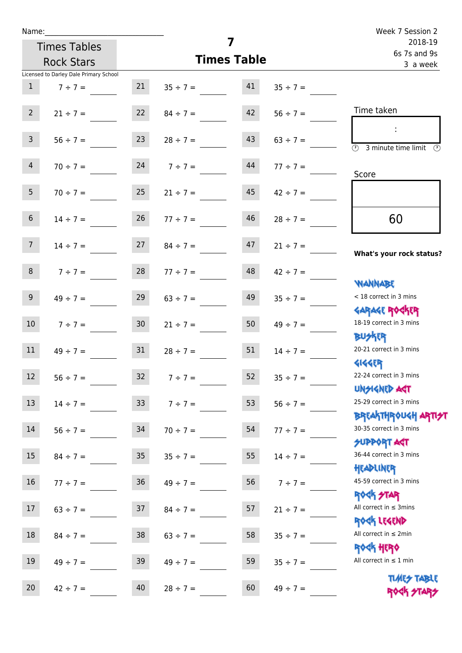| Name:                                  |                  |                 |                                |                    |               | Week 7 Session 2                                                 |
|----------------------------------------|------------------|-----------------|--------------------------------|--------------------|---------------|------------------------------------------------------------------|
| <b>Times Tables</b>                    |                  |                 |                                | 7                  |               | 2018-19<br>6s 7s and 9s                                          |
| <b>Rock Stars</b>                      |                  |                 |                                | <b>Times Table</b> |               | 3 a week                                                         |
| Licensed to Darley Dale Primary School |                  |                 |                                |                    |               |                                                                  |
| 1                                      | $7 \div 7 =$     | 21              | $35 \div 7 =$                  | 41                 | $35 \div 7 =$ |                                                                  |
| $2^{\circ}$                            |                  |                 | $21 \div 7 = 22$ $84 \div 7 =$ | 42                 | $56 \div 7 =$ | Time taken                                                       |
| 3 <sup>7</sup>                         | $56 \div 7 =$    | 23              | $28 \div 7 =$                  | 43                 | $63 \div 7 =$ | <b>3</b> minute time limit<br>-09                                |
| 4                                      | $70 \div 7 =$    |                 | 24 $7 \div 7 =$                | 44                 | $77 \div 7 =$ | Score                                                            |
| 5 <sub>1</sub>                         | $70 \div 7 = 25$ |                 | $21 \div 7 =$                  | 45                 | $42 \div 7 =$ |                                                                  |
| 6 <sup>1</sup>                         | $14 \div 7 =$    | 26              | $77 \div 7 =$                  | 46                 | $28 \div 7 =$ | 60                                                               |
| 7 <sup>7</sup>                         | $14 \div 7 =$    | 27              | $84 \div 7 =$                  | 47                 | $21 \div 7 =$ | What's your rock status?                                         |
| 8                                      | $7 ÷ 7 =$        | 28              | $77 \div 7 =$                  | 48                 | $42 \div 7 =$ |                                                                  |
| 9                                      | $49 \div 7 =$    | 29              | $63 \div 7 =$                  | 49                 | $35 \div 7 =$ | <b>YIANNABE</b><br>< 18 correct in 3 mins                        |
| 10 <sup>7</sup>                        | $7 \div 7 =$     | 30 <sup>1</sup> | $21 \div 7 =$                  | 50                 | $49 \div 7 =$ | <b>GARAGE ROCKER</b><br>18-19 correct in 3 mins                  |
| 11                                     | $49 \div 7 =$    | 31              | $28 \div 7 =$                  | 51                 | $14 \div 7 =$ | <b>BUSKER</b><br>20-21 correct in 3 mins                         |
| 12<br>$56 ÷ 7 =$                       |                  | 32              | $7 ÷ 7 =$                      | 52                 | $35 \div 7 =$ | <b>4144EP</b><br>22-24 correct in 3 mins                         |
| 13<br>$14 \div 7 =$                    |                  | 33              | $7 ÷ 7 =$                      | 53                 | $56 ÷ 7 =$    | <b>UNSIGNED AST</b><br>25-29 correct in 3 mins                   |
| 14                                     | $56 \div 7 =$    | 34              | $70 \div 7 =$                  | 54                 | $77 \div 7 =$ | <b>BREAKTHROUGH ARTI<del>S</del>T</b><br>30-35 correct in 3 mins |
| 15 <sub>1</sub>                        | $84 \div 7 =$    | 35              | $35 \div 7 =$                  | 55                 | $14 \div 7 =$ | <b>SUPPORT AGT</b><br>36-44 correct in 3 mins                    |
| 16                                     | $77 ÷ 7 =$       | 36              | $49 \div 7 =$                  | 56                 | $7 ÷ 7 =$     | HEADLINER<br>45-59 correct in 3 mins                             |
| 17                                     | $63 \div 7 =$    | 37              | $84 \div 7 =$                  | 57                 | $21 \div 7 =$ | <b>ROCK STAR</b><br>All correct in $\leq$ 3mins                  |
| 18                                     | $84 \div 7 =$    | $38\,$          | $63 \div 7 =$                  | 58                 | $35 \div 7 =$ | ROCK LEGEND<br>All correct in $\leq 2$ min<br><b>ROCK HERO</b>   |
| 19                                     | $49 \div 7 =$    | 39              | $49 \div 7 =$                  | 59                 | $35 \div 7 =$ | All correct in $\leq 1$ min                                      |
| 20<br>$42 \div 7 =$                    |                  | 40              | $28 \div 7 =$                  | 60                 | $49 \div 7 =$ | <b>TIMES TABLE</b><br>ROCK STARS                                 |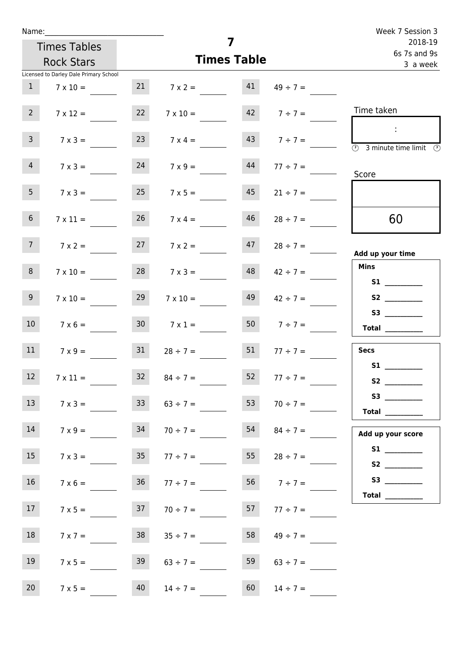| Name:           |                                        |                 |                   |                         |                    | Week 7 Session 3                                                                                                                                                                                                                                                                                                                                                                                                                                                                                                                                                                                                          |
|-----------------|----------------------------------------|-----------------|-------------------|-------------------------|--------------------|---------------------------------------------------------------------------------------------------------------------------------------------------------------------------------------------------------------------------------------------------------------------------------------------------------------------------------------------------------------------------------------------------------------------------------------------------------------------------------------------------------------------------------------------------------------------------------------------------------------------------|
|                 | <b>Times Tables</b>                    |                 | 7                 | 2018-19<br>6s 7s and 9s |                    |                                                                                                                                                                                                                                                                                                                                                                                                                                                                                                                                                                                                                           |
|                 | <b>Rock Stars</b>                      |                 |                   | <b>Times Table</b>      |                    | 3 a week                                                                                                                                                                                                                                                                                                                                                                                                                                                                                                                                                                                                                  |
|                 | Licensed to Darley Dale Primary School |                 |                   |                         |                    |                                                                                                                                                                                                                                                                                                                                                                                                                                                                                                                                                                                                                           |
| 1               | $7 \times 10 =$                        |                 | $7 \times 2 = 41$ |                         | $49 \div 7 =$      |                                                                                                                                                                                                                                                                                                                                                                                                                                                                                                                                                                                                                           |
| 2 <sup>7</sup>  | $7 \times 12 =$                        | 22              | $7 \times 10 =$   |                         | $142$ $7 \div 7 =$ | Time taken                                                                                                                                                                                                                                                                                                                                                                                                                                                                                                                                                                                                                |
| $\mathbf{3}$    | $7 \times 3 =$                         | 23              | $7 \times 4 =$    |                         | $143$ $7 \div 7 =$ | $\sim 10$<br>$\overline{\textcircled{2}}$ 3 minute time limit $\overline{\textcircled{2}}$                                                                                                                                                                                                                                                                                                                                                                                                                                                                                                                                |
| $\overline{4}$  | $7 \times 3 =$                         | 24              | $7 \times 9 =$    | 44                      | $77 \div 7 =$      | Score                                                                                                                                                                                                                                                                                                                                                                                                                                                                                                                                                                                                                     |
| 5 <sub>1</sub>  | $7 \times 3 =$                         | 25              | $7 \times 5 =$    | 45                      | $21 \div 7 =$      |                                                                                                                                                                                                                                                                                                                                                                                                                                                                                                                                                                                                                           |
| 6 <sub>1</sub>  | $7 \times 11 =$                        | 26              | $7 \times 4 =$    | 46                      | $28 \div 7 =$      | 60                                                                                                                                                                                                                                                                                                                                                                                                                                                                                                                                                                                                                        |
| 7 <sup>7</sup>  | $7 \times 2 =$                         | 27              | $7 \times 2 =$    |                         | $47$ $28 \div 7 =$ | Add up your time                                                                                                                                                                                                                                                                                                                                                                                                                                                                                                                                                                                                          |
| 8               | $7 \times 10 =$                        | 28              | $7 \times 3 =$    | 48                      | $42 \div 7 =$      | <b>Mins</b><br>S1                                                                                                                                                                                                                                                                                                                                                                                                                                                                                                                                                                                                         |
| 9 <sub>o</sub>  | $7 \times 10 =$                        | 29              | $7 \times 10 =$   | 49                      | $42 \div 7 =$      | S2                                                                                                                                                                                                                                                                                                                                                                                                                                                                                                                                                                                                                        |
| 10 <sup>°</sup> | $7 \times 6 =$                         | 30 <sub>o</sub> | $7 \times 1 =$    |                         | 50 $7 \div 7 =$    | $\begin{array}{c}\n\text{Total} \\ \end{array}$                                                                                                                                                                                                                                                                                                                                                                                                                                                                                                                                                                           |
| 11              | $7 \times 9 =$                         | 31              | $28 \div 7 = 51$  |                         | $77 \div 7 =$      | <b>Secs</b>                                                                                                                                                                                                                                                                                                                                                                                                                                                                                                                                                                                                               |
| 12 <sub>2</sub> | $7 \times 11 =$                        | 32              | $84 \div 7 =$     | 52                      | $77 \div 7 =$      | <b>S1</b><br>S <sub>2</sub> and the set of the set of the set of the set of the set of the set of the set of the set of the set of the set of the set of the set of the set of the set of the set of the set of the set of the set of the set of the                                                                                                                                                                                                                                                                                                                                                                      |
| 13              | $7 \times 3 =$                         | 33 <sup>°</sup> | $63 \div 7 =$     | 53                      | $70 \div 7 =$      | S3<br>$\begin{tabular}{c} Total & \underline{\hspace{1cm}} & \underline{\hspace{1cm}} & \underline{\hspace{1cm}} & \underline{\hspace{1cm}} & \underline{\hspace{1cm}} & \underline{\hspace{1cm}} & \underline{\hspace{1cm}} & \underline{\hspace{1cm}} & \underline{\hspace{1cm}} & \underline{\hspace{1cm}} & \underline{\hspace{1cm}} & \underline{\hspace{1cm}} & \underline{\hspace{1cm}} & \underline{\hspace{1cm}} & \underline{\hspace{1cm}} & \underline{\hspace{1cm}} & \underline{\hspace{1cm}} & \underline{\hspace{1cm}} & \underline{\hspace{1cm}} & \underline{\hspace{1cm}} & \underline{\hspace{1cm}} &$ |
| 14              | $7 \times 9 =$                         | 34              | $70 \div 7 =$     | 54                      | $84 \div 7 =$      | Add up your score                                                                                                                                                                                                                                                                                                                                                                                                                                                                                                                                                                                                         |
| 15              | $7 \times 3 =$                         | 35 <sub>1</sub> | $77 \div 7 =$     | 55                      | $28 \div 7 =$      |                                                                                                                                                                                                                                                                                                                                                                                                                                                                                                                                                                                                                           |
| 16              | $7 \times 6 =$                         | 36              | $77 \div 7 =$     |                         | 56 $7 \div 7 =$    | Total $\qquad$                                                                                                                                                                                                                                                                                                                                                                                                                                                                                                                                                                                                            |
| 17              | $7 \times 5 =$                         | 37              | $70 \div 7 =$     |                         | 57 77 ÷ 7 =        |                                                                                                                                                                                                                                                                                                                                                                                                                                                                                                                                                                                                                           |
| 18              | $7 \times 7 =$                         | 38              | $35 \div 7 =$     | 58                      | $49 \div 7 =$      |                                                                                                                                                                                                                                                                                                                                                                                                                                                                                                                                                                                                                           |
| 19              | $7 \times 5 =$                         | 39              | $63 \div 7 =$     | 59                      | $63 \div 7 =$      |                                                                                                                                                                                                                                                                                                                                                                                                                                                                                                                                                                                                                           |
| 20              | $7 \times 5 =$                         | 40              | $14 \div 7 =$     | 60                      | $14 \div 7 =$      |                                                                                                                                                                                                                                                                                                                                                                                                                                                                                                                                                                                                                           |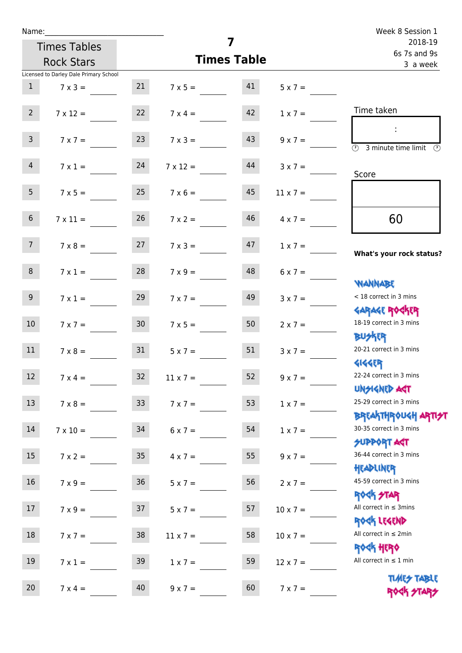| Name:            |                                        |                 |                         |                         |                 | Week 8 Session 1                                                 |
|------------------|----------------------------------------|-----------------|-------------------------|-------------------------|-----------------|------------------------------------------------------------------|
|                  | <b>Times Tables</b>                    |                 | $\overline{\mathbf{z}}$ | 2018-19<br>6s 7s and 9s |                 |                                                                  |
|                  | <b>Rock Stars</b>                      |                 |                         | <b>Times Table</b>      |                 | 3 a week                                                         |
|                  | Licensed to Darley Dale Primary School |                 |                         |                         |                 |                                                                  |
| $\mathbf{1}$     | $7 \times 3 =$                         | 21              | $7 \times 5 = 41$       |                         | $5 \times 7 =$  |                                                                  |
| $\overline{2}$   | $7 \times 12 =$                        | 22              | $7 \times 4 =$          | 42                      | $1 \times 7 =$  | Time taken                                                       |
| 3 <sup>7</sup>   | $7 \times 7 =$                         | 23              | $7 \times 3 =$          | 43                      | $9 \times 7 =$  | $\overline{(\mathcal{V})}$<br>3 minute time limit<br>(V)         |
| $\overline{4}$   | $7 \times 1 =$                         | 24              | $7 \times 12 =$         | 44                      | $3 \times 7 =$  | Score                                                            |
| 5 <sub>1</sub>   | $7 \times 5 =$                         | 25              | $7 \times 6 =$          | 45                      | $11 \times 7 =$ |                                                                  |
| 6 <sup>1</sup>   | $7 \times 11 =$                        | 26              | $7 \times 2 =$          | 46                      | $4 \times 7 =$  | 60                                                               |
| 7 <sup>7</sup>   | $7 \times 8 = 27$                      |                 | $7 \times 3 =$          | 47                      | $1 \times 7 =$  | What's your rock status?                                         |
| 8                | $7 \times 1 =$                         | 28              | $7 \times 9 =$          | 48                      | $6 \times 7 =$  | <b>NANNABE</b>                                                   |
| 9 <sub>o</sub>   | $7 \times 1 =$                         | 29              | $7 \times 7 =$          | 49                      | $3 \times 7 =$  | < 18 correct in 3 mins<br><b>GARAGE ROGKER</b>                   |
| 10 <sup>°</sup>  | $7 \times 7 =$                         | 30 <sub>o</sub> | $7 \times 5 =$          | 50                      | $2 \times 7 =$  | 18-19 correct in 3 mins<br><b>BUSKER</b>                         |
| 11               | $7 \times 8 = 31$                      |                 | $5 \times 7 =$          | 51                      | $3 \times 7 =$  | 20-21 correct in 3 mins<br><b>4144ER</b>                         |
| 12               | $7 \times 4 =$                         | 32              | $11 \times 7=$          | 52                      | $9 \times 7 =$  | 22-24 correct in 3 mins<br><b>UNSIGNED AGT</b>                   |
| 13               | $7 \times 8 =$                         | 33 <sup>°</sup> | $7 \times 7 =$          | 53                      | $1 \times 7 =$  | 25-29 correct in 3 mins<br><b>BREAKTHROUGH ARTI<del>S</del>T</b> |
| 14               | $7 \times 10 =$                        | 34              | $6 \times 7 =$          | 54                      | $1 \times 7 =$  | 30-35 correct in 3 mins<br>SUPPORT AGT                           |
| 15 <sub>15</sub> | $7 \times 2 =$                         | 35 <sub>o</sub> | $4 \times 7 =$          | 55                      | $9 \times 7 =$  | 36-44 correct in 3 mins<br>HEADLINER                             |
| 16               | $7 \times 9 =$                         | $36\,$          | $5 \times 7 =$          | 56                      | $2 \times 7 =$  | 45-59 correct in 3 mins<br><b>ROCK STAR</b>                      |
| 17               | $7 \times 9 =$                         | 37              | $5 \times 7 =$          | 57                      | $10 \times 7 =$ | All correct in $\leq$ 3mins<br>ROCK LEGEND                       |
| 18               | $7 \times 7 =$                         | 38              | $11 \times 7 =$         | 58                      | $10 \times 7 =$ | All correct in $\leq 2$ min<br><b>ROCK HERO</b>                  |
| 19               | $7 \times 1 =$                         | 39              | $1 \times 7 =$          | 59                      | $12 \times 7 =$ | All correct in $\leq 1$ min<br><b>TUARS TABLE</b>                |
| 20               | $7 \times 4 =$                         | 40              | $9 \times 7 =$          | 60                      | $7 \times 7 =$  | ROCK STARS                                                       |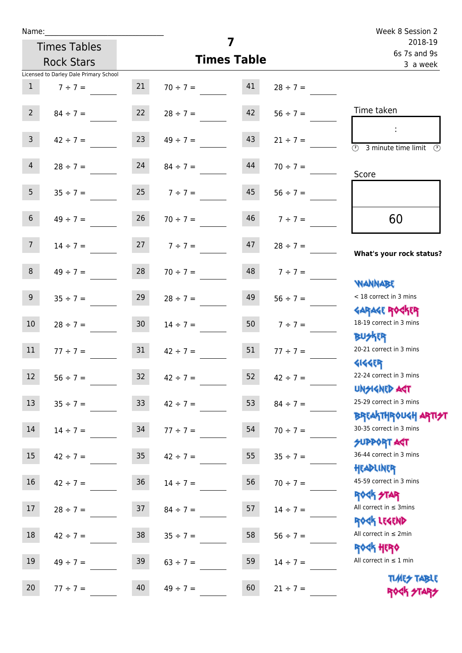| Name:               |                                        |                 |                                |    |                   | Week 8 Session 2                                                |
|---------------------|----------------------------------------|-----------------|--------------------------------|----|-------------------|-----------------------------------------------------------------|
| <b>Times Tables</b> |                                        |                 | 7                              |    |                   | 2018-19<br>6s 7s and 9s                                         |
|                     | <b>Rock Stars</b>                      |                 | <b>Times Table</b>             |    |                   | 3 a week                                                        |
|                     | Licensed to Darley Dale Primary School |                 |                                |    |                   |                                                                 |
| 1                   | $7 \div 7 =$                           | 21              | $70 \div 7 =$                  | 41 | $28 \div 7 =$     |                                                                 |
| $2-1$               |                                        |                 | $84 \div 7 = 22$ $28 \div 7 =$ | 42 | $56 \div 7 =$     | Time taken                                                      |
| 3 <sup>7</sup>      | $42 \div 7 =$                          | 23              | $49 \div 7 =$                  | 43 | $21 \div 7 =$     | <b>3</b> minute time limit<br>-09                               |
| 4                   | $28 \div 7 =$                          | 24              | $84 \div 7 =$                  | 44 | $70 \div 7 =$     | Score                                                           |
| 5 <sub>1</sub>      |                                        |                 | $35 \div 7 = 25$ $7 \div 7 =$  | 45 | $56 \div 7 =$     |                                                                 |
| 6 <sup>1</sup>      | $49 \div 7 =$                          | 26              | $70 \div 7 =$                  | 46 | $7 ÷ 7 =$         | 60                                                              |
| 7 <sup>7</sup>      | $14 \div 7 =$                          |                 | $27 \t 7 \div 7 =$             | 47 | $28 \div 7 =$     | What's your rock status?                                        |
| 8                   | $49 \div 7 =$                          | 28              | $70 \div 7 =$                  |    | $48$ $7 \div 7 =$ |                                                                 |
| 9                   | $35 \div 7 =$                          | 29              | $28 \div 7 =$                  | 49 | $56 \div 7 =$     | WANNABE<br>< 18 correct in 3 mins                               |
| 10 <sup>°</sup>     | $28 \div 7 =$                          | 30 <sub>o</sub> | $14 \div 7 =$                  | 50 | $7 ÷ 7 =$         | <b>GARAGE ROCKER</b><br>18-19 correct in 3 mins                 |
| 11                  | $77 \div 7 =$                          | 31              | $42 \div 7 =$                  | 51 | $77 \div 7 =$     | <b>BUSKER</b><br>20-21 correct in 3 mins                        |
| 12                  | $56 ÷ 7 =$                             | 32              | $42 \div 7 =$                  | 52 | $42 \div 7 =$     | <b>4144EP</b><br>22-24 correct in 3 mins<br><b>UNSIGNED AST</b> |
| 13                  | $35 ÷ 7 =$                             | 33 <sup>°</sup> | $42 \div 7 =$                  | 53 | $84 \div 7 =$     | 25-29 correct in 3 mins                                         |
| 14                  | $14 \div 7 =$                          | 34              | $77 \div 7 =$                  | 54 | $70 \div 7 =$     | <b>BREAKTHROUGH ARTH</b><br>30-35 correct in 3 mins             |
| 15 <sub>1</sub>     | $42 \div 7 =$                          | 35              | $42 \div 7 =$                  | 55 | $35 \div 7 =$     | <b>SUPPORT AGT</b><br>36-44 correct in 3 mins                   |
| 16                  | $42 \div 7 =$                          | 36              | $14 \div 7 =$                  | 56 | $70 \div 7 =$     | HEADLINER<br>45-59 correct in 3 mins                            |
| 17                  | $28 \div 7 =$                          | 37              | $84 \div 7 =$                  | 57 | $14 \div 7 =$     | <b>ROCK STAR</b><br>All correct in $\leq$ 3mins<br>ROCK LEGEND  |
| 18                  | $42 \div 7 =$                          | $38\,$          | $35 \div 7 =$                  | 58 | $56 \div 7 =$     | All correct in $\leq 2$ min<br><b>ROCK HERO</b>                 |
| 19                  | $49 \div 7 =$                          | 39              | $63 \div 7 =$                  | 59 | $14 \div 7 =$     | All correct in $\leq 1$ min                                     |
| 20                  | $77 ÷ 7 =$                             | 40              | $49 \div 7 =$                  | 60 | $21 ÷ 7 =$        | <b>TIMES TABLE</b><br>ROCK STARS                                |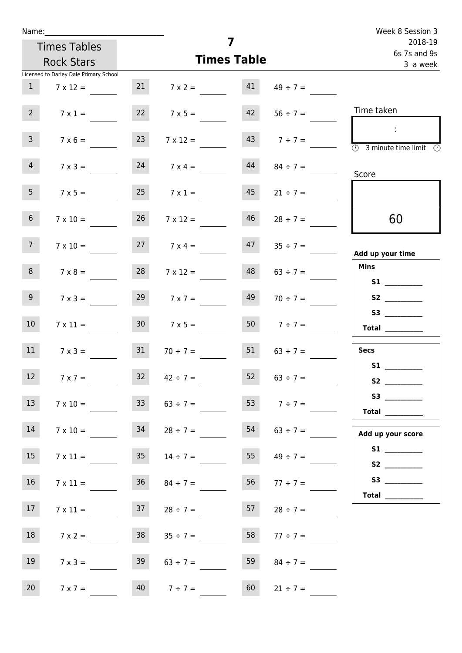| Name:           |                                        |                 |                                    |    |                     | Week 8 Session 3                                                                                                                                                                                                                                     |
|-----------------|----------------------------------------|-----------------|------------------------------------|----|---------------------|------------------------------------------------------------------------------------------------------------------------------------------------------------------------------------------------------------------------------------------------------|
|                 | <b>Times Tables</b>                    |                 | 7                                  |    |                     | 2018-19<br>6s 7s and 9s                                                                                                                                                                                                                              |
|                 | <b>Rock Stars</b>                      |                 | <b>Times Table</b>                 |    |                     | 3 a week                                                                                                                                                                                                                                             |
|                 | Licensed to Darley Dale Primary School |                 |                                    |    |                     |                                                                                                                                                                                                                                                      |
| $\mathbf{1}$    | $7 \times 12 =$                        |                 | 21 $7 \times 2 =$ 41 $49 \div 7 =$ |    |                     |                                                                                                                                                                                                                                                      |
| 2 <sup>7</sup>  | $7 \times 1 =$                         |                 | $7 \times 5 =$                     | 42 | $56 \div 7 =$       | Time taken                                                                                                                                                                                                                                           |
| 3 <sup>7</sup>  | $7 \times 6 =$                         | 23              | $7 \times 12 =$                    |    | $143$ $7 \div 7 =$  | $\sim 10$<br>$\overline{\textcircled{2}}$ 3 minute time limit $\overline{\textcircled{2}}$                                                                                                                                                           |
| 4               | $7 \times 3 =$                         | 24              | $7 \times 4 =$                     | 44 | $84 \div 7 =$       | Score                                                                                                                                                                                                                                                |
| 5 <sub>1</sub>  | $7 \times 5 =$                         | 25              | $7 \times 1 =$                     | 45 | $21 \div 7 =$       |                                                                                                                                                                                                                                                      |
| 6 <sub>0</sub>  | $7 \times 10 =$                        | 26              | $7 \times 12 =$                    | 46 | $28 \div 7 =$       | 60                                                                                                                                                                                                                                                   |
| 7 <sup>7</sup>  | $7 \times 10 =$                        |                 | $7 \times 4 =$                     |    | $47 \t 35 \div 7 =$ | Add up your time                                                                                                                                                                                                                                     |
| 8 <sub>1</sub>  | $7 \times 8 =$                         | 28              | $7 \times 12 =$                    | 48 | $63 \div 7 =$       | <b>Mins</b><br><b>S1 S1</b>                                                                                                                                                                                                                          |
| 9 <sub>o</sub>  | $7 \times 3 =$                         | 29              | $7 \times 7 =$                     | 49 | $70 \div 7 =$       |                                                                                                                                                                                                                                                      |
| 10 <sup>°</sup> | $7 \times 11 =$                        | 30 <sub>o</sub> | $7 \times 5 =$                     |    | 50 $7 \div 7 =$     | S3<br>$\begin{tabular}{c} Total \end{tabular}$                                                                                                                                                                                                       |
| 11              | $7 \times 3 =$                         | 31              | $70 \div 7 =$                      | 51 | $63 \div 7 =$       | <b>Secs</b>                                                                                                                                                                                                                                          |
| 12 <sub>2</sub> | $7 \times 7 =$                         | 32              | $42 \div 7 =$                      | 52 | $63 \div 7 =$       | <b>S1</b><br>S <sub>2</sub> and the set of the set of the set of the set of the set of the set of the set of the set of the set of the set of the set of the set of the set of the set of the set of the set of the set of the set of the set of the |
| 13              | $7 \times 10 =$                        | 33              | $63 \div 7 = 53$ $7 \div 7 =$      |    |                     | Total _________                                                                                                                                                                                                                                      |
| 14              | $7 \times 10 =$                        | 34              | $28 \div 7 =$                      | 54 | $63 \div 7 =$       | Add up your score                                                                                                                                                                                                                                    |
| 15              | $7 \times 11 =$                        | 35              | $14 \div 7 =$                      | 55 | $49 \div 7 =$       |                                                                                                                                                                                                                                                      |
| 16              | $7 \times 11 =$                        |                 | $36 \t 84 \div 7 =$                | 56 | $77 \div 7 =$       |                                                                                                                                                                                                                                                      |
| 17 <sub>1</sub> | $7 \times 11 =$                        | 37              | $28 \div 7 =$                      | 57 | $28 \div 7 =$       |                                                                                                                                                                                                                                                      |
| 18              | $7 \times 2 =$                         | 38              | $35 \div 7 =$                      | 58 | $77 \div 7 =$       |                                                                                                                                                                                                                                                      |
| 19              | $7 \times 3 =$                         | 39              | $63 \div 7 =$                      | 59 | $84 \div 7 =$       |                                                                                                                                                                                                                                                      |
| 20 <sub>2</sub> | $7 \times 7 =$                         |                 | $40 \t 7 \div 7 =$                 | 60 | $21 \div 7 =$       |                                                                                                                                                                                                                                                      |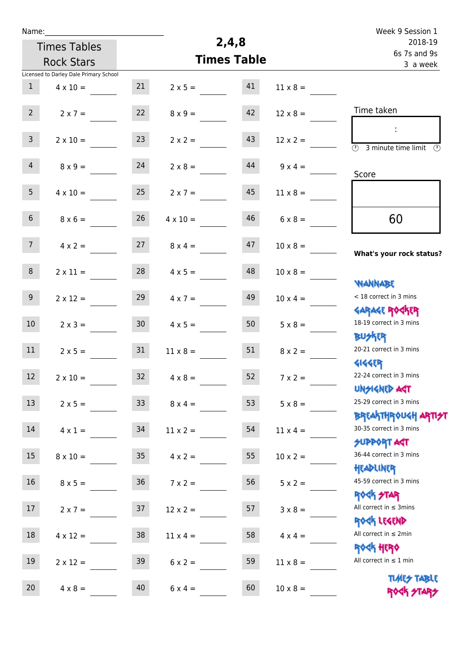| Name:           |                                        |                 |                 |                         |                 | Week 9 Session 1                                                     |
|-----------------|----------------------------------------|-----------------|-----------------|-------------------------|-----------------|----------------------------------------------------------------------|
|                 | <b>Times Tables</b>                    |                 | 2,4,8           | 2018-19<br>6s 7s and 9s |                 |                                                                      |
|                 | <b>Rock Stars</b>                      |                 |                 | <b>Times Table</b>      |                 | 3 a week                                                             |
|                 | Licensed to Darley Dale Primary School |                 |                 |                         |                 |                                                                      |
| $\mathbf{1}$    | $4 \times 10 =$                        | 21              | $2 \times 5 =$  | 41                      | $11 \times 8 =$ |                                                                      |
| 2 <sup>7</sup>  | $2 \times 7 =$                         | 22              | $8 \times 9 =$  | 42                      | $12 \times 8 =$ | Time taken                                                           |
| 3 <sup>7</sup>  | $2 \times 10 =$                        | 23              | $2 \times 2 =$  | 43                      | $12 \times 2 =$ | ÷<br>$\overline{(\mathcal{V})}$<br>3 minute time limit $\circled{0}$ |
| $\overline{4}$  | $8 \times 9 =$                         | 24              | $2 \times 8 =$  | 44                      | $9 \times 4 =$  | Score                                                                |
| 5 <sub>1</sub>  | $4 \times 10 =$                        | 25              | $2 \times 7 =$  | 45                      | $11 \times 8 =$ |                                                                      |
| 6 <sup>1</sup>  | $8 \times 6 =$                         | 26              | $4 \times 10 =$ | 46                      | $6 \times 8 =$  | 60                                                                   |
| 7 <sup>7</sup>  | $4 \times 2 =$                         | 27              | $8 \times 4 =$  | 47                      | $10 \times 8 =$ | What's your rock status?                                             |
| 8 <sup>°</sup>  | $2 \times 11 =$                        | 28              | $4 \times 5 =$  | 48                      | $10 \times 8 =$ | <b>NANNABE</b>                                                       |
| 9 <sub>o</sub>  | $2 \times 12 =$                        | 29              | $4 \times 7 =$  | 49                      | $10 \times 4 =$ | < 18 correct in 3 mins<br><b>GARAGE ROCKER</b>                       |
| 10 <sup>°</sup> | $2 \times 3 =$                         | 30 <sub>o</sub> | $4 \times 5 =$  | 50                      | $5 \times 8 =$  | 18-19 correct in 3 mins<br><b>BUSKRR</b>                             |
| 11              | $2 \times 5 =$                         | 31              | $11 \times 8 =$ | 51                      | $8 \times 2 =$  | 20-21 correct in 3 mins<br><b>4144EP</b>                             |
| 12              | $2 \times 10 =$                        | 32              | $4 \times 8 =$  | 52                      | $7 \times 2 =$  | 22-24 correct in 3 mins<br><b>UNGIGNED AGT</b>                       |
| 13              | $2 \times 5 =$                         | 33 <sup>°</sup> | $8 \times 4 =$  | 53                      | $5 \times 8 =$  | 25-29 correct in 3 mins<br><b>BREAKTHROUGH ARTI<del>S</del>T</b>     |
| 14              | $4 \times 1 =$                         | 34              | $11 \times 2 =$ | 54                      | $11 \times 4 =$ | 30-35 correct in 3 mins<br><b>SUPPORT AGT</b>                        |
| 15              | $8 \times 10 =$                        | 35 <sub>1</sub> | $4 \times 2 =$  | 55                      | $10 \times 2 =$ | 36-44 correct in 3 mins<br>HEADLINER                                 |
| 16              | $8 \times 5 =$                         | 36              | $7 \times 2 =$  | 56                      | $5 \times 2 =$  | 45-59 correct in 3 mins<br>ROCK STAR                                 |
| 17              | $2 \times 7 =$                         | 37              | $12 \times 2 =$ | 57                      | $3 \times 8 =$  | All correct in $\leq$ 3mins<br>ROCK LEGEND                           |
| 18              | $4 \times 12 =$                        | 38              | $11 \times 4 =$ | 58                      | $4 \times 4 =$  | All correct in $\leq 2$ min<br><b>ROCK HERO</b>                      |
| 19              | $2 \times 12 =$                        | 39              | $6 \times 2 =$  | 59                      | $11 \times 8 =$ | All correct in $\leq 1$ min                                          |
| 20              | $4 \times 8 =$                         | 40              | $6 \times 4 =$  | 60                      | $10 \times 8 =$ | <b>TIMES TABLE</b><br>ROCK STARS                                     |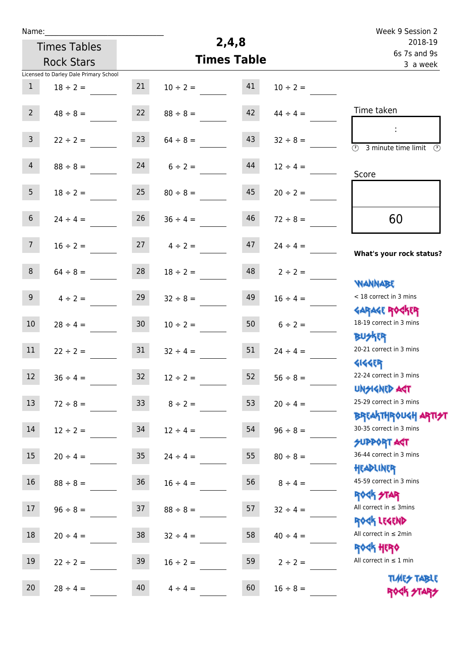| Name:                   |                                        |                 |                    |                          |               | Week 9 Session 2                                    |
|-------------------------|----------------------------------------|-----------------|--------------------|--------------------------|---------------|-----------------------------------------------------|
|                         | <b>Times Tables</b>                    |                 | 2,4,8              | 2018-19                  |               |                                                     |
|                         | <b>Rock Stars</b>                      |                 | <b>Times Table</b> | 6s 7s and 9s<br>3 a week |               |                                                     |
|                         | Licensed to Darley Dale Primary School |                 |                    |                          |               |                                                     |
| $\mathbf{1}$            | $18 \div 2 =$                          | 21              | $10 \div 2 =$      | 41                       | $10 \div 2 =$ |                                                     |
|                         |                                        |                 |                    |                          |               |                                                     |
| 2 <sup>7</sup>          | $48 \div 8 =$                          | 22              | $88 \div 8 =$      | 42                       | $44 \div 4 =$ | Time taken                                          |
|                         |                                        |                 |                    |                          |               |                                                     |
| $\overline{\mathbf{3}}$ | $22 \div 2 =$                          | 23              | $64 \div 8 =$      | 43                       | $32 \div 8 =$ | $\overline{\mathbb{O}}$<br>3 minute time limit<br>⊙ |
| $\overline{4}$          | $88 \div 8 =$                          | 24              | $6 \div 2 =$       | 44                       | $12 \div 4 =$ |                                                     |
|                         |                                        |                 |                    |                          |               | Score                                               |
| 5 <sub>1</sub>          | $18 \div 2 =$                          | 25              | $80 \div 8 =$      | 45                       | $20 \div 2 =$ |                                                     |
|                         |                                        |                 |                    |                          |               |                                                     |
| 6                       | $24 \div 4 =$                          | 26              | $36 \div 4 =$      | 46                       | $72 \div 8 =$ | 60                                                  |
|                         |                                        |                 |                    |                          |               |                                                     |
| 7 <sup>7</sup>          | $16 \div 2 =$                          | 27              | $4 \div 2 =$       | 47                       | $24 \div 4 =$ |                                                     |
|                         |                                        |                 |                    |                          |               | What's your rock status?                            |
| 8                       | $64 \div 8 =$                          | 28              | $18 \div 2 =$      | 48                       | $2 \div 2 =$  |                                                     |
|                         |                                        |                 |                    |                          |               | <b>JARNARY</b>                                      |
| 9 <sub>o</sub>          | $4 \div 2 =$                           | 29              | $32 \div 8 =$      | 49                       | $16 \div 4 =$ | < 18 correct in 3 mins                              |
|                         |                                        |                 |                    |                          |               | <b>GARAGE ROGKER</b>                                |
| 10 <sup>°</sup>         | $28 \div 4 =$                          | 30 <sub>o</sub> | $10 \div 2 =$      | 50                       | $6 \div 2 =$  | 18-19 correct in 3 mins                             |
| 11                      |                                        | 31              |                    | 51                       |               | <b>BUSKER</b><br>20-21 correct in 3 mins            |
|                         | $22 \div 2 =$                          |                 | $32 \div 4 =$      |                          | $24 \div 4 =$ | <b>4144EP</b>                                       |
| 12                      | $36 \div 4 =$                          | 32              | $12 \div 2 =$      | 52                       | $56 \div 8 =$ | 22-24 correct in 3 mins                             |
|                         |                                        |                 |                    |                          |               | <b>UNSIGNED AGT</b>                                 |
| 13                      | $72 \div 8 =$                          | 33 <sup>°</sup> | $8 \div 2 =$       | 53                       | $20 \div 4 =$ | 25-29 correct in 3 mins                             |
|                         |                                        |                 |                    |                          |               | ΒΡΓΑΚΤΗΡΟUGH ΑΡΤΙ <del>2</del> Τ                    |
| 14                      | $12 \div 2 =$                          | 34              | $12 \div 4 =$      | 54                       | $96 \div 8 =$ | 30-35 correct in 3 mins                             |
|                         |                                        |                 |                    |                          |               | <b>SUPPORT AGT</b>                                  |
| $15\phantom{.0}$        | $20 \div 4 =$                          | 35 <sub>o</sub> | $24 \div 4 =$      | 55                       | $80 \div 8 =$ | 36-44 correct in 3 mins                             |
|                         |                                        |                 |                    |                          |               | HEADLINER                                           |
| 16                      | $88 \div 8 =$                          | 36              | $16 \div 4 =$      | 56                       | $8 \div 4 =$  | 45-59 correct in 3 mins                             |
|                         |                                        |                 |                    |                          |               | <b>ROCK STAR</b>                                    |
| 17                      | $96 \div 8 =$                          | 37              | $88 \div 8 =$      | 57                       | $32 \div 4 =$ | All correct in $\leq$ 3mins                         |
| 18                      |                                        |                 |                    |                          |               | ROCK LEGEND<br>All correct in $\leq 2$ min          |
|                         | $20 \div 4 =$                          | 38              | $32 \div 4 =$      | 58                       | $40 \div 4 =$ | <b>ROGH HERO</b>                                    |
| 19                      | $22 \div 2 =$                          | 39              | $16 \div 2 =$      | 59                       | $2 \div 2 =$  | All correct in $\leq 1$ min                         |
|                         |                                        |                 |                    |                          |               |                                                     |
| 20                      | $28 \div 4 =$                          | 40              | $4 \div 4 =$       | 60                       | $16 \div 8 =$ | <b>TUARS TABLE</b><br>ROCK STARS                    |
|                         |                                        |                 |                    |                          |               |                                                     |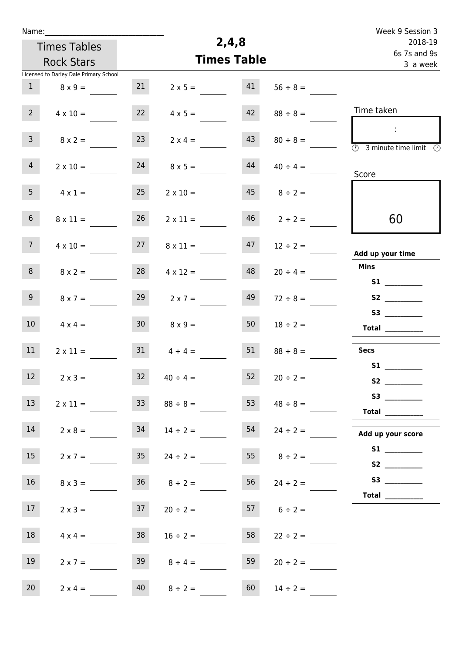| Name:           |                                        |                 |                                 |                         |                     | Week 9 Session 3                                                     |
|-----------------|----------------------------------------|-----------------|---------------------------------|-------------------------|---------------------|----------------------------------------------------------------------|
|                 | <b>Times Tables</b>                    |                 | 2,4,8                           | 2018-19<br>6s 7s and 9s |                     |                                                                      |
|                 | <b>Rock Stars</b>                      |                 | <b>Times Table</b>              |                         |                     | 3 a week                                                             |
|                 | Licensed to Darley Dale Primary School |                 |                                 |                         |                     |                                                                      |
| $\mathbf{1}$    | $8 \times 9 =$                         | 21              | $2 \times 5 =$                  | 41                      | $56 \div 8 =$       |                                                                      |
| 2 <sup>7</sup>  | $4 \times 10 =$                        | 22              | $4 \times 5 =$                  | 42                      | $88 \div 8 =$       | Time taken                                                           |
| $\overline{3}$  | $8 \times 2 =$                         | 23              | $2 \times 4 =$                  | 43                      | $80 \div 8 =$       | ÷<br>$\overline{(\mathcal{V})}$<br>3 minute time limit $\circled{0}$ |
| $\overline{4}$  | $2 \times 10 =$                        | 24              | $8 \times 5 =$                  | 44                      | $40 \div 4 =$       | Score                                                                |
| 5 <sub>1</sub>  | $4 \times 1 =$                         | 25              | $2 \times 10 =$                 | 45                      | $8 \div 2 =$        |                                                                      |
| 6 <sup>1</sup>  | $8 \times 11 =$                        | 26              | $2 \times 11 =$                 | 46                      | $2 \div 2 =$        | 60                                                                   |
| 7 <sup>7</sup>  | $4 \times 10 =$                        | 27              | $8 \times 11 =$                 | 47                      | $12 \div 2 =$       | Add up your time                                                     |
| 8               | $8 \times 2 =$                         | 28              | $4 \times 12 =$                 | 48                      | $20 \div 4 =$       | <b>Mins</b>                                                          |
| 9 <sup>°</sup>  | $8 \times 7 =$                         | 29              | $2 \times 7 =$                  | 49                      | $72 \div 8 =$       |                                                                      |
| 10 <sup>°</sup> | $4 \times 4 =$                         | 30 <sup>°</sup> | $8 \times 9 =$                  | 50                      | $18 \div 2 =$       | Total                                                                |
| 11              | $2 \times 11 =$                        | 31              | $4 \div 4 =$                    | 51                      | $88 \div 8 =$       | <b>Secs</b>                                                          |
| $12$            | $2 \times 3 =$                         | $32$            | $40 \div 4 =$                   | 52                      | $20 \div 2 =$       | S1                                                                   |
| 13              | $2 \times 11 =$                        | 33              | $88 \div 8 =$                   | 53                      | $48 \div 8 =$       | <b>Total</b> _________                                               |
| 14              | $2 \times 8 =$                         | 34              | $14 \div 2 =$                   | 54                      | $24 \div 2 =$       | Add up your score                                                    |
| 15              |                                        |                 | $2 \times 7 = 35$ $24 \div 2 =$ |                         | 55 $8 \div 2 =$     |                                                                      |
| 16              | $8 \times 3 =$                         |                 | $36 \t 8 \div 2 =$              |                         | $56 \t 24 \div 2 =$ |                                                                      |
| 17              | $2 \times 3 =$                         | 37              | $20 \div 2 =$                   |                         | $6 \div 2 =$        | Total $\_\_$                                                         |
| 18              | $4 \times 4 =$                         | 38              | $16 \div 2 =$                   | 58                      | $22 \div 2 =$       |                                                                      |
| 19              | $2 \times 7 =$                         | 39              | $8 \div 4 =$                    | 59                      | $20 \div 2 =$       |                                                                      |
| 20              | $2 \times 4 =$                         | 40              | $8 \div 2 =$                    | 60                      | $14 \div 2 =$       |                                                                      |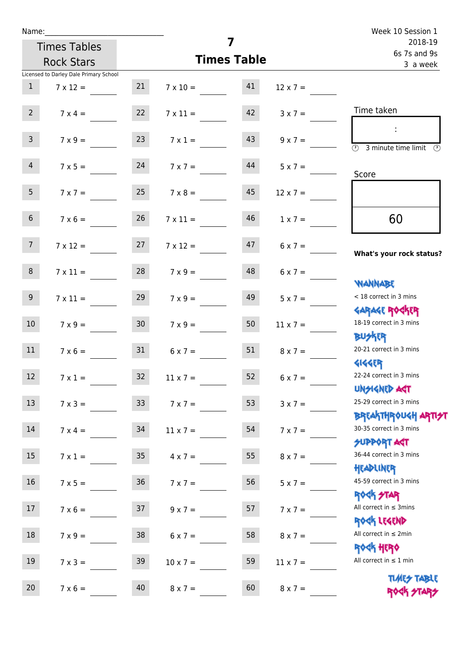| Name:           |                                        |                 |                    |                    |                 | Week 10 Session 1                                                |
|-----------------|----------------------------------------|-----------------|--------------------|--------------------|-----------------|------------------------------------------------------------------|
|                 | <b>Times Tables</b>                    |                 |                    | 7                  |                 | 2018-19<br>6s 7s and 9s                                          |
|                 | <b>Rock Stars</b>                      |                 |                    | <b>Times Table</b> |                 | 3 a week                                                         |
|                 | Licensed to Darley Dale Primary School |                 |                    |                    |                 |                                                                  |
| $\mathbf{1}$    | $7 \times 12 =$                        | 21              | $7 \times 10 = 41$ |                    | $12 \times 7 =$ |                                                                  |
| $2^{\circ}$     | $7 \times 4 =$                         | 22              | $7 \times 11 =$    | 42                 | $3 \times 7 =$  | Time taken                                                       |
| $\mathsf{3}$    | $7 \times 9 =$                         | 23              | $7 \times 1 =$     | 43                 | $9 \times 7 =$  | $\overline{\textcircled{2}}$ 3 minute time limit                 |
| $\overline{4}$  | $7 \times 5 = 24$                      |                 | $7 \times 7 =$     | 44                 | $5 \times 7 =$  | Score                                                            |
| 5 <sub>1</sub>  | $7 \times 7 =$                         | 25              | $7 \times 8 =$     | 45                 | $12 \times 7 =$ |                                                                  |
| 6 <sup>1</sup>  | $7 \times 6 =$                         | 26              | $7 \times 11 =$    | 46                 | $1 \times 7 =$  | 60                                                               |
| 7 <sup>7</sup>  | $7 \times 12 = 27$                     |                 | $7 \times 12 =$    | 47                 |                 | What's your rock status?                                         |
| 8 <sub>1</sub>  | $7 \times 11 =$                        | 28              | $7 \times 9 =$     | 48                 | $6 \times 7 =$  | JELMAN                                                           |
| 9               | $7 \times 11 =$                        | 29              | $7 \times 9 =$     | 49                 | $5 \times 7 =$  | < 18 correct in 3 mins<br><b>GARAGE ROCKER</b>                   |
| 10 <sup>°</sup> | $7 \times 9 =$                         | 30              | $7 \times 9 = 50$  |                    | $11 \times 7 =$ | 18-19 correct in 3 mins<br><b>BUSKER</b>                         |
| 11              | $7 \times 6 =$                         | 31              | $6 \times 7 =$     | 51                 | $8 \times 7 =$  | 20-21 correct in 3 mins<br><b>4144EP</b>                         |
| 12              | $7 \times 1 =$                         | $32$            | $11 \times 7 =$    | 52                 | $6 \times 7 =$  | 22-24 correct in 3 mins<br><b>UNSIGNED AGT</b>                   |
| 13              | $7 \times 3 = 33$                      |                 | $7 \times 7 =$     | 53                 | $3 \times 7 =$  | 25-29 correct in 3 mins<br><b>BREAKTHROUGH ARTI<del>S</del>T</b> |
| 14              | $7 \times 4 =$                         | 34              | $11 \times 7 =$    | 54                 | $7 \times 7 =$  | 30-35 correct in 3 mins<br><b>SUPPORT ART</b>                    |
| 15              | $7 \times 1 =$                         | 35 <sub>1</sub> | $4 \times 7 =$     | 55                 | $8 \times 7 =$  | 36-44 correct in 3 mins<br>HEADLINER                             |
| 16              | $7 \times 5 =$                         | 36              | $7 \times 7 =$     | 56                 | $5 \times 7 =$  | 45-59 correct in 3 mins<br>ROCK STAR                             |
| 17              | $7 \times 6 =$                         | 37              | $9 \times 7 =$     | 57                 | $7 \times 7 =$  | All correct in $\leq$ 3mins<br>ROCK LEGEND                       |
| 18              | $7 \times 9 =$                         | 38              | $6 \times 7 =$     | 58                 | $8 \times 7 =$  | All correct in $\leq 2$ min<br><b>ROCK HERO</b>                  |
| 19              | $7 \times 3 =$                         | 39              | $10 \times 7 =$    | 59                 | $11 \times 7 =$ | All correct in $\leq 1$ min                                      |
| 20              | $7 \times 6 =$                         | 40              | $8 \times 7 =$     | 60                 | $8 \times 7 =$  | <b>TUARS TABLE</b><br>ROCK STARS                                 |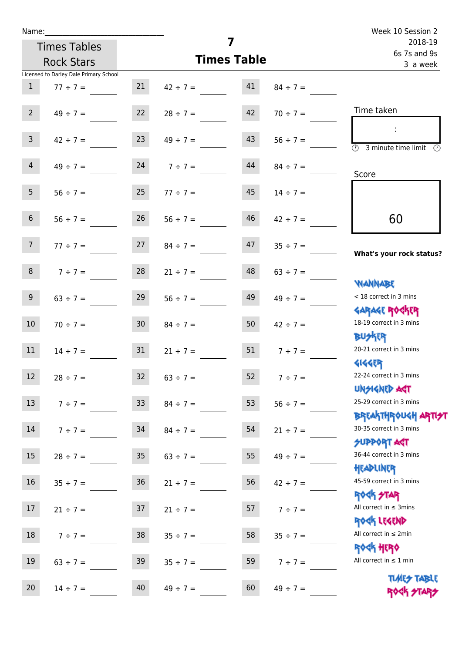| Name:           |                                        |                 |                                |                         |                 | Week 10 Session 2                                   |
|-----------------|----------------------------------------|-----------------|--------------------------------|-------------------------|-----------------|-----------------------------------------------------|
|                 | <b>Times Tables</b>                    |                 | 7                              | 2018-19<br>6s 7s and 9s |                 |                                                     |
|                 | <b>Rock Stars</b>                      |                 | <b>Times Table</b>             | 3 a week                |                 |                                                     |
|                 | Licensed to Darley Dale Primary School |                 |                                |                         |                 |                                                     |
| $\mathbf{1}$    | $77 \div 7 =$                          | 21              | $42 \div 7 =$                  | 41                      | $84 \div 7 =$   |                                                     |
| $2^{\circ}$     |                                        |                 | $49 \div 7 = 22$ $28 \div 7 =$ | 42                      | $70 \div 7 =$   | Time taken                                          |
| 3 <sup>7</sup>  | $42 \div 7 =$                          | 23              | $49 \div 7 =$                  | 43                      | $56 \div 7 =$   | $\circled{2}$ 3 minute time limit $\circled{2}$     |
| 4               | $49 \div 7 =$                          |                 | $7 \div 7 =$                   | 44                      | $84 \div 7 =$   | Score                                               |
| 5 <sub>1</sub>  |                                        |                 | $56 \div 7 = 25$ $77 \div 7 =$ | 45                      | $14 \div 7 =$   |                                                     |
| 6 <sup>1</sup>  | $56 \div 7 =$                          | 26              | $56 \div 7 =$                  | 46                      | $42 \div 7 =$   | 60                                                  |
| 7 <sup>7</sup>  | $77 \div 7 = 27$                       |                 | $84 \div 7 =$                  | 47                      | $35 \div 7 =$   | What's your rock status?                            |
| 8 <sup>1</sup>  | $7 \div 7 = 28$                        |                 | $21 \div 7 =$                  | 48                      | $63 \div 7 =$   | <b>NANNABE</b>                                      |
| 9               | $63 \div 7 =$                          | 29              | $56 \div 7 =$                  | 49                      | $49 \div 7 =$   | < 18 correct in 3 mins<br><b>GARAGE ROCKER</b>      |
| 10 <sup>°</sup> | $70 \div 7 =$                          | 30 <sub>o</sub> | $84 \div 7 =$                  | 50                      | $42 \div 7 =$   | 18-19 correct in 3 mins<br><b>BUSKER</b>            |
| 11              | $14 \div 7 = 31$                       |                 | $21 \div 7 =$                  |                         | 51 $7 \div 7 =$ | 20-21 correct in 3 mins<br><b>4144ER</b>            |
| 12              | $28 \div 7 =$                          | 32              | $63 \div 7 =$                  | 52                      | $7 ÷ 7 =$       | 22-24 correct in 3 mins<br><b>UNSIGNED AST</b>      |
| 13              | $7 ÷ 7 =$                              | 33 <sup>°</sup> | $84 \div 7 =$                  | 53                      | $56 ÷ 7 =$      | 25-29 correct in 3 mins<br><b>BREAKTHROUGH ARTH</b> |
| 14              | $7 ÷ 7 =$                              | 34              | $84 \div 7 =$                  | 54                      | $21 \div 7 =$   | 30-35 correct in 3 mins<br><b>SUPPORT AGT</b>       |
| 15              | $28 \div 7 =$                          | 35              | $63 \div 7 =$                  | 55                      | $49 \div 7 =$   | 36-44 correct in 3 mins<br>HEADLINER                |
| 16              | $35 ÷ 7 =$                             | $36\,$          | $21 \div 7 =$                  | 56                      | $42 \div 7 =$   | 45-59 correct in 3 mins<br><b>ROCK STAR</b>         |
| 17              | $21 \div 7 =$                          | 37              | $21 \div 7 =$                  | 57                      | $7 ÷ 7 =$       | All correct in $\leq$ 3mins<br>ROCK LEGEND          |
| 18              | $7 ÷ 7 =$                              | 38              | $35 \div 7 =$                  | 58                      | $35 ÷ 7 =$      | All correct in $\leq 2$ min<br><b>ROCK HERO</b>     |
| 19              | $63 \div 7 =$                          | 39              | $35 \div 7 =$                  | 59                      | $7 ÷ 7 =$       | All correct in $\leq 1$ min                         |
| 20              | $14 \div 7 =$                          | 40              | $49 \div 7 =$                  | 60                      | $49 \div 7 =$   | <b>TUARS TABLE</b><br>ROCK STARS                    |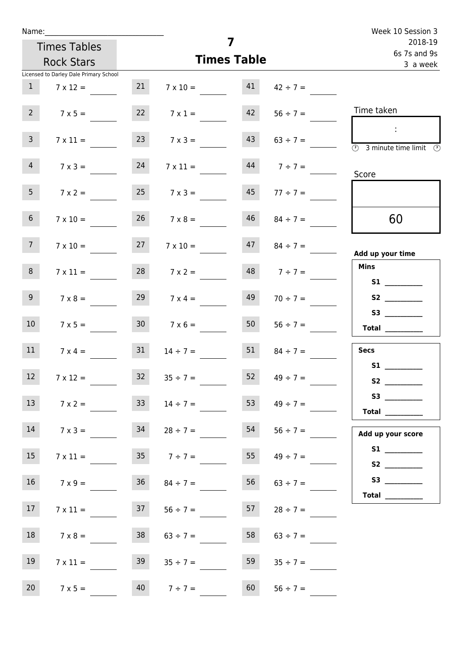| Week 10 Session 3                                                                                                                                                                                                                                                                                                                                                                                                                                                                                                                                                                                                   |                     |                    |                     |                 |                                        | Name:           |
|---------------------------------------------------------------------------------------------------------------------------------------------------------------------------------------------------------------------------------------------------------------------------------------------------------------------------------------------------------------------------------------------------------------------------------------------------------------------------------------------------------------------------------------------------------------------------------------------------------------------|---------------------|--------------------|---------------------|-----------------|----------------------------------------|-----------------|
| 2018-19<br>6s 7s and 9s                                                                                                                                                                                                                                                                                                                                                                                                                                                                                                                                                                                             |                     | 7                  |                     |                 | <b>Times Tables</b>                    |                 |
| 3 a week                                                                                                                                                                                                                                                                                                                                                                                                                                                                                                                                                                                                            |                     | <b>Times Table</b> |                     |                 | <b>Rock Stars</b>                      |                 |
|                                                                                                                                                                                                                                                                                                                                                                                                                                                                                                                                                                                                                     |                     |                    |                     |                 | Licensed to Darley Dale Primary School |                 |
|                                                                                                                                                                                                                                                                                                                                                                                                                                                                                                                                                                                                                     | $42 \div 7 =$       | 41                 | $7 \times 10 =$     | 21              | $7 \times 12 =$                        | $\mathbf{1}$    |
| Time taken                                                                                                                                                                                                                                                                                                                                                                                                                                                                                                                                                                                                          | $56 \div 7 =$       | 42                 | $7 \times 1 =$      | 22              | $7 \times 5 =$                         | $2^{\circ}$     |
| $\sim 10$<br>$\overline{\textcircled{2}}$ 3 minute time limit $\overline{\textcircled{2}}$                                                                                                                                                                                                                                                                                                                                                                                                                                                                                                                          | $63 \div 7 =$       | 43                 | $7 \times 3 =$      | 23              | $7 \times 11 =$                        | $\mathbf{3}$    |
| Score                                                                                                                                                                                                                                                                                                                                                                                                                                                                                                                                                                                                               | $44$ $7 \div 7 =$   |                    | $7 \times 11 =$     | 24              | $7 \times 3 =$                         | $\overline{4}$  |
|                                                                                                                                                                                                                                                                                                                                                                                                                                                                                                                                                                                                                     | $77 \div 7 =$       | 45                 | $7 \times 3 =$      | 25              | $7 \times 2 =$                         | 5 <sub>1</sub>  |
| 60                                                                                                                                                                                                                                                                                                                                                                                                                                                                                                                                                                                                                  | $84 \div 7 =$       | 46                 | $7 \times 8 =$      | 26              | $7 \times 10 =$                        | 6 <sup>1</sup>  |
| Add up your time                                                                                                                                                                                                                                                                                                                                                                                                                                                                                                                                                                                                    | $47 \t 84 \div 7 =$ |                    | $7 \times 10 =$     | 27              | $7 \times 10 =$                        | 7 <sup>7</sup>  |
| <b>Mins</b><br><b>S1 S1</b>                                                                                                                                                                                                                                                                                                                                                                                                                                                                                                                                                                                         | $48$ $7 \div 7 =$   |                    | $7 \times 2 =$      | 28              | $7 \times 11 =$                        | 8               |
|                                                                                                                                                                                                                                                                                                                                                                                                                                                                                                                                                                                                                     | $70 \div 7 =$       | 49                 | $7 \times 4 =$      | 29              | $7 \times 8 =$                         | 9 <sub>o</sub>  |
| $\begin{tabular}{c} Total & \underline{\hspace{1cm}} & \underline{\hspace{1cm}} & \underline{\hspace{1cm}} & \underline{\hspace{1cm}} & \underline{\hspace{1cm}} & \underline{\hspace{1cm}} & \underline{\hspace{1cm}} & \underline{\hspace{1cm}} & \underline{\hspace{1cm}} & \underline{\hspace{1cm}} & \underline{\hspace{1cm}} & \underline{\hspace{1cm}} & \underline{\hspace{1cm}} & \underline{\hspace{1cm}} & \underline{\hspace{1cm}} & \underline{\hspace{1cm}} & \underline{\hspace{1cm}} & \underline{\hspace{1cm}} & \underline{\hspace{1cm}} & \underline{\hspace{1cm}} & \underline{\hspace{1cm}} &$ | $56 \div 7 =$       | 50                 | $7 \times 6 =$      | 30 <sup>°</sup> | $7 \times 5 =$                         | 10 <sup>°</sup> |
| <b>Secs</b>                                                                                                                                                                                                                                                                                                                                                                                                                                                                                                                                                                                                         | $84 \div 7 =$       | 51                 | $14 \div 7 =$       | 31              | $7 \times 4 =$                         | 11              |
| S1                                                                                                                                                                                                                                                                                                                                                                                                                                                                                                                                                                                                                  | $49 \div 7 =$       | 52                 | $35 \div 7 =$       | 32              | $7 \times 12 =$                        | 12              |
| $\begin{tabular}{c} Total & \underline{\hspace{1cm}} & \underline{\hspace{1cm}} & \underline{\hspace{1cm}} & \underline{\hspace{1cm}} & \underline{\hspace{1cm}} & \underline{\hspace{1cm}} & \underline{\hspace{1cm}} & \underline{\hspace{1cm}} & \underline{\hspace{1cm}} & \underline{\hspace{1cm}} & \underline{\hspace{1cm}} & \underline{\hspace{1cm}} & \underline{\hspace{1cm}} & \underline{\hspace{1cm}} & \underline{\hspace{1cm}} & \underline{\hspace{1cm}} & \underline{\hspace{1cm}} & \underline{\hspace{1cm}} & \underline{\hspace{1cm}} & \underline{\hspace{1cm}} & \underline{\hspace{1cm}} &$ | $49 \div 7 =$       | 53                 | $14 \div 7 =$       | 33 <sup>°</sup> | $7 \times 2 =$                         | 13              |
| Add up your score                                                                                                                                                                                                                                                                                                                                                                                                                                                                                                                                                                                                   | $56 \div 7 =$       | 54                 | $28 \div 7 =$       | 34              | $7 \times 3 =$                         | 14              |
|                                                                                                                                                                                                                                                                                                                                                                                                                                                                                                                                                                                                                     | $49 \div 7 =$       | 55                 | $35 \t 7 \div 7 =$  |                 | $7 \times 11 =$                        | 15              |
| Total                                                                                                                                                                                                                                                                                                                                                                                                                                                                                                                                                                                                               | 56  63 ÷ 7 =        |                    | $36 \t 84 \div 7 =$ |                 | $7 \times 9 =$                         | 16              |
|                                                                                                                                                                                                                                                                                                                                                                                                                                                                                                                                                                                                                     | $28 \div 7 =$       | 57                 | $56 \div 7 =$       | 37              | $7 \times 11 =$                        | 17              |
|                                                                                                                                                                                                                                                                                                                                                                                                                                                                                                                                                                                                                     | $63 \div 7 =$       | 58                 | $63 \div 7 =$       | 38              | $7 \times 8 =$                         | 18              |
|                                                                                                                                                                                                                                                                                                                                                                                                                                                                                                                                                                                                                     | $35 \div 7 =$       | 59                 | $35 \div 7 =$       | 39              | $7 \times 11 =$                        | 19              |
|                                                                                                                                                                                                                                                                                                                                                                                                                                                                                                                                                                                                                     | $56 ÷ 7 =$          | 60                 | $7 ÷ 7 =$           | 40              | $7 \times 5 =$                         | 20              |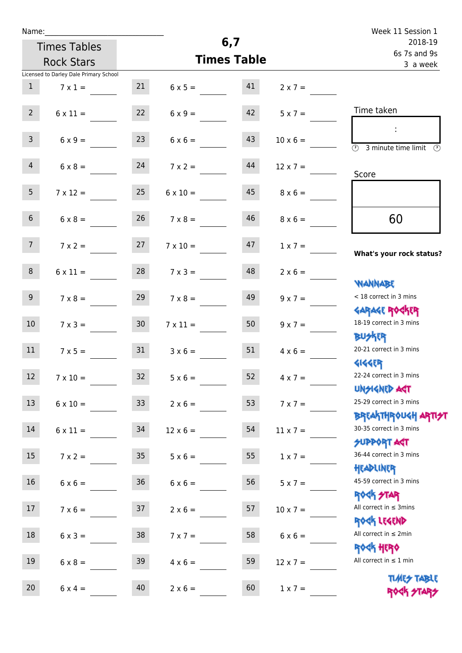| Week 11 Session 1                                                 |                 |     |                    |                     |                                        | Name:           |
|-------------------------------------------------------------------|-----------------|-----|--------------------|---------------------|----------------------------------------|-----------------|
| 2018-19                                                           |                 | 6,7 |                    | <b>Times Tables</b> |                                        |                 |
| 6s 7s and 9s<br>3 a week                                          |                 |     | <b>Times Table</b> |                     | <b>Rock Stars</b>                      |                 |
|                                                                   |                 |     |                    |                     | Licensed to Darley Dale Primary School |                 |
|                                                                   | $2 \times 7 =$  | 41  | $6 \times 5 =$     | 21                  | $7 \times 1 =$                         | 1               |
| Time taken                                                        | $5 \times 7 =$  | 42  | $6 \times 9 =$     | 22                  | $6 \times 11 =$                        | 2 <sup>7</sup>  |
| $\overline{\textcircled{2}}$ 3 minute time limit<br>$\mathcal{O}$ | $10 \times 6 =$ | 43  | $6 \times 6 =$     | 23                  | $6 \times 9 =$                         | $\mathbf{3}$    |
| Score                                                             | $12 \times 7 =$ | 44  | $7 \times 2 =$     | 24                  | $6 \times 8 =$                         | $\overline{4}$  |
|                                                                   | $8 \times 6 =$  | 45  | $6 \times 10 =$    | 25                  | $7 \times 12 =$                        | 5 <sub>1</sub>  |
| 60                                                                | $8 \times 6 =$  | 46  | $7 \times 8 =$     | 26                  | $6 \times 8 =$                         | 6 <sup>1</sup>  |
| What's your rock status?                                          | $1 \times 7 =$  | 47  | $7 \times 10 =$    |                     | $7 \times 2 = 27$                      | 7 <sup>7</sup>  |
|                                                                   | $2 \times 6 =$  | 48  | $7 \times 3 =$     | 28                  | $6 \times 11 =$                        | 8               |
| WANNABE<br>< 18 correct in 3 mins                                 | $9 \times 7 =$  | 49  | $7 \times 8 =$     | 29                  | $7 \times 8 =$                         | 9 <sub>o</sub>  |
| <b>GARAGE ROCKER</b><br>18-19 correct in 3 mins<br><b>BUSKER</b>  | $9 \times 7 =$  | 50  | $7 \times 11 =$    | 30 <sub>o</sub>     | $7 \times 3 =$                         | 10 <sup>°</sup> |
| 20-21 correct in 3 mins<br><b>4144EP</b>                          | $4 \times 6 =$  | 51  | $3 \times 6 =$     | 31                  | $7 \times 5 =$                         | 11              |
| 22-24 correct in 3 mins<br><b>UNSIGNED AGT</b>                    | $4 \times 7 =$  | 52  | $5 \times 6 =$     | $32$                | $7 \times 10 =$                        | 12 <sub>2</sub> |
| 25-29 correct in 3 mins                                           | $7 \times 7 =$  | 53  | $2 \times 6 =$     | 33                  | $6 \times 10 =$                        | 13              |
| <b>BREAKTHROUGH ARTI<del>S</del>T</b><br>30-35 correct in 3 mins  | $11 \times 7 =$ | 54  | $12 \times 6 =$    |                     | $6 \times 11 = 34$                     | 14              |
| <b>SUPPORT ART</b><br>36-44 correct in 3 mins                     | $1 \times 7 =$  | 55  | $5 \times 6 =$     | 35                  | $7 \times 2 =$                         | 15              |
| HEADLINER<br>45-59 correct in 3 mins                              | $5 \times 7 =$  | 56  | $6 \times 6 =$     | 36                  | $6 \times 6 =$                         | 16              |
| <b>ROCK STAR</b><br>All correct in $\leq$ 3mins                   | $10 \times 7 =$ | 57  | $2 \times 6 =$     | 37                  | $7 \times 6 =$                         | 17              |
| ROCK LEGEND<br>All correct in $\leq 2$ min                        | $6 \times 6 =$  | 58  | $7 \times 7 =$     | 38                  | $6 \times 3 =$                         | 18              |
| <b>ROCK HERO</b><br>All correct in $\leq 1$ min                   | $12 \times 7 =$ | 59  | $4 \times 6 =$     | 39                  | $6 \times 8 =$                         | 19              |
| <b>TIMES TABLE</b>                                                | $1 \times 7 =$  | 60  | $2 \times 6 =$     | 40                  | $6 \times 4 =$                         | 20 <sub>2</sub> |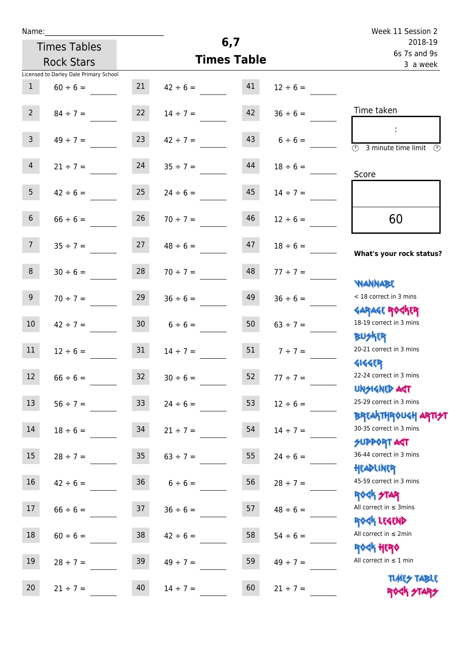| Name:           |                                        |                 |                                |                         |                 | Week 11 Session 2                                                            |
|-----------------|----------------------------------------|-----------------|--------------------------------|-------------------------|-----------------|------------------------------------------------------------------------------|
|                 | <b>Times Tables</b>                    |                 | 6,7                            | 2018-19<br>6s 7s and 9s |                 |                                                                              |
|                 | <b>Rock Stars</b>                      |                 |                                | <b>Times Table</b>      |                 | 3 a week                                                                     |
|                 | Licensed to Darley Dale Primary School |                 |                                |                         |                 |                                                                              |
| 1               | $60 \div 6 =$                          | 21              | $42 \div 6 = 41$               |                         | $12 \div 6 =$   |                                                                              |
| $2^{\circ}$     | $84 \div 7 =$                          | 22              | $14 \div 7 =$                  | 42                      | $36 \div 6 =$   | Time taken                                                                   |
| $\mathsf{3}$    | $49 \div 7 =$                          | 23              | $42 \div 7 =$                  | 43                      | $6 \div 6 =$    | $\sim$<br>$\overline{(\mathcal{V})}$<br>3 minute time limit<br>$\mathcal{O}$ |
| 4               | $21 \div 7 =$                          | 24              | $35 \div 7 =$                  | 44                      | $18 \div 6 =$   | Score                                                                        |
| 5 <sub>5</sub>  | $42 \div 6 =$                          | 25              | $24 \div 6 =$                  | 45                      | $14 \div 7 =$   |                                                                              |
| $6\overline{6}$ | $66 \div 6 =$                          | 26              | $70 \div 7 =$                  | 46                      | $12 \div 6 =$   | 60                                                                           |
| 7 <sup>7</sup>  |                                        |                 | $35 \div 7 = 27$ $48 \div 6 =$ | 47                      | $18 \div 6 =$   | What's your rock status?                                                     |
| 8               | $30 \div 6 =$                          | 28              | $70 \div 7 =$                  | 48                      | $77 \div 7 =$   | <b>JARNARY</b>                                                               |
| 9 <sub>o</sub>  | $70 \div 7 =$                          | 29              | $36 \div 6 =$                  | 49                      | $36 \div 6 =$   | < 18 correct in 3 mins<br><b>GARAGE ROCKER</b>                               |
| 10 <sup>1</sup> | $42 \div 7 = 30$                       |                 | $6 \div 6 = 50$                |                         | $63 \div 7 =$   | 18-19 correct in 3 mins<br><b>BU外四</b>                                       |
| 11              | $12 \div 6 =$                          | 31              | $14 \div 7 =$                  |                         | 51 $7 \div 7 =$ | 20-21 correct in 3 mins<br><b>4144EP</b>                                     |
| 12 <sup>7</sup> | $66 \div 6 =$                          | 32 <sup>°</sup> | $30 \div 6 =$                  | 52                      | $77 ÷ 7 =$      | 22-24 correct in 3 mins<br><b>UNSIGNED AGT</b>                               |
| 13              | $56 \div 7 =$                          | 33 <sup>°</sup> | $24 \div 6 =$                  | 53                      | $12 \div 6 =$   | 25-29 correct in 3 mins<br><b>BREAKTHROUGH ARTI<del>S</del>T</b>             |
| 14              | $18 \div 6 =$                          | 34              | $21 \div 7 =$                  | 54                      | $14 \div 7 =$   | 30-35 correct in 3 mins<br><b>SUPPORT AGT</b>                                |
| 15              | $28 \div 7 =$                          | 35 <sub>o</sub> | $63 \div 7 =$                  | 55                      | $24 \div 6 =$   | 36-44 correct in 3 mins<br>HEADLINER                                         |
| 16 <sup>1</sup> | $42 \div 6 =$                          | 36              | $6 \div 6 =$                   | 56                      | $28 \div 7 =$   | 45-59 correct in 3 mins<br>ROCK STAR                                         |
| 17              | $66 \div 6 =$                          | 37              | $36 \div 6 =$                  | 57                      | $48 \div 6 =$   | All correct in $\leq$ 3mins<br>ROCK LEGEND                                   |
| 18              | $60 \div 6 =$                          | 38              | $42 \div 6 =$                  | 58                      | $54 \div 6 =$   | All correct in $\leq 2$ min<br><b>ROGH HERO</b>                              |
| 19              | $28 \div 7 =$                          | 39              | $49 \div 7 =$                  | 59                      | $49 \div 7 =$   | All correct in $\leq 1$ min                                                  |
| 20              | $21 \div 7 =$                          | 40              | $14 \div 7 =$                  | 60                      | $21 \div 7 =$   | <b>TLARY TABLE</b><br>ROCK STARS                                             |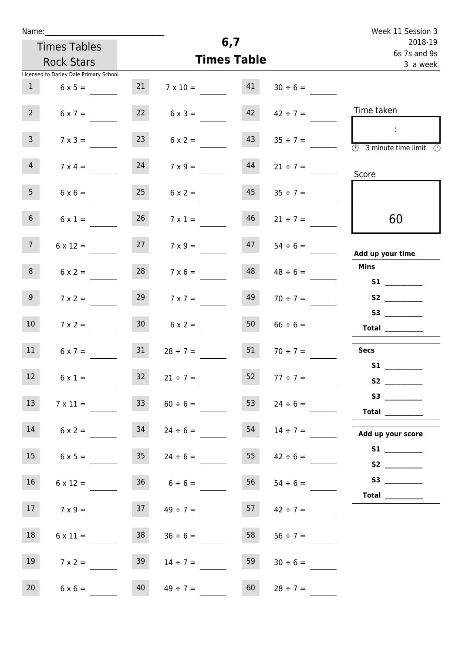| Name:           |                                        |                 |                                   |                    |                     | Week 11 Session 3                                                  |
|-----------------|----------------------------------------|-----------------|-----------------------------------|--------------------|---------------------|--------------------------------------------------------------------|
|                 | <b>Times Tables</b>                    |                 |                                   | 6,7                |                     | 2018-19                                                            |
|                 |                                        |                 |                                   | <b>Times Table</b> |                     | 6s 7s and 9s                                                       |
|                 | <b>Rock Stars</b>                      |                 |                                   |                    |                     | 3 a week                                                           |
|                 | Licensed to Darley Dale Primary School |                 |                                   |                    |                     |                                                                    |
| 1               | $6 \times 5 =$                         | 21              | $7 \times 10 =$                   | 41                 | $30 \div 6 =$       |                                                                    |
| $2^{\circ}$     | $6 \times 7 =$                         | 22              | $6 \times 3 =$                    | 42                 | $42 \div 7 =$       | Time taken                                                         |
|                 |                                        |                 |                                   |                    |                     |                                                                    |
| 3 <sup>7</sup>  | $7 \times 3 =$                         | 23              | $6 \times 2 =$                    | 43                 | $35 \div 7 =$       | ÷                                                                  |
|                 |                                        |                 |                                   |                    |                     | $\overline{(\mathcal{V})}$<br>3 minute time limit<br>$\mathcal{C}$ |
| $\overline{4}$  |                                        | 24              | $7 \times 9 =$                    | 44                 |                     |                                                                    |
|                 | $7 \times 4 =$                         |                 |                                   |                    | $21 \div 7 =$       | Score                                                              |
| 5 <sub>1</sub>  | $6 \times 6 =$                         | 25              | $6 \times 2 =$                    | 45                 | $35 \div 7 =$       |                                                                    |
|                 |                                        |                 |                                   |                    |                     |                                                                    |
| 6 <sup>1</sup>  | $6 \times 1 =$                         | 26              | $7 \times 1 =$                    | 46                 | $21 \div 7 =$       | 60                                                                 |
|                 |                                        |                 |                                   |                    |                     |                                                                    |
| 7 <sup>7</sup>  | $6 \times 12 =$                        | 27              | $7 \times 9 =$                    | 47                 | $54 \div 6 =$       |                                                                    |
|                 |                                        |                 |                                   |                    |                     | Add up your time                                                   |
| 8               | $6 \times 2 =$                         | 28              | $7 \times 6 =$                    | 48                 | $48 \div 6 =$       | <b>Mins</b>                                                        |
|                 |                                        |                 |                                   |                    |                     |                                                                    |
| 9 <sub>o</sub>  | $7 \times 2 =$                         | 29              | $7 \times 7 =$                    | 49                 | $70 \div 7 =$       | <b>S2</b>                                                          |
|                 |                                        |                 |                                   |                    |                     |                                                                    |
| 10 <sup>°</sup> | $7 \times 2 =$                         | 30 <sub>o</sub> | $6 \times 2 =$                    | 50                 | $66 \div 6 =$       |                                                                    |
|                 |                                        |                 |                                   |                    |                     | <b>Total</b> __________                                            |
| 11              | $6 \times 7 =$                         | 31              | $28 \div 7 =$                     | 51                 | $70 \div 7 =$       | <b>Secs</b>                                                        |
|                 |                                        |                 |                                   |                    |                     | <b>S1 S1</b>                                                       |
| 12 <sup>7</sup> | $6 \times 1 =$                         | 32              | $21 \div 7 =$                     | 52                 | $77 \div 7 =$       |                                                                    |
|                 |                                        |                 |                                   |                    |                     | S3                                                                 |
| 13              | $7 \times 11 =$                        | 33              | $60 \div 6 =$                     | 53                 | $24 \div 6 =$       |                                                                    |
|                 |                                        |                 |                                   |                    |                     | Total                                                              |
| 14              |                                        |                 | $6 \times 2 =$ $34$ $24 \div 6 =$ | 54                 | $14 \div 7 =$       | Add up your score                                                  |
|                 |                                        |                 |                                   |                    |                     |                                                                    |
| 15              | $6 \times 5 =$                         | 35              | $24 \div 6 =$                     |                    | 55 $42 \div 6 =$    |                                                                    |
|                 |                                        |                 |                                   |                    |                     |                                                                    |
| 16              | $6 \times 12 =$                        |                 | $36 \t 6 \div 6 =$                |                    | $56 \t 54 \div 6 =$ |                                                                    |
|                 |                                        |                 |                                   |                    |                     | Total $\_\_$                                                       |
| 17              | $7 \times 9 =$                         | 37              | $49 \div 7 =$                     | 57                 | $42 \div 7 =$       |                                                                    |
|                 |                                        |                 |                                   |                    |                     |                                                                    |
| 18              | $6 \times 11 =$                        | 38              | $36 \div 6 =$                     | 58                 | $56 \div 7 =$       |                                                                    |
|                 |                                        |                 |                                   |                    |                     |                                                                    |
| 19              | $7 \times 2 =$                         | 39              | $14 \div 7 =$                     | 59                 | $30 \div 6 =$       |                                                                    |
|                 |                                        |                 |                                   |                    |                     |                                                                    |
| 20 <sub>2</sub> | $6 \times 6 =$                         | 40              | $49 \div 7 =$                     | 60                 | $28 \div 7 =$       |                                                                    |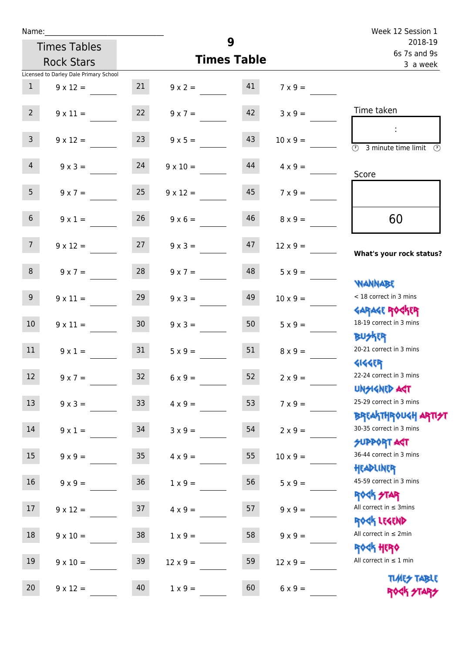| Week 12 Session 1                                                                   |                 |    |                    |                 |                                        | Name:            |
|-------------------------------------------------------------------------------------|-----------------|----|--------------------|-----------------|----------------------------------------|------------------|
| 2018-19                                                                             |                 | 9  |                    |                 | <b>Times Tables</b>                    |                  |
| 6s 7s and 9s<br>3 a week                                                            |                 |    | <b>Times Table</b> |                 | <b>Rock Stars</b>                      |                  |
|                                                                                     |                 |    |                    |                 | Licensed to Darley Dale Primary School |                  |
|                                                                                     | $7 \times 9 =$  |    | $9 \times 2 = 41$  | 21              | $9 \times 12 =$                        | 1                |
| Time taken                                                                          | $3 \times 9 =$  | 42 | $9 \times 7 =$     | 22              | $9 \times 11 =$                        | 2 <sup>7</sup>   |
| $\mathcal{L}$<br>$\overline{(\mathcal{V})}$<br>3 minute time limit<br>$\mathcal{O}$ | $10 \times 9 =$ | 43 | $9 \times 5 =$     | 23              | $9 \times 12 =$                        | 3 <sup>7</sup>   |
| Score                                                                               | $4 \times 9 =$  | 44 | $9 \times 10 =$    |                 | $9 \times 3 = 24$                      | $\overline{4}$   |
|                                                                                     | $7 \times 9 =$  | 45 | $9 \times 12 =$    | 25              | $9 \times 7 =$                         | 5 <sub>1</sub>   |
| 60                                                                                  | $8 \times 9 =$  | 46 | $9 \times 6 =$     | 26              | $9 \times 1 =$                         | 6 <sup>1</sup>   |
| What's your rock status?                                                            | $12 \times 9 =$ | 47 | $9 \times 3 =$     |                 | $9 \times 12 = 27$                     | 7 <sup>7</sup>   |
| <b>JARNARY</b>                                                                      | $5 \times 9 =$  | 48 | $9 \times 7 =$     | 28              | $9 \times 7 =$                         | 8 <sup>1</sup>   |
| < 18 correct in 3 mins<br><b>GARAGE ROGKER</b>                                      | $10 \times 9 =$ | 49 | $9 \times 3 =$     | 29              | $9 \times 11 =$                        | 9 <sub>o</sub>   |
| 18-19 correct in 3 mins<br><b>BUSKER</b>                                            | $5 \times 9 =$  | 50 | $9 \times 3 =$     | 30 <sub>2</sub> | $9 \times 11 =$                        | 10 <sup>°</sup>  |
| 20-21 correct in 3 mins<br><b>4144ER</b>                                            | $8 \times 9 =$  | 51 | $5 \times 9 =$     | 31              | $9 \times 1 =$                         | 11               |
| 22-24 correct in 3 mins<br><b>UNSIGNED AGT</b>                                      | $2 \times 9 =$  | 52 | $6 \times 9 =$     | 32 <sup>°</sup> | $9 \times 7 =$                         | 12 <sup>12</sup> |
| 25-29 correct in 3 mins<br><b>BREAKTHROUGH ARTI<del>S</del>T</b>                    | $7 \times 9 =$  | 53 | $4 \times 9 =$     | 33              | $9 \times 3 =$                         | 13               |
| 30-35 correct in 3 mins<br><b>SUPPORT ART</b>                                       | $2 \times 9 =$  | 54 | $3 \times 9 =$     | 34              | $9 \times 1 =$                         | 14               |
| 36-44 correct in 3 mins<br>HEADLINER                                                | $10 \times 9 =$ | 55 | $4 \times 9 =$     | $35\,$          | $9 \times 9 =$                         | 15               |
| 45-59 correct in 3 mins<br>ROCK STAR                                                | $5 \times 9 =$  | 56 | $1 \times 9 =$     | $36\,$          | $9 \times 9 =$                         | 16               |
| All correct in $\leq$ 3mins<br>ROCK LEGEND                                          | $9 \times 9 =$  | 57 | $4 \times 9 =$     | 37              | $9 \times 12 =$                        | 17               |
| All correct in $\leq 2$ min<br><b>ROCK HERO</b>                                     | $9 \times 9 =$  | 58 | $1 \times 9 =$     | 38              | $9 \times 10 =$                        | 18               |
| All correct in $\leq 1$ min                                                         | $12 \times 9 =$ | 59 | $12 \times 9 =$    | 39              | $9 \times 10 =$                        | 19               |
| <b>TUARS TABLE</b><br>ROCK STARS                                                    | $6 \times 9 =$  | 60 | $1 \times 9 =$     | 40              | $9 \times 12 =$                        | 20               |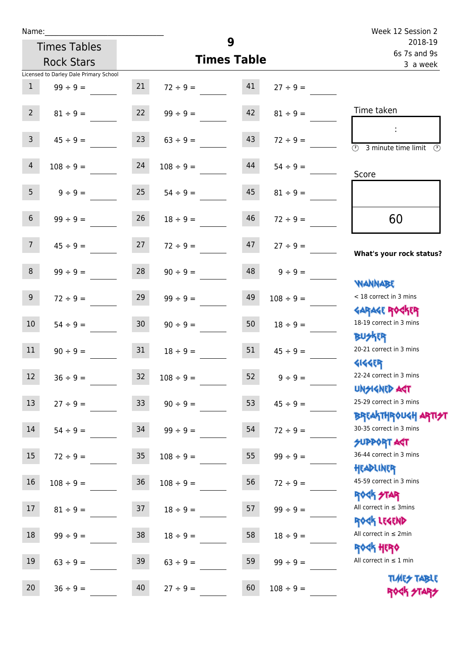Times Tables Rock Stars

| 3 minute time limit<br>$\mathcal{O}$                                      |
|---------------------------------------------------------------------------|
|                                                                           |
|                                                                           |
|                                                                           |
| What's your rock status?                                                  |
|                                                                           |
| < 18 correct in 3 mins                                                    |
| <b>GARAGE ROCKER</b><br>18-19 correct in 3 mins                           |
| 20-21 correct in 3 mins                                                   |
| 22-24 correct in 3 mins                                                   |
| 25-29 correct in 3 mins                                                   |
| ΒΡ <mark>ΓΑ</mark>  ΤΗΡΟU<Η ΑΡΠ <del>2</del> Τ<br>30-35 correct in 3 mins |
| 36-44 correct in 3 mins                                                   |
| 45-59 correct in 3 mins                                                   |
| All correct in $\leq$ 3mins                                               |
|                                                                           |
| All correct in $\leq 1$ min                                               |
| <b>TUARS TABLE</b><br>ROGH STARS                                          |
|                                                                           |

**9**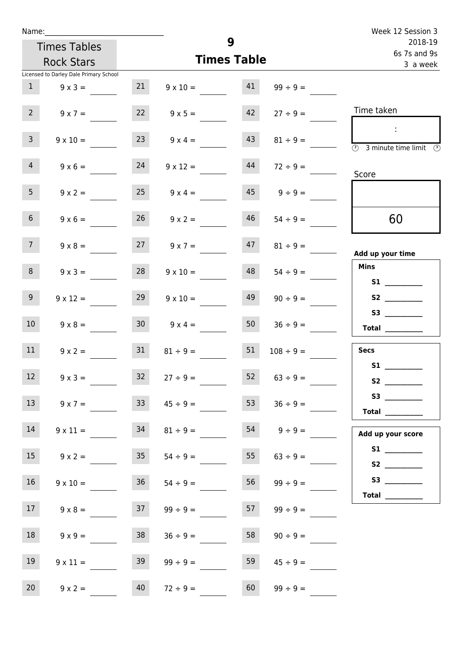| Name:             |                                        |                    |                      |    |                        | Week 12 Session 3                                                                                                                                                                                                                       |
|-------------------|----------------------------------------|--------------------|----------------------|----|------------------------|-----------------------------------------------------------------------------------------------------------------------------------------------------------------------------------------------------------------------------------------|
|                   | <b>Times Tables</b>                    | 9                  |                      |    |                        | 2018-19<br>6s 7s and 9s                                                                                                                                                                                                                 |
| <b>Rock Stars</b> |                                        | <b>Times Table</b> |                      |    |                        | 3 a week                                                                                                                                                                                                                                |
|                   | Licensed to Darley Dale Primary School |                    |                      |    |                        |                                                                                                                                                                                                                                         |
| 1                 | $9 \times 3 =$                         | 21                 | $9 \times 10 =$      | 41 | $99 \div 9 =$          |                                                                                                                                                                                                                                         |
| 2 <sup>7</sup>    | $9 \times 7 =$                         | 22                 | $9 \times 5 =$       | 42 | $27 \div 9 =$          | Time taken                                                                                                                                                                                                                              |
| $\mathbf{3}$      | $9 \times 10 =$                        | 23                 | $9 \times 4 =$       | 43 | $81 \div 9 =$          | $\sim 10$<br>$\overline{\circledcirc}$ 3 minute time limit $\overline{\circledcirc}$                                                                                                                                                    |
| $\overline{4}$    | $9 \times 6 =$                         | 24                 | $9 \times 12 =$      | 44 | $72 \div 9 =$          | Score                                                                                                                                                                                                                                   |
| 5 <sub>1</sub>    | $9 \times 2 =$                         | 25                 | $9 \times 4 =$       |    | $45 \qquad 9 \div 9 =$ |                                                                                                                                                                                                                                         |
| 6 <sup>1</sup>    | $9 \times 6 =$                         | 26                 | $9 \times 2 =$       | 46 | $54 \div 9 =$          | 60                                                                                                                                                                                                                                      |
| 7 <sup>7</sup>    | $9 \times 8 =$                         |                    | $27 \t 9 \times 7 =$ | 47 | $81 \div 9 =$          | Add up your time                                                                                                                                                                                                                        |
| 8                 | $9 \times 3 =$                         | 28                 | $9 \times 10 =$      | 48 | $54 \div 9 =$          | <b>Mins</b><br><b>S1 S1</b>                                                                                                                                                                                                             |
| 9                 | $9 \times 12 =$                        | 29                 | $9 \times 10 =$      | 49 | $90 \div 9 =$          |                                                                                                                                                                                                                                         |
| 10 <sup>°</sup>   | $9 \times 8 =$                         | 30 <sub>o</sub>    | $9 \times 4 =$       | 50 | $36 \div 9 =$          | S3<br>Total $\qquad$                                                                                                                                                                                                                    |
| 11                | $9 \times 2 =$                         | 31                 | $81 \div 9 =$        | 51 | $108 \div 9 =$         | <b>Secs</b><br><b>S1 S1</b>                                                                                                                                                                                                             |
| 12                | $9 \times 3 =$                         | 32                 | $27 \div 9 =$        | 52 | $63 \div 9 =$          | S <sub>2</sub> and the set of the set of the set of the set of the set of the set of the set of the set of the set of the set of the set of the set of the set of the set of the set of the set of the set of the set of the set of the |
| 13                | $9 \times 7 =$                         | 33                 | $45 \div 9 =$        | 53 | $36 \div 9 =$          | Total $\_\_$                                                                                                                                                                                                                            |
| 14                | $9 \times 11 =$                        | 34                 | $81 \div 9 =$        | 54 | $9 \div 9 =$           | Add up your score                                                                                                                                                                                                                       |
| 15                | $9 \times 2 =$                         | 35 <sub>o</sub>    | $54 \div 9 =$        | 55 | $63 \div 9 =$          |                                                                                                                                                                                                                                         |
| 16                | $9 \times 10 =$                        | 36                 | $54 \div 9 =$        | 56 | $99 \div 9 =$          | Total                                                                                                                                                                                                                                   |
| 17                | $9 \times 8 =$                         | 37                 | $99 \div 9 =$        | 57 | $99 \div 9 =$          |                                                                                                                                                                                                                                         |
| 18                | $9 \times 9 =$                         | 38                 | $36 \div 9 =$        | 58 | $90 \div 9 =$          |                                                                                                                                                                                                                                         |
| 19                | $9 \times 11 =$                        | 39                 | $99 \div 9 =$        | 59 | $45 \div 9 =$          |                                                                                                                                                                                                                                         |
| 20 <sub>2</sub>   | $9 \times 2 =$                         | 40                 | $72 \div 9 =$        | 60 | $99 \div 9 =$          |                                                                                                                                                                                                                                         |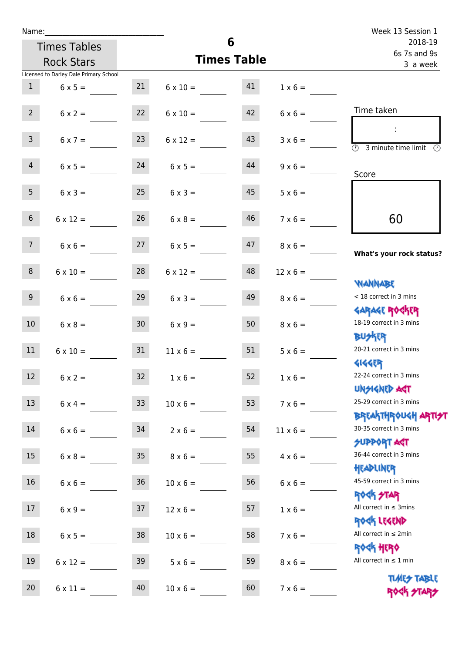|                 |                                        |                 |                    | Week 13 Session 1       |                 |                                                                  |
|-----------------|----------------------------------------|-----------------|--------------------|-------------------------|-----------------|------------------------------------------------------------------|
|                 | <b>Times Tables</b>                    |                 |                    | 2018-19<br>6s 7s and 9s |                 |                                                                  |
|                 | <b>Rock Stars</b>                      |                 | <b>Times Table</b> | 3 a week                |                 |                                                                  |
|                 | Licensed to Darley Dale Primary School |                 |                    |                         |                 |                                                                  |
| 1               | $6 \times 5 =$                         | 21              | $6 \times 10 = 41$ |                         | $1 \times 6 =$  |                                                                  |
| $2^{\circ}$     | $6 \times 2 =$                         | 22              | $6 \times 10 =$    | 42                      | $6 \times 6 =$  | Time taken                                                       |
| $\mathsf{3}$    | $6 \times 7 =$                         | 23              | $6 \times 12 =$    | 43                      | $3 \times 6 =$  | $\sim 10$<br>$\overline{\mathcal{O}}$<br>3 minute time limit     |
| $\overline{4}$  | $6 \times 5 =$                         | 24              | $6 \times 5 =$     | 44                      | $9 \times 6 =$  | Score                                                            |
| 5 <sub>1</sub>  | $6 \times 3 =$                         | 25              | $6 \times 3 =$     | 45                      | $5 \times 6 =$  |                                                                  |
| $6\overline{6}$ | $6 \times 12 =$                        | 26              | $6 \times 8 =$     | 46                      | $7 \times 6 =$  | 60                                                               |
| 7 <sup>7</sup>  | $6 \times 6 = 27$                      |                 | $6 \times 5 =$     | 47                      | $8 \times 6 =$  | What's your rock status?                                         |
| 8               | $6 \times 10 =$                        | 28              | $6 \times 12 =$    | 48                      | $12 \times 6 =$ | <b>NANNABE</b>                                                   |
| 9               | $6 \times 6 =$                         | 29              | $6 \times 3 =$     | 49                      | $8 \times 6 =$  | < 18 correct in 3 mins<br><b>GARAGE ROGKER</b>                   |
| 10 <sup>1</sup> | $6 \times 8 =$                         | 30              | $6 \times 9 =$     | 50                      | $8 \times 6 =$  | 18-19 correct in 3 mins<br><b>BUSKER</b>                         |
| 11              | $6 \times 10 =$                        | 31              | $11 \times 6 =$    | 51                      | $5 \times 6 =$  | 20-21 correct in 3 mins<br><b>4144EP</b>                         |
| 12 <sup>7</sup> | $6 \times 2 =$                         | 32 <sup>°</sup> | $1 \times 6 =$     | 52                      | $1 \times 6 =$  | 22-24 correct in 3 mins<br><b>UNSIGNED AGT</b>                   |
| 13              | $6 \times 4 =$                         | 33              | $10 \times 6 =$    | 53                      | $7 \times 6 =$  | 25-29 correct in 3 mins<br><b>BREAKTHROUGH ARTI<del>S</del>T</b> |
| 14              | $6 \times 6 =$                         | 34              | $2 \times 6 =$     | 54                      | $11 \times 6 =$ | 30-35 correct in 3 mins<br><b>SUPPORT AGT</b>                    |
| 15              | $6 \times 8 =$                         | 35 <sub>1</sub> | $8 \times 6 =$     | 55                      | $4 \times 6 =$  | 36-44 correct in 3 mins<br>HEADLINER                             |
| 16 <sup>1</sup> | $6 \times 6 =$                         | 36              | $10 \times 6 =$    | 56                      | $6 \times 6 =$  | 45-59 correct in 3 mins<br>ROCK STAR                             |
| 17 <sub>2</sub> | $6 \times 9 =$                         | 37              | $12 \times 6 =$    | 57                      | $1 \times 6 =$  | All correct in $\leq$ 3mins<br>ROCK LEGEND                       |
| 18              | $6 \times 5 =$                         | 38              | $10 \times 6 =$    | 58                      | $7 \times 6 =$  | All correct in $\leq 2$ min<br><b>ROCK HERO</b>                  |
| 19              | $6 \times 12 =$                        | 39              | $5 \times 6 =$     | 59                      | $8 \times 6 =$  | All correct in $\leq 1$ min<br><b>TUARS TABLE</b>                |
| 20              | $6 \times 11 =$                        | 40              | $10 \times 6 =$    | 60                      | $7 \times 6 =$  | ROCK STARS                                                       |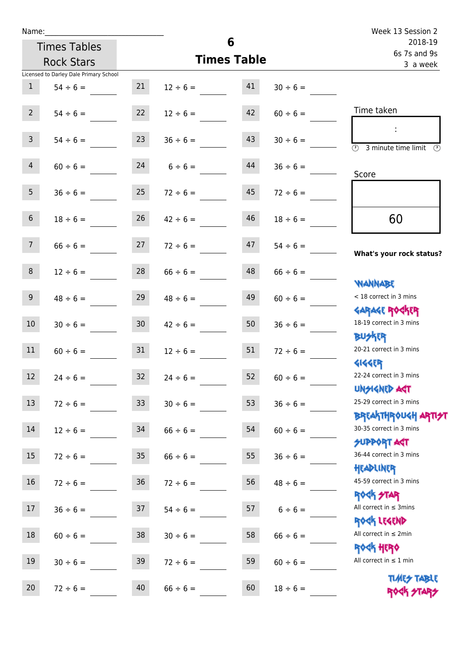| Name:          |                                        |                 |                    |                         |               | Week 13 Session 2                                       |
|----------------|----------------------------------------|-----------------|--------------------|-------------------------|---------------|---------------------------------------------------------|
|                | <b>Times Tables</b>                    |                 | 6                  | 2018-19<br>6s 7s and 9s |               |                                                         |
|                | <b>Rock Stars</b>                      |                 | <b>Times Table</b> | 3 a week                |               |                                                         |
|                | Licensed to Darley Dale Primary School |                 |                    |                         |               |                                                         |
| $\mathbf{1}$   | $54 \div 6 =$                          | 21              | $12 \div 6 =$      | 41                      | $30 \div 6 =$ |                                                         |
| $2^{\circ}$    | $54 \div 6 =$                          | 22              | $12 \div 6 =$      | 42                      | $60 \div 6 =$ | Time taken                                              |
| $\overline{3}$ | $54 \div 6 =$                          | 23              | $36 \div 6 =$      | 43                      | $30 \div 6 =$ | $\overline{\textcircled{2}}$ 3 minute time limit<br>-09 |
| $\overline{4}$ | $60 \div 6 =$                          | 24              | $6 \div 6 =$       | 44                      | $36 \div 6 =$ | Score                                                   |
| 5 <sub>1</sub> | $36 \div 6 =$                          | 25              | $72 \div 6 =$      | 45                      | $72 \div 6 =$ |                                                         |
| 6 <sup>1</sup> | $18 \div 6 =$                          | 26              | $42 \div 6 =$      | 46                      | $18 \div 6 =$ | 60                                                      |
| 7 <sup>7</sup> | $66 \div 6 =$                          | 27              | $72 \div 6 =$      | 47                      | $54 \div 6 =$ | What's your rock status?                                |
| 8              | $12 \div 6 =$                          | 28              | $66 \div 6 =$      | 48                      | $66 \div 6 =$ | <b>NANNABE</b>                                          |
| 9 <sub>o</sub> | $48 \div 6 =$                          | 29              | $48 \div 6 =$      | 49                      | $60 \div 6 =$ | < 18 correct in 3 mins<br><b>GARAGE ROCKER</b>          |
| 10             | $30 \div 6 =$                          | 30 <sup>°</sup> | $42 \div 6 =$      | 50                      | $36 \div 6 =$ | 18-19 correct in 3 mins<br><b>BUSKER</b>                |
| 11             | $60 \div 6 =$                          | 31              | $12 \div 6 =$      | 51                      | $72 \div 6 =$ | 20-21 correct in 3 mins<br><b>4144EP</b>                |
| 12             | $24 \div 6 =$                          | 32              | $24 \div 6 =$      | 52                      | $60 \div 6 =$ | 22-24 correct in 3 mins<br><b>UNSIGNED AST</b>          |
| $13$           | $72 \div 6 =$                          | 33 <sup>°</sup> | $30 \div 6 =$      | 53                      | $36 \div 6 =$ | 25-29 correct in 3 mins<br><b>BREAKTHROUGH ARTH</b>     |
| 14             | $12 \div 6 =$                          | 34              | $66 \div 6 =$      | 54                      | $60 \div 6 =$ | 30-35 correct in 3 mins<br><b>SUPPORT AGT</b>           |
| 15             | $72 \div 6 =$                          | 35 <sub>o</sub> | $66 \div 6 =$      | 55                      | $36 \div 6 =$ | 36-44 correct in 3 mins<br>HEADLINER                    |
| $16\,$         | $72 \div 6 =$                          | 36 <sup>°</sup> | $72 \div 6 =$      | 56                      | $48 \div 6 =$ | 45-59 correct in 3 mins<br><b>ROCK STAR</b>             |
| 17             | $36 \div 6 =$                          | 37              | $54 \div 6 =$      | 57                      | $6 \div 6 =$  | All correct in $\leq$ 3mins<br>ROCK LEGEND              |
| $18\,$         | $60 \div 6 =$                          | 38              | $30 \div 6 =$      | 58                      | $66 \div 6 =$ | All correct in $\leq 2$ min<br><b>ROCK HERO</b>         |
| 19             | $30 \div 6 =$                          | 39              | $72 \div 6 =$      | 59                      | $60 \div 6 =$ | All correct in $\leq 1$ min<br><b>TIMES TABLE</b>       |
| 20             | $72 \div 6 =$                          | 40              | $66 \div 6 =$      | 60                      | $18 \div 6 =$ | ROCK STARS                                              |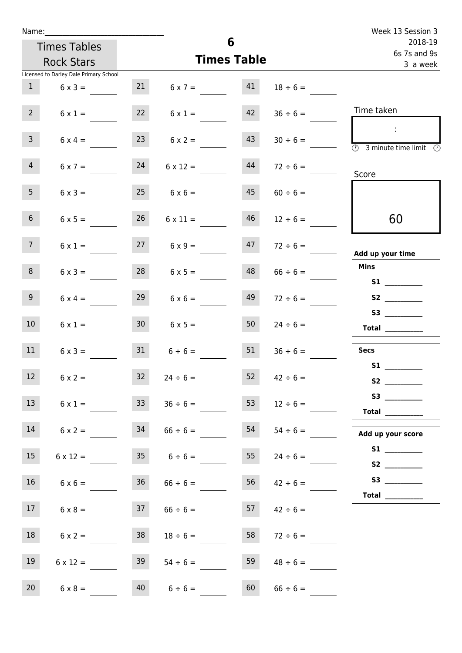| Name:           |                                        |                 |                         | Week 13 Session 3  |                         |                                                                     |
|-----------------|----------------------------------------|-----------------|-------------------------|--------------------|-------------------------|---------------------------------------------------------------------|
|                 | <b>Times Tables</b>                    |                 | 6                       |                    | 2018-19<br>6s 7s and 9s |                                                                     |
|                 | <b>Rock Stars</b>                      |                 |                         | <b>Times Table</b> |                         | 3 a week                                                            |
|                 | Licensed to Darley Dale Primary School |                 |                         |                    |                         |                                                                     |
| $\mathbf{1}$    | $6 \times 3 =$                         |                 | $21 \t 6 \times 7 = 41$ |                    | $18 \div 6 =$           |                                                                     |
| 2 <sup>7</sup>  | $6 \times 1 =$                         | 22              | $6 \times 1 =$          | 42                 | $36 \div 6 =$           | Time taken                                                          |
| 3 <sup>7</sup>  | $6 \times 4 =$                         | 23              | $6 \times 2 =$          | 43                 | $30 \div 6 =$           | $\sim 10$<br>$\overline{\textcircled{3}}$ 3 minute time limit<br>-0 |
| $\overline{4}$  | $6 \times 7 =$                         | 24              | $6 \times 12 =$         | 44                 | $72 \div 6 =$           | Score                                                               |
| 5 <sub>1</sub>  | $6 \times 3 =$                         | 25              | $6 \times 6 =$          | 45                 | $60 \div 6 =$           |                                                                     |
| 6 <sup>1</sup>  | $6 \times 5 =$                         | 26              | $6 \times 11 =$         | 46                 | $12 \div 6 =$           | 60                                                                  |
| 7 <sup>7</sup>  | $6 \times 1 =$                         |                 | $27 \t 6 \times 9 =$    |                    | $47 \t 72 \div 6 =$     | Add up your time                                                    |
| 8               | $6 \times 3 =$                         | 28              | $6 \times 5 =$          | 48                 | $66 \div 6 =$           | Mins<br><b>S1 S1</b>                                                |
| 9 <sub>o</sub>  | $6 \times 4 =$                         | 29              | $6 \times 6 =$          | 49                 | $72 \div 6 =$           |                                                                     |
| 10 <sup>°</sup> | $6 \times 1 =$                         | 30 <sup>1</sup> | $6 \times 5 =$          | 50                 | $24 \div 6 =$           | <b>S3</b><br>$\begin{tabular}{c} Total \end{tabular}$               |
| 11              | $6 \times 3 =$                         |                 | $31 \t 6 \div 6 =$      | 51                 | $36 \div 6 =$           | <b>Secs</b>                                                         |
| 12 <sub>2</sub> | $6 \times 2 =$                         | 32              | $24 \div 6 =$           | 52                 | $42 \div 6 =$           | <b>S1</b>                                                           |
| 13              | $6 \times 1 =$                         | 33              | $36 \div 6 =$           | 53                 | $12 \div 6 =$           | Total $\_\_$                                                        |
| 14              | $6 \times 2 =$                         | 34              | $66 \div 6 =$           | 54                 | $54 \div 6 =$           | Add up your score                                                   |
| 15              | $6 \times 12 =$                        |                 | $35 \t 6 \div 6 =$      | 55                 | $24 \div 6 =$           |                                                                     |
| 16              | $6 \times 6 =$                         |                 | $36 \t 66 \div 6 =$     |                    | $56 \t 42 \div 6 =$     | Total $\frac{1}{\sqrt{1-\frac{1}{2}}\cdot\frac{1}{2}}$              |
| 17              | $6 \times 8 =$                         | 37              | $66 \div 6 =$           |                    | $157$ $42 \div 6 =$     |                                                                     |
| 18              | $6 \times 2 =$                         | 38              | $18 \div 6 =$           | 58                 | $72 \div 6 =$           |                                                                     |
| 19              | $6 \times 12 =$                        | 39              | $54 \div 6 =$           | 59                 | $48 \div 6 =$           |                                                                     |
| 20 <sub>2</sub> | $6 \times 8 =$                         | 40              | $6 \div 6 =$            | 60                 | $66 \div 6 =$           |                                                                     |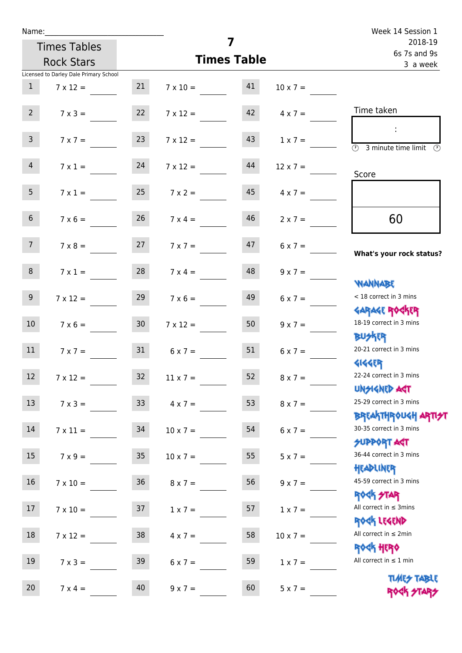| Name:           |                                        |                 |                    |                         |                 | Week 14 Session 1                                                |
|-----------------|----------------------------------------|-----------------|--------------------|-------------------------|-----------------|------------------------------------------------------------------|
|                 | <b>Times Tables</b>                    |                 | 7                  | 2018-19<br>6s 7s and 9s |                 |                                                                  |
|                 | <b>Rock Stars</b>                      |                 | <b>Times Table</b> |                         |                 | 3 a week                                                         |
|                 | Licensed to Darley Dale Primary School |                 |                    |                         |                 |                                                                  |
| $\mathbf{1}$    | $7 \times 12 =$                        | 21              | $7 \times 10 = 41$ |                         | $10 \times 7 =$ |                                                                  |
| $2^{\circ}$     | $7 \times 3 =$                         | 22              | $7 \times 12 =$    | 42                      | $4 \times 7 =$  | Time taken                                                       |
| $\mathsf{3}$    | $7 \times 7 =$                         | 23              | $7 \times 12 =$    | 43                      | $1 \times 7 =$  | $\overline{\textcircled{2}}$ 3 minute time limit                 |
| $\overline{4}$  | $7 \times 1 = 24$                      |                 | $7 \times 12 =$    | 44                      | $12 \times 7 =$ | Score                                                            |
| 5 <sub>1</sub>  | $7 \times 1 =$                         | 25              | $7 \times 2 =$     | 45                      | $4 \times 7 =$  |                                                                  |
| 6 <sup>1</sup>  | $7 \times 6 =$                         | 26              | $7 \times 4 =$     | 46                      | $2 \times 7 =$  | 60                                                               |
| 7 <sup>7</sup>  | $7 \times 8 = 27$                      |                 | $7 \times 7 =$     | 47                      | $6 \times 7 =$  | What's your rock status?                                         |
| 8               | $7 \times 1 =$                         | 28              | $7 \times 4 =$     | 48                      | $9 \times 7 =$  | <b>NANNABE</b>                                                   |
| 9 <sup>°</sup>  | $7 \times 12 =$                        | 29              | $7 \times 6 =$     | 49                      | $6 \times 7 =$  | < 18 correct in 3 mins<br><b>GARAGE ROCKER</b>                   |
| 10 <sup>°</sup> | $7 \times 6 = 30$                      |                 | $7 \times 12 = 50$ |                         | $9 \times 7 =$  | 18-19 correct in 3 mins<br><b>BUSKER</b>                         |
| 11              | $7 \times 7 =$                         | 31              | $6 \times 7 =$     | 51                      | $6 \times 7 =$  | 20-21 correct in 3 mins<br><b>4144EP</b>                         |
| 12              | $7 \times 12 =$                        | 32 <sub>2</sub> | $11 \times 7 =$    | 52 <sub>2</sub>         | $8 \times 7 =$  | 22-24 correct in 3 mins<br><b>UNSIGNED AGT</b>                   |
| 13              | $7 \times 3 = 33$                      |                 | $4 \times 7 =$     | 53                      | $8 \times 7 =$  | 25-29 correct in 3 mins<br><b>BREAKTHROUGH ARTI<del>S</del>T</b> |
| 14              | $7 \times 11 =$                        | 34              | $10 \times 7 =$    | 54                      | $6 \times 7 =$  | 30-35 correct in 3 mins<br><b>SUPPORT ART</b>                    |
| 15              | $7 \times 9 =$                         | 35              | $10 \times 7 =$    | 55                      | $5 \times 7 =$  | 36-44 correct in 3 mins<br>HEADLINER                             |
| 16              | $7 \times 10 =$                        | 36              | $8 \times 7 =$     | 56                      | $9 \times 7 =$  | 45-59 correct in 3 mins<br><b>ROCK STAR</b>                      |
| 17              | $7 \times 10 =$                        | 37              | $1 \times 7 =$     | 57                      | $1 \times 7 =$  | All correct in $\leq$ 3mins<br>ROCK LEGEND                       |
| $18\,$          | $7 \times 12 =$                        | 38              | $4 \times 7 =$     | 58                      | $10 \times 7 =$ | All correct in $\leq 2$ min<br><b>ROCK HERO</b>                  |
| 19              | $7 \times 3 =$                         | 39              | $6 \times 7 =$     | 59                      | $1 \times 7 =$  | All correct in $\leq 1$ min                                      |
| 20              | $7 \times 4 =$                         | 40              | $9 \times 7 =$     | 60                      | $5 \times 7 =$  | <b>TUARS TABLE</b><br>ROCK STARS                                 |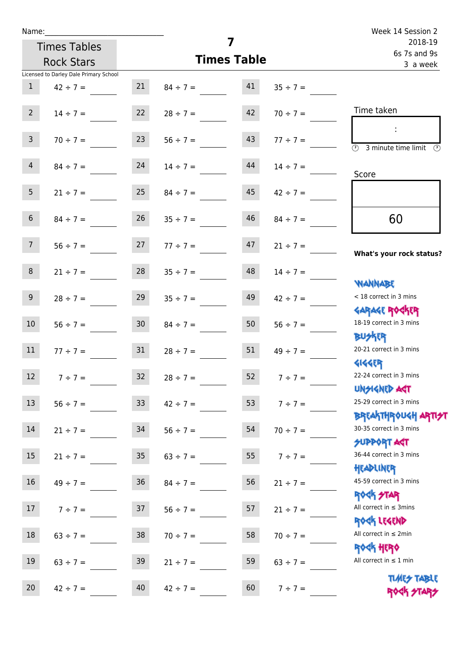| Name:                                  |                  |                                | Week 14 Session 2       |               |                                                     |
|----------------------------------------|------------------|--------------------------------|-------------------------|---------------|-----------------------------------------------------|
| <b>Times Tables</b>                    |                  |                                | 2018-19<br>6s 7s and 9s |               |                                                     |
| <b>Rock Stars</b>                      |                  | <b>Times Table</b>             | 3 a week                |               |                                                     |
| Licensed to Darley Dale Primary School |                  |                                |                         |               |                                                     |
| $\mathbf{1}$<br>$42 \div 7 =$          | 21               | $84 \div 7 =$                  | 41                      | $35 \div 7 =$ |                                                     |
| $2^{\circ}$                            |                  | $14 \div 7 = 22$ $28 \div 7 =$ | 42                      | $70 \div 7 =$ | Time taken                                          |
| 3 <sup>7</sup><br>$70 \div 7 =$        | 23               | $56 \div 7 =$                  | 43                      | $77 \div 7 =$ | $\circled{2}$ 3 minute time limit $\circled{2}$     |
| $\overline{4}$<br>$84 \div 7 =$        | 24               | $14 \div 7 =$                  | 44                      | $14 \div 7 =$ | Score                                               |
| 5 <sub>1</sub>                         | $21 \div 7 = 25$ | $84 \div 7 =$                  | 45                      | $42 \div 7 =$ |                                                     |
| 6 <sup>1</sup><br>$84 \div 7 =$        | 26               | $35 \div 7 =$                  | 46                      | $84 \div 7 =$ | 60                                                  |
| 7 <sup>7</sup>                         |                  | $56 \div 7 =$ 27 $77 \div 7 =$ | 47                      | $21 \div 7 =$ | What's your rock status?                            |
| 8                                      |                  | $21 \div 7 = 28$ $35 \div 7 =$ | 48                      | $14 \div 7 =$ | <b>NANNABE</b>                                      |
| 9 <sub>o</sub><br>$28 \div 7 =$        | 29               | $35 \div 7 =$                  | 49                      | $42 \div 7 =$ | < 18 correct in 3 mins<br><b>GARAGE ROCKER</b>      |
| 10 <sup>°</sup><br>$56 \div 7 =$       | 30 <sub>o</sub>  | $84 \div 7 =$                  | 50                      | $56 \div 7 =$ | 18-19 correct in 3 mins<br><b>BUSKER</b>            |
| 11                                     | $77 \div 7 = 31$ | $28 \div 7 =$                  | 51                      | $49 \div 7 =$ | 20-21 correct in 3 mins<br><b>4144ER</b>            |
| 12<br>$7 ÷ 7 =$                        | 32               | $28 \div 7 =$                  | 52                      | $7 ÷ 7 =$     | 22-24 correct in 3 mins<br><b>UNSIGNED AST</b>      |
| 13<br>$56 ÷ 7 =$                       | 33 <sup>°</sup>  | $42 \div 7 =$                  | 53                      | $7 ÷ 7 =$     | 25-29 correct in 3 mins<br><b>BREAKTHROUGH ARTH</b> |
| 14<br>$21 \div 7 =$                    | 34               | $56 ÷ 7 =$                     | 54                      | $70 \div 7 =$ | 30-35 correct in 3 mins<br><b>SUPPORT AGT</b>       |
| 15 <sub>1</sub><br>$21 \div 7 =$       | 35 <sub>o</sub>  | $63 \div 7 =$                  | 55                      | $7 ÷ 7 =$     | 36-44 correct in 3 mins<br>HEADLINER                |
| 16<br>$49 \div 7 =$                    | 36               | $84 \div 7 =$                  | 56                      | $21 \div 7 =$ | 45-59 correct in 3 mins<br><b>ROCK STAR</b>         |
| 17 <sup>2</sup><br>$7 ÷ 7 =$           | 37               | $56 \div 7 =$                  | 57                      | $21 \div 7 =$ | All correct in $\leq$ 3mins<br>ROCK LEGEND          |
| 18<br>$63 \div 7 =$                    | 38               | $70 \div 7 =$                  | 58                      | $70 \div 7 =$ | All correct in $\leq 2$ min<br><b>ROCK HERO</b>     |
| 19<br>$63 \div 7 =$                    | 39               | $21 \div 7 =$                  | 59                      | $63 \div 7 =$ | All correct in $\leq 1$ min                         |
| 20<br>$42 \div 7 =$                    | 40               | $42 \div 7 =$                  | 60                      | $7 ÷ 7 =$     | <b>TUARS TABLE</b><br>ROCK STARS                    |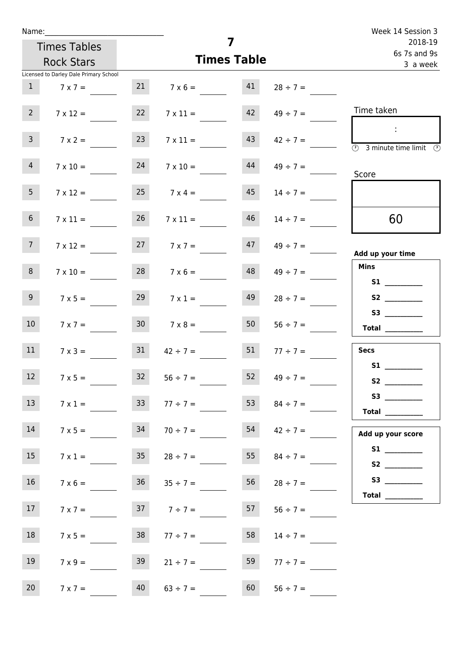| Name:             |                                        |                 |                                    | Week 14 Session 3       |                     |                                                                                                                                                                                                                                                                                                                                                                                                                                                                                     |
|-------------------|----------------------------------------|-----------------|------------------------------------|-------------------------|---------------------|-------------------------------------------------------------------------------------------------------------------------------------------------------------------------------------------------------------------------------------------------------------------------------------------------------------------------------------------------------------------------------------------------------------------------------------------------------------------------------------|
|                   | <b>Times Tables</b>                    |                 | 7                                  | 2018-19<br>6s 7s and 9s |                     |                                                                                                                                                                                                                                                                                                                                                                                                                                                                                     |
|                   | <b>Rock Stars</b>                      |                 | <b>Times Table</b>                 | 3 a week                |                     |                                                                                                                                                                                                                                                                                                                                                                                                                                                                                     |
|                   | Licensed to Darley Dale Primary School |                 |                                    |                         |                     |                                                                                                                                                                                                                                                                                                                                                                                                                                                                                     |
| $\mathbf{1}$      | $7 \times 7 =$                         |                 | 21 $7 \times 6 =$ 41 $28 \div 7 =$ |                         |                     |                                                                                                                                                                                                                                                                                                                                                                                                                                                                                     |
| $2^{\circ}$       | $7 \times 12 =$                        | 22              | $7 \times 11 =$                    |                         | $42 \t 49 \div 7 =$ | Time taken                                                                                                                                                                                                                                                                                                                                                                                                                                                                          |
| 3 <sup>7</sup>    | $7 \times 2 =$                         | 23              | $7 \times 11 =$                    | 43                      | $42 \div 7 =$       | $\sim 10$<br>$\overline{\textcircled{2}}$ 3 minute time limit $\overline{\textcircled{2}}$                                                                                                                                                                                                                                                                                                                                                                                          |
| 4                 | $7 \times 10 =$                        | 24              | $7 \times 10 =$                    | 44                      | $49 \div 7 =$       | Score                                                                                                                                                                                                                                                                                                                                                                                                                                                                               |
| 5 <sub>1</sub>    | $7 \times 12 =$                        | 25              | $7 \times 4 =$                     | 45                      | $14 \div 7 =$       |                                                                                                                                                                                                                                                                                                                                                                                                                                                                                     |
| 6 <sub>1</sub>    | $7 \times 11 =$                        | 26              | $7 \times 11 =$                    | 46                      | $14 \div 7 =$       | 60                                                                                                                                                                                                                                                                                                                                                                                                                                                                                  |
| 7 <sup>7</sup>    | $7 \times 12 =$                        |                 | $7 \times 7 =$                     |                         | $47 \t 49 \div 7 =$ | Add up your time                                                                                                                                                                                                                                                                                                                                                                                                                                                                    |
| 8                 | $7 \times 10 =$                        |                 | $28$ 7 x 6 =                       | 48                      | $49 \div 7 =$       | <b>Mins</b><br><b>S1 S1</b>                                                                                                                                                                                                                                                                                                                                                                                                                                                         |
| 9 <sub>o</sub>    | $7 \times 5 =$                         | 29              | $7 \times 1 =$                     | 49                      | $28 \div 7 =$       | S2                                                                                                                                                                                                                                                                                                                                                                                                                                                                                  |
| 10 <sup>°</sup>   | $7 \times 7 =$                         | 30 <sub>o</sub> | $7 \times 8 =$                     | 50                      | $56 \div 7 =$       | S3<br>Total __________                                                                                                                                                                                                                                                                                                                                                                                                                                                              |
| 11                | $7 \times 3 =$                         | 31              | $42 \div 7 = 51$ $77 \div 7 =$     |                         |                     | <b>Secs</b>                                                                                                                                                                                                                                                                                                                                                                                                                                                                         |
| $12 \overline{ }$ | $7 \times 5 =$                         | 32              | $56 \div 7 =$                      | 52                      | $49 \div 7 =$       | S1 <sub>2</sub> and the set of the set of the set of the set of the set of the set of the set of the set of the set of the set of the set of the set of the set of the set of the set of the set of the set of the set of the set of the<br>S <sub>2</sub> and the set of the set of the set of the set of the set of the set of the set of the set of the set of the set of the set of the set of the set of the set of the set of the set of the set of the set of the set of the |
| 13                | $7 \times 1 =$                         | 33              | $77 \div 7 =$                      | 53                      | $84 \div 7 =$       | S3<br>$\begin{tabular}{c} Total \end{tabular}$                                                                                                                                                                                                                                                                                                                                                                                                                                      |
| 14                | $7 \times 5 =$                         | 34              | $70 \div 7 =$                      | 54                      | $42 \div 7 =$       | Add up your score                                                                                                                                                                                                                                                                                                                                                                                                                                                                   |
| 15 <sub>15</sub>  | $7 \times 1 =$                         | 35              | $28 \div 7 =$                      | 55                      | $84 \div 7 =$       |                                                                                                                                                                                                                                                                                                                                                                                                                                                                                     |
| 16                | $7 \times 6 =$                         |                 | $36 \t 35 \div 7 =$                | 56                      | $28 \div 7 =$       | Total $\_\_$                                                                                                                                                                                                                                                                                                                                                                                                                                                                        |
| 17                | $7 \times 7 =$                         |                 | $7 \div 7 =$                       | 57                      | $56 \div 7 =$       |                                                                                                                                                                                                                                                                                                                                                                                                                                                                                     |
| 18                | $7 \times 5 =$                         | 38              | $77 \div 7 =$                      | 58                      | $14 \div 7 =$       |                                                                                                                                                                                                                                                                                                                                                                                                                                                                                     |
| 19                | $7 \times 9 =$                         | 39              | $21 \div 7 =$                      | 59                      | $77 \div 7 =$       |                                                                                                                                                                                                                                                                                                                                                                                                                                                                                     |
| 20 <sub>2</sub>   | $7 \times 7 =$                         | 40              | $63 \div 7 =$                      | 60                      | $56 \div 7 =$       |                                                                                                                                                                                                                                                                                                                                                                                                                                                                                     |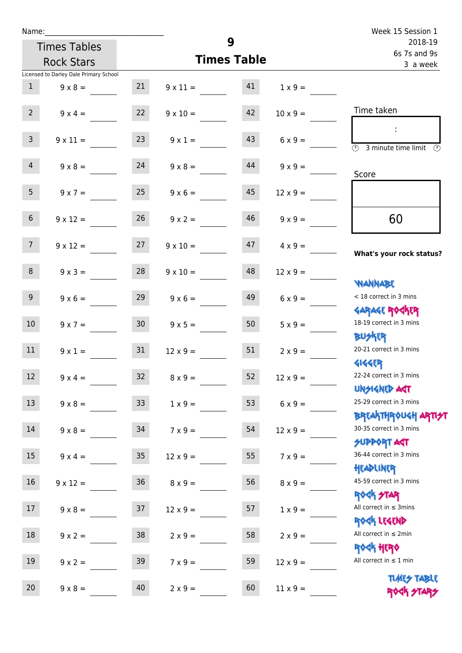| Name:           |                                        |        |                    | 9                       |                 | Week 15 Session 1                                                |
|-----------------|----------------------------------------|--------|--------------------|-------------------------|-----------------|------------------------------------------------------------------|
|                 | <b>Times Tables</b>                    |        |                    | 2018-19<br>6s 7s and 9s |                 |                                                                  |
|                 | <b>Rock Stars</b>                      |        | <b>Times Table</b> | 3 a week                |                 |                                                                  |
|                 | Licensed to Darley Dale Primary School |        |                    |                         |                 |                                                                  |
| 1               | $9 \times 8 =$                         | 21     | $9 \times 11 = 41$ |                         | $1 \times 9 =$  |                                                                  |
| $2^{\circ}$     | $9 \times 4 =$                         | 22     | $9 \times 10 =$    | 42                      | $10 \times 9 =$ | Time taken                                                       |
| $\mathsf{3}$    | $9 \times 11 =$                        | 23     | $9 \times 1 =$     | 43                      | $6 \times 9 =$  | $\overline{\circledcirc}$ 3 minute time limit $\circledcirc$     |
| $\overline{4}$  | $9 \times 8 = 24$                      |        | $9 \times 8 =$     | 44                      | $9 \times 9 =$  | Score                                                            |
| 5 <sub>1</sub>  | $9 \times 7 =$                         | 25     | $9 \times 6 =$     | 45                      | $12 \times 9 =$ |                                                                  |
| 6 <sup>1</sup>  | $9 \times 12 =$                        | 26     | $9 \times 2 =$     | 46                      | $9 \times 9 =$  | 60                                                               |
| 7 <sup>7</sup>  | $9 \times 12 = 27$                     |        | $9 \times 10 =$    | 47                      | $4 \times 9 =$  | What's your rock status?                                         |
| 8               | $9 \times 3 =$                         | 28     | $9 \times 10 =$    | 48                      | $12 \times 9 =$ | <b>JARNAM</b>                                                    |
| 9 <sub>o</sub>  | $9 \times 6 =$                         | 29     | $9 \times 6 =$     | 49                      | $6 \times 9 =$  | < 18 correct in 3 mins<br><b>GARAGE ROGKER</b>                   |
| 10 <sup>°</sup> | $9 \times 7 = 30$                      |        | $9 \times 5 = 50$  |                         | $5 \times 9 =$  | 18-19 correct in 3 mins<br><b>BUSKER</b>                         |
| 11              | $9 \times 1 =$                         | 31     | $12 \times 9 =$    | 51                      | $2 \times 9 =$  | 20-21 correct in 3 mins<br><b>4144EP</b>                         |
| 12              | $9 \times 4 =$                         | 32     | $8 \times 9 =$     | 52                      | $12 \times 9 =$ | 22-24 correct in 3 mins<br><b>UNSIGNED AGT</b>                   |
| 13              | $9 \times 8 =$                         | 33     | $1 \times 9 =$     | 53                      | $6 \times 9 =$  | 25-29 correct in 3 mins<br><b>BREAKTHROUGH ARTI<del>S</del>T</b> |
| 14              | $9 \times 8 =$                         | 34     | $7 \times 9 =$     | 54                      | $12 \times 9 =$ | 30-35 correct in 3 mins<br><b>SUPPORT AGT</b>                    |
| 15              | $9 \times 4 =$                         | $35\,$ | $12 \times 9 =$    | 55                      | $7 \times 9 =$  | 36-44 correct in 3 mins<br>HEADLINER                             |
| 16              | $9 \times 12 =$                        | $36\,$ | $8 \times 9 =$     | 56                      | $8 \times 9 =$  | 45-59 correct in 3 mins<br>ROCK STAR                             |
| 17              | $9 \times 8 =$                         | 37     | $12 \times 9 =$    | 57                      | $1 \times 9 =$  | All correct in $\leq$ 3mins<br>ROCK LEGEND                       |
| 18              | $9 \times 2 =$                         | 38     | $2 \times 9 =$     | 58                      | $2 \times 9 =$  | All correct in $\leq 2$ min<br><b>ROCK HERO</b>                  |
| 19              | $9 \times 2 =$                         | 39     | $7 \times 9 =$     | 59                      | $12 \times 9 =$ | All correct in $\leq 1$ min<br><b>TUARS TABLE</b>                |
| 20              | $9 \times 8 =$                         | 40     | $2 \times 9 =$     | 60                      | $11 \times 9 =$ | ROGH STARS                                                       |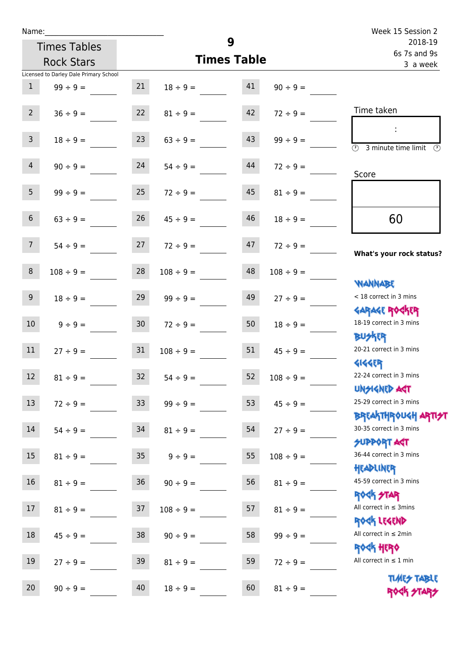| Name:          |                                        |                 |                    | Week 15 Session 2       |                |                                                                  |
|----------------|----------------------------------------|-----------------|--------------------|-------------------------|----------------|------------------------------------------------------------------|
|                | <b>Times Tables</b>                    |                 | 9                  | 2018-19<br>6s 7s and 9s |                |                                                                  |
|                | <b>Rock Stars</b>                      |                 | <b>Times Table</b> | 3 a week                |                |                                                                  |
|                | Licensed to Darley Dale Primary School |                 |                    |                         |                |                                                                  |
| $\mathbf{1}$   | $99 \div 9 =$                          | 21              | $18 \div 9 =$      | 41                      | $90 \div 9 =$  |                                                                  |
| 2 <sup>7</sup> | $36 \div 9 =$                          | 22              | $81 \div 9 =$      | 42                      | $72 \div 9 =$  | Time taken                                                       |
|                |                                        |                 |                    |                         |                |                                                                  |
| $\mathbf{3}$   | $18 \div 9 =$                          | 23              | $63 \div 9 =$      | 43                      | $99 \div 9 =$  | $\overline{\mathcal{O}}$<br>3 minute time limit                  |
| $\overline{4}$ | $90 \div 9 =$                          | 24              | $54 \div 9 =$      | 44                      | $72 \div 9 =$  | Score                                                            |
| 5 <sub>1</sub> | $99 \div 9 =$                          | 25              | $72 \div 9 =$      | 45                      | $81 \div 9 =$  |                                                                  |
| $6\phantom{.}$ | $63 ÷ 9 =$                             | 26              | $45 \div 9 =$      | 46                      | $18 \div 9 =$  | 60                                                               |
| 7 <sup>7</sup> | $54 \div 9 =$                          | 27              | $72 \div 9 =$      | 47                      | $72 \div 9 =$  | What's your rock status?                                         |
| 8 <sup>°</sup> | $108 \div 9 =$                         | 28              | $108 \div 9 =$     | 48                      | $108 \div 9 =$ |                                                                  |
| 9              | $18 \div 9 =$                          | 29              | $99 \div 9 =$      | 49                      | $27 \div 9 =$  | <b>YIANNABE</b><br>< 18 correct in 3 mins                        |
| 10             | $9 \div 9 =$                           | 30 <sub>o</sub> | $72 \div 9 =$      | 50                      | $18 \div 9 =$  | <b>GARAGE ROGKER</b><br>18-19 correct in 3 mins                  |
| 11             | $27 \div 9 =$                          | 31              | $108 \div 9 =$     | 51                      | $45 \div 9 =$  | <b>BUSKER</b><br>20-21 correct in 3 mins                         |
| 12             | $81 \div 9 =$                          | 32              | $54 \div 9 =$      | 52                      | $108 \div 9 =$ | <b>4144ER</b><br>22-24 correct in 3 mins                         |
| 13             | $72 \div 9 =$                          | 33              | $99 ÷ 9 =$         | 53                      | $45 \div 9 =$  | <b>UNSIGNED AST</b><br>25-29 correct in 3 mins                   |
| 14             | $54 \div 9 =$                          | 34              | $81 \div 9 =$      | 54                      | $27 ÷ 9 =$     | <b>BREAKTHROUGH ARTI<del>S</del>T</b><br>30-35 correct in 3 mins |
| $15\,$         | $81 \div 9 =$                          | $35\,$          | $9 ÷ 9 =$          | 55                      | $108 \div 9 =$ | <b>SUPPORT AGT</b><br>36-44 correct in 3 mins                    |
| 16             | $81 \div 9 =$                          | 36              | $90 \div 9 =$      | 56                      | $81 \div 9 =$  | HEADLINER<br>45-59 correct in 3 mins                             |
| 17             | $81 \div 9 =$                          | 37              | $108 \div 9 =$     | 57                      | $81 \div 9 =$  | <b>ROCK STAR</b><br>All correct in $\leq$ 3mins                  |
| 18             | $45 \div 9 =$                          | 38              | $90 \div 9 =$      | 58                      | $99 ÷ 9 =$     | ROCK LEGEND<br>All correct in $\leq 2$ min                       |
| 19             | $27 ÷ 9 =$                             | 39              | $81 \div 9 =$      | 59                      | $72 \div 9 =$  | ROCK HERO<br>All correct in $\leq 1$ min                         |

20  $90 \div 9 =$   $40$   $18 \div 9 =$   $60$   $81 \div 9 =$ 

Times Table ROCK STARS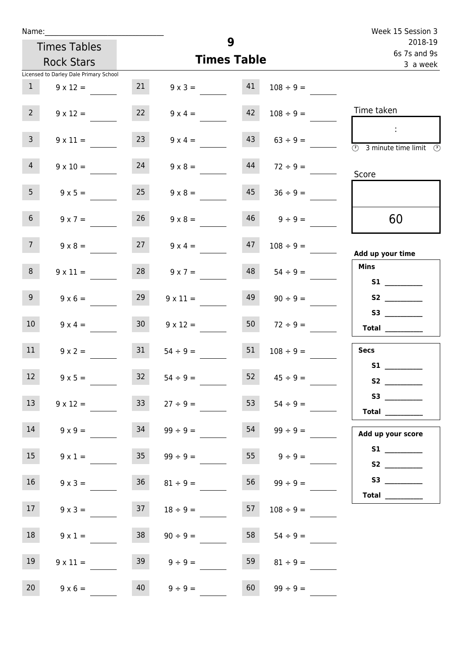| Name:           |                                        |                 |                      | Week 15 Session 3 |                         |                                                                                                                                                                                                                                         |
|-----------------|----------------------------------------|-----------------|----------------------|-------------------|-------------------------|-----------------------------------------------------------------------------------------------------------------------------------------------------------------------------------------------------------------------------------------|
|                 | <b>Times Tables</b>                    |                 | 9                    |                   | 2018-19<br>6s 7s and 9s |                                                                                                                                                                                                                                         |
|                 | <b>Rock Stars</b>                      |                 | <b>Times Table</b>   | 3 a week          |                         |                                                                                                                                                                                                                                         |
|                 | Licensed to Darley Dale Primary School |                 |                      |                   |                         |                                                                                                                                                                                                                                         |
| 1               | $9 \times 12 =$                        | 21              | $9 \times 3 = 41$    |                   | $108 \div 9 =$          |                                                                                                                                                                                                                                         |
| 2 <sup>7</sup>  | $9 \times 12 =$                        | 22              | $9 \times 4 =$       | 42                | $108 \div 9 =$          | Time taken                                                                                                                                                                                                                              |
| 3 <sup>7</sup>  | $9 \times 11 =$                        | 23              | $9 \times 4 =$       | 43                | $63 \div 9 =$           | $\sim 10$<br>$\overline{\circledcirc}$ 3 minute time limit $\overline{\circledcirc}$                                                                                                                                                    |
| $\overline{4}$  | $9 \times 10 =$                        | 24              | $9 \times 8 =$       | 44                | $72 \div 9 =$           | Score                                                                                                                                                                                                                                   |
| 5 <sub>1</sub>  | $9 \times 5 =$                         | 25              | $9 \times 8 =$       | 45                | $36 \div 9 =$           |                                                                                                                                                                                                                                         |
| 6 <sup>1</sup>  | $9 \times 7 =$                         | 26              | $9 \times 8 =$       |                   | $46 \qquad 9 \div 9 =$  | 60                                                                                                                                                                                                                                      |
| 7 <sup>7</sup>  | $9 \times 8 =$                         |                 | $27 \t 9 \times 4 =$ | 47                | $108 \div 9 =$          | Add up your time                                                                                                                                                                                                                        |
| 8               | $9 \times 11 =$                        | 28              | $9 \times 7 =$       | 48                | $54 \div 9 =$           | <b>Mins</b><br>S1                                                                                                                                                                                                                       |
| 9               | $9 \times 6 =$                         | 29              | $9 \times 11 =$      | 49                | $90 \div 9 =$           |                                                                                                                                                                                                                                         |
| 10 <sup>°</sup> | $9 \times 4 =$                         | 30 <sup>°</sup> | $9 \times 12 =$      | 50                | $72 \div 9 =$           | S3<br>$\begin{tabular}{c} Total \end{tabular}$                                                                                                                                                                                          |
| 11              | $9 \times 2 =$                         | 31              | $54 \div 9 =$        | 51                | $108 \div 9 =$          | <b>Secs</b><br>S1                                                                                                                                                                                                                       |
| 12 <sub>2</sub> | $9 \times 5 =$                         | 32              | $54 \div 9 =$        | 52                | $45 \div 9 =$           | S <sub>2</sub> and the set of the set of the set of the set of the set of the set of the set of the set of the set of the set of the set of the set of the set of the set of the set of the set of the set of the set of the set of the |
| 13              | $9 \times 12 =$                        | 33              | $27 \div 9 =$        | 53                | $54 \div 9 =$           | Total $\_\_$                                                                                                                                                                                                                            |
| 14              | $9 \times 9 =$                         | 34              | $99 \div 9 =$        | 54                | $99 \div 9 =$           | Add up your score                                                                                                                                                                                                                       |
| 15              | $9 \times 1 =$                         | 35 <sub>1</sub> | $99 \div 9 =$        |                   | 55 $9 \div 9 =$         | S2                                                                                                                                                                                                                                      |
| 16 <sup>1</sup> | $9 \times 3 =$                         | 36              | $81 \div 9 =$        | 56                | $99 \div 9 =$           | Total $\frac{1}{\sqrt{1-\frac{1}{2}}\cdot\frac{1}{\sqrt{1-\frac{1}{2}}}}$                                                                                                                                                               |
| 17              | $9 \times 3 =$                         | 37              | $18 \div 9 =$        | 57                | $108 \div 9 =$          |                                                                                                                                                                                                                                         |
| 18              | $9 \times 1 =$                         | 38              | $90 \div 9 =$        | 58                | $54 \div 9 =$           |                                                                                                                                                                                                                                         |
| 19              | $9 \times 11 =$                        | 39              | $9 \div 9 =$         | 59                | $81 \div 9 =$           |                                                                                                                                                                                                                                         |
| 20 <sub>2</sub> | $9 \times 6 =$                         | 40              | $9 ÷ 9 =$            | 60                | $99 \div 9 =$           |                                                                                                                                                                                                                                         |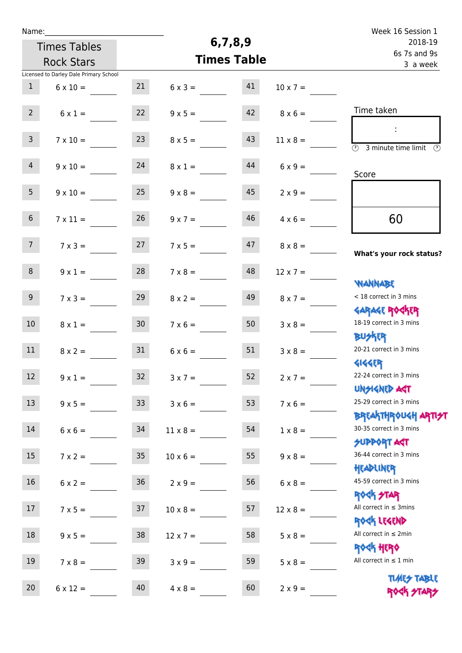| Name:           |                                        |                 |                 |                         |                 | Week 16 Session 1                                                  |
|-----------------|----------------------------------------|-----------------|-----------------|-------------------------|-----------------|--------------------------------------------------------------------|
|                 | <b>Times Tables</b>                    |                 | 6,7,8,9         | 2018-19<br>6s 7s and 9s |                 |                                                                    |
|                 | <b>Rock Stars</b>                      |                 |                 | <b>Times Table</b>      |                 | 3 a week                                                           |
|                 | Licensed to Darley Dale Primary School |                 |                 |                         |                 |                                                                    |
| $\mathbf{1}$    | $6 \times 10 =$                        | 21              | $6 \times 3 =$  | 41                      | $10 \times 7 =$ |                                                                    |
| $2^{\circ}$     | $6 \times 1 =$                         | 22              | $9 \times 5 =$  | 42                      | $8 \times 6 =$  | Time taken                                                         |
| $\mathbf{3}$    | $7 \times 10 =$                        | 23              | $8 \times 5 =$  | 43                      | $11 \times 8 =$ | $\overline{(\mathcal{V})}$<br>3 minute time limit<br>$\mathcal{O}$ |
| $\overline{4}$  | $9 \times 10 =$                        | 24              | $8 \times 1 =$  | 44                      | $6 \times 9 =$  | Score                                                              |
| 5 <sub>1</sub>  | $9 \times 10 =$                        | 25              | $9 \times 8 =$  | 45                      | $2 \times 9 =$  |                                                                    |
| 6 <sup>1</sup>  | $7 \times 11 =$                        | 26              | $9 \times 7 =$  | 46                      | $4 \times 6 =$  | 60                                                                 |
| 7 <sup>7</sup>  | $7 \times 3 =$                         | 27              | $7 \times 5 =$  | 47                      | $8 \times 8 =$  | What's your rock status?                                           |
| 8               | $9 \times 1 =$                         | 28              | $7 \times 8 =$  | 48                      | $12 \times 7 =$ | <b>NANNABE</b>                                                     |
| 9 <sub>o</sub>  | $7 \times 3 =$                         | 29              | $8 \times 2 =$  | 49                      | $8 \times 7 =$  | < 18 correct in 3 mins<br><b>GARAGE ROCKER</b>                     |
| 10 <sup>°</sup> | $8 \times 1 =$                         | 30 <sub>2</sub> | $7 \times 6 =$  | 50                      | $3 \times 8 =$  | 18-19 correct in 3 mins<br><b>BUSKRR</b>                           |
| 11              | $8 \times 2 =$                         | 31              | $6 \times 6 =$  | 51                      | $3 \times 8 =$  | 20-21 correct in 3 mins<br><b>4144EP</b>                           |
| 12              | $9 \times 1 =$                         | $32$            | $3x7 =$         | 52                      | $2 \times 7 =$  | 22-24 correct in 3 mins<br><b>UNSIGNED AGT</b>                     |
| 13              | $9 \times 5 =$                         | 33              | $3 \times 6 =$  | 53                      | $7 \times 6 =$  | 25-29 correct in 3 mins<br><b>BREAKTHROUGH ARTI<del>S</del>T</b>   |
| 14              | $6 \times 6 =$                         | 34              | $11 \times 8 =$ | 54                      | $1 \times 8 =$  | 30-35 correct in 3 mins<br>SUPPORT ART                             |
| 15              | $7 \times 2 =$                         | 35 <sub>1</sub> | $10 \times 6 =$ | 55                      | $9 \times 8 =$  | 36-44 correct in 3 mins<br>HEADLINER                               |
| 16              | $6 \times 2 =$                         | 36 <sup>°</sup> | $2 \times 9 =$  | 56                      | $6 \times 8 =$  | 45-59 correct in 3 mins<br><b>ROCK STAR</b>                        |
| 17              | $7 \times 5 =$                         | 37              | $10 \times 8 =$ | 57                      | $12 \times 8 =$ | All correct in $\leq$ 3mins<br>ROCK LEGEND                         |
| 18              | $9 \times 5 =$                         | 38              | $12 \times 7 =$ | 58                      | $5 \times 8 =$  | All correct in $\leq 2$ min<br><b>ROCK HERO</b>                    |
| 19              | $7 \times 8 =$                         | 39              | $3 \times 9 =$  | 59                      | $5 \times 8 =$  | All correct in $\leq 1$ min                                        |
| $20\,$          | $6 \times 12 =$                        | 40              | $4 \times 8 =$  | 60                      | $2 \times 9 =$  | <b>TIMES TABLE</b><br>ROCK STARS                                   |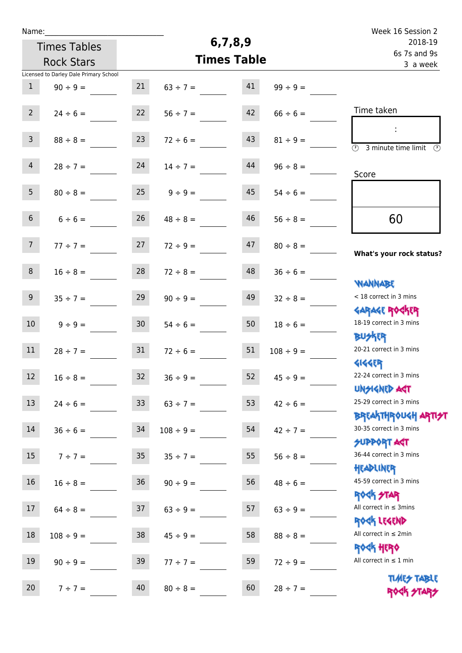| Name:            |                                        |                 |                |                    | Week 16 Session 2 |                                                                  |
|------------------|----------------------------------------|-----------------|----------------|--------------------|-------------------|------------------------------------------------------------------|
|                  | <b>Times Tables</b>                    |                 |                | 6,7,8,9            |                   | 2018-19<br>6s 7s and 9s                                          |
|                  | <b>Rock Stars</b>                      |                 |                | <b>Times Table</b> |                   | 3 a week                                                         |
|                  | Licensed to Darley Dale Primary School |                 |                |                    |                   |                                                                  |
| $\mathbf{1}$     | $90 \div 9 =$                          | 21              | $63 \div 7 =$  | 41                 | $99 \div 9 =$     |                                                                  |
| 2 <sup>7</sup>   | $24 \div 6 =$                          | 22              | $56 \div 7 =$  | 42                 | $66 \div 6 =$     | Time taken                                                       |
| 3 <sup>7</sup>   | $88 \div 8 =$                          | 23              | $72 \div 6 =$  | 43                 | $81 \div 9 =$     | $\overline{\mathcal{O}}$<br>3 minute time limit $\circled{0}$    |
| 4 <sup>1</sup>   | $28 \div 7 =$                          | 24              | $14 \div 7 =$  | 44                 | $96 \div 8 =$     | Score                                                            |
| 5 <sub>1</sub>   | $80 \div 8 =$                          | 25              | $9 \div 9 =$   | 45                 | $54 \div 6 =$     |                                                                  |
| 6 <sup>1</sup>   | $6 \div 6 =$                           | 26              | $48 \div 8 =$  | 46                 | $56 \div 8 =$     | 60                                                               |
| 7 <sup>7</sup>   | $77 \div 7 =$                          | 27              | $72 \div 9 =$  | 47                 | $80 \div 8 =$     | What's your rock status?                                         |
| 8                | $16 \div 8 =$                          | 28              | $72 \div 8 =$  | 48                 | $36 \div 6 =$     | <b>NANNABE</b>                                                   |
| 9 <sub>o</sub>   | $35 ÷ 7 =$                             | 29              | $90 \div 9 =$  | 49                 | $32 \div 8 =$     | < 18 correct in 3 mins                                           |
| 10 <sup>°</sup>  | $9 ÷ 9 =$                              | 30 <sub>o</sub> | $54 \div 6 =$  | 50                 | $18 \div 6 =$     | <b>GARAGE ROCKER</b><br>18-19 correct in 3 mins<br><b>BUSKRR</b> |
| 11               | $28 \div 7 =$                          | 31              | $72 \div 6 =$  | 51                 | $108 \div 9 =$    | 20-21 correct in 3 mins<br><b>4144EP</b>                         |
| 12 <sup>12</sup> | $16 \div 8 =$                          | 32              | $36 \div 9 =$  | 52                 | $45 \div 9 =$     | 22-24 correct in 3 mins<br><b>UNSIGNED AGT</b>                   |
| 13               | $24 \div 6 =$                          | 33 <sup>°</sup> | $63 ÷ 7 =$     | 53                 | $42 \div 6 =$     | 25-29 correct in 3 mins<br><b>BREAKTHROUGH ARTI<del>S</del>T</b> |
| 14               | $36 \div 6 =$                          | 34              | $108 \div 9 =$ | 54                 | $42 \div 7 =$     | 30-35 correct in 3 mins<br><b>SUPPORT ART</b>                    |
| 15 <sub>1</sub>  | $7 \div 7 =$                           | 35 <sub>1</sub> | $35 \div 7 =$  | 55                 | $56 \div 8 =$     | 36-44 correct in 3 mins<br>HEADLINER                             |
| 16               | $16 \div 8 =$                          | 36              | $90 \div 9 =$  | 56                 | $48 \div 6 =$     | 45-59 correct in 3 mins<br><b>ROCK STAR</b>                      |
| 17               | $64 \div 8 =$                          | 37              | $63 \div 9 =$  | 57                 | $63 ÷ 9 =$        | All correct in $\leq$ 3mins<br>ROCK LEGEND                       |
| 18               | $108 \div 9 =$                         | 38              | $45 \div 9 =$  | 58                 | $88 \div 8 =$     | All correct in $\leq 2$ min<br>ROCK HERO                         |
| 19               | $90 \div 9 =$                          | 39              | $77 ÷ 7 =$     | 59                 | $72 \div 9 =$     | All correct in $\leq 1$ min                                      |
| 20               | $7 ÷ 7 =$                              | 40              | $80 \div 8 =$  | 60                 | $28 \div 7 =$     | <b>TIMES TABLE</b><br>ROCK STARS                                 |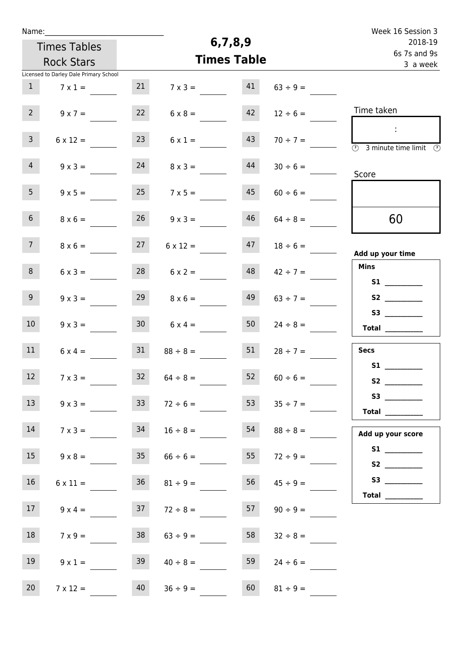| Name:           |                                        |                 |                 |                    |                  | Week 16 Session 3                                                                                    |
|-----------------|----------------------------------------|-----------------|-----------------|--------------------|------------------|------------------------------------------------------------------------------------------------------|
|                 | <b>Times Tables</b>                    |                 | 6,7,8,9         |                    | 2018-19          |                                                                                                      |
|                 | <b>Rock Stars</b>                      |                 |                 | <b>Times Table</b> |                  | 6s 7s and 9s<br>3 a week                                                                             |
|                 | Licensed to Darley Dale Primary School |                 |                 |                    |                  |                                                                                                      |
| 1               | $7 \times 1 =$                         | 21              | $7 \times 3 =$  | 41                 | $63 \div 9 =$    |                                                                                                      |
| 2 <sup>7</sup>  | $9 \times 7 =$                         | 22              | $6 \times 8 =$  | 42                 | $12 \div 6 =$    | Time taken                                                                                           |
| $\mathbf{3}$    | $6 \times 12 =$                        | 23              | $6 \times 1 =$  | 43                 | $70 \div 7 =$    | $\langle 1 \rangle$<br>$\overline{\textcircled{2}}$ 3 minute time limit $\overline{\textcircled{2}}$ |
| 4 <sup>1</sup>  | $9 \times 3 =$                         | 24              | $8 \times 3 =$  | 44                 | $30 \div 6 =$    | Score                                                                                                |
| 5 <sub>1</sub>  | $9 \times 5 =$                         | 25              | $7 \times 5 =$  | 45                 | $60 \div 6 =$    |                                                                                                      |
| 6 <sup>1</sup>  | $8 \times 6 =$                         | 26              | $9 \times 3 =$  | 46                 | $64 \div 8 =$    | 60                                                                                                   |
| 7 <sup>7</sup>  | $8 \times 6 =$                         | 27              | $6 \times 12 =$ | 47                 | $18 \div 6 =$    | Add up your time                                                                                     |
| 8 <sup>°</sup>  | $6 \times 3 =$                         | 28              | $6 \times 2 =$  | 48                 | $42 \div 7 =$    | <b>Mins</b>                                                                                          |
| 9 <sub>o</sub>  | $9 \times 3 =$                         | 29              | $8 \times 6 =$  | 49                 | $63 \div 7 =$    |                                                                                                      |
| 10 <sup>°</sup> | $9 \times 3 =$                         | 30 <sub>1</sub> | $6 \times 4 =$  | 50                 | $24 \div 8 =$    | S3<br><b>Total</b>                                                                                   |
| 11              | $6 \times 4 =$                         | 31              | $88 \div 8 =$   | 51                 | $28 \div 7 =$    | <b>Secs</b>                                                                                          |
| 12              | $7 \times 3 =$                         | 32              | $64 \div 8 =$   | 52                 | $60 \div 6 =$    | S1                                                                                                   |
| 13              | $9 \times 3 =$                         | 33 <sup>°</sup> | $72 \div 6 =$   | 53                 | $35 \div 7 =$    | Total $\qquad$                                                                                       |
| 14              | $7 \times 3 =$                         | 34              | $16 \div 8 =$   | 54                 | $88 \div 8 =$    | Add up your score                                                                                    |
| 15              | $9 \times 8 = 35$                      |                 | $66 \div 6 =$   |                    | 55 $72 \div 9 =$ |                                                                                                      |
| 16              | $6 \times 11 =$                        | 36              | $81 \div 9 =$   | 56                 | $45 \div 9 =$    |                                                                                                      |
| 17              | $9 \times 4 =$                         | 37              | $72 \div 8 =$   | 57                 | $90 \div 9 =$    | Total $\_\_$                                                                                         |
| 18              | $7 \times 9 =$                         | 38              | $63 \div 9 =$   | 58                 | $32 \div 8 =$    |                                                                                                      |
| 19              | $9 \times 1 =$                         | 39              | $40 \div 8 =$   | 59                 | $24 \div 6 =$    |                                                                                                      |
| 20              | $7 \times 12 =$                        | 40              | $36 ÷ 9 =$      | 60                 | $81 \div 9 =$    |                                                                                                      |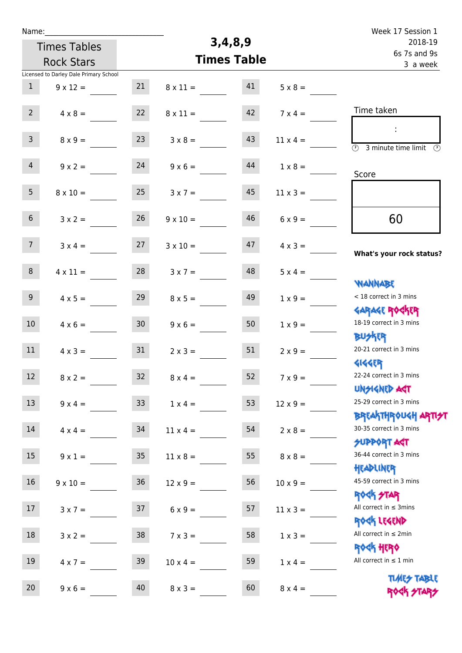| Name:           |                                        |                 |                    |          |                 | Week 17 Session 1                                                |
|-----------------|----------------------------------------|-----------------|--------------------|----------|-----------------|------------------------------------------------------------------|
|                 | <b>Times Tables</b>                    |                 |                    | 3,4,8,9  |                 | 2018-19<br>6s 7s and 9s                                          |
|                 | <b>Rock Stars</b>                      |                 | <b>Times Table</b> | 3 a week |                 |                                                                  |
|                 | Licensed to Darley Dale Primary School |                 |                    |          |                 |                                                                  |
| $\mathbf{1}$    | $9 \times 12 =$                        | 21              | $8 \times 11 =$    | 41       | $5 \times 8 =$  |                                                                  |
| $2^{\circ}$     | $4 \times 8 =$                         | 22              | $8 \times 11 =$    | 42       | $7 \times 4 =$  | Time taken                                                       |
| 3 <sup>7</sup>  | $8 \times 9 =$                         | 23              | $3 \times 8 =$     | 43       | $11 \times 4 =$ | ÷<br>$\overline{\mathcal{O}}$<br>3 minute time limit<br>- O      |
| $\overline{4}$  | $9 \times 2 =$                         | 24              | $9 \times 6 =$     | 44       | $1 \times 8 =$  | Score                                                            |
| 5 <sub>1</sub>  | $8 \times 10 =$                        | 25              | $3 \times 7 =$     | 45       | $11 \times 3 =$ |                                                                  |
| 6 <sup>1</sup>  | $3 \times 2 =$                         | 26              | $9 \times 10 =$    | 46       | $6 \times 9 =$  | 60                                                               |
| 7 <sup>7</sup>  | $3 \times 4 =$                         | 27              | $3 \times 10 =$    | 47       | $4 \times 3 =$  | What's your rock status?                                         |
| 8               | $4 \times 11 =$                        | 28              | $3 \times 7 =$     | 48       | $5 \times 4 =$  | <b>NANNABE</b>                                                   |
| 9 <sub>o</sub>  | $4 \times 5 =$                         | 29              | $8 \times 5 =$     | 49       | $1 \times 9 =$  | < 18 correct in 3 mins<br><b>GARAGE ROCKER</b>                   |
| 10 <sup>°</sup> | $4 \times 6 =$                         | 30 <sub>o</sub> | $9 \times 6 =$     | 50       | $1 \times 9 =$  | 18-19 correct in 3 mins<br><b>BUSKRR</b>                         |
| 11              | $4 \times 3 =$                         | 31              | $2 \times 3 =$     | 51       | $2 \times 9 =$  | 20-21 correct in 3 mins<br><b>4144ER</b>                         |
| 12 <sup>7</sup> | $8 \times 2 =$                         | 32              | $8 \times 4 =$     | 52       | $7 \times 9 =$  | 22-24 correct in 3 mins<br><b>UNSIGNED AGT</b>                   |
| 13              | $9 \times 4 =$                         | 33              | $1 \times 4 =$     | 53       | $12 \times 9 =$ | 25-29 correct in 3 mins                                          |
| 14              | $4 \times 4 =$                         | 34              | $11 \times 4 =$    | 54       | $2 \times 8 =$  | <b>BREAKTHROUGH ARTI<del>S</del>T</b><br>30-35 correct in 3 mins |
| 15              | $9 \times 1 =$                         | 35 <sub>2</sub> | $11 \times 8 =$    | 55       | $8 \times 8 =$  | <b>SUPPORT AGT</b><br>36-44 correct in 3 mins                    |
| 16              | $9 \times 10 =$                        | 36              | $12 \times 9 =$    | 56       | $10 \times 9 =$ | HEADLINER<br>45-59 correct in 3 mins                             |
| 17              | $3 \times 7 =$                         | 37              | $6 \times 9 =$     | 57       | $11 \times 3 =$ | <b>ROCK STAR</b><br>All correct in $\leq$ 3mins                  |
| 18              | $3 \times 2 =$                         | 38              | $7 \times 3 =$     | 58       | $1 \times 3 =$  | ROCK LEGEND<br>All correct in $\leq 2$ min                       |
| 19              | $4 \times 7 =$                         | 39              | $10 \times 4 =$    | 59       | $1 \times 4 =$  | <b>ROCK HERO</b><br>All correct in $\leq 1$ min                  |
| 20              | $9 \times 6 =$                         | 40              | $8 \times 3 =$     | 60       | $8 \times 4 =$  | <b>TIMES TABLE</b><br>ROCK STARS                                 |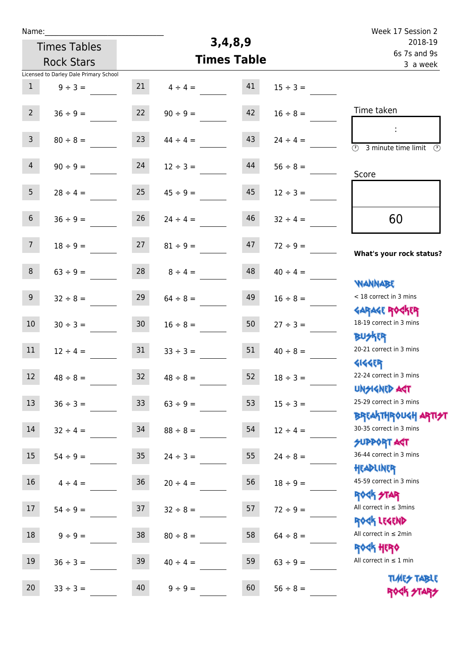| Name:            |                                        |                 |                    |         |                          | Week 17 Session 2                                                 |
|------------------|----------------------------------------|-----------------|--------------------|---------|--------------------------|-------------------------------------------------------------------|
|                  | <b>Times Tables</b>                    |                 | 3,4,8,9            | 2018-19 |                          |                                                                   |
|                  | <b>Rock Stars</b>                      |                 | <b>Times Table</b> |         | 6s 7s and 9s<br>3 a week |                                                                   |
|                  | Licensed to Darley Dale Primary School |                 |                    |         |                          |                                                                   |
| $\mathbf{1}$     | $9 ÷ 3 =$                              | 21              | $4 \div 4 =$       | 41      | $15 \div 3 =$            |                                                                   |
| $2^{\circ}$      | $36 ÷ 9 =$                             | 22              | $90 \div 9 =$      | 42      | $16 \div 8 =$            | Time taken                                                        |
| $\mathbf{3}$     | $80 \div 8 =$                          | 23              | $44 \div 4 =$      | 43      | $24 \div 4 =$            | ÷<br>$\overline{(\mathcal{V})}$<br>3 minute time limit<br>$\odot$ |
| $\overline{4}$   | $90 \div 9 =$                          | 24              | $12 \div 3 =$      | 44      | $56 \div 8 =$            | Score                                                             |
| 5 <sub>1</sub>   | $28 \div 4 =$                          | 25              | $45 \div 9 =$      | 45      | $12 \div 3 =$            |                                                                   |
| 6 <sup>1</sup>   | $36 \div 9 =$                          | 26              | $24 \div 4 =$      | 46      | $32 \div 4 =$            | 60                                                                |
| 7 <sup>7</sup>   | $18 \div 9 =$                          | 27              | $81 \div 9 =$      | 47      | $72 \div 9 =$            | What's your rock status?                                          |
| 8                | $63 ÷ 9 =$                             | 28              | $8 \div 4 =$       | 48      | $40 \div 4 =$            | <b>NANNABE</b>                                                    |
| 9 <sup>°</sup>   | $32 \div 8 =$                          | 29              | $64 \div 8 =$      | 49      | $16 \div 8 =$            | < 18 correct in 3 mins<br><b>GARAGE ROCKER</b>                    |
| 10 <sup>°</sup>  | $30 \div 3 =$                          | 30 <sub>o</sub> | $16 \div 8 =$      | 50      | $27 \div 3 =$            | 18-19 correct in 3 mins<br><b>BUSKRR</b>                          |
| 11               | $12 \div 4 =$                          | 31              | $33 \div 3 =$      | 51      | $40 \div 8 =$            | 20-21 correct in 3 mins<br><b>4144EP</b>                          |
| 12 <sup>12</sup> | $48 \div 8 =$                          | 32              | $48 \div 8 =$      | 52      | $18 \div 3 =$            | 22-24 correct in 3 mins<br><b>UNSIGNED AST</b>                    |
| 13               | $36 \div 3 =$                          | 33 <sup>°</sup> | $63 ÷ 9 =$         | 53      | $15 \div 3 =$            | 25-29 correct in 3 mins<br><b>BREAKTHROUGH ARTI<del>S</del>T</b>  |
| 14               | $32 \div 4 =$                          | 34              | $88 \div 8 =$      | 54      | $12 \div 4 =$            | 30-35 correct in 3 mins<br><b>SUPPORT ART</b>                     |
| 15               | $54 \div 9 =$                          | 35 <sub>1</sub> | $24 \div 3 =$      | 55      | $24 \div 8 =$            | 36-44 correct in 3 mins<br>HEADLINER                              |
| 16 <sup>1</sup>  | $4 \div 4 =$                           | 36              | $20 \div 4 =$      | 56      | $18 \div 9 =$            | 45-59 correct in 3 mins<br>ROCK STAR                              |
| 17               | $54 \div 9 =$                          | 37              | $32 \div 8 =$      | 57      | $72 \div 9 =$            | All correct in $\leq$ 3mins<br>ROCK LEGEND                        |
| 18               | $9 ÷ 9 =$                              | 38              | $80 \div 8 =$      | 58      | $64 \div 8 =$            | All correct in $\leq 2$ min<br>ROCK HERO                          |
| 19               | $36 \div 3 =$                          | 39              | $40 \div 4 =$      | 59      | $63 \div 9 =$            | All correct in $\leq 1$ min                                       |
| 20               | $33 \div 3 =$                          | 40              | $9 \div 9 =$       | 60      | $56 \div 8 =$            | <b>TIMES TABLE</b><br><b>ROCK STARS</b>                           |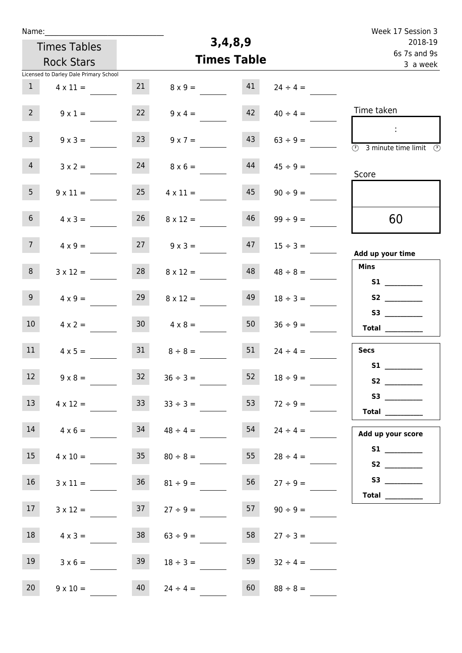| Name:               |                                        |                 |                 |                    |               | Week 17 Session 3                                                            |
|---------------------|----------------------------------------|-----------------|-----------------|--------------------|---------------|------------------------------------------------------------------------------|
| <b>Times Tables</b> |                                        |                 |                 | 3,4,8,9            |               | 2018-19<br>6s 7s and 9s                                                      |
|                     | <b>Rock Stars</b>                      |                 |                 | <b>Times Table</b> |               | 3 a week                                                                     |
|                     | Licensed to Darley Dale Primary School |                 |                 |                    |               |                                                                              |
| $\mathbf{1}$        | $4 \times 11 =$                        | 21              | $8 \times 9 =$  | 41                 | $24 \div 4 =$ |                                                                              |
| 2 <sup>7</sup>      | $9 \times 1 =$                         | 22              | $9 \times 4 =$  | 42                 | $40 \div 4 =$ | Time taken                                                                   |
| 3 <sup>7</sup>      | $9 \times 3 =$                         | 23              | $9 \times 7 =$  | 43                 | $63 \div 9 =$ | $\sim 10$<br>$\overline{(\mathcal{V})}$<br>3 minute time limit $\circled{0}$ |
| 4 <sup>1</sup>      | $3 \times 2 =$                         | 24              | $8 \times 6 =$  | 44                 | $45 \div 9 =$ | Score                                                                        |
| 5 <sub>1</sub>      | $9 \times 11 =$                        | 25              | $4 \times 11 =$ | 45                 | $90 \div 9 =$ |                                                                              |
| 6 <sup>1</sup>      | $4 \times 3 =$                         | 26              | $8 \times 12 =$ | 46                 | $99 \div 9 =$ | 60                                                                           |
| 7 <sup>7</sup>      | $4 \times 9 =$                         | 27              | $9 \times 3 =$  | 47                 | $15 \div 3 =$ | Add up your time                                                             |
| 8                   | $3 \times 12 =$                        | 28              | $8 \times 12 =$ | 48                 | $48 \div 8 =$ | <b>Mins</b><br>S1                                                            |
| 9 <sub>o</sub>      | $4 \times 9 =$                         | 29              | $8 \times 12 =$ | 49                 | $18 \div 3 =$ |                                                                              |
| 10 <sup>°</sup>     | $4 \times 2 =$                         | 30 <sub>2</sub> | $4 \times 8 =$  | 50                 | $36 \div 9 =$ | Total $\_\_$                                                                 |
| 11                  | $4 \times 5 =$                         | 31              | $8 \div 8 =$    | 51                 | $24 \div 4 =$ | Secs                                                                         |
| 12                  | $9 \times 8 =$                         | 32              | $36 \div 3 =$   | 52                 | $18 \div 9 =$ |                                                                              |
| 13                  | $4 \times 12 =$                        | 33              | $33 \div 3 =$   | 53                 | $72 \div 9 =$ | <b>Total</b> __________                                                      |
| 14                  | $4 \times 6 =$                         | 34              | $48 \div 4 =$   | 54                 | $24 \div 4 =$ | Add up your score                                                            |
| 15                  | $4 \times 10 =$                        | 35              | $80 \div 8 =$   | 55                 | $28 \div 4 =$ |                                                                              |
| 16                  | $3 \times 11 =$                        | 36              | $81 \div 9 =$   | 56                 | $27 \div 9 =$ |                                                                              |
| 17 <sub>1</sub>     | $3 \times 12 =$                        | 37              | $27 \div 9 =$   | 57                 | $90 \div 9 =$ | Total $\_\_$                                                                 |
| 18                  | $4 \times 3 =$                         | 38              | $63 \div 9 =$   | 58                 | $27 \div 3 =$ |                                                                              |
| 19                  | $3 \times 6 =$                         | 39              | $18 \div 3 =$   | 59                 | $32 \div 4 =$ |                                                                              |
| 20                  | $9 \times 10 =$                        | 40              | $24 \div 4 =$   | 60                 | $88 \div 8 =$ |                                                                              |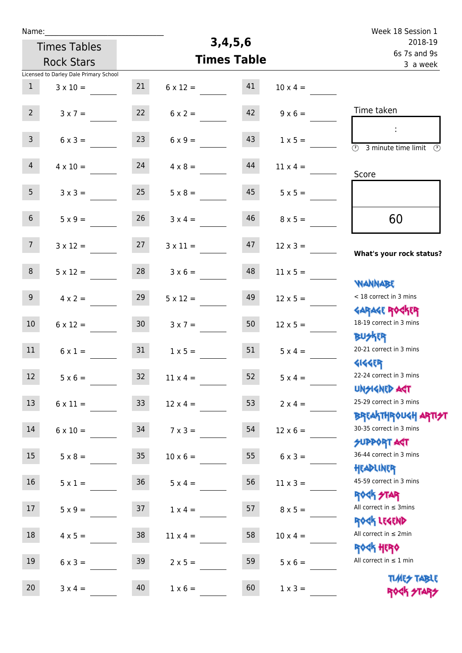| Name:                                  |                 |                    |         |                 | Week 18 Session 1                                                |
|----------------------------------------|-----------------|--------------------|---------|-----------------|------------------------------------------------------------------|
| <b>Times Tables</b>                    |                 |                    | 3,4,5,6 |                 | 2018-19<br>6s 7s and 9s                                          |
| <b>Rock Stars</b>                      |                 | <b>Times Table</b> |         | 3 a week        |                                                                  |
| Licensed to Darley Dale Primary School |                 |                    |         |                 |                                                                  |
| $\mathbf{1}$<br>$3 \times 10 =$        | 21              | $6 \times 12 =$    | 41      | $10 \times 4 =$ |                                                                  |
| $2^{\circ}$<br>$3 \times 7 =$          | 22              | $6 \times 2 =$     | 42      | $9 \times 6 =$  | Time taken                                                       |
| $\mathbf{3}$<br>$6 \times 3 =$         | 23              | $6 \times 9 =$     | 43      | $1 \times 5 =$  | $\overline{\mathcal{O}}$<br>3 minute time limit<br>- (F)         |
| $\overline{4}$<br>$4 \times 10 =$      | 24              | $4 \times 8 =$     | 44      | $11 \times 4 =$ | Score                                                            |
| 5 <sub>1</sub><br>$3 \times 3 =$       | 25              | $5 \times 8 =$     | 45      | $5 \times 5 =$  |                                                                  |
| 6 <sup>1</sup><br>$5 \times 9 =$       | 26              | $3 \times 4 =$     | 46      | $8 \times 5 =$  | 60                                                               |
| 7 <sup>7</sup><br>$3 \times 12 =$      | 27              | $3 \times 11 =$    | 47      | $12 \times 3 =$ | What's your rock status?                                         |
| 8<br>$5 \times 12 =$                   | 28              | $3 \times 6 =$     | 48      | $11 \times 5 =$ | <b>NANNABE</b>                                                   |
| 9 <sub>o</sub><br>$4 \times 2 =$       | 29              | $5 \times 12 =$    | 49      | $12 \times 5 =$ | < 18 correct in 3 mins<br><b>GARAGE ROCKER</b>                   |
| 10 <sup>°</sup><br>$6 \times 12 =$     | 30 <sub>o</sub> | $3 \times 7 =$     | 50      | $12 \times 5 =$ | 18-19 correct in 3 mins<br><b>BUSKRR</b>                         |
| 11<br>$6 \times 1 =$                   | 31              | $1 \times 5 =$     | 51      | $5 \times 4 =$  | 20-21 correct in 3 mins<br><b>4144EP</b>                         |
| 12 <sup>7</sup><br>$5 \times 6 =$      | 32 <sup>°</sup> | $11 \times 4 =$    | 52      | $5 \times 4 =$  | 22-24 correct in 3 mins<br><b>UNSIGNED AGT</b>                   |
| 13<br>$6 \times 11 =$                  | 33 <sup>°</sup> | $12 \times 4 =$    | 53      | $2 \times 4 =$  | 25-29 correct in 3 mins                                          |
| 14<br>$6 \times 10 =$                  | 34              | $7 \times 3 =$     | 54      | $12 \times 6 =$ | ΒΡ[Α  THP\0U <h αρ  7 <del="">2 <br/>30-35 correct in 3 mins</h> |
| 15<br>$5 \times 8 =$                   | 35 <sub>2</sub> | $10 \times 6 =$    | 55      | $6 \times 3 =$  | <b>SUPPORT AGT</b><br>36-44 correct in 3 mins                    |
| 16<br>$5 \times 1 =$                   | 36              | $5 \times 4 =$     | 56      | $11 \times 3 =$ | HEADLINER<br>45-59 correct in 3 mins<br><b>ROCK STAR</b>         |
| 17<br>$5 \times 9 =$                   | 37              | $1 \times 4 =$     | 57      | $8 \times 5 =$  | All correct in $\leq$ 3mins<br>ROCK LEGEND                       |
| 18<br>$4 \times 5 =$                   | 38              | $11 \times 4 =$    | 58      | $10 \times 4 =$ | All correct in $\leq 2$ min<br><b>ROCK HERO</b>                  |
| 19<br>$6 \times 3 =$                   | 39              | $2 \times 5 =$     | 59      | $5 \times 6 =$  | All correct in $\leq 1$ min                                      |
| 20<br>$3 \times 4 =$                   | 40              | $1 \times 6 =$     | 60      | $1 \times 3 =$  | <b>TIMES TABLE</b><br>ROCK STARS                                 |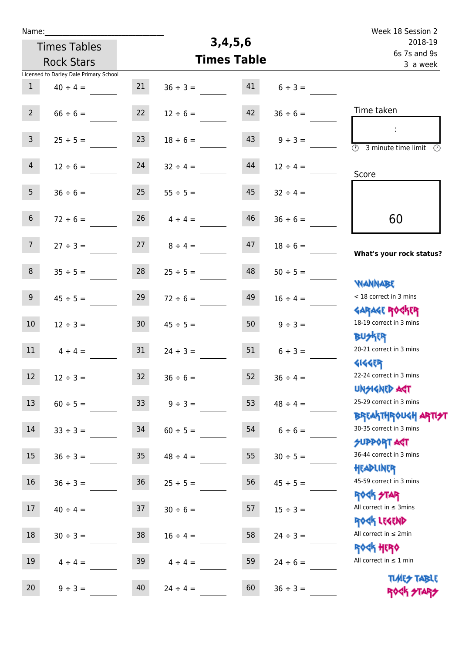|                                        | Name:                                  | Week 18 Session 2                                                                                                    |                         |
|----------------------------------------|----------------------------------------|----------------------------------------------------------------------------------------------------------------------|-------------------------|
| 3,4,5,6                                | <b>Times Tables</b>                    |                                                                                                                      | 2018-19<br>6s 7s and 9s |
| <b>Times Table</b>                     | <b>Rock Stars</b>                      | 3 a week                                                                                                             |                         |
|                                        | Licensed to Darley Dale Primary School |                                                                                                                      |                         |
| 21<br>41<br>$36 \div 3 =$              | $40 \div 4 =$                          | $6 \div 3 =$                                                                                                         |                         |
| 42<br>22<br>$12 \div 6 =$              | $66 \div 6 =$                          | Time taken<br>$36 \div 6 =$                                                                                          |                         |
| 43<br>23<br>$18 \div 6 =$              | $25 \div 5 =$                          | $\ddot{\phantom{a}}$<br>$9 \div 3 =$<br>$\overline{\mathcal{O}}$<br>3 minute time limit                              | $\mathcal{O}$           |
| 44<br>24<br>$32 \div 4 =$              | $12 \div 6 =$                          | $12 \div 4 =$<br>Score                                                                                               |                         |
| 25<br>45<br>$55 \div 5 =$              | $36 \div 6 =$                          | $32 \div 4 =$                                                                                                        |                         |
| 26<br>46<br>$4 \div 4 =$               | $72 \div 6 =$                          | 60<br>$36 \div 6 =$                                                                                                  |                         |
| 47<br>27<br>$8 \div 4 =$               | $27 \div 3 =$                          | $18 \div 6 =$<br>What's your rock status?                                                                            |                         |
| 48<br>28<br>$25 \div 5 =$              | $35 \div 5 =$                          | $50 \div 5 =$<br><b>NANNABE</b>                                                                                      |                         |
| 49<br>29<br>$72 \div 6 =$              | $45 \div 5 =$                          | < 18 correct in 3 mins<br>$16 \div 4 =$<br><b>GARAGE ROCKER</b>                                                      |                         |
| 50<br>30 <sub>o</sub><br>$45 \div 5 =$ | $12 \div 3 =$                          | 18-19 correct in 3 mins<br>$9 \div 3 =$<br><b>BUSKRR</b>                                                             |                         |
| 51<br>31<br>$24 \div 3 =$              | $4 \div 4 =$                           | 20-21 correct in 3 mins<br>$6 \div 3 =$<br><b>4144ER</b>                                                             |                         |
| 52<br>32<br>$36 \div 6 =$              | $12 \div 3 =$                          | 22-24 correct in 3 mins<br>$36 \div 4 =$<br><b>UNSIGNED AGT</b>                                                      |                         |
| 53<br>33 <sup>°</sup><br>$9 ÷ 3 =$     | $60 \div 5 =$                          | 25-29 correct in 3 mins<br>$48 \div 4 =$<br><mark>ΒΡ</mark> ξΑ <mark>\ΤΗΡ</mark> ΦUGH <mark>ΑΡΤΙ<del>2</del>Τ</mark> |                         |
| 34<br>54<br>$60 \div 5 =$              | $33 \div 3 =$                          | 30-35 correct in 3 mins<br>$6 \div 6 =$<br><b>SUPPORT ART</b>                                                        |                         |
| 55<br>35 <sub>1</sub><br>$48 \div 4 =$ | $36 \div 3 =$                          | 36-44 correct in 3 mins<br>$30 \div 5 =$<br>HEADLINER                                                                |                         |
| 56<br>36<br>$25 \div 5 =$              | $36 \div 3 =$                          | 45-59 correct in 3 mins<br>$45 \div 5 =$<br><b>ROCK STAR</b>                                                         |                         |
| 57<br>37<br>$30 \div 6 =$              | $40 \div 4 =$                          | All correct in $\leq$ 3mins<br>$15 \div 3 =$<br>ROCK LEGEND                                                          |                         |
| 38<br>58<br>$16 \div 4 =$              | $30 \div 3 =$                          | All correct in $\leq 2$ min<br>$24 \div 3 =$<br><b>ROCK HERO</b>                                                     |                         |
| 59<br>39<br>$4 \div 4 =$               | $4 \div 4 =$                           | All correct in $\leq 1$ min<br>$24 \div 6 =$<br><b>TIMES TABLE</b>                                                   |                         |
| 40<br>60<br>$24 \div 4 =$              | $9 ÷ 3 =$                              | $36 \div 3 =$<br>ROCK STARS                                                                                          |                         |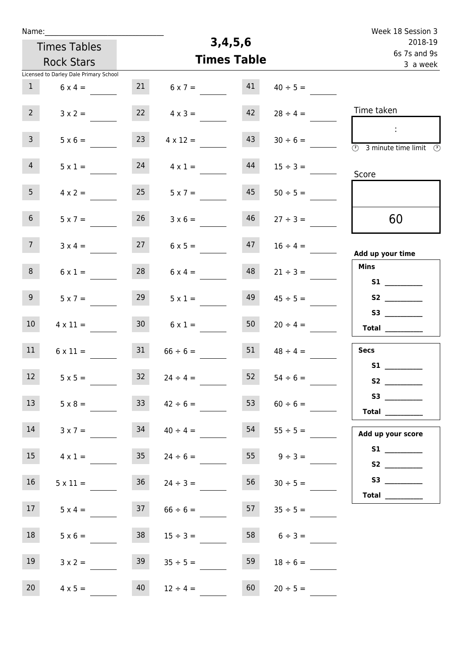| Name:           |                                        |                 |                 |                    |                    | Week 18 Session 3                                                                          |
|-----------------|----------------------------------------|-----------------|-----------------|--------------------|--------------------|--------------------------------------------------------------------------------------------|
|                 | <b>Times Tables</b>                    |                 |                 | 3,4,5,6            |                    | 2018-19                                                                                    |
|                 | <b>Rock Stars</b>                      |                 |                 | <b>Times Table</b> |                    | 6s 7s and 9s<br>3 a week                                                                   |
|                 | Licensed to Darley Dale Primary School |                 |                 |                    |                    |                                                                                            |
| $\mathbf{1}$    | $6 \times 4 =$                         | 21              | $6 \times 7 =$  | 41                 | $40 \div 5 =$      |                                                                                            |
| 2 <sup>7</sup>  | $3 \times 2 =$                         | 22              | $4 \times 3 =$  | 42                 | $28 \div 4 =$      | Time taken                                                                                 |
| $\mathbf{3}$    | $5 \times 6 =$                         | 23              | $4 \times 12 =$ | 43                 | $30 \div 6 =$      | $\sim 10$<br>$\overline{\textcircled{2}}$ 3 minute time limit $\overline{\textcircled{2}}$ |
| 4 <sup>1</sup>  | $5 \times 1 =$                         | 24              | $4 \times 1 =$  | 44                 | $15 \div 3 =$      | Score                                                                                      |
| 5 <sub>1</sub>  | $4 \times 2 =$                         | 25              | $5 \times 7 =$  | 45                 | $50 \div 5 =$      |                                                                                            |
| 6 <sup>1</sup>  | $5 \times 7 =$                         | 26              | $3 \times 6 =$  | 46                 | $27 \div 3 =$      | 60                                                                                         |
| 7 <sup>7</sup>  | $3 \times 4 =$                         | 27              | $6 \times 5 =$  | 47                 | $16 \div 4 =$      | Add up your time                                                                           |
| 8               | $6 \times 1 =$                         | 28              | $6 \times 4 =$  | 48                 | $21 \div 3 =$      | <b>Mins</b><br>S1                                                                          |
| 9 <sub>o</sub>  | $5 \times 7 =$                         | 29              | $5 \times 1 =$  | 49                 | $45 \div 5 =$      |                                                                                            |
| 10 <sup>°</sup> | $4 \times 11 =$                        | 30 <sub>2</sub> | $6 \times 1 =$  | 50                 | $20 \div 4 =$      | Total $\_\_$                                                                               |
| 11              | $6 \times 11 =$                        | 31              | $66 \div 6 =$   | 51                 | $48 \div 4 =$      | <b>Secs</b>                                                                                |
| 12              | $5 \times 5 =$                         | 32              | $24 \div 4 =$   | 52                 | $54 \div 6 =$      | S1                                                                                         |
| 13              | $5 \times 8 =$                         | 33              | $42 \div 6 =$   | 53                 | $60 \div 6 =$      | <b>Total</b> __________                                                                    |
| 14              | $3 \times 7 =$                         | 34              | $40 \div 4 =$   | 54                 | $55 \div 5 =$      | Add up your score                                                                          |
| 15              | $4 \times 1 =$                         | 35              | $24 \div 6 =$   |                    | $55 \t 9 \div 3 =$ |                                                                                            |
| 16              | $5 \times 11 =$                        | 36              | $24 \div 3 =$   | 56                 | $30 \div 5 =$      |                                                                                            |
| 17              | $5 \times 4 =$                         | 37              | $66 \div 6 =$   | 57                 | $35 \div 5 =$      |                                                                                            |
| 18              | $5 \times 6 =$                         | 38              | $15 \div 3 =$   | 58                 | $6 \div 3 =$       |                                                                                            |
| 19              | $3 \times 2 =$                         | 39              | $35 \div 5 =$   | 59                 | $18 \div 6 =$      |                                                                                            |
| 20              | $4 \times 5 =$                         | 40              | $12 \div 4 =$   | 60                 | $20 \div 5 =$      |                                                                                            |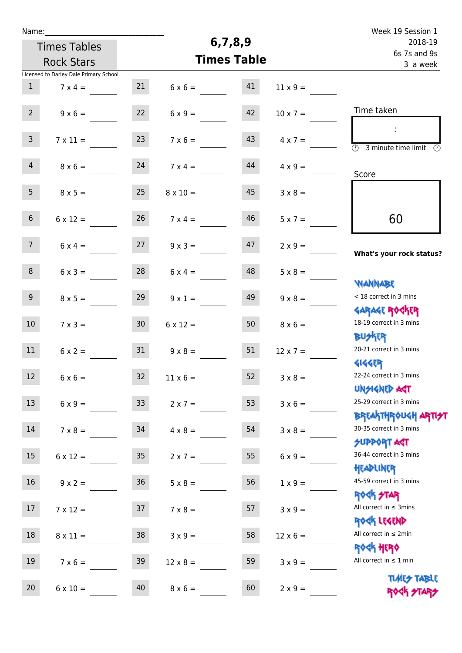| Name:           |                                        |                 |                    |                          |                 | Week 19 Session 1                                                               |
|-----------------|----------------------------------------|-----------------|--------------------|--------------------------|-----------------|---------------------------------------------------------------------------------|
|                 | <b>Times Tables</b>                    |                 | 6,7,8,9            | 2018-19                  |                 |                                                                                 |
|                 | <b>Rock Stars</b>                      |                 | <b>Times Table</b> | 6s 7s and 9s<br>3 a week |                 |                                                                                 |
|                 | Licensed to Darley Dale Primary School |                 |                    |                          |                 |                                                                                 |
| $\mathbf{1}$    | $7 \times 4 =$                         | 21              | $6 \times 6 =$     | 41                       | $11 \times 9 =$ |                                                                                 |
| $2^{\circ}$     | $9 \times 6 =$                         | 22              | $6 \times 9 =$     | 42                       | $10 \times 7 =$ | Time taken                                                                      |
| $\mathbf{3}$    | $7 \times 11 =$                        | 23              | $7 \times 6 =$     | 43                       | $4 \times 7 =$  | $\overline{(\mathcal{V})}$<br>3 minute time limit<br>$\mathcal{O}$              |
| $\overline{4}$  | $8 \times 6 =$                         | 24              | $7 \times 4 =$     | 44                       | $4 \times 9 =$  | Score                                                                           |
| 5 <sub>1</sub>  | $8 \times 5 =$                         | 25              | $8 \times 10 =$    | 45                       | $3 \times 8 =$  |                                                                                 |
| $6\overline{6}$ | $6 \times 12 =$                        | 26              | $7 \times 4 =$     | 46                       | $5 \times 7 =$  | 60                                                                              |
| 7 <sup>7</sup>  | $6 \times 4 =$                         | 27              | $9 \times 3 =$     | 47                       | $2 \times 9 =$  | What's your rock status?                                                        |
| 8               | $6 \times 3 =$                         | 28              | $6 \times 4 =$     | 48                       | $5 \times 8 =$  | <b>NANNABE</b>                                                                  |
| 9 <sub>o</sub>  | $8 \times 5 =$                         | 29              | $9 \times 1 =$     | 49                       | $9 \times 8 =$  | < 18 correct in 3 mins<br><b>GARAGE ROCKER</b>                                  |
| 10 <sup>°</sup> | $7 \times 3 =$                         | 30 <sup>°</sup> | $6 \times 12 =$    | 50                       | $8 \times 6 =$  | 18-19 correct in 3 mins<br><b>BUSKRR</b>                                        |
| 11              | $6 \times 2 =$                         | 31              | $9 \times 8 =$     | 51                       | $12 \times 7 =$ | 20-21 correct in 3 mins<br><b>4144EP</b>                                        |
| 12              | $6 \times 6 =$                         | $32$            | $11 \times 6 =$    | 52                       | $3 \times 8 =$  | 22-24 correct in 3 mins<br><b>UNSIGNED AGT</b>                                  |
| 13              | $6 \times 9 =$                         | 33 <sup>°</sup> | $2 \times 7 =$     | 53                       | $3 \times 6 =$  | 25-29 correct in 3 mins                                                         |
| 14              | $7 \times 8 =$                         | 34              | $4 \times 8 =$     | 54                       | $3 \times 8 =$  | <b>BREAKTHROUGH ARTI<del>S</del>T</b><br>30-35 correct in 3 mins<br>SUPPORT ART |
| 15              | $6 \times 12 =$                        | 35 <sub>1</sub> | $2 \times 7 =$     | 55                       | $6 \times 9 =$  | 36-44 correct in 3 mins<br>HEADLINER                                            |
| 16              | $9 \times 2 =$                         | 36              | $5 \times 8 =$     | 56                       | $1 \times 9 =$  | 45-59 correct in 3 mins                                                         |
| 17              | $7 \times 12 =$                        | 37              | $7 \times 8 =$     | 57                       | $3 \times 9 =$  | ROCK STAR<br>All correct in $\leq$ 3mins                                        |
| 18              | $8 \times 11 =$                        | 38              | $3 \times 9 =$     | 58                       | $12 \times 6 =$ | ROCK LEGEND<br>All correct in $\leq 2$ min                                      |
| 19              | $7 \times 6 =$                         | 39              | $12 \times 8 =$    | 59                       | $3 \times 9 =$  | ROCK HERO<br>All correct in $\leq 1$ min                                        |
| 20              | $6 \times 10 =$                        | 40              | $8 \times 6 =$     | 60                       | $2 \times 9 =$  | <b>TIMES TABLE</b><br>ROCK STARS                                                |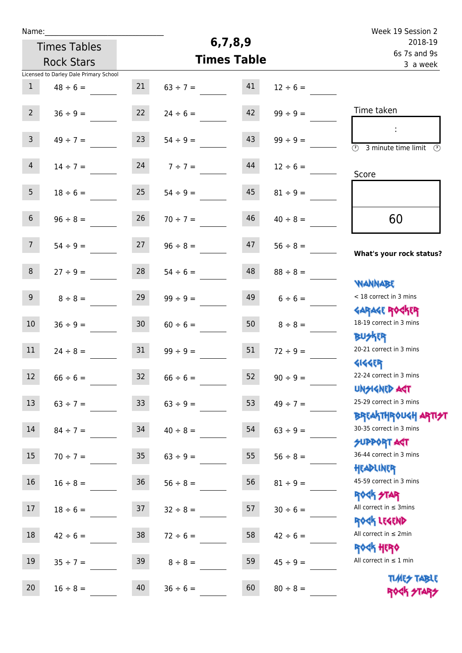| Name:            |                                        |                 |                    |         |               | Week 19 Session 2                                                |
|------------------|----------------------------------------|-----------------|--------------------|---------|---------------|------------------------------------------------------------------|
|                  | <b>Times Tables</b>                    |                 |                    | 6,7,8,9 |               | 2018-19<br>6s 7s and 9s                                          |
|                  | <b>Rock Stars</b>                      |                 | <b>Times Table</b> |         | 3 a week      |                                                                  |
|                  | Licensed to Darley Dale Primary School |                 |                    |         |               |                                                                  |
| $\mathbf{1}$     | $48 \div 6 =$                          | 21              | $63 \div 7 =$      | 41      | $12 \div 6 =$ |                                                                  |
| 2 <sup>7</sup>   | $36 ÷ 9 =$                             | 22              | $24 \div 6 =$      | 42      | $99 \div 9 =$ | Time taken                                                       |
| $\overline{3}$   | $49 \div 7 =$                          | 23              | $54 \div 9 =$      | 43      | $99 \div 9 =$ | $\overline{\mathcal{D}}$<br>3 minute time limit<br>$\odot$       |
| 4                | $14 \div 7 =$                          | 24              | $7 ÷ 7 =$          | 44      | $12 \div 6 =$ | Score                                                            |
| 5 <sub>1</sub>   | $18 \div 6 =$                          | 25              | $54 \div 9 =$      | 45      | $81 \div 9 =$ |                                                                  |
| 6 <sup>1</sup>   | $96 \div 8 =$                          | 26              | $70 \div 7 =$      | 46      | $40 \div 8 =$ | 60                                                               |
| 7 <sup>7</sup>   | $54 \div 9 =$                          | 27              | $96 \div 8 =$      | 47      | $56 \div 8 =$ | What's your rock status?                                         |
| 8                | $27 ÷ 9 =$                             | 28              | $54 \div 6 =$      | 48      | $88 \div 8 =$ | <b>NANNABE</b>                                                   |
| 9                | $8 \div 8 =$                           | 29              | $99 \div 9 =$      | 49      | $6 \div 6 =$  | < 18 correct in 3 mins                                           |
| 10 <sup>°</sup>  | $36 ÷ 9 =$                             | 30 <sub>o</sub> | $60 \div 6 =$      | 50      | $8 \div 8 =$  | <b>GARAGE ROCKER</b><br>18-19 correct in 3 mins<br><b>BUSKRR</b> |
| 11               | $24 \div 8 =$                          | 31              | $99 \div 9 =$      | 51      | $72 \div 9 =$ | 20-21 correct in 3 mins<br><b>4144EP</b>                         |
| 12 <sup>12</sup> | $66 \div 6 =$                          | 32              | $66 \div 6 =$      | 52      | $90 \div 9 =$ | 22-24 correct in 3 mins<br><b>UNSIGNED AGT</b>                   |
| 13               | $63 ÷ 7 =$                             | 33              | $63 ÷ 9 =$         | 53      | $49 \div 7 =$ | 25-29 correct in 3 mins<br><b>BREAKTHROUGH ARTI<del>S</del>T</b> |
| 14               | $84 \div 7 =$                          | 34              | $40 \div 8 =$      | 54      | $63 \div 9 =$ | 30-35 correct in 3 mins<br><b>SUPPORT ART</b>                    |
| 15               | $70 \div 7 =$                          | 35 <sub>1</sub> | $63 \div 9 =$      | 55      | $56 \div 8 =$ | 36-44 correct in 3 mins<br>HEADLINER                             |
| 16               | $16 \div 8 =$                          | 36              | $56 \div 8 =$      | 56      | $81 \div 9 =$ | 45-59 correct in 3 mins<br><b>ROCK STAR</b>                      |
| 17               | $18 \div 6 =$                          | 37              | $32 \div 8 =$      | 57      | $30 \div 6 =$ | All correct in $\leq$ 3mins<br>ROCK LEGEND                       |
| 18               | $42 \div 6 =$                          | 38              | $72 \div 6 =$      | 58      | $42 \div 6 =$ | All correct in $\leq 2$ min<br>ROCK HERO                         |
| 19               | $35 ÷ 7 =$                             | 39              | $8 \div 8 =$       | 59      | $45 \div 9 =$ | All correct in $\leq 1$ min                                      |
| 20               | $16 \div 8 =$                          | 40              | $36 \div 6 =$      | 60      | $80 \div 8 =$ | <b>TIMES TABLE</b><br>ROCK STARS                                 |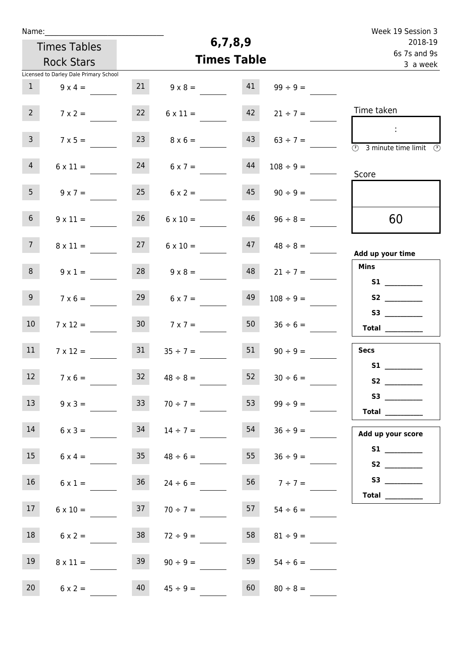| Name:                                  |                                    |                    | 6,7,8,9                 |                     | Week 19 Session 3                                                                              |
|----------------------------------------|------------------------------------|--------------------|-------------------------|---------------------|------------------------------------------------------------------------------------------------|
| <b>Times Tables</b>                    |                                    |                    | 2018-19<br>6s 7s and 9s |                     |                                                                                                |
| <b>Rock Stars</b>                      |                                    | <b>Times Table</b> |                         |                     | 3 a week                                                                                       |
| Licensed to Darley Dale Primary School |                                    |                    |                         |                     |                                                                                                |
| 1                                      | 21<br>$9 \times 4 =$               |                    | 41<br>$9 \times 8 =$    | $99 \div 9 =$       |                                                                                                |
| 2 <sup>7</sup>                         | 22<br>$7 \times 2 =$               | $6 \times 11 =$    | 42                      | $21 \div 7 =$       | Time taken                                                                                     |
| 3 <sup>7</sup>                         | 23<br>$7 \times 5 =$               |                    | 43<br>$8 \times 6 =$    | $63 \div 7 =$       | $\mathcal{L}_{\mathcal{A}}$<br>$\overline{(\mathcal{V})}$<br>3 minute time limit $\circled{0}$ |
| $\overline{4}$                         | 24<br>$6 \times 11 =$              | $6 \times 7 =$     | 44                      | $108 \div 9 =$      | Score                                                                                          |
| 5 <sub>1</sub>                         | 25<br>$9 \times 7 =$               | $6 \times 2 =$     | 45                      | $90 \div 9 =$       |                                                                                                |
| 6 <sup>1</sup>                         | 26<br>$9 \times 11 =$              | $6 \times 10 =$    | 46                      | $96 \div 8 =$       | 60                                                                                             |
| 7 <sup>7</sup>                         | 27<br>$8 \times 11 =$              | $6 \times 10 =$    | 47                      | $48 \div 8 =$       | Add up your time                                                                               |
| 8                                      | 28<br>$9 \times 1 =$               | $9 \times 8 =$     | 48                      | $21 \div 7 =$       | <b>Mins</b>                                                                                    |
| 9 <sub>o</sub>                         | 29<br>$7 \times 6 =$               | $6 \times 7 =$     | 49                      | $108 \div 9 =$      |                                                                                                |
| 10 <sup>°</sup>                        | 30 <sub>o</sub><br>$7 \times 12 =$ |                    | 50<br>$7 \times 7 =$    | $36 \div 6 =$       | $\begin{tabular}{c} Total \end{tabular}$                                                       |
| 11                                     | 31<br>$7 \times 12 =$              | $35 \div 7 =$      | 51                      | $90 \div 9 =$       | <b>Secs</b>                                                                                    |
| 12                                     | 32<br>$7 \times 6 =$               | $48 \div 8 =$      | 52                      | $30 \div 6 =$       | S1                                                                                             |
| 13                                     | 33 <sup>°</sup><br>$9 \times 3 =$  | $70 \div 7 =$      | 53                      | $99 \div 9 =$       | <b>Total</b> __________                                                                        |
| 14                                     | 34<br>$6 \times 3 =$               | $14 \div 7 =$      | 54                      | $36 \div 9 =$       | Add up your score                                                                              |
| 15                                     | $6 \times 4 =$ 35 $48 \div 6 =$    |                    |                         | $55 \t 36 \div 9 =$ |                                                                                                |
| 16                                     | 36<br>$6 \times 1 =$               | $24 \div 6 =$      |                         | $56 \t 7 \div 7 =$  |                                                                                                |
| 17 <sub>1</sub>                        | 37<br>$6 \times 10 =$              | $70 \div 7 =$      | 57                      | $54 \div 6 =$       | Total $\_\_$                                                                                   |
| 18                                     | 38<br>$6 \times 2 =$               | $72 \div 9 =$      | 58                      | $81 \div 9 =$       |                                                                                                |
| 19                                     | 39<br>$8 \times 11 =$              | $90 \div 9 =$      | 59                      | $54 \div 6 =$       |                                                                                                |
| 20<br>$6 \times 2 =$                   | 40                                 | $45 \div 9 =$      | 60                      | $80 \div 8 =$       |                                                                                                |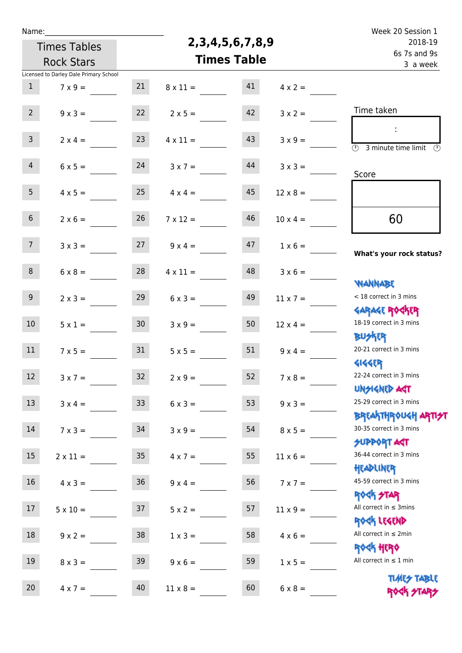| Name:           |                                        |                 |                    |                        | Week 20 Session 1        |                                                                      |
|-----------------|----------------------------------------|-----------------|--------------------|------------------------|--------------------------|----------------------------------------------------------------------|
|                 | <b>Times Tables</b>                    |                 |                    | 2, 3, 4, 5, 6, 7, 8, 9 |                          | 2018-19                                                              |
|                 | <b>Rock Stars</b>                      |                 | <b>Times Table</b> |                        | 6s 7s and 9s<br>3 a week |                                                                      |
|                 | Licensed to Darley Dale Primary School |                 |                    |                        |                          |                                                                      |
| $\mathbf{1}$    | $7 \times 9 =$                         | 21              | $8 \times 11 =$    | 41                     | $4 \times 2 =$           |                                                                      |
| $2^{\circ}$     | $9 \times 3 =$                         | 22              | $2 \times 5 =$     | 42                     | $3 \times 2 =$           | Time taken                                                           |
| 3 <sup>7</sup>  | $2 \times 4 =$                         | 23              | $4 \times 11 =$    | 43                     | $3 \times 9 =$           | $\overline{(\mathcal{V})}$<br>3 minute time limit<br>$(\mathcal{F})$ |
| $\overline{4}$  | $6 \times 5 =$                         | 24              | $3 \times 7 =$     | 44                     | $3 \times 3 =$           | Score                                                                |
| 5 <sub>1</sub>  | $4 \times 5 =$                         | 25              | $4 \times 4 =$     | 45                     | $12 \times 8 =$          |                                                                      |
| $6\overline{6}$ | $2 \times 6 =$                         | 26              | $7 \times 12 =$    | 46                     | $10 \times 4 =$          | 60                                                                   |
| 7 <sup>7</sup>  | $3 \times 3 =$                         | 27              | $9 \times 4 =$     | 47                     | $1 \times 6 =$           | What's your rock status?                                             |
| 8               | $6 \times 8 =$                         | 28              | $4 \times 11 =$    | 48                     | $3 \times 6 =$           | <b>JARNARY</b>                                                       |
| 9               | $2 \times 3 =$                         | 29              | $6 \times 3 =$     | 49                     | $11 \times 7 =$          | < 18 correct in 3 mins<br><b>GARAGE ROCKER</b>                       |
| 10 <sup>°</sup> | $5 \times 1 =$                         | 30 <sub>o</sub> | $3 \times 9 =$     | 50                     | $12 \times 4 =$          | 18-19 correct in 3 mins<br><b>BUSKRR</b>                             |
| 11              | $7 \times 5 =$                         | 31              | $5 \times 5 =$     | 51                     | $9 \times 4 =$           | 20-21 correct in 3 mins<br><b>4144EP</b>                             |
| 12              | $3 \times 7 =$                         | 32              | $2 \times 9 =$     | 52                     | $7 \times 8 =$           | 22-24 correct in 3 mins<br><b>UNSIGNED AGT</b>                       |
| 13              | $3 \times 4 =$                         | 33 <sup>°</sup> | $6 \times 3 =$     | 53                     | $9 \times 3 =$           | 25-29 correct in 3 mins<br><b>BREAKTHROUGH ARTI<del>S</del></b>      |
| 14              | $7 \times 3 =$                         | 34              | $3 \times 9 =$     | 54                     | $8 \times 5 =$           | 30-35 correct in 3 mins<br><b>SUPPORT ART</b>                        |
| 15              | $2 \times 11 =$                        | 35 <sub>5</sub> | $4 \times 7 =$     | 55                     | $11 \times 6 =$          | 36-44 correct in 3 mins<br>HEADLINER                                 |
| 16              | $4 \times 3 =$                         | 36              | $9 \times 4 =$     | 56                     | $7 \times 7 =$           | 45-59 correct in 3 mins<br>ROCK STAR                                 |
| 17              | $5 \times 10 =$                        | 37              | $5 x 2 =$          | 57                     | $11 \times 9 =$          | All correct in $\leq$ 3mins<br>ROCK LEGEND                           |
| 18              | $9 \times 2 =$                         | 38              | $1 \times 3 =$     | 58                     | $4 \times 6 =$           | All correct in $\leq 2$ min<br>ROCK HERO                             |
| 19              | $8 \times 3 =$                         | 39              | $9 \times 6 =$     | 59                     | $1 \times 5 =$           | All correct in $\leq 1$ min                                          |
| 20              | $4 \times 7 =$                         | 40              | $11 \times 8 =$    | 60                     | $6 \times 8 =$           | <b>TUARS TABLE</b><br>ROCK STARS                                     |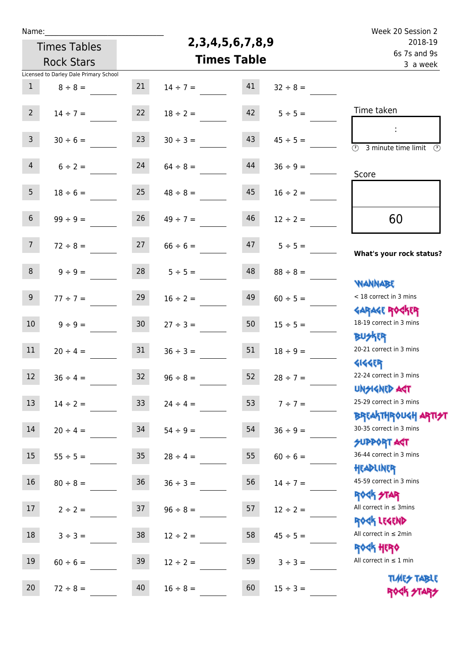| Name:             |                                        |                 |                    |                          |               | Week 20 Session 2                                                |
|-------------------|----------------------------------------|-----------------|--------------------|--------------------------|---------------|------------------------------------------------------------------|
|                   | <b>Times Tables</b>                    |                 |                    | 2, 3, 4, 5, 6, 7, 8, 9   |               | 2018-19                                                          |
| <b>Rock Stars</b> |                                        |                 | <b>Times Table</b> | 6s 7s and 9s<br>3 a week |               |                                                                  |
|                   | Licensed to Darley Dale Primary School |                 |                    |                          |               |                                                                  |
| $\mathbf{1}$      | $8 \div 8 =$                           | 21              | $14 \div 7 =$      | 41                       | $32 \div 8 =$ |                                                                  |
| $2^{\circ}$       | $14 \div 7 =$                          | 22              | $18 \div 2 =$      | 42                       | $5 ÷ 5 =$     | Time taken                                                       |
|                   |                                        |                 |                    |                          |               | ÷                                                                |
| $\overline{3}$    | $30 \div 6 =$                          | 23              | $30 \div 3 =$      | 43                       | $45 \div 5 =$ | $\circled{r}$<br>3 minute time limit<br>$\mathcal{O}$            |
| $\overline{4}$    | $6 \div 2 =$                           | 24              | $64 \div 8 =$      | 44                       | $36 \div 9 =$ | Score                                                            |
| 5 <sub>1</sub>    | $18 \div 6 =$                          | 25              | $48 \div 8 =$      | 45                       | $16 \div 2 =$ |                                                                  |
| $6\overline{6}$   | $99 ÷ 9 =$                             | 26              | $49 \div 7 =$      | 46                       | $12 \div 2 =$ | 60                                                               |
| 7 <sup>7</sup>    | $72 \div 8 =$                          | 27              | $66 \div 6 =$      | 47                       | $5 \div 5 =$  | What's your rock status?                                         |
| 8                 | $9 ÷ 9 =$                              | 28              | $5 ÷ 5 =$          | 48                       | $88 \div 8 =$ |                                                                  |
| 9                 | $77 ÷ 7 =$                             | 29              | $16 \div 2 =$      | 49                       | $60 \div 5 =$ | <b>WANNABE</b><br>< 18 correct in 3 mins                         |
| 10 <sup>°</sup>   | $9 ÷ 9 =$                              | 30 <sub>o</sub> | $27 \div 3 =$      | 50                       | $15 \div 5 =$ | <b>GARAGE ROGKER</b><br>18-19 correct in 3 mins                  |
| 11                | $20 \div 4 =$                          | 31              | $36 \div 3 =$      | 51                       | $18 \div 9 =$ | <b>BUSKRR</b><br>20-21 correct in 3 mins                         |
| 12                | $36 \div 4 =$                          | 32              | $96 \div 8 =$      | 52                       | $28 \div 7 =$ | <b>4144EP</b><br>22-24 correct in 3 mins                         |
| 13                | $14 \div 2 =$                          | 33 <sup>°</sup> | $24 \div 4 =$      | 53                       | $7 ÷ 7 =$     | <b>UNSIGNED AGT</b><br>25-29 correct in 3 mins                   |
| 14                | $20 \div 4 =$                          | 34              | $54 \div 9 =$      | 54                       | $36 \div 9 =$ | <b>BREAKTHROUGH ARTI<del>S</del>T</b><br>30-35 correct in 3 mins |
| 15                | $55 \div 5 =$                          | 35              | $28 \div 4 =$      | 55                       | $60 \div 6 =$ | <b>SUPPORT ANT</b><br>36-44 correct in 3 mins                    |
| 16                | $80 \div 8 =$                          | 36              | $36 \div 3 =$      | 56                       | $14 \div 7 =$ | HEADLINER<br>45-59 correct in 3 mins                             |
| 17                | $2 \div 2 =$                           | 37              | $96 \div 8 =$      | 57                       | $12 \div 2 =$ | <b>ROCK STAR</b><br>All correct in $\leq$ 3mins                  |
| 18                | $3 ÷ 3 =$                              | 38              | $12 \div 2 =$      | 58                       | $45 \div 5 =$ | ROCK LEGEND<br>All correct in $\leq 2$ min                       |
| 19                | $60 \div 6 =$                          | 39              | $12 \div 2 =$      | 59                       | $3 ÷ 3 =$     | <b>ROGH HERO</b><br>All correct in $\leq 1$ min                  |
| 20                | $72 \div 8 =$                          | 40              | $16 \div 8 =$      | 60                       | $15 \div 3 =$ | <b>TIMES TABLE</b><br>ROCK STARS                                 |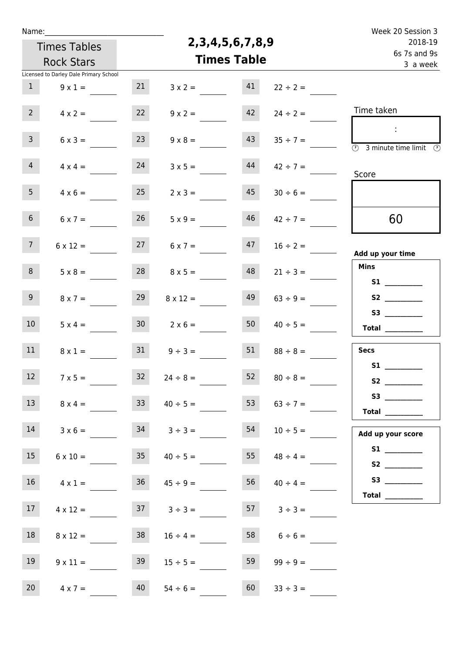| Name:           |                                        |                    |                        |         |                          | Week 20 Session 3                                                            |
|-----------------|----------------------------------------|--------------------|------------------------|---------|--------------------------|------------------------------------------------------------------------------|
|                 | <b>Times Tables</b>                    |                    | 2, 3, 4, 5, 6, 7, 8, 9 | 2018-19 |                          |                                                                              |
|                 | <b>Rock Stars</b>                      | <b>Times Table</b> |                        |         | 6s 7s and 9s<br>3 a week |                                                                              |
|                 | Licensed to Darley Dale Primary School |                    |                        |         |                          |                                                                              |
| $\mathbf{1}$    | $9 \times 1 =$                         | 21                 | $3 \times 2 =$         | 41      | $22 \div 2 =$            |                                                                              |
| 2 <sup>7</sup>  | $4 \times 2 =$                         | 22                 | $9 \times 2 =$         | 42      | $24 \div 2 =$            | Time taken                                                                   |
| 3 <sup>7</sup>  | $6 \times 3 =$                         | 23                 | $9 \times 8 =$         | 43      | $35 \div 7 =$            | $\sim 10$<br>$\overline{(\mathcal{V})}$<br>3 minute time limit $\circled{0}$ |
| $\overline{4}$  | $4 \times 4 =$                         | 24                 | $3 \times 5 =$         | 44      | $42 \div 7 =$            | Score                                                                        |
| 5 <sub>1</sub>  | $4 \times 6 =$                         | 25                 | $2 \times 3 =$         | 45      | $30 \div 6 =$            |                                                                              |
| 6 <sup>1</sup>  | $6 \times 7 =$                         | 26                 | $5 \times 9 =$         | 46      | $42 \div 7 =$            | 60                                                                           |
| 7 <sup>7</sup>  | $6 \times 12 =$                        | 27                 | $6 \times 7 =$         | 47      | $16 \div 2 =$            | Add up your time                                                             |
| 8               | $5 \times 8 =$                         | 28                 | $8 \times 5 =$         | 48      | $21 \div 3 =$            | <b>Mins</b><br>S1                                                            |
| 9 <sub>o</sub>  | $8 \times 7 =$                         | 29                 | $8 \times 12 =$        | 49      | $63 ÷ 9 =$               |                                                                              |
| 10 <sup>°</sup> | $5 \times 4 =$                         | 30 <sub>2</sub>    | $2 \times 6 =$         | 50      | $40 \div 5 =$            | Total $\frac{1}{2}$                                                          |
| 11              | $8 \times 1 =$                         | 31                 | $9 \div 3 =$           | 51      | $88 \div 8 =$            | Secs                                                                         |
| 12              | $7 \times 5 =$                         | 32                 | $24 \div 8 =$          | 52      | $80 \div 8 =$            | S1                                                                           |
| 13              | $8 \times 4 =$                         | 33                 | $40 \div 5 =$          | 53      | $63 \div 7 =$            |                                                                              |
| 14              | $3 \times 6 =$                         |                    | $34 \t3 \div 3 =$      | 54      | $10 \div 5 =$            | Add up your score                                                            |
| 15              | $6 \times 10 =$                        |                    | $35 \t 40 \div 5 =$    |         | $155$ $48 \div 4 =$      |                                                                              |
| 16              | $4 \times 1 =$                         | 36                 | $45 \div 9 =$          | 56      | $40 \div 4 =$            |                                                                              |
| 17 <sup>7</sup> | $4 \times 12 =$                        |                    | $37 \t3 \div 3 =$      |         | $3 \div 3 =$             | Total $\frac{1}{1}$                                                          |
| 18              | $8 \times 12 =$                        | 38                 | $16 \div 4 =$          |         | $6 \div 6 =$             |                                                                              |
| 19              | $9 \times 11 =$                        | 39                 | $15 \div 5 =$          | 59      | $99 \div 9 =$            |                                                                              |
| 20              | $4 \times 7 =$                         | 40                 | $54 \div 6 =$          | 60      | $33 \div 3 =$            |                                                                              |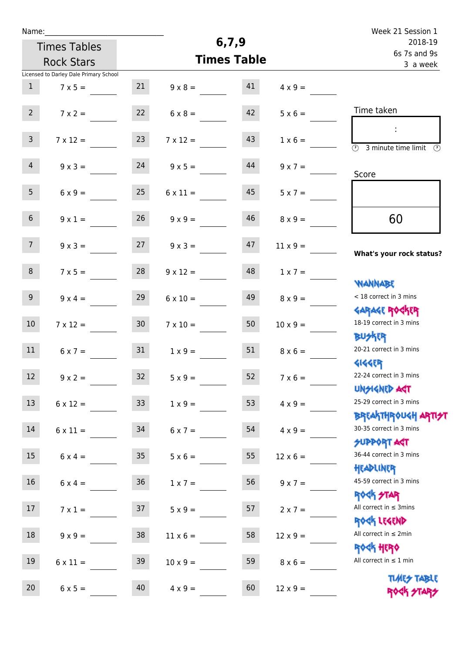| Name:            |                                        |                 |                 |                    |                          | Week 21 Session 1                                                |
|------------------|----------------------------------------|-----------------|-----------------|--------------------|--------------------------|------------------------------------------------------------------|
|                  | <b>Times Tables</b>                    |                 |                 | 6, 7, 9            |                          | 2018-19                                                          |
|                  | <b>Rock Stars</b>                      |                 |                 | <b>Times Table</b> | 6s 7s and 9s<br>3 a week |                                                                  |
|                  | Licensed to Darley Dale Primary School |                 |                 |                    |                          |                                                                  |
| $\mathbf{1}$     | $7 \times 5 =$                         | 21              | $9 \times 8 =$  | 41                 | $4 \times 9 =$           |                                                                  |
| 2 <sup>7</sup>   | $7 \times 2 =$                         | 22              | $6 \times 8 =$  | 42                 | $5 \times 6 =$           | Time taken                                                       |
| $\mathsf{3}$     | $7 \times 12 =$                        | 23              | $7 \times 12 =$ | 43                 | $1 \times 6 =$           | $\overline{(\mathcal{V})}$<br>3 minute time limit $\circled{b}$  |
| $\overline{4}$   | $9 \times 3 =$                         | 24              | $9 \times 5 =$  | 44                 | $9 \times 7 =$           | Score                                                            |
| 5 <sub>1</sub>   | $6 \times 9 =$                         | 25              | $6 \times 11 =$ | 45                 | $5 \times 7 =$           |                                                                  |
| 6 <sup>1</sup>   | $9 \times 1 =$                         | 26              | $9 \times 9 =$  | 46                 | $8 \times 9 =$           | 60                                                               |
| 7 <sup>7</sup>   | $9 \times 3 =$                         | 27              | $9 \times 3 =$  | 47                 | $11 \times 9 =$          | What's your rock status?                                         |
| 8                | $7 \times 5 =$                         | 28              | $9 \times 12 =$ | 48                 | $1 \times 7 =$           | <b>NANNABE</b>                                                   |
| 9 <sup>1</sup>   | $9 \times 4 =$                         | 29              | $6 \times 10 =$ | 49                 | $8 \times 9 =$           | < 18 correct in 3 mins                                           |
| 10 <sup>°</sup>  | $7 \times 12 =$                        | 30 <sub>2</sub> | $7 \times 10 =$ | 50                 | $10 \times 9 =$          | <b>GARAGE ROGKER</b><br>18-19 correct in 3 mins                  |
| 11               | $6 \times 7 =$                         | 31              | $1 \times 9 =$  | 51                 | $8 \times 6 =$           | <b>BUSKRR</b><br>20-21 correct in 3 mins                         |
| 12 <sup>12</sup> | $9 \times 2 =$                         | 32 <sub>2</sub> | $5 \times 9 =$  | 52                 | $7 \times 6 =$           | <b>4144EP</b><br>22-24 correct in 3 mins<br><b>UNSIGNED AST</b>  |
| 13               | $6 \times 12 =$                        | 33              | $1 \times 9 =$  | 53                 | $4 \times 9 =$           | 25-29 correct in 3 mins                                          |
| 14               | $6 \times 11 =$                        | 34              | $6 \times 7 =$  | 54                 | $4 \times 9 =$           | <b>BREAKTHROUGH ARTI<del>S</del>T</b><br>30-35 correct in 3 mins |
| 15               | $6 \times 4 =$                         | 35 <sub>1</sub> | $5 \times 6 =$  | 55                 | $12 \times 6 =$          | <b>SUPPORT AGT</b><br>36-44 correct in 3 mins                    |
| 16               | $6 \times 4 =$                         | 36              | $1 \times 7 =$  | 56                 | $9 \times 7 =$           | HEADLINER<br>45-59 correct in 3 mins                             |
| 17               | $7 \times 1 =$                         | 37              | $5 \times 9 =$  | 57                 | $2 \times 7 =$           | <b>ROCK STAR</b><br>All correct in $\leq$ 3mins                  |
| 18               | $9 \times 9 =$                         | 38              | $11 \times 6 =$ | 58                 | $12 \times 9 =$          | ROCK LEGEND<br>All correct in $\leq 2$ min                       |
| 19               | $6 \times 11 =$                        | 39              | $10 \times 9 =$ | 59                 | $8 \times 6 =$           | <b>ROCK HERO</b><br>All correct in $\leq 1$ min                  |
| 20               | $6 \times 5 =$                         | 40              | $4 \times 9 =$  | 60                 | $12 \times 9 =$          | <b>TIMES TABLE</b><br>ROCK STARS                                 |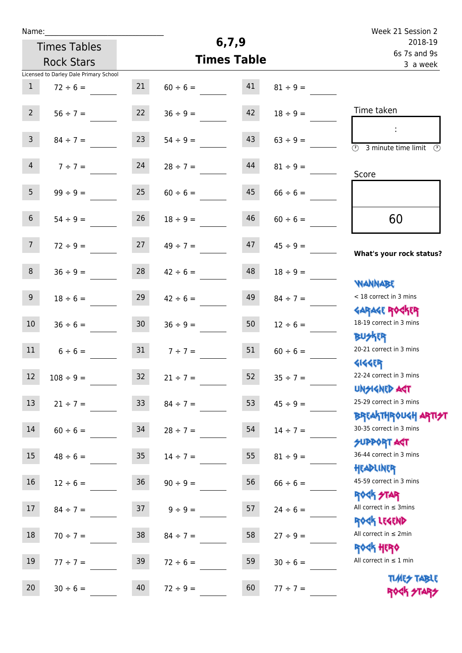| Name:           |                                        |                 |               |                    |               | Week 21 Session 2                                                |  |
|-----------------|----------------------------------------|-----------------|---------------|--------------------|---------------|------------------------------------------------------------------|--|
|                 | <b>Times Tables</b>                    |                 |               | 6,7,9              | 2018-19       |                                                                  |  |
|                 | <b>Rock Stars</b>                      |                 |               | <b>Times Table</b> |               | 6s 7s and 9s<br>3 a week                                         |  |
|                 | Licensed to Darley Dale Primary School |                 |               |                    |               |                                                                  |  |
| $\mathbf{1}$    | $72 \div 6 =$                          | 21              | $60 \div 6 =$ | 41                 | $81 \div 9 =$ |                                                                  |  |
| $2^{\circ}$     | $56 \div 7 =$                          | 22              | $36 \div 9 =$ | 42                 | $18 \div 9 =$ | Time taken                                                       |  |
| 3 <sup>7</sup>  | $84 \div 7 =$                          | 23              | $54 \div 9 =$ | 43                 | $63 \div 9 =$ | $\overline{\mathcal{O}}$<br>3 minute time limit                  |  |
| $\overline{4}$  | $7 ÷ 7 =$                              | 24              | $28 \div 7 =$ | 44                 | $81 \div 9 =$ | Score                                                            |  |
| 5 <sup>5</sup>  | $99 \div 9 =$                          | 25              | $60 \div 6 =$ | 45                 | $66 \div 6 =$ |                                                                  |  |
| 6 <sup>1</sup>  | $54 \div 9 =$                          | 26              | $18 \div 9 =$ | 46                 | $60 \div 6 =$ | 60                                                               |  |
| 7 <sup>7</sup>  | $72 \div 9 =$                          | 27              | $49 \div 7 =$ | 47                 | $45 \div 9 =$ | What's your rock status?                                         |  |
| 8               | $36 \div 9 =$                          | 28              | $42 \div 6 =$ | 48                 | $18 \div 9 =$ | <b>NANNABE</b>                                                   |  |
| 9 <sub>o</sub>  | $18 \div 6 =$                          | 29              | $42 \div 6 =$ | 49                 | $84 \div 7 =$ | < 18 correct in 3 mins<br><b>GARAGE ROCKER</b>                   |  |
| 10 <sup>°</sup> | $36 \div 6 =$                          | 30 <sup>°</sup> | $36 \div 9 =$ | 50                 | $12 \div 6 =$ | 18-19 correct in 3 mins<br><b>BUSKER</b>                         |  |
| 11              | $6 \div 6 =$                           | 31              | $7 ÷ 7 =$     | 51                 | $60 \div 6 =$ | 20-21 correct in 3 mins<br><b>4144ER</b>                         |  |
| 12              | $108 \div 9 =$                         | 32              | $21 \div 7 =$ | 52                 | $35 \div 7 =$ | 22-24 correct in 3 mins<br><b>UNGIGNED AST</b>                   |  |
| 13              | $21 \div 7 =$                          | 33 <sup>°</sup> | $84 \div 7 =$ | 53                 | $45 \div 9 =$ | 25-29 correct in 3 mins<br><b>BREAKTHROUGH ARTI<del>S</del>T</b> |  |
| 14              | $60 \div 6 =$                          | 34              | $28 \div 7 =$ | 54                 | $14 \div 7 =$ | 30-35 correct in 3 mins<br>SUPPORT ART                           |  |
| 15              | $48 \div 6 =$                          | 35              | $14 \div 7 =$ | 55                 | $81 \div 9 =$ | 36-44 correct in 3 mins<br>HEADLINER                             |  |
| 16              | $12 \div 6 =$                          | 36              | $90 \div 9 =$ | 56                 | $66 \div 6 =$ | 45-59 correct in 3 mins<br>ROCK STAR                             |  |
| 17              | $84 \div 7 =$                          | 37              | $9 \div 9 =$  | 57                 | $24 \div 6 =$ | All correct in $\leq$ 3mins<br>ROCK LEGEND                       |  |
| 18              | $70 \div 7 =$                          | 38              | $84 \div 7 =$ | 58                 | $27 \div 9 =$ | All correct in $\leq 2$ min<br><b>ROCK HERO</b>                  |  |
| 19              | $77 \div 7 =$                          | 39              | $72 \div 6 =$ | 59                 | $30 \div 6 =$ | All correct in $\leq 1$ min                                      |  |
| 20 <sub>2</sub> | $30 \div 6 =$                          | 40              | $72 \div 9 =$ | 60                 | $77 \div 7 =$ | <b>TUARS TABLE</b><br>ROCK STARS                                 |  |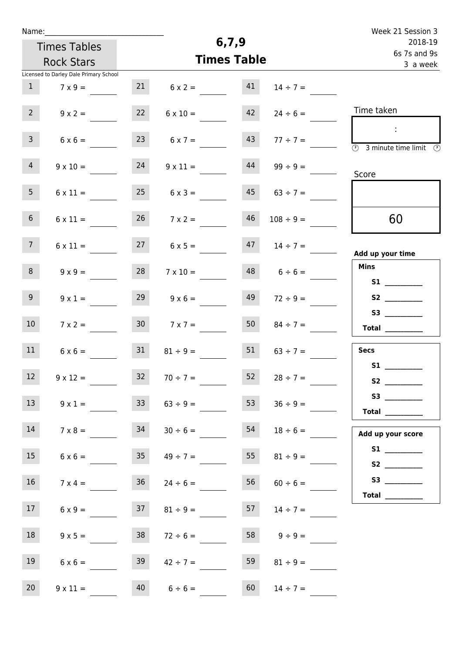| Name:           |                                        |                 |                     |       |                     | Week 21 Session 3                                                                              |
|-----------------|----------------------------------------|-----------------|---------------------|-------|---------------------|------------------------------------------------------------------------------------------------|
|                 | <b>Times Tables</b>                    |                 |                     | 6,7,9 |                     | 2018-19                                                                                        |
|                 | <b>Rock Stars</b>                      |                 | <b>Times Table</b>  |       |                     | 6s 7s and 9s<br>3 a week                                                                       |
|                 | Licensed to Darley Dale Primary School |                 |                     |       |                     |                                                                                                |
| $\mathbf{1}$    | $7 \times 9 =$                         | 21              | $6 \times 2 =$      | 41    | $14 \div 7 =$       |                                                                                                |
| 2 <sup>7</sup>  | $9 \times 2 =$                         | 22              | $6 \times 10 =$     | 42    | $24 \div 6 =$       | Time taken                                                                                     |
| 3 <sup>7</sup>  | $6 \times 6 =$                         | 23              | $6 \times 7 =$      | 43    | $77 \div 7 =$       | $\mathcal{L}$<br>$\overline{\textcircled{2}}$ 3 minute time limit $\overline{\textcircled{2}}$ |
| 4 <sup>1</sup>  | $9 \times 10 =$                        | 24              | $9 \times 11 =$     | 44    | $99 \div 9 =$       | Score                                                                                          |
| 5 <sub>1</sub>  | $6 \times 11 =$                        | 25              | $6 \times 3 =$      | 45    | $63 \div 7 =$       |                                                                                                |
| 6 <sup>1</sup>  | $6 \times 11 =$                        | 26              | $7 \times 2 =$      | 46    | $108 \div 9 =$      | 60                                                                                             |
| 7 <sup>7</sup>  | $6 \times 11 =$                        | 27              | $6 \times 5 =$      | 47    | $14 \div 7 =$       | Add up your time                                                                               |
| 8               | $9 \times 9 =$                         | 28              | $7 \times 10 =$     | 48    | $6 \div 6 =$        | <b>Mins</b>                                                                                    |
| 9 <sub>o</sub>  | $9 \times 1 =$                         | 29              | $9 \times 6 =$      | 49    | $72 \div 9 =$       |                                                                                                |
| 10 <sup>°</sup> | $7 \times 2 =$                         | 30 <sup>°</sup> | $7 \times 7 =$      | 50    | $84 \div 7 =$       | Total $\qquad$                                                                                 |
| 11              | $6 \times 6 =$                         | 31              | $81 \div 9 =$       | 51    | $63 \div 7 =$       | <b>Secs</b>                                                                                    |
| 12              | $9 \times 12 =$                        | 32              | $70 \div 7 =$       |       | $52 \t 28 \div 7 =$ | S1                                                                                             |
| 13              | $9 \times 1 =$                         | 33 <sup>°</sup> | $63 \div 9 =$       | 53    | $36 \div 9 =$       | Total $\_\_$                                                                                   |
| 14              | $7 \times 8 =$                         | 34              | $30 \div 6 =$       | 54    | $18 \div 6 =$       | Add up your score                                                                              |
| 15              | $6 \times 6 =$                         |                 | $35 \t 49 \div 7 =$ | 55    | $81 \div 9 =$       |                                                                                                |
| 16              | $7 \times 4 =$                         | 36              | $24 \div 6 =$       | 56    | $60 \div 6 =$       |                                                                                                |
| 17              | $6 \times 9 =$                         | 37              | $81 \div 9 =$       | 57    | $14 \div 7 =$       | Total $\frac{1}{1}$                                                                            |
| 18              | $9 \times 5 =$                         | 38              | $72 \div 6 =$       |       | 58 $9 \div 9 =$     |                                                                                                |
| 19              | $6 \times 6 =$                         | 39              | $42 \div 7 =$       | 59    | $81 \div 9 =$       |                                                                                                |
| 20              | $9 \times 11 =$                        |                 | $40 \t 6 \div 6 =$  | 60    | $14 \div 7 =$       |                                                                                                |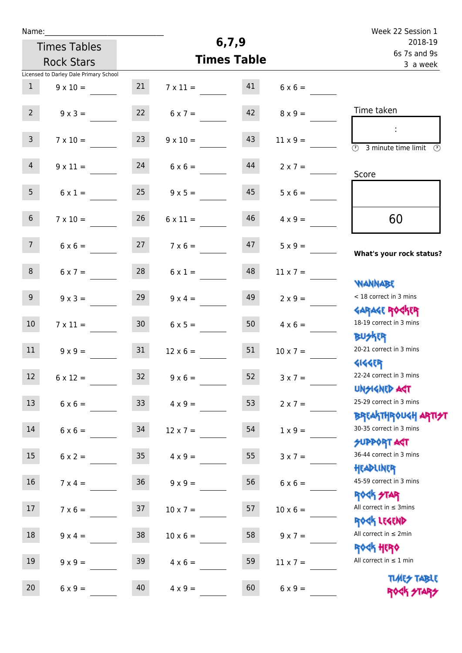| Week 22 Session 1                                                |                 |                    |                 |                   |                                        | Name:           |
|------------------------------------------------------------------|-----------------|--------------------|-----------------|-------------------|----------------------------------------|-----------------|
| 2018-19                                                          |                 | 6,7,9              |                 |                   | <b>Times Tables</b>                    |                 |
| 6s 7s and 9s<br>3 a week                                         |                 | <b>Times Table</b> |                 | <b>Rock Stars</b> |                                        |                 |
|                                                                  |                 |                    |                 |                   | Licensed to Darley Dale Primary School |                 |
|                                                                  | $6 \times 6 =$  | 41                 | $7 \times 11 =$ | 21                | $9 \times 10 =$                        | $\mathbf{1}$    |
| Time taken                                                       | $8 \times 9 =$  | 42                 | $6 \times 7 =$  | 22                | $9 \times 3 =$                         | $2^{\circ}$     |
| $\overline{(\mathcal{V})}$<br>3 minute time limit<br>$\odot$     | $11 \times 9 =$ | 43                 | $9 \times 10 =$ | 23                | $7 \times 10 =$                        | 3 <sup>7</sup>  |
| Score                                                            | $2 \times 7 =$  | 44                 | $6 \times 6 =$  | 24                | $9 \times 11 =$                        | $\overline{4}$  |
|                                                                  | $5 \times 6 =$  | 45                 | $9 \times 5 =$  | 25                | $6 \times 1 =$                         | 5 <sub>1</sub>  |
| 60                                                               | $4 \times 9 =$  | 46                 | $6 \times 11 =$ | 26                | $7 \times 10 =$                        | 6 <sup>1</sup>  |
| What's your rock status?                                         | $5 \times 9 =$  | 47                 | $7 \times 6 =$  | 27                | $6 \times 6 =$                         | 7 <sup>7</sup>  |
|                                                                  | $11 \times 7 =$ | 48                 | $6 \times 1 =$  | 28                | $6 \times 7 =$                         | 8               |
| <b>NANNABE</b><br>< 18 correct in 3 mins                         | $2 \times 9 =$  | 49                 | $9 \times 4 =$  | 29                | $9 \times 3 =$                         | 9 <sub>o</sub>  |
| <b>GARAGE ROCKER</b><br>18-19 correct in 3 mins                  | $4 \times 6 =$  | 50                 | $6 \times 5 =$  | 30 <sup>°</sup>   | $7 \times 11 =$                        | 10 <sup>°</sup> |
| <b>BUSKRR</b><br>20-21 correct in 3 mins                         | $10 \times 7 =$ | 51                 | $12 \times 6 =$ | 31                | $9 \times 9 =$                         | 11              |
| <b>4144EP</b><br>22-24 correct in 3 mins<br><b>UNSIGNED AGT</b>  | $3 \times 7 =$  | 52                 | $9 \times 6 =$  | 32                | $6 \times 12 =$                        | 12              |
| 25-29 correct in 3 mins                                          | $2 \times 7 =$  | 53                 | $4 \times 9 =$  | 33                | $6 \times 6 =$                         | 13              |
| <b>BREAKTHROUGH ARTI<del>S</del>T</b><br>30-35 correct in 3 mins | $1 \times 9 =$  | 54                 | $12 \times 7 =$ | 34                | $6 \times 6 =$                         | 14              |
| <b>SUPPORT ART</b><br>36-44 correct in 3 mins                    | $3 \times 7 =$  | 55                 | $4 \times 9 =$  | 35 <sub>1</sub>   | $6 \times 2 =$                         | 15              |
| HEADLINER<br>45-59 correct in 3 mins                             | $6 \times 6 =$  | 56                 | $9 \times 9 =$  | 36 <sup>°</sup>   | $7 \times 4 =$                         | 16              |
| <b>ROGH STAR</b><br>All correct in $\leq$ 3mins                  | $10 \times 6 =$ | 57                 | $10 \times 7 =$ | 37                | $7 \times 6 =$                         | 17              |
| ROCK LEGEND<br>All correct in $\leq 2$ min                       | $9 \times 7 =$  | 58                 | $10 \times 6 =$ | 38                | $9 \times 4 =$                         | 18              |
| <b>ROCK HERO</b><br>All correct in $\leq 1$ min                  | $11 \times 7 =$ | 59                 | $4 \times 6 =$  | 39                | $9 \times 9 =$                         | 19              |
| <b>TIMES TABLE</b><br>ROCK STARS                                 | $6 \times 9 =$  | 60                 | $4 \times 9 =$  | 40                | $6 \times 9 =$                         | 20              |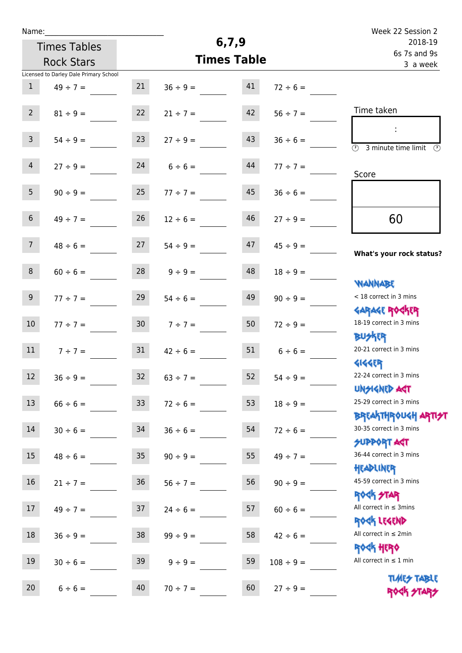| Name:            |                                        |                 |               |                    |                | Week 22 Session 2                                                |
|------------------|----------------------------------------|-----------------|---------------|--------------------|----------------|------------------------------------------------------------------|
|                  | <b>Times Tables</b>                    |                 |               | 6, 7, 9            |                | 2018-19                                                          |
|                  | <b>Rock Stars</b>                      |                 |               | <b>Times Table</b> |                | 6s 7s and 9s<br>3 a week                                         |
|                  | Licensed to Darley Dale Primary School |                 |               |                    |                |                                                                  |
| $\mathbf{1}$     | $49 \div 7 =$                          | 21              | $36 ÷ 9 =$    | 41                 | $72 \div 6 =$  |                                                                  |
|                  |                                        |                 |               |                    |                |                                                                  |
| $2^{\circ}$      | $81 \div 9 =$                          | 22              | $21 \div 7 =$ | 42                 | $56 ÷ 7 =$     | Time taken                                                       |
|                  |                                        |                 |               |                    |                | ÷                                                                |
| 3 <sup>7</sup>   | $54 \div 9 =$                          | 23              | $27 \div 9 =$ | 43                 | $36 \div 6 =$  | $\overline{\odot}$<br>3 minute time limit<br>$\mathcal{O}$       |
|                  |                                        |                 |               |                    |                |                                                                  |
| $\overline{4}$   | $27 ÷ 9 =$                             | 24              | $6 \div 6 =$  | 44                 | $77 ÷ 7 =$     | Score                                                            |
| 5 <sub>1</sub>   |                                        |                 |               |                    |                |                                                                  |
|                  | $90 \div 9 =$                          | 25              | $77 \div 7 =$ | 45                 | $36 \div 6 =$  |                                                                  |
| $6\overline{6}$  | $49 \div 7 =$                          | 26              | $12 \div 6 =$ | 46                 | $27 \div 9 =$  | 60                                                               |
|                  |                                        |                 |               |                    |                |                                                                  |
| 7 <sup>7</sup>   | $48 \div 6 =$                          | 27              | $54 \div 9 =$ | 47                 | $45 \div 9 =$  |                                                                  |
|                  |                                        |                 |               |                    |                | What's your rock status?                                         |
| 8                | $60 \div 6 =$                          | 28              | $9 ÷ 9 =$     | 48                 | $18 \div 9 =$  |                                                                  |
|                  |                                        |                 |               |                    |                | <b>NANNABE</b>                                                   |
| 9 <sup>°</sup>   | $77 ÷ 7 =$                             | 29              | $54 \div 6 =$ | 49                 | $90 \div 9 =$  | < 18 correct in 3 mins                                           |
|                  |                                        |                 |               |                    |                | <b>GARAGE ROCKER</b>                                             |
| 10 <sup>°</sup>  | $77 ÷ 7 =$                             | 30 <sub>o</sub> | $7 ÷ 7 =$     | 50                 | $72 \div 9 =$  | 18-19 correct in 3 mins                                          |
|                  |                                        |                 |               |                    |                | <b>BUSKER</b>                                                    |
| 11               | $7 ÷ 7 =$                              | 31              | $42 \div 6 =$ | 51                 | $6 \div 6 =$   | 20-21 correct in 3 mins                                          |
|                  |                                        |                 |               |                    |                | <b>4144ER</b>                                                    |
| 12               | $36 \div 9 =$                          | 32              | $63 \div 7 =$ | 52                 | $54 \div 9 =$  | 22-24 correct in 3 mins                                          |
|                  |                                        |                 |               |                    |                | <b>UNSIGNED AST</b>                                              |
| 13               | $66 \div 6 =$                          | 33 <sup>°</sup> | $72 \div 6 =$ | 53                 | $18 \div 9 =$  | 25-29 correct in 3 mins                                          |
|                  |                                        |                 |               |                    |                | <b>BREAKTHROUGH ARTI<del>S</del>T</b><br>30-35 correct in 3 mins |
| 14               | $30 \div 6 =$                          | 34              | $36 \div 6 =$ | 54                 | $72 \div 6 =$  | <b>SUPPORT AGT</b>                                               |
| 15 <sub>15</sub> |                                        | 35 <sub>o</sub> |               | 55                 |                | 36-44 correct in 3 mins                                          |
|                  | $48 \div 6 =$                          |                 | $90 \div 9 =$ |                    | $49 \div 7 =$  | HEADLINER                                                        |
| 16               | $21 \div 7 =$                          | 36 <sup>°</sup> | $56 \div 7 =$ | 56                 | $90 \div 9 =$  | 45-59 correct in 3 mins                                          |
|                  |                                        |                 |               |                    |                | <b>ROCK STAR</b>                                                 |
| 17               | $49 \div 7 =$                          | 37              | $24 \div 6 =$ | 57                 | $60 \div 6 =$  | All correct in $\leq$ 3mins                                      |
|                  |                                        |                 |               |                    |                | ROCK LEGEND                                                      |
| 18               | $36 ÷ 9 =$                             | 38              | $99 \div 9 =$ | 58                 | $42 \div 6 =$  | All correct in $\leq 2$ min                                      |
|                  |                                        |                 |               |                    |                | <b>ROGH HERO</b>                                                 |
| 19               | $30 \div 6 =$                          | 39              | $9 ÷ 9 =$     | 59                 | $108 \div 9 =$ | All correct in $\leq 1$ min                                      |
|                  |                                        |                 |               |                    |                | <b>TUARS TABLE</b>                                               |
| 20               | $6 \div 6 =$                           | 40              | $70 \div 7 =$ | 60                 | $27 ÷ 9 =$     | ROCK STARS                                                       |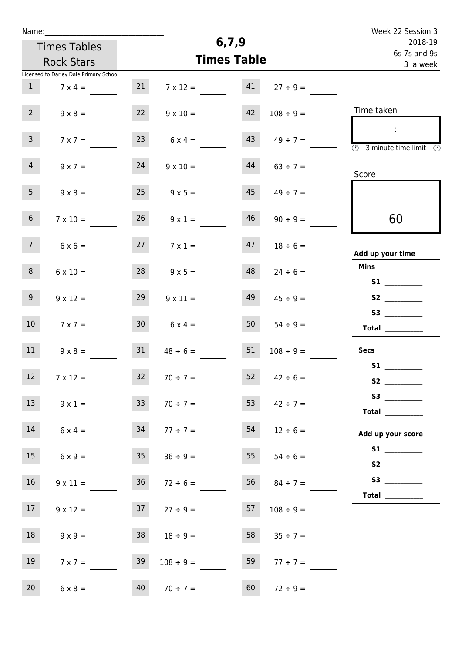| Week 22 Session 3                                                                  |                     |       |                     |                 |                                        | Name:          |
|------------------------------------------------------------------------------------|---------------------|-------|---------------------|-----------------|----------------------------------------|----------------|
| 2018-19                                                                            |                     | 6,7,9 |                     |                 | <b>Times Tables</b>                    |                |
| 6s 7s and 9s<br>3 a week                                                           |                     |       | <b>Times Table</b>  |                 | <b>Rock Stars</b>                      |                |
|                                                                                    |                     |       |                     |                 | Licensed to Darley Dale Primary School |                |
|                                                                                    | $27 \div 9 =$       | 41    | $7 \times 12 =$     | 21              | $7 \times 4 =$                         | $\mathbf{1}$   |
| Time taken                                                                         | $108 \div 9 =$      | 42    | $9 \times 10 =$     | 22              | $9 \times 8 =$                         | 2 <sup>7</sup> |
| $\cdot$<br>$\overline{\circledcirc}$ 3 minute time limit $\overline{\circledcirc}$ | $49 \div 7 =$       | 43    | $6 \times 4 =$      | 23              | $7 \times 7 =$                         | $\mathbf{3}$   |
| Score                                                                              | $63 \div 7 =$       | 44    | $9 \times 10 =$     | 24              | $9 \times 7 =$                         | $\overline{4}$ |
|                                                                                    | $49 \div 7 =$       | 45    | $9 \times 5 =$      | 25              | $9 \times 8 =$                         | 5 <sub>1</sub> |
| 60                                                                                 | $90 \div 9 =$       | 46    | $9 \times 1 =$      | 26              | $7 \times 10 =$                        | 6 <sup>1</sup> |
| Add up your time                                                                   | $18 \div 6 =$       | 47    | $7 \times 1 =$      | 27              | $6 \times 6 =$                         | 7 <sup>7</sup> |
| <b>Mins</b>                                                                        | $24 \div 6 =$       | 48    | $9 \times 5 =$      | 28              | $6 \times 10 =$                        | 8              |
|                                                                                    | $45 \div 9 =$       | 49    | $9 \times 11 =$     | 29              | $9 \times 12 =$                        | 9 <sup>°</sup> |
| S3<br>Total                                                                        | $54 \div 9 =$       | 50    | $6 \times 4 =$      | 30 <sub>2</sub> | $7 \times 7 =$                         | 10             |
| <b>Secs</b>                                                                        | $108 \div 9 =$      | 51    | $48 \div 6 =$       | 31              | $9 \times 8 =$                         | 11             |
| S1                                                                                 | $52 \t 42 \div 6 =$ |       | $70 \div 7 =$       | 32              | $7 \times 12 =$                        | 12             |
| <b>Total</b> __________                                                            | $42 \div 7 =$       | 53    | $70 \div 7 =$       | 33              | $9 \times 1 =$                         | 13             |
| Add up your score                                                                  |                     |       |                     |                 | $6 \times 4 =$ 34 77 ÷ 7 =             | 14             |
|                                                                                    | $55 \t 54 \div 6 =$ |       | $36 \div 9 =$       | 35              | $6 \times 9 =$                         | 15             |
|                                                                                    | $56 \t 84 \div 7 =$ |       | $36 \t 72 \div 6 =$ |                 | $9 \times 11 =$                        | 16             |
|                                                                                    | $108 \div 9 =$      | 57    | $37 \t27 \div 9 =$  |                 | $9 \times 12 =$                        | 17             |
|                                                                                    | $35 \div 7 =$       | 58    | $18 \div 9 =$       | 38              | $9 \times 9 =$                         | 18             |
|                                                                                    | $77 \div 7 =$       | 59    | $108 \div 9 =$      | 39              | $7 \times 7 =$                         | 19             |
|                                                                                    | $72 \div 9 =$       | 60    | $70 \div 7 =$       | 40              | $6 \times 8 =$                         | 20             |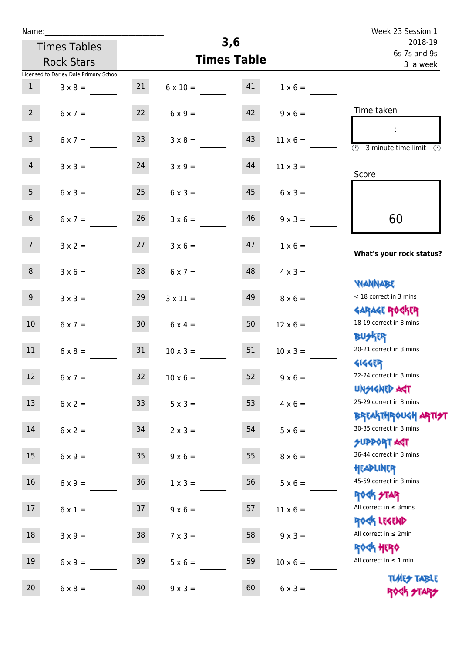| Name:           |                                        |                  |                    |    |                 | Week 23 Session 1                                           |
|-----------------|----------------------------------------|------------------|--------------------|----|-----------------|-------------------------------------------------------------|
|                 | <b>Times Tables</b>                    |                  | 3,6                |    |                 | 2018-19                                                     |
|                 | <b>Rock Stars</b>                      |                  | <b>Times Table</b> |    |                 | 6s 7s and 9s<br>3 a week                                    |
|                 | Licensed to Darley Dale Primary School |                  |                    |    |                 |                                                             |
| $\mathbf{1}$    | $3 \times 8 =$                         | 21               | $6 \times 10 =$    | 41 | $1 \times 6 =$  |                                                             |
| $2^{\circ}$     | $6 \times 7 =$                         | 22               | $6 \times 9 =$     | 42 | $9 \times 6 =$  | Time taken                                                  |
| $\overline{3}$  | $6 \times 7 = 23$                      |                  | $3 \times 8 =$     | 43 | $11 \times 6 =$ | $\overline{\mathcal{O}}$<br>3 minute time limit             |
| $\overline{4}$  | $3 \times 3 =$                         | 24               | $3 \times 9 =$     | 44 | $11 \times 3 =$ | Score                                                       |
| 5 <sub>1</sub>  | $6 \times 3 =$                         | 25               | $6 \times 3 =$     | 45 | $6 \times 3 =$  |                                                             |
| 6 <sup>1</sup>  | $6 \times 7 =$                         | 26               | $3 \times 6 =$     | 46 | $9 \times 3 =$  | 60                                                          |
| 7 <sup>7</sup>  | $3 \times 2 =$                         | 27               | $3 \times 6 =$     | 47 | $1 \times 6 =$  | What's your rock status?                                    |
| 8               | $3 \times 6 =$                         | 28               | $6 \times 7 =$     | 48 | $4 \times 3 =$  | <b>JARNARY</b>                                              |
| 9 <sub>o</sub>  | $3 \times 3 =$                         | 29               | $3 \times 11 =$    | 49 | $8 \times 6 =$  | < 18 correct in 3 mins<br><b>GARAGE ROCKER</b>              |
| 10 <sup>°</sup> | $6 \times 7 =$                         | 30 <sup>°</sup>  | $6 \times 4 =$     | 50 | $12 \times 6 =$ | 18-19 correct in 3 mins<br><b>BUSKER</b>                    |
| 11              | $6 \times 8 =$                         | 31               | $10 \times 3 =$    | 51 | $10 \times 3 =$ | 20-21 correct in 3 mins<br>4144ER                           |
| 12              | $6 \times 7 =$                         | 32               | $10 \times 6 =$    | 52 | $9 \times 6 =$  | 22-24 correct in 3 mins<br><b>UNSIGNED AGT</b>              |
| 13              | $6 \times 2 =$                         | 33 <sup>°</sup>  | $5 \times 3 =$     | 53 | $4 \times 6 =$  | 25-29 correct in 3 mins<br>BREAKTHRÓUGH ARTI <del>2</del> 1 |
| 14              | $6 \times 2 =$                         | 34               | $2 \times 3 =$     | 54 | $5 \times 6 =$  | 30-35 correct in 3 mins<br><b>SUPPORT ART</b>               |
| 15              | $6 \times 9 =$                         | $35\phantom{.0}$ | $9 \times 6 =$     | 55 | $8 \times 6 =$  | 36-44 correct in 3 mins<br>HEADLINER                        |
| 16              | $6 \times 9 =$                         | 36               | $1 \times 3 =$     | 56 | $5 \times 6 =$  | 45-59 correct in 3 mins<br>ROCK STAR                        |
| 17              | $6 \times 1 =$                         | 37               | $9 \times 6 =$     | 57 | $11 \times 6 =$ | All correct in $\leq$ 3mins<br>ROCK LEGEND                  |
| 18              | $3 \times 9 =$                         | 38               | $7 \times 3 =$     | 58 | $9 \times 3 =$  | All correct in $\leq 2$ min<br><b>ROCK HERO</b>             |
| 19              | $6 \times 9 =$                         | 39               | $5 \times 6 =$     | 59 | $10 \times 6 =$ | All correct in $\leq 1$ min                                 |
| 20 <sub>2</sub> | $6 \times 8 =$                         | 40               | $9 \times 3 =$     | 60 | $6 \times 3 =$  | <b>TIMES TABLE</b><br>ROCK STARS                            |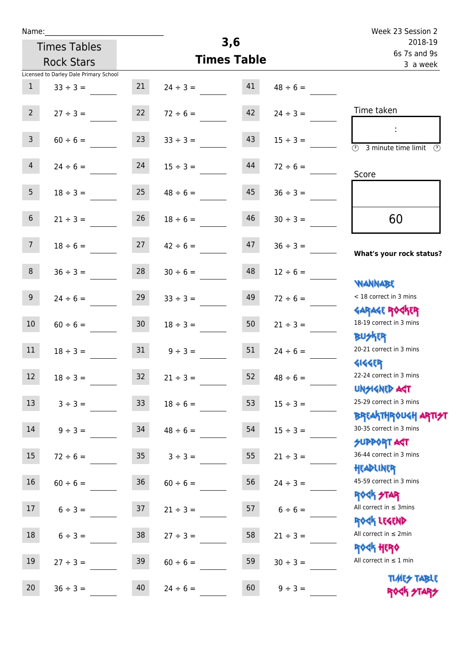| Name:                                  |                 |               |                    |               | Week 23 Session 2                                                       |
|----------------------------------------|-----------------|---------------|--------------------|---------------|-------------------------------------------------------------------------|
| <b>Times Tables</b>                    |                 |               | 3,6                |               | 2018-19                                                                 |
| <b>Rock Stars</b>                      |                 |               | <b>Times Table</b> |               | 6s 7s and 9s<br>3 a week                                                |
| Licensed to Darley Dale Primary School |                 |               |                    |               |                                                                         |
| $\mathbf{1}$<br>$33 \div 3 =$          | 21              | $24 \div 3 =$ | 41                 | $48 \div 6 =$ |                                                                         |
| $2^{\circ}$<br>$27 \div 3 =$           | 22              | $72 \div 6 =$ | 42                 | $24 \div 3 =$ | Time taken                                                              |
| $\mathsf{3}$<br>$60 \div 6 =$          | 23              | $33 \div 3 =$ | 43                 | $15 \div 3 =$ | ÷<br>$\overline{(\mathcal{V})}$<br>3 minute time limit<br>$\mathcal{O}$ |
| $\overline{4}$<br>$24 \div 6 =$        | 24              | $15 \div 3 =$ | 44                 | $72 \div 6 =$ | Score                                                                   |
| 5 <sub>1</sub><br>$18 \div 3 =$        | 25              | $48 \div 6 =$ | 45                 | $36 \div 3 =$ |                                                                         |
| 6 <sup>1</sup><br>$21 \div 3 =$        | 26              | $18 \div 6 =$ | 46                 | $30 \div 3 =$ | 60                                                                      |
| 7 <sup>7</sup><br>$18 \div 6 =$        | 27              | $42 \div 6 =$ | 47                 | $36 \div 3 =$ | What's your rock status?                                                |
| 8<br>$36 \div 3 =$                     | 28              | $30 \div 6 =$ | 48                 | $12 \div 6 =$ | <b>NANNABE</b>                                                          |
| 9 <sup>°</sup><br>$24 \div 6 =$        | 29              | $33 \div 3 =$ | 49                 | $72 \div 6 =$ | < 18 correct in 3 mins<br><b>GARAGE ROCKER</b>                          |
| 10 <sup>°</sup><br>$60 \div 6 =$       | 30 <sup>°</sup> | $18 \div 3 =$ | 50                 | $21 \div 3 =$ | 18-19 correct in 3 mins<br><b>BUSKRR</b>                                |
| 11<br>$18 \div 3 =$                    | 31              | $9 \div 3 =$  | 51                 | $24 \div 6 =$ | 20-21 correct in 3 mins<br><b>4144EP</b>                                |
| 12<br>$18 \div 3 =$                    | 32              | $21 \div 3 =$ | 52                 | $48 \div 6 =$ | 22-24 correct in 3 mins<br><b>UNSIGNED AGT</b>                          |
| 13<br>$3 ÷ 3 =$                        | 33 <sup>°</sup> | $18 \div 6 =$ | 53                 | $15 \div 3 =$ | 25-29 correct in 3 mins<br>BREAKTHRÓUGH ARTI <del>2</del> 1             |
| 14<br>$9 ÷ 3 =$                        | 34              | $48 \div 6 =$ | 54                 | $15 \div 3 =$ | 30-35 correct in 3 mins<br><b>SUPPORT AGT</b>                           |
| 15<br>$72 \div 6 =$                    | 35 <sub>1</sub> | $3 ÷ 3 =$     | 55                 | $21 \div 3 =$ | 36-44 correct in 3 mins<br>HEADLINER                                    |
| 16<br>$60 \div 6 =$                    | $36\,$          | $60 \div 6 =$ | 56                 | $24 \div 3 =$ | 45-59 correct in 3 mins<br><b>ROCK STAR</b>                             |
| $17 \,$<br>$6 ÷ 3 =$                   | 37              | $21 \div 3 =$ | 57                 | $6 \div 6 =$  | All correct in $\leq$ 3mins<br>ROCK LEGEND                              |
| 18<br>$6 \div 3 =$                     | 38              | $27 \div 3 =$ | 58                 | $21 \div 3 =$ | All correct in $\leq 2$ min<br>ROCK HERO                                |
| 19<br>$27 \div 3 =$                    | 39              | $60 \div 6 =$ | 59                 | $30 \div 3 =$ | All correct in $\leq 1$ min<br><b>TIMES TABLE</b>                       |
| $20\,$<br>$36 \div 3 =$                | 40              | $24 \div 6 =$ | 60                 | $9 ÷ 3 =$     | ROCK STARS                                                              |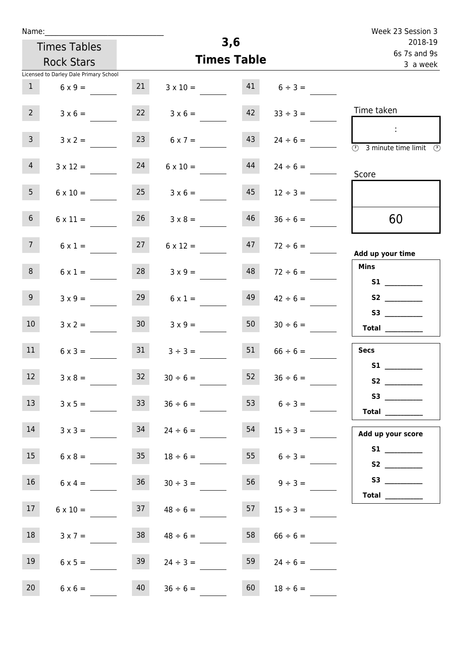| Name:           |                                        |                 |                     |     |                          | Week 23 Session 3                                                                                                                                                                                                                                                                                                                                                                                                                                                                                                                                                                                                   |
|-----------------|----------------------------------------|-----------------|---------------------|-----|--------------------------|---------------------------------------------------------------------------------------------------------------------------------------------------------------------------------------------------------------------------------------------------------------------------------------------------------------------------------------------------------------------------------------------------------------------------------------------------------------------------------------------------------------------------------------------------------------------------------------------------------------------|
|                 | <b>Times Tables</b>                    |                 |                     | 3,6 |                          | 2018-19                                                                                                                                                                                                                                                                                                                                                                                                                                                                                                                                                                                                             |
|                 | <b>Rock Stars</b>                      |                 | <b>Times Table</b>  |     | 6s 7s and 9s<br>3 a week |                                                                                                                                                                                                                                                                                                                                                                                                                                                                                                                                                                                                                     |
|                 | Licensed to Darley Dale Primary School |                 |                     |     |                          |                                                                                                                                                                                                                                                                                                                                                                                                                                                                                                                                                                                                                     |
| $\mathbf{1}$    | $6 \times 9 =$                         | 21              | $3 \times 10 =$     | 41  | $6 \div 3 =$             |                                                                                                                                                                                                                                                                                                                                                                                                                                                                                                                                                                                                                     |
| $2^{\circ}$     | $3 \times 6 =$                         | 22              | $3 \times 6 =$      | 42  | $33 \div 3 =$            | Time taken                                                                                                                                                                                                                                                                                                                                                                                                                                                                                                                                                                                                          |
| $\overline{3}$  | $3 \times 2 =$                         | 23              | $6 \times 7 =$      | 43  | $24 \div 6 =$            | $\mathcal{L}_{\mathcal{A}}$<br>$\overline{(\mathcal{V})}$<br>3 minute time limit<br>- O                                                                                                                                                                                                                                                                                                                                                                                                                                                                                                                             |
| 4 <sup>1</sup>  | $3 \times 12 =$                        | 24              | $6 \times 10 =$     | 44  | $24 \div 6 =$            | Score                                                                                                                                                                                                                                                                                                                                                                                                                                                                                                                                                                                                               |
| 5 <sub>1</sub>  | $6 \times 10 =$                        | 25              | $3 \times 6 =$      | 45  | $12 \div 3 =$            |                                                                                                                                                                                                                                                                                                                                                                                                                                                                                                                                                                                                                     |
| 6 <sup>1</sup>  | $6 \times 11 =$                        | 26              | $3 \times 8 =$      | 46  | $36 \div 6 =$            | 60                                                                                                                                                                                                                                                                                                                                                                                                                                                                                                                                                                                                                  |
| 7 <sup>7</sup>  | $6 \times 1 =$                         | 27              | $6 \times 12 =$     | 47  | $72 \div 6 =$            | Add up your time                                                                                                                                                                                                                                                                                                                                                                                                                                                                                                                                                                                                    |
| 8               | $6 \times 1 =$                         | 28              | $3 \times 9 =$      | 48  | $72 \div 6 =$            | <b>Mins</b>                                                                                                                                                                                                                                                                                                                                                                                                                                                                                                                                                                                                         |
| 9 <sub>o</sub>  | $3 \times 9 =$                         | 29              | $6 \times 1 =$      | 49  | $42 \div 6 =$            | S2                                                                                                                                                                                                                                                                                                                                                                                                                                                                                                                                                                                                                  |
| 10 <sup>°</sup> | $3 \times 2 =$                         | 30 <sub>o</sub> | $3 \times 9 =$      | 50  | $30 \div 6 =$            | $\begin{tabular}{c} Total & \underline{\hspace{1cm}} & \underline{\hspace{1cm}} & \underline{\hspace{1cm}} & \underline{\hspace{1cm}} & \underline{\hspace{1cm}} & \underline{\hspace{1cm}} & \underline{\hspace{1cm}} & \underline{\hspace{1cm}} & \underline{\hspace{1cm}} & \underline{\hspace{1cm}} & \underline{\hspace{1cm}} & \underline{\hspace{1cm}} & \underline{\hspace{1cm}} & \underline{\hspace{1cm}} & \underline{\hspace{1cm}} & \underline{\hspace{1cm}} & \underline{\hspace{1cm}} & \underline{\hspace{1cm}} & \underline{\hspace{1cm}} & \underline{\hspace{1cm}} & \underline{\hspace{1cm}} &$ |
| 11              | $6 \times 3 =$                         | 31              | $3 \div 3 =$        | 51  | $66 \div 6 =$            | <b>Secs</b>                                                                                                                                                                                                                                                                                                                                                                                                                                                                                                                                                                                                         |
| 12              | $3 \times 8 =$                         | 32              | $30 \div 6 =$       | 52  | $36 \div 6 =$            | S1                                                                                                                                                                                                                                                                                                                                                                                                                                                                                                                                                                                                                  |
| 13              | $3 \times 5 =$                         | 33              | $36 \div 6 =$       |     | 53 $6 \div 3 =$          | Total $\_\_$                                                                                                                                                                                                                                                                                                                                                                                                                                                                                                                                                                                                        |
| 14              | $3 \times 3 =$                         | 34              | $24 \div 6 =$       | 54  | $15 \div 3 =$            | Add up your score                                                                                                                                                                                                                                                                                                                                                                                                                                                                                                                                                                                                   |
| 15              | $6 \times 8 = 35$ $18 \div 6 =$        |                 |                     |     | $6 \div 3 =$             |                                                                                                                                                                                                                                                                                                                                                                                                                                                                                                                                                                                                                     |
| 16              | $6 \times 4 =$                         |                 | $36$ $30 \div 3 =$  |     | $56 \t 9 \div 3 =$       |                                                                                                                                                                                                                                                                                                                                                                                                                                                                                                                                                                                                                     |
| 17              | $6 \times 10 =$                        |                 | $37 \t 48 \div 6 =$ | 57  | $15 \div 3 =$            | Total $\_\_$                                                                                                                                                                                                                                                                                                                                                                                                                                                                                                                                                                                                        |
| 18              | $3 \times 7 =$                         | 38              | $48 \div 6 =$       | 58  | $66 \div 6 =$            |                                                                                                                                                                                                                                                                                                                                                                                                                                                                                                                                                                                                                     |
| 19              | $6 \times 5 =$                         | 39              | $24 \div 3 =$       | 59  | $24 \div 6 =$            |                                                                                                                                                                                                                                                                                                                                                                                                                                                                                                                                                                                                                     |
| 20 <sub>2</sub> | $6 \times 6 =$                         | 40              | $36 \div 6 =$       | 60  | $18 \div 6 =$            |                                                                                                                                                                                                                                                                                                                                                                                                                                                                                                                                                                                                                     |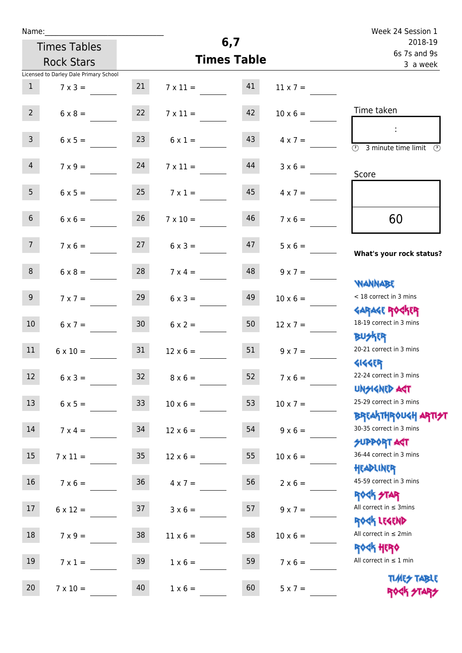| Name: |  |  |  |
|-------|--|--|--|
|       |  |  |  |

| Name:                                  |                                    |                 |                       |                                         | Week 24 Session 1                                                |
|----------------------------------------|------------------------------------|-----------------|-----------------------|-----------------------------------------|------------------------------------------------------------------|
| <b>Times Tables</b>                    |                                    |                 | 6,7                   |                                         | 2018-19<br>6s 7s and 9s                                          |
| <b>Rock Stars</b>                      |                                    |                 | <b>Times Table</b>    |                                         | 3 a week                                                         |
| Licensed to Darley Dale Primary School |                                    |                 |                       |                                         |                                                                  |
| $\mathbf{1}$                           | 21<br>$7 \times 3 =$               |                 | 41<br>$7 \times 11 =$ | $11 \times 7 =$                         |                                                                  |
| 2 <sup>7</sup>                         | 22<br>$6 \times 8 =$               | $7 \times 11 =$ | 42                    | $10 \times 6 =$                         | Time taken                                                       |
| 3 <sup>7</sup>                         | 23<br>$6 \times 5 =$               |                 | 43<br>$6 \times 1 =$  | $4 \times 7 =$                          | $\overline{\mathcal{O}}$<br>3 minute time limit                  |
| $\overline{4}$                         | 24<br>$7 \times 9 =$               |                 | 44<br>$7 \times 11 =$ | $3 \times 6 =$                          | Score                                                            |
| 5 <sub>1</sub>                         | 25<br>$6 \times 5 =$               | $7 \times 1 =$  | 45                    | $4 \times 7 =$                          |                                                                  |
| 6 <sup>1</sup>                         | 26<br>$6 \times 6 =$               | $7 \times 10 =$ | 46                    | $7 \times 6 =$                          | 60                                                               |
| 7 <sup>7</sup>                         | 27<br>$7 \times 6 =$               |                 | 47<br>$6 \times 3 =$  | $5 \times 6 = \underline{\hspace{1cm}}$ | What's your rock status?                                         |
| 8                                      | 28<br>$6 \times 8 =$               |                 | 48<br>$7 \times 4 =$  | $9 \times 7 =$                          | <b>JARNARY</b>                                                   |
| 9 <sup>°</sup>                         | 29<br>$7 \times 7 =$               |                 | 49<br>$6 \times 3 =$  | $10 \times 6 =$                         | < 18 correct in 3 mins<br><b>GARAGE ROGKER</b>                   |
| 10 <sup>°</sup>                        | 30 <sup>°</sup><br>$6 \times 7 =$  |                 | 50<br>$6 \times 2 =$  | $12 \times 7 =$                         | 18-19 correct in 3 mins<br><b>BUSKER</b>                         |
| 11                                     | 31<br>$6 \times 10 =$              | $12 \times 6 =$ | 51                    | $9 \times 7 =$                          | 20-21 correct in 3 mins<br><b>4144ER</b>                         |
| 12                                     | 32<br>$6 \times 3 =$               | $8 \times 6 =$  | 52                    | $7 \times 6 =$                          | 22-24 correct in 3 mins<br><b>UNSIGNED AST</b>                   |
| 13                                     | 33<br>$6 \times 5 =$               | $10 \times 6 =$ | 53                    | $10 \times 7 =$                         | 25-29 correct in 3 mins<br><b>BREAKTHROUGH ARTI<del>S</del>T</b> |
| 14                                     | 34<br>$7 \times 4 =$               | $12 \times 6 =$ | 54                    | $9 \times 6 =$                          | 30-35 correct in 3 mins<br><b>SUPPORT ART</b>                    |
| 15                                     | 35 <sub>1</sub><br>$7 \times 11 =$ |                 | 55<br>$12 \times 6 =$ | $10 \times 6 =$                         | 36-44 correct in 3 mins<br>HEADLINER                             |
| 16 <sup>1</sup>                        | $7 \times 6 = 36$                  | $4 \times 7 =$  | 56                    | $2 \times 6 =$                          | 45-59 correct in 3 mins<br>ROCK STAR                             |
| 17                                     | 37<br>$6 \times 12 =$              |                 | 57<br>$3 \times 6 =$  | $9 \times 7 =$                          | All correct in $\leq$ 3mins<br>ROCK LEGEND                       |
| 18                                     | 38<br>$7 \times 9 =$               | $11 \times 6 =$ | 58                    | $10 \times 6 =$                         | All correct in $\leq 2$ min<br><b>ROCK HERO</b>                  |
| 19                                     | 39<br>$7 \times 1 =$               |                 | 59<br>$1 \times 6 =$  | $7 \times 6 =$                          | All correct in $\leq 1$ min                                      |
| 20<br>$7 \times 10 =$                  | 40                                 | $1 \times 6 =$  | 60                    | $5 \times 7 =$                          | <b>TUARS TABLE</b><br><b>ROCK STARS</b>                          |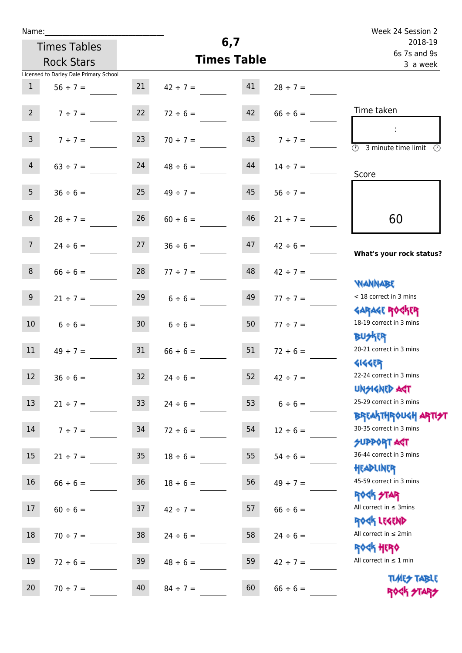|  | Name: |  |
|--|-------|--|
|  |       |  |

|                  |                                        |                 |                                |                         |               | Week 24 Session 2                                                |
|------------------|----------------------------------------|-----------------|--------------------------------|-------------------------|---------------|------------------------------------------------------------------|
|                  | <b>Times Tables</b>                    |                 | 6,7                            | 2018-19<br>6s 7s and 9s |               |                                                                  |
|                  | <b>Rock Stars</b>                      |                 | <b>Times Table</b>             | 3 a week                |               |                                                                  |
|                  | Licensed to Darley Dale Primary School |                 |                                |                         |               |                                                                  |
| 1                | $56 \div 7 =$                          | 21              | $42 \div 7 = 41$               |                         | $28 \div 7 =$ |                                                                  |
| $2^{\circ}$      | $7 ÷ 7 =$                              | 22              | $72 \div 6 =$                  | 42                      | $66 \div 6 =$ | Time taken                                                       |
| 3 <sup>7</sup>   | $7 ÷ 7 =$                              | 23              | $70 \div 7 =$                  | 43                      | $7 ÷ 7 =$     | $\mathcal{L}$<br>(1)<br>3 minute time limit<br>$\mathcal{O}$     |
| $\overline{4}$   | $63 \div 7 =$                          | 24              | $48 \div 6 =$                  | 44                      | $14 \div 7 =$ | Score                                                            |
| 5 <sub>1</sub>   | $36 \div 6 =$                          | 25              | $49 \div 7 =$                  | 45                      | $56 \div 7 =$ |                                                                  |
| 6 <sup>1</sup>   | $28 \div 7 =$                          | 26              | $60 \div 6 =$                  | 46                      | $21 \div 7 =$ | 60                                                               |
| 7 <sup>7</sup>   |                                        |                 | $24 \div 6 =$ 27 $36 \div 6 =$ | 47                      | $42 \div 6 =$ | What's your rock status?                                         |
| 8 <sup>1</sup>   | $66 \div 6 =$                          | 28              | $77 \div 7 =$                  | 48                      | $42 \div 7 =$ | <b>JARNARY</b>                                                   |
| 9                | $21 \div 7 =$                          | 29              | $6 \div 6 =$                   | 49                      | $77 \div 7 =$ | < 18 correct in 3 mins<br><b>GARAGE ROCKER</b>                   |
| 10 <sup>1</sup>  | $6 \div 6 = 30$                        |                 | $6 \div 6 =$                   | 50                      | $77 \div 7 =$ | 18-19 correct in 3 mins<br><b>BU外四</b>                           |
| 11               | $49 \div 7 =$                          | 31              | $66 \div 6 =$                  | 51                      | $72 \div 6 =$ | 20-21 correct in 3 mins<br><b>4144EP</b>                         |
| 12 <sup>7</sup>  | $36 \div 6 =$                          | 32              | $24 \div 6 =$                  | 52                      | $42 \div 7 =$ | 22-24 correct in 3 mins<br><b>UNSIGNED AGT</b>                   |
| 13               | $21 \div 7 =$                          | 33 <sup>°</sup> | $24 \div 6 =$                  | 53                      | $6 \div 6 =$  | 25-29 correct in 3 mins<br><b>BREAKTHROUGH ARTI<del>S</del>T</b> |
| 14               | $7 ÷ 7 =$                              | 34              | $72 \div 6 =$                  | 54                      | $12 \div 6 =$ | 30-35 correct in 3 mins<br><b>SUPPORT ART</b>                    |
| 15 <sub>15</sub> | $21 \div 7 =$                          | 35 <sub>o</sub> | $18 \div 6 =$                  | 55                      | $54 \div 6 =$ | 36-44 correct in 3 mins<br>HEADLINER                             |
| 16 <sup>1</sup>  | $66 \div 6 =$                          | 36              | $18 \div 6 =$                  | 56                      | $49 \div 7 =$ | 45-59 correct in 3 mins<br><b>ROCK STAR</b>                      |
| 17               | $60 \div 6 =$                          | 37              | $42 \div 7 =$                  | 57                      | $66 \div 6 =$ | All correct in $\leq$ 3mins<br>ROCK LEGEND                       |
| 18               | $70 \div 7 =$                          | 38              | $24 \div 6 =$                  | 58                      | $24 \div 6 =$ | All correct in $\leq 2$ min<br><b>ROCK HERO</b>                  |
| 19               | $72 \div 6 =$                          | 39              | $48 \div 6 =$                  | 59                      | $42 \div 7 =$ | All correct in $\leq 1$ min                                      |
| 20               | $70 \div 7 =$                          | 40              | $84 \div 7 =$                  | 60                      | $66 \div 6 =$ | <b>TUARS TABLE</b><br>ROGH STARS                                 |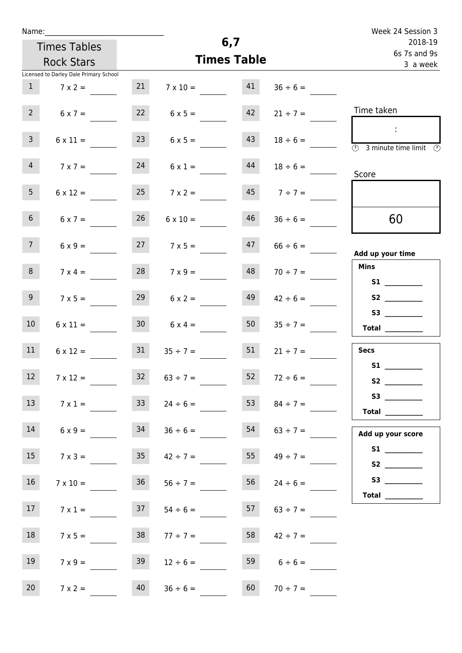| Name:               |                                        |                 |                    |          |                     | Week 24 Session 3                                                                          |
|---------------------|----------------------------------------|-----------------|--------------------|----------|---------------------|--------------------------------------------------------------------------------------------|
| <b>Times Tables</b> |                                        |                 | 6,7                |          |                     | 2018-19<br>6s 7s and 9s                                                                    |
|                     | <b>Rock Stars</b>                      |                 | <b>Times Table</b> | 3 a week |                     |                                                                                            |
|                     | Licensed to Darley Dale Primary School |                 |                    |          |                     |                                                                                            |
| 1                   | $7 \times 2 =$                         | 21              | $7 \times 10 =$    | 41       | $36 \div 6 =$       |                                                                                            |
| $2^{\circ}$         | $6 \times 7 =$                         | 22              | $6 \times 5 =$     | 42       | $21 \div 7 =$       | Time taken                                                                                 |
| $\mathbf{3}$        | $6 \times 11 =$                        | 23              | $6 \times 5 =$     | 43       | $18 \div 6 =$       | $\sim 10$<br>$\overline{\textcircled{1}}$ 3 minute time limit $\overline{\textcircled{1}}$ |
| $\overline{4}$      | $7 \times 7 =$                         | 24              | $6 \times 1 =$     | 44       | $18 \div 6 =$       | Score                                                                                      |
| 5 <sub>1</sub>      | $6 \times 12 =$                        | 25              | $7 \times 2 =$     |          | $45 \t 7 \div 7 =$  |                                                                                            |
| 6 <sup>1</sup>      | $6 \times 7 =$                         | 26              | $6 \times 10 =$    | 46       | $36 \div 6 =$       | 60                                                                                         |
| 7 <sup>7</sup>      | $6 \times 9 =$                         | 27              | $7 \times 5 =$     | 47       | $66 \div 6 =$       | Add up your time                                                                           |
| 8 <sup>1</sup>      | $7 \times 4 =$                         |                 | $7 \times 9 =$     | 48       | $70 \div 7 =$       | <b>Mins</b><br><b>S1 S1</b>                                                                |
| 9 <sub>o</sub>      | $7 \times 5 =$                         | 29              | $6 \times 2 =$     | 49       | $42 \div 6 =$       | S2                                                                                         |
| 10 <sup>°</sup>     | $6 \times 11 =$                        | 30 <sup>1</sup> | $6 \times 4 =$     |          | $50 \t 35 \div 7 =$ | Total $\_\_$                                                                               |
| 11                  | $6 \times 12 =$                        | 31              | $35 \div 7 =$      | 51       | $21 \div 7 =$       | <b>Secs</b>                                                                                |
| 12                  | $7 \times 12 =$                        | 32 <sub>2</sub> | $63 \div 7 =$      | 52       | $72 \div 6 =$       | <b>S1 S1</b><br>S <sub>2</sub>                                                             |
| 13                  | $7 \times 1 =$                         | 33              | $24 \div 6 =$      | 53       | $84 \div 7 =$       | S3<br>Total $\_\_$                                                                         |
| 14                  | $6 \times 9 =$                         | 34              | $36 \div 6 =$      | 54       | $63 \div 7 =$       | Add up your score                                                                          |
| 15                  | $7 \times 3 =$                         | 35              | $42 \div 7 =$      | 55       | $49 \div 7 =$       | S2                                                                                         |
| 16                  | $7 \times 10 =$                        | 36              | $56 \div 7 =$      | 56       | $24 \div 6 =$       | Total $\_\_$                                                                               |
| 17 <sub>1</sub>     | $7 \times 1 =$                         | 37              | $54 \div 6 =$      | 57       | $63 \div 7 =$       |                                                                                            |
| 18                  | $7 \times 5 =$                         | 38              | $77 \div 7 =$      | 58       | $42 \div 7 =$       |                                                                                            |
| 19                  | $7 \times 9 =$                         | 39              | $12 \div 6 =$      |          | 59 $6 \div 6 =$     |                                                                                            |
| 20                  | $7 \times 2 =$                         | 40              | $36 \div 6 =$      | 60       | $70 \div 7 =$       |                                                                                            |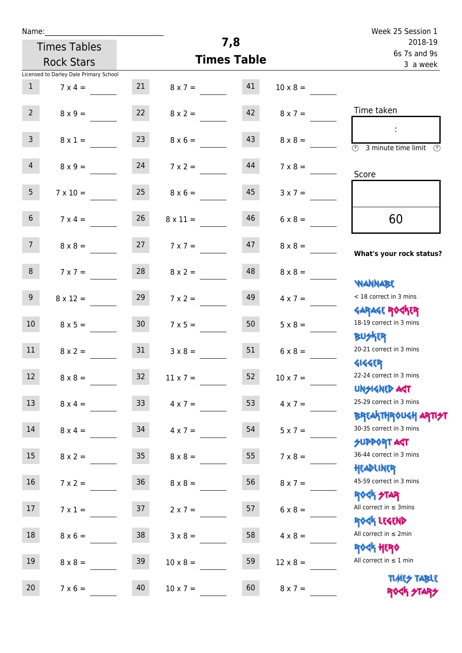| Name: |  |  |  |
|-------|--|--|--|
|       |  |  |  |

| Name:           |                                        |                 |                    |                          |                 | Week 25 Session 1                                                       |
|-----------------|----------------------------------------|-----------------|--------------------|--------------------------|-----------------|-------------------------------------------------------------------------|
|                 | <b>Times Tables</b>                    |                 | 7,8                | 2018-19                  |                 |                                                                         |
|                 | <b>Rock Stars</b>                      |                 | <b>Times Table</b> | 6s 7s and 9s<br>3 a week |                 |                                                                         |
|                 | Licensed to Darley Dale Primary School |                 |                    |                          |                 |                                                                         |
| $\mathbf{1}$    | $7 \times 4 =$                         | 21              | $8 \times 7 =$     | 41                       | $10 \times 8 =$ |                                                                         |
| $2^{\circ}$     | $8 \times 9 =$                         | 22              | $8 \times 2 =$     | 42                       | $8 \times 7 =$  | Time taken                                                              |
| 3 <sup>7</sup>  | $8 \times 1 =$                         | 23              | $8 \times 6 =$     | 43                       | $8 \times 8 =$  | ÷<br>$\overline{(\mathcal{V})}$<br>3 minute time limit<br>$\mathcal{O}$ |
| $\overline{4}$  | $8 \times 9 =$                         | 24              | $7 \times 2 =$     | 44                       | $7 \times 8 =$  | Score                                                                   |
| 5 <sup>5</sup>  | $7 \times 10 =$                        | 25              | $8 \times 6 =$     | 45                       | $3 \times 7 =$  |                                                                         |
| 6 <sup>1</sup>  | $7 \times 4 =$                         | 26              | $8 \times 11 =$    | 46                       | $6 \times 8 =$  | 60                                                                      |
| 7 <sup>7</sup>  | $8 \times 8 =$                         | 27              | $7 \times 7 =$     | 47                       | $8 \times 8 =$  | What's your rock status?                                                |
| 8               | $7 \times 7 =$                         | 28              | $8 \times 2 =$     | 48                       | $8 \times 8 =$  | <b>JARNARY</b>                                                          |
| 9 <sub>o</sub>  | $8 \times 12 =$                        | 29              | $7 \times 2 =$     | 49                       | $4 \times 7 =$  | < 18 correct in 3 mins<br><b>GARAGE ROCKER</b>                          |
| 10 <sup>°</sup> | $8 \times 5 =$                         | 30 <sup>°</sup> | $7 \times 5 =$     | 50                       | $5 \times 8 =$  | 18-19 correct in 3 mins<br><b>BUSKER</b>                                |
| 11              | $8 \times 2 =$                         | 31              | $3 \times 8 =$     | 51                       | $6 \times 8 =$  | 20-21 correct in 3 mins<br><b>4144EP</b>                                |
| 12              | $8 \times 8 =$                         | 32              | $11 \times 7 =$    | 52                       | $10 \times 7 =$ | 22-24 correct in 3 mins<br><b>UNSIGNED AGT</b>                          |
| 13 <sup>°</sup> | $8 \times 4 =$                         | 33              | $4 \times 7 =$     | 53                       | $4 \times 7 =$  | 25-29 correct in 3 mins<br><b>BREAKTHROUGH ARTI<del>S</del>T</b>        |
| 14              | $8 \times 4 =$                         | 34              | $4 \times 7 =$     | 54                       | $5 \times 7 =$  | 30-35 correct in 3 mins<br>SUPPORT ART                                  |
| 15 <sub>1</sub> | $8 \times 2 =$                         | 35              | $8 \times 8 =$     | 55                       | $7 \times 8 =$  | 36-44 correct in 3 mins<br>HEADLINER                                    |
| 16              | $7 \times 2 =$                         | 36 <sup>°</sup> | $8 \times 8 =$     | 56                       | $8 \times 7 =$  | 45-59 correct in 3 mins<br><b>ROCK STAR</b>                             |
| 17              | $7 \times 1 =$                         | 37              | $2 \times 7 =$     | 57                       | $6 \times 8 =$  | All correct in $\leq$ 3mins<br>ROCK LEGEND                              |
| 18              | $8 \times 6 =$                         | 38              | $3 \times 8 =$     | 58                       | $4 \times 8 =$  | All correct in $\leq 2$ min                                             |
| 19              | $8 \times 8 =$                         | 39              | $10 \times 8 =$    | 59                       | $12 \times 8 =$ | <b>ROGH HERO</b><br>All correct in $\leq 1$ min                         |
| 20              | $7 \times 6 =$                         | 40              | $10 \times 7 =$    | 60                       | $8 \times 7 =$  | <b>TIMES TABLE</b><br>ROCK STARS                                        |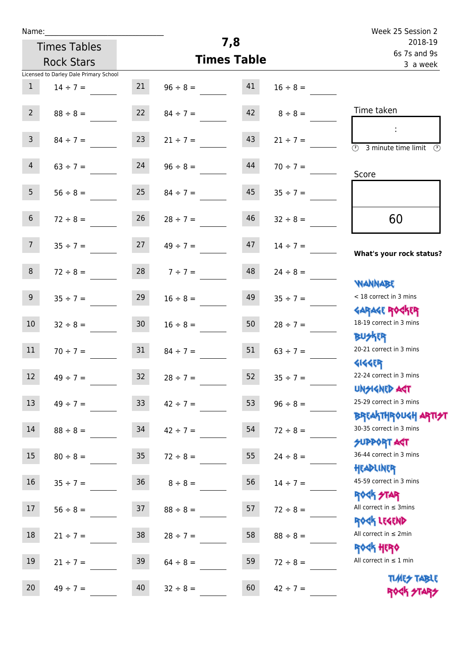| Name:           |                                        |                 |                    |                          |               | Week 25 Session 2                                                       |
|-----------------|----------------------------------------|-----------------|--------------------|--------------------------|---------------|-------------------------------------------------------------------------|
|                 | <b>Times Tables</b>                    |                 | 7,8                | 2018-19                  |               |                                                                         |
|                 | <b>Rock Stars</b>                      |                 | <b>Times Table</b> | 6s 7s and 9s<br>3 a week |               |                                                                         |
|                 | Licensed to Darley Dale Primary School |                 |                    |                          |               |                                                                         |
| $\mathbf{1}$    | $14 \div 7 =$                          | 21              | $96 \div 8 =$      | 41                       | $16 \div 8 =$ |                                                                         |
| $2^{\circ}$     | $88 \div 8 =$                          | 22              | $84 \div 7 =$      | 42                       | $8 \div 8 =$  | Time taken                                                              |
| $\mathsf{3}$    | $84 \div 7 =$                          | 23              | $21 \div 7 =$      | 43                       | $21 \div 7 =$ | ÷<br>$\overline{(\mathcal{V})}$<br>3 minute time limit<br>$\mathcal{O}$ |
| 4               | $63 \div 7 =$                          | 24              | $96 \div 8 =$      | 44                       | $70 \div 7 =$ | Score                                                                   |
| 5 <sub>1</sub>  | $56 \div 8 =$                          | 25              | $84 \div 7 =$      | 45                       | $35 \div 7 =$ |                                                                         |
| 6 <sup>1</sup>  | $72 \div 8 =$                          | 26              | $28 \div 7 =$      | 46                       | $32 \div 8 =$ | 60                                                                      |
| 7 <sup>7</sup>  | $35 \div 7 =$                          | 27              | $49 \div 7 =$      | 47                       | $14 \div 7 =$ | What's your rock status?                                                |
| 8               | $72 \div 8 =$                          | 28              | $7 ÷ 7 =$          | 48                       | $24 \div 8 =$ | <b>NANNABE</b>                                                          |
| 9               | $35 \div 7 =$                          | 29              | $16 \div 8 =$      | 49                       | $35 \div 7 =$ | < 18 correct in 3 mins<br><b>GARAGE ROCKER</b>                          |
| 10 <sup>°</sup> | $32 \div 8 =$                          | 30 <sub>2</sub> | $16 \div 8 =$      | 50                       | $28 \div 7 =$ | 18-19 correct in 3 mins<br><b>BUSKRR</b>                                |
| 11              | $70 \div 7 =$                          | 31              | $84 \div 7 =$      | 51                       | $63 \div 7 =$ | 20-21 correct in 3 mins<br><b>4144EP</b>                                |
| 12              | $49 \div 7 =$                          | 32              | $28 \div 7 =$      | 52                       | $35 ÷ 7 =$    | 22-24 correct in 3 mins<br><b>UNSIGNED AGT</b>                          |
| 13              | $49 \div 7 =$                          | 33 <sup>°</sup> | $42 \div 7 =$      | 53                       | $96 \div 8 =$ | 25-29 correct in 3 mins<br><b>BREAKTHROUGH ARTI<del>S</del>T</b>        |
| 14              | $88 \div 8 =$                          | 34              | $42 \div 7 =$      | 54                       | $72 \div 8 =$ | 30-35 correct in 3 mins<br><b>SUPPORT AGT</b>                           |
| 15              | $80 \div 8 =$                          | 35 <sub>1</sub> | $72 \div 8 =$      | 55                       | $24 \div 8 =$ | 36-44 correct in 3 mins<br>HEADLINER                                    |
| 16              | $35 \div 7 =$                          | 36 <sup>°</sup> | $8 \div 8 =$       | 56                       | $14 \div 7 =$ | 45-59 correct in 3 mins<br><b>ROCK STAR</b>                             |
| 17              | $56 \div 8 =$                          | 37              | $88 \div 8 =$      | 57                       | $72 \div 8 =$ | All correct in $\leq$ 3mins<br>ROCK LEGEND                              |
| 18              | $21 \div 7 =$                          | 38              | $28 \div 7 =$      | 58                       | $88 \div 8 =$ | All correct in $\leq 2$ min<br>ROCK HERO                                |
| 19              | $21 \div 7 =$                          | 39              | $64 \div 8 =$      | 59                       | $72 \div 8 =$ | All correct in $\leq 1$ min<br><b>TIMES TABLE</b>                       |
| 20              | $49 \div 7 =$                          | 40              | $32 \div 8 =$      | 60                       | $42 \div 7 =$ | ROCK STARS                                                              |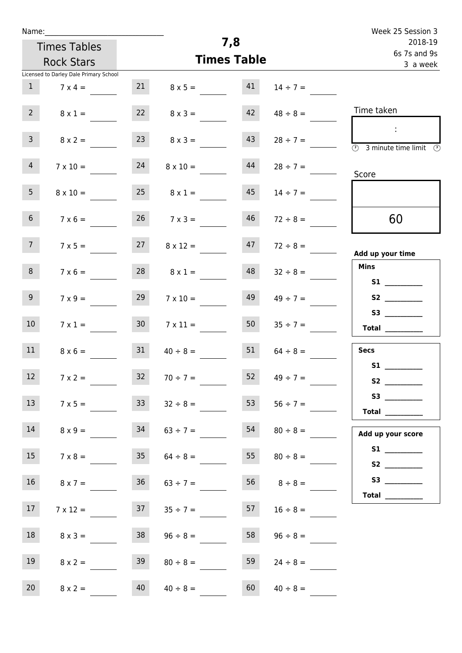| Name:                                |                                        |                    |                      |                         |                    | Week 25 Session 3                                                                                                                                                                                                                                       |
|--------------------------------------|----------------------------------------|--------------------|----------------------|-------------------------|--------------------|---------------------------------------------------------------------------------------------------------------------------------------------------------------------------------------------------------------------------------------------------------|
| <b>Times Tables</b>                  |                                        |                    | 7,8                  | 2018-19<br>6s 7s and 9s |                    |                                                                                                                                                                                                                                                         |
|                                      | <b>Rock Stars</b>                      | <b>Times Table</b> |                      |                         | 3 a week           |                                                                                                                                                                                                                                                         |
|                                      | Licensed to Darley Dale Primary School |                    |                      |                         |                    |                                                                                                                                                                                                                                                         |
| $\mathbf{1}$                         | $7 \times 4 =$                         |                    | 21 $8 \times 5 =$ 41 |                         | $14 \div 7 =$      |                                                                                                                                                                                                                                                         |
| $2^{\circ}$                          | $8 \times 1 =$                         | 22                 | $8 \times 3 =$       | 42                      | $48 \div 8 =$      | Time taken                                                                                                                                                                                                                                              |
| $\mathsf{3}$                         | $8 \times 2 =$                         | 23                 | $8 \times 3 =$       | 43                      | $28 \div 7 =$      | $\sim 10$<br>$\overline{\textcircled{1}}$ 3 minute time limit $\overline{\textcircled{1}}$                                                                                                                                                              |
| 4                                    | $7 \times 10 =$                        | 24                 | $8 \times 10 =$      | 44                      | $28 \div 7 =$      | Score                                                                                                                                                                                                                                                   |
| 5 <sub>1</sub>                       | $8 \times 10 =$                        | 25                 | $8 \times 1 =$       | 45                      | $14 \div 7 =$      |                                                                                                                                                                                                                                                         |
| 6 <sup>1</sup>                       | $7 \times 6 =$                         |                    | $26 \t 7 \times 3 =$ | 46                      | $72 \div 8 =$      | 60                                                                                                                                                                                                                                                      |
| 7 <sup>7</sup>                       | $7 \times 5 =$                         | 27                 | $8 \times 12 =$      | 47                      | $72 \div 8 =$      | Add up your time                                                                                                                                                                                                                                        |
| 8                                    | $7 \times 6 =$                         | 28                 | $8 \times 1 =$       | 48                      | $32 \div 8 =$      | <b>Mins</b><br><b>S1 S1</b>                                                                                                                                                                                                                             |
| 9                                    | $7 \times 9 =$                         | 29                 | $7 \times 10 =$      | 49                      | $49 \div 7 =$      |                                                                                                                                                                                                                                                         |
| 10 <sup>°</sup>                      | $7 \times 1 =$                         | 30 <sup>°</sup>    | $7 \times 11 =$      | 50                      | $35 \div 7 =$      | S3<br>$\begin{tabular}{c} Total \end{tabular}$                                                                                                                                                                                                          |
| 11                                   | $8 \times 6 =$                         | 31                 | $40 \div 8 =$        | 51                      | $64 \div 8 =$      | <b>Secs</b>                                                                                                                                                                                                                                             |
| <b>Contract</b><br>$12 \overline{ }$ | $7 \times 2 =$                         | 32                 | $70 \div 7 =$        | 52                      | $49 \div 7 =$      | <b>S1 S1</b><br>S <sub>2</sub> and the set of the set of the set of the set of the set of the set of the set of the set of the set of the set of the set of the set of the set of the set of the set of the set of the set of the set of the set of the |
| 13                                   | $7 \times 5 =$                         | 33                 | $32 \div 8 =$        | 53                      | $56 \div 7 =$      | S3<br>Total $\_\_$                                                                                                                                                                                                                                      |
| 14                                   | $8 \times 9 =$                         | 34                 | $63 \div 7 =$        | 54                      | $80 \div 8 =$      | Add up your score                                                                                                                                                                                                                                       |
| 15 <sub>15</sub>                     | $7 \times 8 =$                         | 35                 | $64 \div 8 =$        | 55                      | $80 \div 8 =$      | S2                                                                                                                                                                                                                                                      |
| 16                                   | $8 \times 7 =$                         | 36                 | $63 \div 7 =$        |                         | $56 \t 8 \div 8 =$ |                                                                                                                                                                                                                                                         |
| 17 <sub>1</sub>                      | $7 \times 12 =$                        | 37                 | $35 \div 7 =$        | 57                      | $16 \div 8 =$      | Total $\_\_$                                                                                                                                                                                                                                            |
| 18                                   | $8 \times 3 =$                         | 38                 | $96 \div 8 =$        | 58                      | $96 \div 8 =$      |                                                                                                                                                                                                                                                         |
| 19                                   | $8 \times 2 =$                         | 39                 | $80 \div 8 =$        | 59                      | $24 \div 8 =$      |                                                                                                                                                                                                                                                         |
| 20                                   | $8 \times 2 =$                         | 40                 | $40 \div 8 =$        | 60                      | $40 \div 8 =$      |                                                                                                                                                                                                                                                         |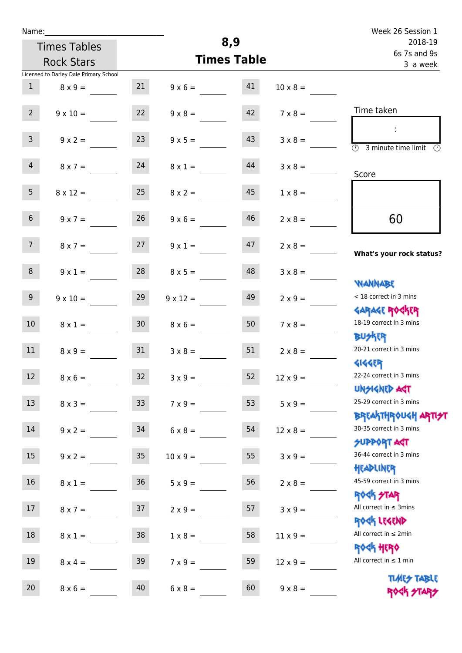| Name: |  |  |  |
|-------|--|--|--|
|       |  |  |  |

|                 | Name:                                  |                 |                 |                    |                 | Week 26 Session 1                                                |
|-----------------|----------------------------------------|-----------------|-----------------|--------------------|-----------------|------------------------------------------------------------------|
|                 | <b>Times Tables</b>                    |                 |                 | 8,9                |                 | 2018-19<br>6s 7s and 9s                                          |
|                 | <b>Rock Stars</b>                      |                 |                 | <b>Times Table</b> |                 | 3 a week                                                         |
|                 | Licensed to Darley Dale Primary School |                 |                 |                    |                 |                                                                  |
| 1               | $8 \times 9 =$                         | 21              | $9 \times 6 =$  | 41                 | $10 \times 8 =$ |                                                                  |
| $2^{\circ}$     | $9 \times 10 =$                        | 22              | $9 \times 8 =$  | 42                 | $7 \times 8 =$  | Time taken                                                       |
| $\overline{3}$  | $9 \times 2 =$                         | 23              | $9 \times 5 =$  | 43                 | $3 \times 8 =$  | $\sim 10$<br>3 minute time limit<br>(F)                          |
| 4               | $8 \times 7 =$                         | 24              | $8 \times 1 =$  | 44                 | $3 \times 8 =$  | Score                                                            |
| 5 <sub>1</sub>  | $8 \times 12 =$                        | 25              | $8 \times 2 =$  | 45                 | $1 \times 8 =$  |                                                                  |
| 6 <sup>1</sup>  | $9 \times 7 =$                         | 26              | $9 \times 6 =$  | 46                 | $2 \times 8 =$  | 60                                                               |
| 7 <sup>7</sup>  | $8 \times 7 =$                         | 27              | $9 \times 1 =$  | 47                 | $2 \times 8 =$  | What's your rock status?                                         |
| 8               | $9 \times 1 =$                         | 28              | $8 \times 5 =$  | 48                 | $3 \times 8 =$  | <b>WANNABE</b>                                                   |
| 9               | $9 \times 10 =$                        | 29              | $9 \times 12 =$ | 49                 | $2 \times 9 =$  | < 18 correct in 3 mins                                           |
| 10 <sup>°</sup> | $8 \times 1 =$                         | 30 <sup>°</sup> | $8 \times 6 =$  | 50                 | $7 \times 8 =$  | <b>GARAGE ROCKER</b><br>18-19 correct in 3 mins                  |
| 11              | $8 \times 9 =$                         | 31              | $3 \times 8 =$  | 51                 | $2 \times 8 =$  | <b>BUSKER</b><br>20-21 correct in 3 mins                         |
| 12              | $8 \times 6 =$                         | 32              | $3 \times 9 =$  | 52                 | $12 \times 9 =$ | 41445<br>22-24 correct in 3 mins                                 |
| 13              | $8 \times 3 =$                         | 33              | $7 \times 9 =$  | 53                 | $5 \times 9 =$  | <b>UNGIGNED AGT</b><br>25-29 correct in 3 mins                   |
| 14              | $9 \times 2 =$                         | 34              | $6 \times 8 =$  | 54                 | $12 \times 8 =$ | <b>BREAKTHROUGH ARTI<del>S</del>T</b><br>30-35 correct in 3 mins |

15  $9 \times 2 =$  35  $10 \times 9 =$  55  $3 \times 9 =$ 

16  $8 \times 1 = 36$   $5 \times 9 = 56$   $2 \times 8 = 5$ 

17  $8 \times 7 = 37$   $2 \times 9 = 57$   $3 \times 9 = 3$ 

18  $8 \times 1 = 38$   $1 \times 8 = 58$   $11 \times 9 = 58$ 

19  $8 \times 4 = 39$   $7 \times 9 = 59$   $12 \times 9 =$ 

20  $8 \times 6 =$  40  $6 \times 8 =$  60  $9 \times 8 =$ 

SUPPORT AGT 36-44 correct in 3 mins

Headliner 45-59 correct in 3 mins

**ROCK STAR** 

All correct in  $\leq 3$ mins

Rock Legend

All correct in  $\leq 2$ min

Rock Hero

All correct in  $\leq 1$  min

TIME<del>S</del> TABLE ROCK STAP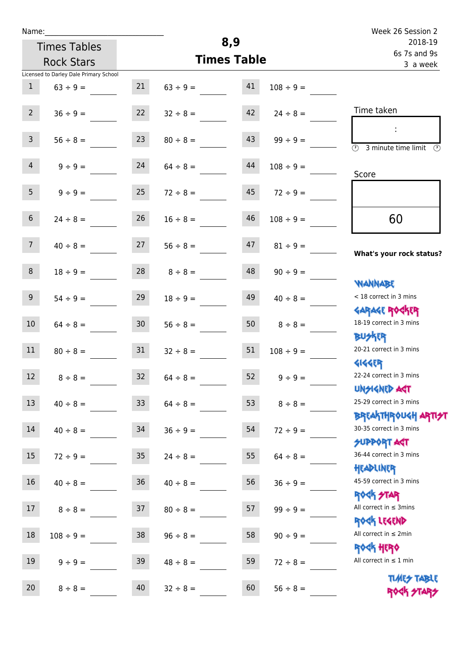| Name:          |                                        |                 |                    |                                     |                | Week 26 Session 2                                                     |
|----------------|----------------------------------------|-----------------|--------------------|-------------------------------------|----------------|-----------------------------------------------------------------------|
|                | <b>Times Tables</b>                    |                 | 8,9                | 2018-19<br>6s 7s and 9s<br>3 a week |                |                                                                       |
|                | <b>Rock Stars</b>                      |                 | <b>Times Table</b> |                                     |                |                                                                       |
|                | Licensed to Darley Dale Primary School |                 |                    |                                     |                |                                                                       |
| $\mathbf{1}$   | $63 \div 9 =$                          | 21              | $63 \div 9 =$      | 41                                  | $108 \div 9 =$ |                                                                       |
| $2^{\circ}$    | $36 \div 9 =$                          | 22              | $32 \div 8 =$      | 42                                  | $24 \div 8 =$  | Time taken                                                            |
| 3 <sup>7</sup> | $56 \div 8 =$                          | 23              | $80 \div 8 =$      | 43                                  | $99 \div 9 =$  | ÷<br>$\overline{\mathcal{O}}$<br>3 minute time limit<br>$\mathcal{O}$ |
| $\overline{4}$ | $9 \div 9 =$                           | 24              | $64 \div 8 =$      | 44                                  | $108 \div 9 =$ | Score                                                                 |
| 5 <sub>1</sub> | $9 ÷ 9 =$                              | 25              | $72 \div 8 =$      | 45                                  | $72 \div 9 =$  |                                                                       |
| 6 <sup>1</sup> | $24 \div 8 =$                          | 26              | $16 \div 8 =$      | 46                                  | $108 \div 9 =$ | 60                                                                    |
| 7 <sup>7</sup> | $40 \div 8 =$                          | 27              | $56 \div 8 =$      | 47                                  | $81 \div 9 =$  | What's your rock status?                                              |
| 8              | $18 \div 9 =$                          | 28              | $8 \div 8 =$       | 48                                  | $90 \div 9 =$  |                                                                       |
| 9 <sup>°</sup> | $54 \div 9 =$                          | 29              | $18 \div 9 =$      | 49                                  | $40 \div 8 =$  | <b>NANNABE</b><br>< 18 correct in 3 mins                              |
| 10             | $64 \div 8 =$                          | 30 <sup>°</sup> | $56 \div 8 =$      | 50                                  | $8 \div 8 =$   | <b>GARAGE ROGKER</b><br>18-19 correct in 3 mins                       |
| 11             | $80 \div 8 =$                          | 31              | $32 \div 8 =$      | 51                                  | $108 \div 9 =$ | <b>BUSKER</b><br>20-21 correct in 3 mins                              |
| 12             | $8 \div 8 =$                           | 32              | $64 \div 8 =$      | 52                                  | $9 ÷ 9 =$      | <b>4144EP</b><br>22-24 correct in 3 mins<br><b>UNSIGNED AST</b>       |
| 13             | $40 \div 8 =$                          | 33 <sup>°</sup> | $64 \div 8 =$      | 53                                  | $8 \div 8 =$   | 25-29 correct in 3 mins                                               |
| 14             | $40 \div 8 =$                          | 34              | $36 ÷ 9 =$         | 54                                  | $72 \div 9 =$  | BREAKTHRÓUGH ARTI <del>2</del> 1<br>30-35 correct in 3 mins           |
| 15             | $72 \div 9 =$                          | 35 <sub>o</sub> | $24 \div 8 =$      | 55                                  | $64 \div 8 =$  | <b>SUPPORT AGT</b><br>36-44 correct in 3 mins                         |
| 16             | $40 \div 8 =$                          | 36              | $40 \div 8 =$      | 56                                  | $36 ÷ 9 =$     | HEADLINER<br>45-59 correct in 3 mins                                  |
| 17             | $8 \div 8 =$                           | 37              | $80 \div 8 =$      | 57                                  | $99 \div 9 =$  | <b>ROCK STAR</b><br>All correct in $\leq$ 3mins                       |
| 18             | $108 \div 9 =$                         | 38              | $96 \div 8 =$      | 58                                  | $90 \div 9 =$  | ROCK LEGEND<br>All correct in $\leq 2$ min                            |
| 19             | $9 ÷ 9 =$                              | 39              | $48 \div 8 =$      | 59                                  | $72 \div 8 =$  | ROCK HERO<br>All correct in $\leq 1$ min                              |
| 20             | $8 \div 8 =$                           | 40              | $32 \div 8 =$      | 60                                  | $56 \div 8 =$  | <b>TIMES TABLE</b><br>ROCK STARS                                      |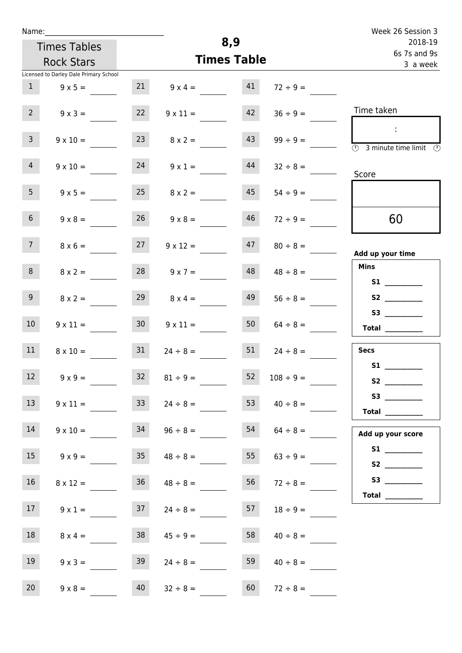| Name: |  |  |  |
|-------|--|--|--|
|       |  |  |  |

| Name:           |                                                          |                           |                     |    |                                     | Week 26 Session 3                                |
|-----------------|----------------------------------------------------------|---------------------------|---------------------|----|-------------------------------------|--------------------------------------------------|
|                 | <b>Times Tables</b><br><b>Rock Stars</b>                 | 8,9<br><b>Times Table</b> |                     |    | 2018-19<br>6s 7s and 9s<br>3 a week |                                                  |
| 1               | Licensed to Darley Dale Primary School<br>$9 \times 5 =$ | 21                        | $9 \times 4 =$      | 41 | $72 \div 9 =$                       |                                                  |
| $2^{\circ}$     | $9 \times 3 =$                                           | 22                        | $9 \times 11 =$     | 42 | $36 \div 9 =$                       | Time taken                                       |
| 3 <sup>7</sup>  | $9 \times 10 =$                                          | 23                        | $8 \times 2 =$      | 43 | $99 \div 9 =$                       | $\overline{\textcircled{1}}$ 3 minute time limit |
| $\overline{4}$  | $9 \times 10 =$                                          | 24                        | $9 \times 1 =$      | 44 | $32 \div 8 =$                       | Score                                            |
| 5 <sub>1</sub>  | $9 \times 5 =$                                           | 25                        | $8 \times 2 =$      | 45 | $54 \div 9 =$                       |                                                  |
| 6 <sup>1</sup>  | $9 \times 8 =$                                           | 26                        | $9 \times 8 =$      | 46 | $72 \div 9 =$                       | 60                                               |
| 7 <sup>7</sup>  | $8 \times 6 =$                                           | 27                        | $9 \times 12 =$     | 47 | $80 \div 8 =$                       | Add up your time                                 |
| 8               | $8 \times 2 =$                                           |                           | $28$ $9 \times 7 =$ | 48 | $48 \div 8 =$                       | <b>Mins</b><br><b>S1 S1</b>                      |
| 9 <sub>o</sub>  | $8 \times 2 =$                                           | 29                        | $8 \times 4 =$      | 49 | $56 \div 8 =$                       | S2<br>S3                                         |
| 10 <sup>°</sup> | $9 \times 11 =$                                          | 30 <sub>o</sub>           | $9 \times 11 =$     | 50 | $64 \div 8 =$                       | Total $\qquad$                                   |
| 11              | $8 \times 10 =$                                          | 31                        | $24 \div 8 =$       | 51 | $24 \div 8 =$                       | <b>Secs</b><br>S1                                |
| 12              | $9 \times 9 =$                                           | 32                        | $81 \div 9 =$       | 52 | $108 \div 9 =$                      |                                                  |
| 13              | $9 \times 11 =$                                          | 33                        | $24 \div 8 =$       | 53 | $40 \div 8 =$                       | S3<br>Total $\qquad$                             |
| 14              | $9 \times 10 =$                                          | 34                        | $96 \div 8 =$       | 54 | $64 \div 8 =$                       | Add up your score                                |
| 15              | $9 \times 9 =$                                           | 35                        | $48 \div 8 =$       | 55 | $63 \div 9 =$                       |                                                  |
| $16\,$          | $8 \times 12 =$                                          | 36                        | $48 \div 8 =$       | 56 | $72 \div 8 =$                       | Total $\_\_$                                     |
| 17 <sup>7</sup> | $9 \times 1 =$                                           | 37                        | $24 \div 8 =$       | 57 | $18 \div 9 =$                       |                                                  |
| 18              | $8 \times 4 =$                                           | 38                        | $45 \div 9 =$       | 58 | $40 \div 8 =$                       |                                                  |

19  $9 \times 3 =$  39  $24 \div 8 =$  59  $40 \div 8 =$ 

20  $9 \times 8 =$   $40$   $32 \div 8 =$   $60$   $72 \div 8 =$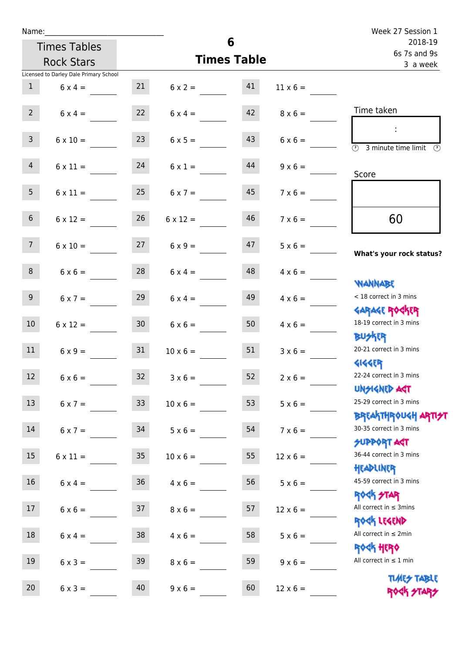| Week 27 Session 1                                                |                                         | 6                   |                                     |                 |                                        | Name:           |
|------------------------------------------------------------------|-----------------------------------------|---------------------|-------------------------------------|-----------------|----------------------------------------|-----------------|
| 2018-19<br>6s 7s and 9s                                          |                                         | <b>Times Tables</b> |                                     |                 |                                        |                 |
| 3 a week                                                         | <b>Times Table</b>                      | <b>Rock Stars</b>   |                                     |                 |                                        |                 |
|                                                                  |                                         |                     |                                     |                 | Licensed to Darley Dale Primary School |                 |
|                                                                  | $11 \times 6 =$                         |                     | $6 \times 2 = 41$                   | 21              | $6 \times 4 =$                         | 1               |
| Time taken                                                       | $8 \times 6 =$                          | 42                  | $6 \times 4 =$                      | 22              | $6 \times 4 =$                         | $2^{\circ}$     |
| $\sim$<br>$\overline{\textcircled{2}}$ 3 minute time limit       | $6 \times 6 =$                          | 43                  | $6 \times 5 =$                      | 23              | $6 \times 10 =$                        | $\mathsf{3}$    |
| Score                                                            | $9 \times 6 =$                          | 44                  | $6 \times 1 =$                      |                 | $6 \times 11 = 24$                     | $\overline{4}$  |
|                                                                  | $7 \times 6 =$                          | 45                  | $6 \times 7 =$                      | 25              | $6 \times 11 =$                        | 5 <sub>1</sub>  |
| 60                                                               | $7 \times 6 =$                          | 46                  | $6 \times 12 =$                     | 26              | $6 \times 12 =$                        | 6 <sup>1</sup>  |
| What's your rock status?                                         | $5 \times 6 = \underline{\hspace{1cm}}$ | 47                  | $6 \times 10 = 27$ $6 \times 9 = 6$ |                 |                                        | 7 <sup>7</sup>  |
| <b>JARNARY</b>                                                   | $4 \times 6 =$                          | 48                  | $6 \times 4 =$                      | 28              | $6 \times 6 =$                         | 8               |
| < 18 correct in 3 mins<br><b>GARAGE ROCKER</b>                   | $4 \times 6 =$                          | 49                  | $6 \times 4 =$                      | 29              | $6 \times 7 =$                         | 9 <sub>o</sub>  |
| 18-19 correct in 3 mins<br><b>BU分下</b>                           | $4 \times 6 =$                          |                     | $6 \times 6 = 50$                   | 30              | $6 \times 12 =$                        | 10 <sup>°</sup> |
| 20-21 correct in 3 mins<br><b>4144ER</b>                         | $3 \times 6 =$                          | 51                  | $10 \times 6 =$                     | 31              | $6 \times 9 =$                         | 11              |
| 22-24 correct in 3 mins<br><b>UNSIGNED AGT</b>                   | $2 \times 6 =$                          | 52                  | $3 \times 6 =$                      | 32 <sup>°</sup> | $6 \times 6 =$                         | 12 <sup>7</sup> |
| 25-29 correct in 3 mins<br><b>BREAKTHROUGH ARTI<del>S</del>T</b> | $5 \times 6 =$                          | 53                  | $10 \times 6 =$                     | 33              | $6 \times 7 =$                         | 13              |
| 30-35 correct in 3 mins<br><b>SUPPORT AGT</b>                    | $7 \times 6 =$                          | 54                  | $5 \times 6 =$                      | 34              | $6 \times 7 =$                         | 14              |
| 36-44 correct in 3 mins<br>HEADLINER                             | $12 \times 6 =$                         | 55                  | $10 \times 6 =$                     | 35 <sub>o</sub> | $6 \times 11 =$                        | 15              |
| 45-59 correct in 3 mins<br>ROGK STAR                             | $5 \times 6 =$                          | 56                  | $4 \times 6 =$                      | 36 <sub>2</sub> | $6 \times 4 =$                         | 16 <sup>1</sup> |
| All correct in $\leq$ 3mins<br>ROCK LEGEND                       | $12 \times 6 =$                         | 57                  | $8 \times 6 =$                      | 37              | $6 \times 6 =$                         | 17              |
| All correct in $\leq 2$ min<br><b>ROCK HERO</b>                  | $5 \times 6 =$                          | 58                  | $4 \times 6 =$                      | 38              | $6 \times 4 =$                         | 18              |
| All correct in $\leq 1$ min                                      | $9 \times 6 =$                          | 59                  | $8 \times 6 =$                      | 39              | $6 \times 3 =$                         | 19              |
| <b>TUARS TABLE</b><br>ROCK STARS                                 | $12 \times 6 =$                         | 60                  | $9 \times 6 =$                      | 40              | $6 \times 3 =$                         | 20              |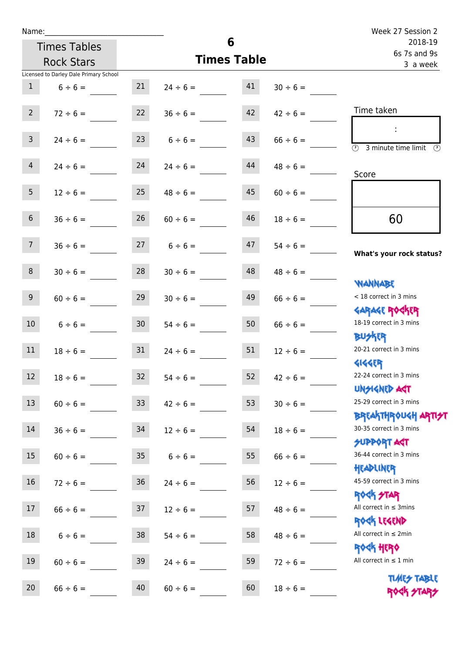| Name:                                    |                 |                    | 6                       |               | Week 27 Session 2                                                |
|------------------------------------------|-----------------|--------------------|-------------------------|---------------|------------------------------------------------------------------|
| <b>Times Tables</b>                      |                 |                    | 2018-19<br>6s 7s and 9s |               |                                                                  |
| <b>Rock Stars</b>                        |                 |                    | <b>Times Table</b>      |               | 3 a week                                                         |
| Licensed to Darley Dale Primary School   |                 |                    |                         |               |                                                                  |
| 1<br>$6 \div 6 =$                        | 21              | $24 \div 6 =$      | 41                      | $30 \div 6 =$ |                                                                  |
| $2^{\circ}$<br>$72 \div 6 =$             | 22              | $36 \div 6 =$      | 42                      | $42 \div 6 =$ | Time taken                                                       |
| $\overline{\mathbf{3}}$<br>$24 \div 6 =$ |                 | $6 \div 6 =$       | 43                      | $66 \div 6 =$ | 3 minute time limit                                              |
| $\overline{4}$<br>$24 \div 6 =$          | 24              | $24 \div 6 =$      | 44                      | $48 \div 6 =$ | Score                                                            |
| 5 <sup>1</sup><br>$12 \div 6 =$          | 25              | $48 \div 6 =$      | 45                      | $60 \div 6 =$ |                                                                  |
| 6 <sup>1</sup><br>$36 \div 6 =$          | 26              | $60 \div 6 =$      | 46                      | $18 \div 6 =$ | 60                                                               |
| 7 <sup>7</sup><br>$36 \div 6 =$          |                 | $27 \t 6 \div 6 =$ | 47                      | $54 \div 6 =$ | What's your rock status?                                         |
| 8<br>$30 \div 6 =$                       | 28              | $30 \div 6 =$      | 48                      | $48 \div 6 =$ | <b>NANNABE</b>                                                   |
| 9 <sub>o</sub><br>$60 \div 6 =$          | 29              | $30 \div 6 =$      | 49                      | $66 \div 6 =$ | < 18 correct in 3 mins<br><b>GARAGE ROCKER</b>                   |
| 10 <sup>°</sup><br>$6 \div 6 =$          | 30 <sup>7</sup> | $54 \div 6 =$      | 50                      | $66 \div 6 =$ | 18-19 correct in 3 mins<br><b>BUSKER</b>                         |
| 11<br>$18 \div 6 =$                      | 31              | $24 \div 6 =$      | 51                      | $12 \div 6 =$ | 20-21 correct in 3 mins<br><b>4144EP</b>                         |
| 12<br>$18 \div 6 =$                      | 32              | $54 \div 6 =$      | 52                      | $42 \div 6 =$ | 22-24 correct in 3 mins<br><b>UNSIGNED AST</b>                   |
| 13<br>$60 \div 6 =$                      | 33 <sup>°</sup> | $42 \div 6 =$      | 53                      | $30 \div 6 =$ | 25-29 correct in 3 mins<br><b>BREAKTHROUGH ARTI<del>S</del>T</b> |
| 14<br>$36 \div 6 =$                      | 34              | $12 \div 6 =$      | 54                      | $18 \div 6 =$ | 30-35 correct in 3 mins<br><b>SUPPORT AGT</b>                    |
| 15<br>$60 \div 6 =$                      | 35 <sub>o</sub> | $6 \div 6 =$       | 55                      | $66 \div 6 =$ | 36-44 correct in 3 mins<br>HEADLINER                             |
| 16<br>$72 \div 6 =$                      | 36              | $24 \div 6 =$      | 56                      | $12 \div 6 =$ | 45-59 correct in 3 mins<br><b>ROCK STAR</b>                      |
| 17<br>$66 \div 6 =$                      | 37              | $12 \div 6 =$      | 57                      | $48 \div 6 =$ | All correct in $\leq$ 3mins<br>ROCK LEGEND                       |
| 18<br>$6 \div 6 =$                       | 38              | $54 \div 6 =$      | 58                      | $48 \div 6 =$ | All correct in $\leq 2$ min<br><b>ROCK HERO</b>                  |
| 19<br>$60 \div 6 =$                      | 39              | $24 \div 6 =$      | 59                      | $72 \div 6 =$ | All correct in $\leq 1$ min                                      |
| 20<br>$66 \div 6 =$                      | 40              | $60 \div 6 =$      | 60                      | $18 \div 6 =$ | <b>TUARS TABLE</b><br>ROCK STARS                                 |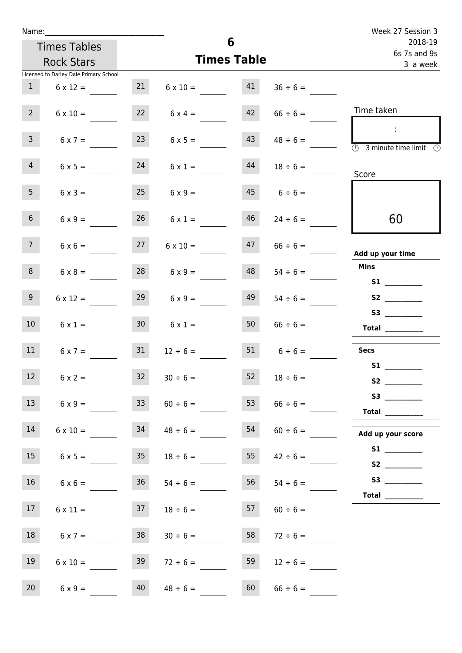| Name:          |                                        |                 |                 |                    |                    | Week 27 Session 3                                                                                                                                                                                                                                                                                                                                                                                                                                                                                                                                                                                                   |
|----------------|----------------------------------------|-----------------|-----------------|--------------------|--------------------|---------------------------------------------------------------------------------------------------------------------------------------------------------------------------------------------------------------------------------------------------------------------------------------------------------------------------------------------------------------------------------------------------------------------------------------------------------------------------------------------------------------------------------------------------------------------------------------------------------------------|
|                | <b>Times Tables</b>                    |                 |                 | 6                  |                    | 2018-19<br>6s 7s and 9s                                                                                                                                                                                                                                                                                                                                                                                                                                                                                                                                                                                             |
|                | <b>Rock Stars</b>                      |                 |                 | <b>Times Table</b> |                    | 3 a week                                                                                                                                                                                                                                                                                                                                                                                                                                                                                                                                                                                                            |
|                | Licensed to Darley Dale Primary School |                 |                 |                    |                    |                                                                                                                                                                                                                                                                                                                                                                                                                                                                                                                                                                                                                     |
| $\mathbf{1}$   | $6 \times 12 =$                        | 21              | $6 \times 10 =$ | 41                 | $36 \div 6 =$      |                                                                                                                                                                                                                                                                                                                                                                                                                                                                                                                                                                                                                     |
| $2^{\circ}$    | $6 \times 10 =$                        | 22              | $6 \times 4 =$  | 42                 | $66 \div 6 =$      | Time taken                                                                                                                                                                                                                                                                                                                                                                                                                                                                                                                                                                                                          |
| 3 <sup>7</sup> | $6 \times 7 =$                         | 23              | $6 \times 5 =$  | 43                 | $48 \div 6 =$      | $\mathbb{R}^n$<br>3 minute time limit<br>$\odot$                                                                                                                                                                                                                                                                                                                                                                                                                                                                                                                                                                    |
| $\overline{4}$ | $6 \times 5 =$                         | 24              | $6 \times 1 =$  | 44                 | $18 \div 6 =$      | Score                                                                                                                                                                                                                                                                                                                                                                                                                                                                                                                                                                                                               |
| 5 <sub>1</sub> | $6 \times 3 =$                         | 25              | $6 \times 9 =$  | 45                 | $6 \div 6 =$       |                                                                                                                                                                                                                                                                                                                                                                                                                                                                                                                                                                                                                     |
| 6 <sup>1</sup> | $6 \times 9 =$                         | 26              | $6 \times 1 =$  | 46                 | $24 \div 6 =$      | 60                                                                                                                                                                                                                                                                                                                                                                                                                                                                                                                                                                                                                  |
| 7 <sup>7</sup> | $6 \times 6 =$                         | 27              | $6 \times 10 =$ | 47                 | $66 \div 6 =$      | Add up your time                                                                                                                                                                                                                                                                                                                                                                                                                                                                                                                                                                                                    |
| 8              | $6 \times 8 =$                         | 28              | $6 \times 9 =$  | 48                 | $54 \div 6 =$      | <b>Mins</b><br><b>S1 S1</b>                                                                                                                                                                                                                                                                                                                                                                                                                                                                                                                                                                                         |
| 9              | $6 \times 12 =$                        | 29              | $6 \times 9 =$  | 49                 | $54 \div 6 =$      |                                                                                                                                                                                                                                                                                                                                                                                                                                                                                                                                                                                                                     |
| 10             | $6 \times 1 =$                         | 30 <sup>°</sup> | $6 \times 1 =$  | 50                 | $66 \div 6 =$      | $\begin{tabular}{c} Total & \underline{\hspace{1cm}} & \underline{\hspace{1cm}} & \underline{\hspace{1cm}} & \underline{\hspace{1cm}} & \underline{\hspace{1cm}} & \underline{\hspace{1cm}} & \underline{\hspace{1cm}} & \underline{\hspace{1cm}} & \underline{\hspace{1cm}} & \underline{\hspace{1cm}} & \underline{\hspace{1cm}} & \underline{\hspace{1cm}} & \underline{\hspace{1cm}} & \underline{\hspace{1cm}} & \underline{\hspace{1cm}} & \underline{\hspace{1cm}} & \underline{\hspace{1cm}} & \underline{\hspace{1cm}} & \underline{\hspace{1cm}} & \underline{\hspace{1cm}} & \underline{\hspace{1cm}} &$ |
| 11             | $6 \times 7 =$                         | 31              | $12 \div 6 =$   |                    | $51 \t 6 \div 6 =$ | <b>Secs</b>                                                                                                                                                                                                                                                                                                                                                                                                                                                                                                                                                                                                         |
| 12             | $6 \times 2 =$                         | 32              | $30 \div 6 =$   | 52                 | $18 \div 6 =$      |                                                                                                                                                                                                                                                                                                                                                                                                                                                                                                                                                                                                                     |
| 13             | $6 \times 9 =$                         | 33 <sup>°</sup> | $60 \div 6 =$   | 53                 | $66 \div 6 =$      | S3<br>Total $\_\_$                                                                                                                                                                                                                                                                                                                                                                                                                                                                                                                                                                                                  |
| 14             | $6 \times 10 =$                        | 34              | $48 \div 6 =$   | 54                 | $60 \div 6 =$      | Add up your score                                                                                                                                                                                                                                                                                                                                                                                                                                                                                                                                                                                                   |
| 15             | $6 \times 5 =$                         | 35              | $18 \div 6 =$   | 55                 | $42 \div 6 =$      | S <sub>2</sub> and the set of the set of the set of the set of the set of the set of the set of the set of the set of the set of the set of the set of the set of the set of the set of the set of the set of the set of the set of the                                                                                                                                                                                                                                                                                                                                                                             |
| 16             | $6 \times 6 =$                         | 36              | $54 \div 6 =$   | 56                 | $54 \div 6 =$      |                                                                                                                                                                                                                                                                                                                                                                                                                                                                                                                                                                                                                     |
| 17             | $6 \times 11 =$                        | 37              | $18 \div 6 =$   | 57                 | $60 \div 6 =$      | Total $\_\_$                                                                                                                                                                                                                                                                                                                                                                                                                                                                                                                                                                                                        |
| 18             | $6 \times 7 =$                         | 38              | $30 \div 6 =$   | 58                 | $72 \div 6 =$      |                                                                                                                                                                                                                                                                                                                                                                                                                                                                                                                                                                                                                     |
| 19             | $6 \times 10 =$                        | 39              | $72 \div 6 =$   | 59                 | $12 \div 6 =$      |                                                                                                                                                                                                                                                                                                                                                                                                                                                                                                                                                                                                                     |
| 20             | $6 \times 9 =$                         | 40              | $48 \div 6 =$   | 60                 | $66 \div 6 =$      |                                                                                                                                                                                                                                                                                                                                                                                                                                                                                                                                                                                                                     |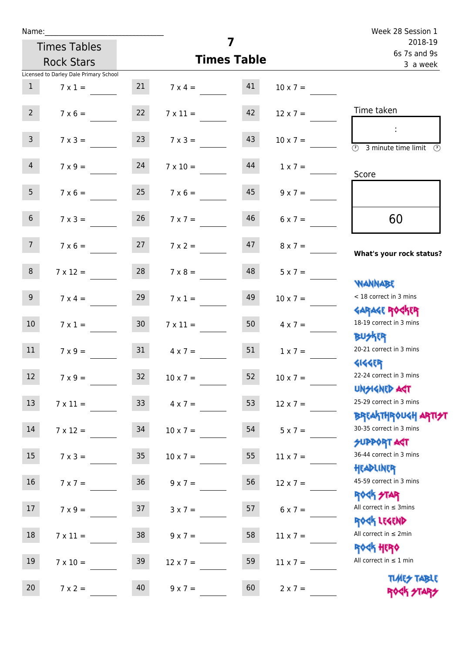| Name:           |                                        |                 |                      | 7                       |                 | Week 28 Session 1                                                  |
|-----------------|----------------------------------------|-----------------|----------------------|-------------------------|-----------------|--------------------------------------------------------------------|
|                 | <b>Times Tables</b>                    |                 |                      | 2018-19<br>6s 7s and 9s |                 |                                                                    |
|                 | <b>Rock Stars</b>                      |                 |                      | <b>Times Table</b>      |                 | 3 a week                                                           |
|                 | Licensed to Darley Dale Primary School |                 |                      |                         |                 |                                                                    |
| 1               | $7 \times 1 =$                         |                 | 21 $7 \times 4 =$ 41 |                         | $10 \times 7 =$ |                                                                    |
| $2^{\circ}$     | $7 \times 6 =$                         | 22              | $7 \times 11 =$      | 42                      | $12 \times 7 =$ | Time taken                                                         |
| 3 <sup>7</sup>  | $7 \times 3 =$                         | 23              | $7 \times 3 =$       | 43                      | $10 \times 7 =$ | $\overline{\textcircled{2}}$ 3 minute time limit $\textcircled{2}$ |
| $\overline{4}$  | $7 \times 9 = 24$                      |                 | $7 \times 10 =$      | 44                      | $1 \times 7 =$  | Score                                                              |
| 5 <sub>1</sub>  | $7 \times 6 =$                         | 25              | $7 \times 6 =$       | 45                      | $9 \times 7 =$  |                                                                    |
| 6 <sup>1</sup>  | $7 \times 3 =$                         | 26              | $7 \times 7 =$       | 46                      | $6 \times 7 =$  | 60                                                                 |
| 7 <sup>7</sup>  | $7 \times 6 = 27$                      |                 | $7 \times 2 =$       | 47                      | $8 \times 7 =$  | What's your rock status?                                           |
| 8               | $7 \times 12 =$                        | 28              | $7 \times 8 =$       | 48                      | $5 \times 7 =$  | <b>JARNARY</b>                                                     |
| 9 <sub>o</sub>  | $7 \times 4 =$                         | 29              | $7 \times 1 =$       | 49                      | $10 \times 7 =$ | < 18 correct in 3 mins                                             |
| 10 <sup>°</sup> | $7 \times 1 = 30$                      |                 | $7 \times 11 =$      | 50                      | $4 \times 7 =$  | <b>GARAGE ROGKER</b><br>18-19 correct in 3 mins<br><b>BUSKER</b>   |
| 11              | $7 \times 9 =$                         |                 | $31 \t 4 \times 7 =$ | 51                      | $1 \times 7 =$  | 20-21 correct in 3 mins<br><b>4144EP</b>                           |
| 12              | $7 \times 9 =$                         | 32              | $10 \times 7 =$      | 52                      | $10 \times 7 =$ | 22-24 correct in 3 mins<br><b>UNSIGNED AGT</b>                     |
| 13              | $7 \times 11 =$                        | 33 <sup>°</sup> | $4 \times 7 =$       | 53                      | $12 \times 7 =$ | 25-29 correct in 3 mins<br><b>BREAKTHROUGH ARTI<del>S</del>T</b>   |
| 14              | $7 \times 12 =$                        | 34              | $10 \times 7 =$      | 54                      | $5 \times 7 =$  | 30-35 correct in 3 mins<br><b>SUPPORT AGT</b>                      |
| 15              | $7 \times 3 =$                         | 35 <sub>o</sub> | $10 \times 7 =$      | 55                      | $11 \times 7 =$ | 36-44 correct in 3 mins<br>HEADLINER                               |
| 16              | $7 \times 7 =$                         | $36\,$          | $9 \times 7 =$       | 56                      | $12 \times 7 =$ | 45-59 correct in 3 mins<br><b>ROCK STAR</b>                        |
| 17              | $7 \times 9 =$                         | 37              | $3 \times 7 =$       | 57                      | $6 \times 7 =$  | All correct in $\leq$ 3mins<br>ROCK LEGEND                         |
| $18\,$          | $7 \times 11 =$                        | 38              | $9 \times 7 =$       | 58                      | $11 \times 7 =$ | All correct in $\leq 2$ min                                        |
| 19              | $7 \times 10 =$                        | 39              | $12 \times 7 =$      | 59                      | $11 \times 7 =$ | <b>ROCK HERO</b><br>All correct in $\leq 1$ min                    |
| 20              | $7 \times 2 =$                         | 40              | $9 \times 7 =$       | 60                      | $2 \times 7 =$  | <b>TUARS TABLE</b><br>ROCK STARS                                   |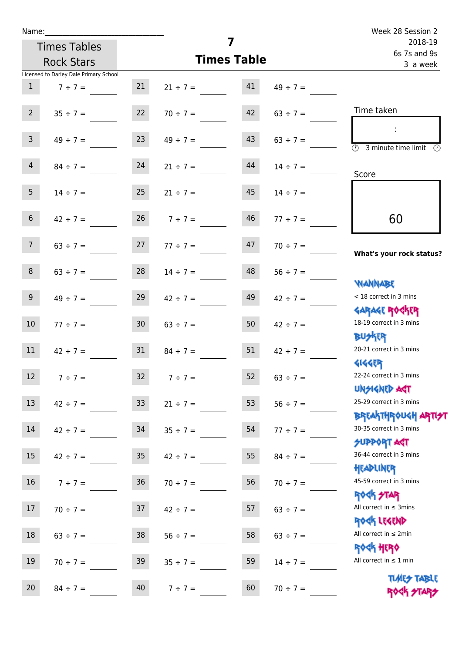| Name:           |                                        |                 |                                |    |                         | Week 28 Session 2                                                  |
|-----------------|----------------------------------------|-----------------|--------------------------------|----|-------------------------|--------------------------------------------------------------------|
|                 | <b>Times Tables</b>                    |                 |                                | 7  | 2018-19<br>6s 7s and 9s |                                                                    |
|                 | <b>Rock Stars</b>                      |                 | <b>Times Table</b>             |    | 3 a week                |                                                                    |
|                 | Licensed to Darley Dale Primary School |                 |                                |    |                         |                                                                    |
| 1               | $7 ÷ 7 =$                              | 21              | $21 \div 7 =$                  | 41 | $49 \div 7 =$           |                                                                    |
| $2^{\circ}$     |                                        |                 | $35 \div 7 = 22$ $70 \div 7 =$ | 42 | $63 \div 7 =$           | Time taken                                                         |
| 3 <sup>7</sup>  | $49 \div 7 =$                          | 23              | $49 \div 7 =$                  | 43 | $63 \div 7 =$           | $\overline{\textcircled{2}}$ 3 minute time limit $\textcircled{2}$ |
| $\overline{4}$  | $84 \div 7 =$                          | 24              | $21 \div 7 =$                  | 44 | $14 \div 7 =$           | Score                                                              |
| 5 <sub>1</sub>  | $14 \div 7 = 25$                       |                 | $21 \div 7 =$                  | 45 | $14 \div 7 =$           |                                                                    |
| 6 <sup>1</sup>  | $42 \div 7 =$                          | 26              | $7 ÷ 7 =$                      | 46 | $77 \div 7 =$           | 60                                                                 |
| 7 <sup>7</sup>  | $63 \div 7 =$                          |                 | $27 \t 77 \div 7 =$            | 47 | $70 \div 7 =$           | What's your rock status?                                           |
| 8               |                                        |                 | $63 \div 7 =$ 28 $14 \div 7 =$ | 48 | $56 \div 7 =$           | <b>NANNABE</b>                                                     |
| 9 <sub>o</sub>  | $49 \div 7 =$                          | 29              | $42 \div 7 =$                  | 49 | $42 \div 7 =$           | < 18 correct in 3 mins                                             |
| 10 <sup>1</sup> | $77 \div 7 =$                          | 30 <sup>7</sup> | $63 \div 7 =$                  | 50 | $42 \div 7 =$           | <b>GARAGE ROCKER</b><br>18-19 correct in 3 mins<br><b>BUSKER</b>   |
| 11              | $42 \div 7 =$                          | 31              | $84 \div 7 =$                  | 51 | $42 \div 7 =$           | 20-21 correct in 3 mins<br><b>4144ER</b>                           |
| 12              | $7 ÷ 7 =$                              | 32              | $7 ÷ 7 =$                      | 52 | $63 \div 7 =$           | 22-24 correct in 3 mins<br>UNSIGNED ACT                            |
| 13              | $42 \div 7 =$                          | 33 <sup>°</sup> | $21 \div 7 =$                  | 53 | $56 ÷ 7 =$              | 25-29 correct in 3 mins<br><b>BREAKTHROUGH ARTH</b>                |
| 14              | $42 \div 7 =$                          | 34              | $35 \div 7 =$                  | 54 | $77 \div 7 =$           | 30-35 correct in 3 mins<br><b>SUPPORT ART</b>                      |
| 15 <sub>1</sub> | $42 \div 7 =$                          | 35 <sub>o</sub> | $42 \div 7 =$                  | 55 | $84 \div 7 =$           | 36-44 correct in 3 mins<br>HEADLINER                               |
| 16              | $7 ÷ 7 =$                              | 36              | $70 \div 7 =$                  | 56 | $70 \div 7 =$           | 45-59 correct in 3 mins<br><b>ROCK STAR</b>                        |
| 17              | $70 \div 7 =$                          | 37              | $42 \div 7 =$                  | 57 | $63 \div 7 =$           | All correct in $\leq$ 3mins<br>ROCK LEGEND                         |
| 18              | $63 \div 7 =$                          | $38\,$          | $56 \div 7 =$                  | 58 | $63 \div 7 =$           | All correct in $\leq 2$ min<br><b>ROCK HERO</b>                    |
| 19              | $70 \div 7 =$                          | 39              | $35 \div 7 =$                  | 59 | $14 \div 7 =$           | All correct in $\leq 1$ min                                        |
| 20              | $84 \div 7 =$                          | 40              | $7 ÷ 7 =$                      | 60 | $70 \div 7 =$           | <b>TUARS TABLE</b><br>ROCK STARS                                   |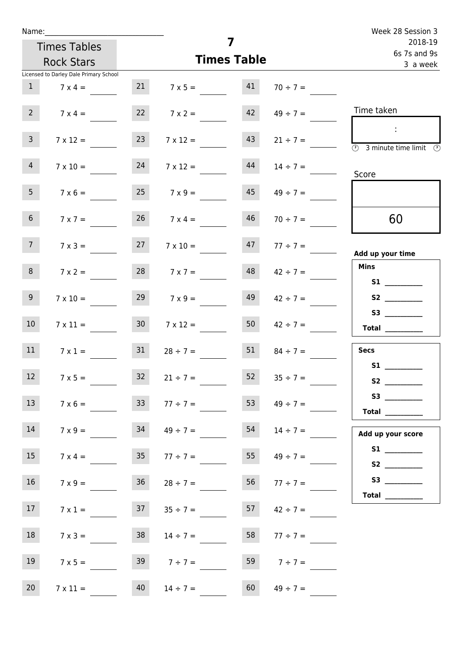| Name:               |                                        |                 |                     | 7                       |                     | Week 28 Session 3                                                                                                                                                                                                                       |
|---------------------|----------------------------------------|-----------------|---------------------|-------------------------|---------------------|-----------------------------------------------------------------------------------------------------------------------------------------------------------------------------------------------------------------------------------------|
| <b>Times Tables</b> |                                        |                 |                     | 2018-19<br>6s 7s and 9s |                     |                                                                                                                                                                                                                                         |
|                     | <b>Rock Stars</b>                      |                 |                     | <b>Times Table</b>      |                     | 3 a week                                                                                                                                                                                                                                |
|                     | Licensed to Darley Dale Primary School |                 |                     |                         |                     |                                                                                                                                                                                                                                         |
| 1                   | $7 \times 4 =$                         |                 | $7 \times 5 = 41$   |                         | $70 \div 7 =$       |                                                                                                                                                                                                                                         |
| $2^{\circ}$         | $7 \times 4 =$                         |                 | $7 \times 2 =$      | 42                      | $49 \div 7 =$       | Time taken                                                                                                                                                                                                                              |
| $\mathbf{3}$        | $7 \times 12 =$                        | 23              | $7 \times 12 =$     | 43                      | $21 \div 7 =$       | $\sim 10$<br>$\overline{\textcircled{1}}$ 3 minute time limit $\overline{\textcircled{1}}$                                                                                                                                              |
| 4                   | $7 \times 10 =$                        | 24              | $7 \times 12 =$     | 44                      | $14 \div 7 =$       | Score                                                                                                                                                                                                                                   |
| 5 <sub>1</sub>      | $7 \times 6 =$                         | 25              | $7 \times 9 =$      | 45                      | $49 \div 7 =$       |                                                                                                                                                                                                                                         |
| 6 <sup>1</sup>      | $7 \times 7 =$                         |                 | $7 \times 4 =$      | 46                      | $70 \div 7 =$       | 60                                                                                                                                                                                                                                      |
| 7 <sup>7</sup>      | $7 \times 3 =$                         | 27              | $7 \times 10 =$     |                         | $47 \t 77 \div 7 =$ | Add up your time                                                                                                                                                                                                                        |
| 8                   | $7 \times 2 =$                         |                 | $28$ $7 \times 7 =$ | 48                      | $42 \div 7 =$       | <b>Mins</b><br><b>S1 S1</b>                                                                                                                                                                                                             |
| 9 <sub>o</sub>      | $7 \times 10 =$                        | 29              | $7 \times 9 =$      | 49                      | $42 \div 7 =$       | S2                                                                                                                                                                                                                                      |
| 10 <sup>°</sup>     | $7 \times 11 =$                        | 30 <sub>o</sub> | $7 \times 12 =$     | 50                      | $42 \div 7 =$       | $\begin{array}{c}\n\text{Total} \\ \end{array}$                                                                                                                                                                                         |
| 11                  | $7 \times 1 =$                         | 31              | $28 \div 7 =$       | 51                      | $84 \div 7 =$       | <b>Secs</b><br><b>S1</b>                                                                                                                                                                                                                |
| 12                  | $7 \times 5 =$                         | 32              | $21 \div 7 =$       | 52                      | $35 \div 7 =$       | S <sub>2</sub> and the set of the set of the set of the set of the set of the set of the set of the set of the set of the set of the set of the set of the set of the set of the set of the set of the set of the set of the set of the |
| 13                  | $7 \times 6 =$                         | 33              | $77 \div 7 =$       | 53                      | $49 \div 7 =$       | S3<br>Total $\_\_$                                                                                                                                                                                                                      |
| 14                  | $7 \times 9 =$                         | 34              | $49 \div 7 =$       | 54                      | $14 \div 7 =$       | Add up your score                                                                                                                                                                                                                       |
| 15                  | $7 \times 4 =$                         | 35              | $77 \div 7 =$       | 55                      | $49 \div 7 =$       |                                                                                                                                                                                                                                         |
| 16                  | $7 \times 9 =$                         | 36              | $28 \div 7 =$       | 56                      | $77 \div 7 =$       | Total $\qquad$                                                                                                                                                                                                                          |
| 17                  | $7 \times 1 =$                         |                 | $37 \t 35 \div 7 =$ | 57                      | $42 \div 7 =$       |                                                                                                                                                                                                                                         |
| 18                  | $7 \times 3 =$                         | 38              | $14 \div 7 =$       | 58                      | $77 \div 7 =$       |                                                                                                                                                                                                                                         |
| 19                  | $7 \times 5 =$                         |                 | $39 \t 7 \div 7 =$  | 59                      | $7 ÷ 7 =$           |                                                                                                                                                                                                                                         |
| 20 <sub>2</sub>     | $7 \times 11 =$                        | 40              | $14 \div 7 =$       | 60                      | $49 \div 7 =$       |                                                                                                                                                                                                                                         |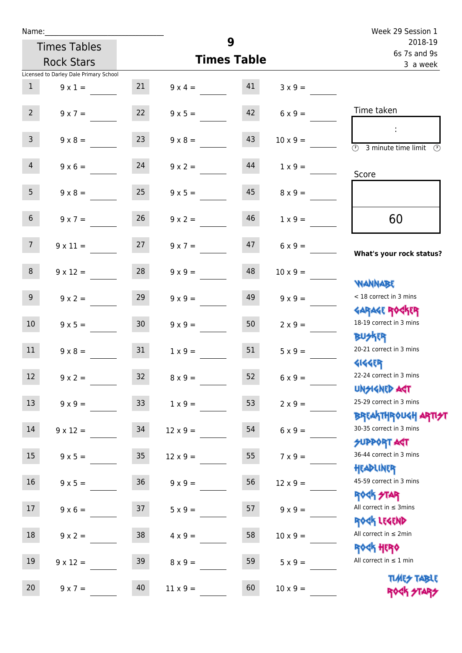| Name:                                  |                 |                    |                         |                 | Week 29 Session 1                                                                   |
|----------------------------------------|-----------------|--------------------|-------------------------|-----------------|-------------------------------------------------------------------------------------|
| <b>Times Tables</b>                    |                 | 9                  | 2018-19<br>6s 7s and 9s |                 |                                                                                     |
| <b>Rock Stars</b>                      |                 | <b>Times Table</b> |                         |                 | 3 a week                                                                            |
| Licensed to Darley Dale Primary School |                 |                    |                         |                 |                                                                                     |
| 1<br>$9 \times 1 =$                    | 21              | $9 \times 4 = 41$  |                         | $3 \times 9 =$  |                                                                                     |
| $2^{\circ}$<br>$9 \times 7 =$          | 22              | $9 \times 5 =$     | 42                      | $6 \times 9 =$  | Time taken                                                                          |
| $\overline{3}$<br>$9 \times 8 =$       | 23              | $9 \times 8 =$     | 43                      | $10 \times 9 =$ | $\mathcal{L}$<br>$\overline{(\mathcal{V})}$<br>3 minute time limit<br>$\mathcal{O}$ |
| $9 \times 6 = 24$<br>$\overline{4}$    |                 | $9 \times 2 =$     | 44                      | $1 \times 9 =$  | Score                                                                               |
| 5 <sub>1</sub><br>$9 \times 8 =$       | 25              | $9 \times 5 =$     | 45                      | $8 \times 9 =$  |                                                                                     |
| 6 <sup>1</sup><br>$9 \times 7 =$       | 26              | $9 \times 2 =$     | 46                      | $1 \times 9 =$  | 60                                                                                  |
| 7 <sup>7</sup><br>$9 \times 11 =$      | 27              | $9 \times 7 =$     | 47                      | $6 \times 9 =$  | What's your rock status?                                                            |
| 8<br>$9 \times 12 =$                   | 28              | $9 \times 9 =$     | 48                      | $10 \times 9 =$ | <b>JARNARY</b>                                                                      |
| 9 <sup>°</sup><br>$9 \times 2 =$       | 29              | $9 \times 9 =$     | 49                      | $9 \times 9 =$  | < 18 correct in 3 mins<br><b>GARAGE ROGKER</b>                                      |
| 10 <sup>°</sup><br>$9 \times 5 =$      | 30              | $9 \times 9 =$     | 50                      | $2 \times 9 =$  | 18-19 correct in 3 mins<br><b>BUSKRY</b>                                            |
| 11<br>$9 \times 8 =$                   | 31              | $1 \times 9 =$     | 51                      | $5 \times 9 =$  | 20-21 correct in 3 mins<br><b>4144ER</b>                                            |
| 12 <sup>7</sup><br>$9 \times 2 =$      | 32 <sup>°</sup> | $8 \times 9 =$     | 52                      | $6 \times 9 =$  | 22-24 correct in 3 mins<br><b>UNSIGNED AGT</b>                                      |
| 13<br>$9 \times 9 =$                   | 33 <sup>°</sup> | $1 \times 9 =$     | 53                      | $2 \times 9 =$  | 25-29 correct in 3 mins<br><b>BREAKTHROUGH ARTI<del>S</del>T</b>                    |
| 14<br>$9 \times 12 =$                  | 34              | $12 \times 9 =$    | 54                      | $6 \times 9 =$  | 30-35 correct in 3 mins<br><b>SUPPORT AGT</b>                                       |
| 15<br>$9 \times 5 =$                   | $35\,$          | $12 \times 9 =$    | 55                      | $7 \times 9 =$  | 36-44 correct in 3 mins<br>HEADLINER                                                |
| 16<br>$9 \times 5 =$                   | $36\,$          | $9 \times 9 =$     | 56                      | $12 \times 9 =$ | 45-59 correct in 3 mins<br>ROCK STAR                                                |
| 17<br>$9 \times 6 =$                   | 37              | $5 \times 9 =$     | 57                      | $9 \times 9 =$  | All correct in $\leq$ 3mins<br>ROCK LEGEND                                          |
| 18<br>$9 \times 2 =$                   | 38              | $4 \times 9 =$     | 58                      | $10 \times 9 =$ | All correct in $\leq 2$ min<br><b>ROCK HERO</b>                                     |
| 19<br>$9 \times 12 =$                  | 39              | $8 \times 9 =$     | 59                      | $5 \times 9 =$  | All correct in $\leq 1$ min                                                         |
| 20<br>$9 \times 7 =$                   | 40              | $11 \times 9 =$    | 60                      | $10 \times 9 =$ | <b>TUARS TABLE</b><br>ROCK STARS                                                    |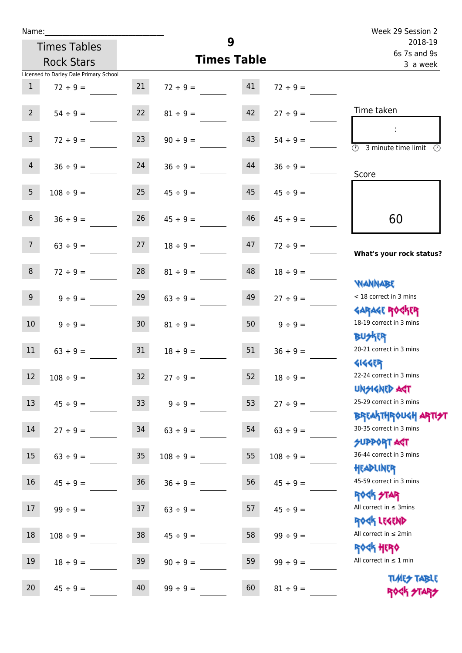| Name:          |                                        |                 |                    |                         |                | Week 29 Session 2                                                |
|----------------|----------------------------------------|-----------------|--------------------|-------------------------|----------------|------------------------------------------------------------------|
|                | <b>Times Tables</b>                    |                 | 9                  | 2018-19<br>6s 7s and 9s |                |                                                                  |
|                | <b>Rock Stars</b>                      |                 | <b>Times Table</b> |                         | 3 a week       |                                                                  |
|                | Licensed to Darley Dale Primary School |                 |                    |                         |                |                                                                  |
| $\mathbf{1}$   | $72 \div 9 =$                          | 21              | $72 \div 9 =$      | 41                      | $72 \div 9 =$  |                                                                  |
| 2 <sup>7</sup> | $54 \div 9 =$                          | 22              | $81 \div 9 =$      | 42                      | $27 \div 9 =$  | Time taken                                                       |
| $\mathsf{3}$   | $72 \div 9 =$                          | 23              | $90 \div 9 =$      | 43                      | $54 \div 9 =$  | $\overline{\mathcal{O}}$<br>3 minute time limit                  |
| $\overline{4}$ | $36 \div 9 =$                          | 24              | $36 \div 9 =$      | 44                      | $36 \div 9 =$  | Score                                                            |
| 5 <sup>5</sup> | $108 \div 9 =$                         | 25              | $45 \div 9 =$      | 45                      | $45 \div 9 =$  |                                                                  |
| $\sqrt{6}$     | $36 \div 9 =$                          | 26              | $45 \div 9 =$      | 46                      | $45 \div 9 =$  | 60                                                               |
| 7 <sup>7</sup> | $63 ÷ 9 =$                             | 27              | $18 \div 9 =$      | 47                      | $72 \div 9 =$  | What's your rock status?                                         |
| 8              | $72 \div 9 =$                          | 28              | $81 \div 9 =$      | 48                      | $18 \div 9 =$  | <b>YIANNABE</b>                                                  |
| 9 <sub>o</sub> | $9 \div 9 =$                           | 29              | $63 \div 9 =$      | 49                      | $27 \div 9 =$  | < 18 correct in 3 mins                                           |
| 10             | $9 \div 9 =$                           | 30 <sup>°</sup> | $81 \div 9 =$      | 50                      | $9 \div 9 =$   | <b>GARAGE ROGKER</b><br>18-19 correct in 3 mins<br><b>BUSKER</b> |
| 11             | $63 \div 9 =$                          | 31              | $18 \div 9 =$      | 51                      | $36 \div 9 =$  | 20-21 correct in 3 mins<br><b>4144ER</b>                         |
| 12             | $108 \div 9 =$                         | 32              | $27 ÷ 9 =$         | 52                      | $18 \div 9 =$  | 22-24 correct in 3 mins<br><b>UNSIGNED AGT</b>                   |
| 13             | $45 \div 9 =$                          | 33              | $9 ÷ 9 =$          | 53                      | $27 ÷ 9 =$     | 25-29 correct in 3 mins<br><b>BREAKTHR0UGH ARTI<del>S</del>T</b> |
| 14             | $27 ÷ 9 =$                             | 34              | $63 ÷ 9 =$         | 54                      | $63 ÷ 9 =$     | 30-35 correct in 3 mins<br><b>SUPPORT AGT</b>                    |
| 15             | $63 ÷ 9 =$                             | 35              | $108 \div 9 =$     | 55                      | $108 \div 9 =$ | 36-44 correct in 3 mins<br>HEADLINER                             |
| 16             | $45 \div 9 =$                          | 36              | $36 ÷ 9 =$         | 56                      | $45 \div 9 =$  | 45-59 correct in 3 mins                                          |
| 17             | $99 ÷ 9 =$                             | 37              | $63 ÷ 9 =$         | 57                      | $45 \div 9 =$  | <b>ROCK STAR</b><br>All correct in $\leq$ 3mins                  |
| 18             | $108 \div 9 =$                         | 38              | $45 \div 9 =$      | 58                      | $99 ÷ 9 =$     | ROCK LEGEND<br>All correct in $\leq 2$ min                       |
| $19\,$         | $18 \div 9 =$                          | 39              | $90 \div 9 =$      | 59                      | $99 ÷ 9 =$     | ROCK HERO<br>All correct in $\leq 1$ min                         |
|                |                                        |                 |                    |                         |                |                                                                  |

20  $45 \div 9 =$   $40 \qquad 99 \div 9 =$   $60 \qquad 81 \div 9 =$ 

Times Table ROCK STARS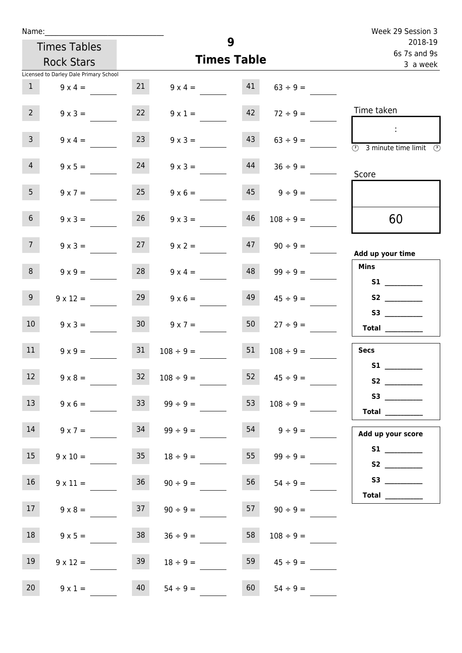| Name:           |                                        |                    |                   |    |                          | Week 29 Session 3<br>2018-19                                                                                                                                                                                                                                                                                                                                                                                                                                                                                                                                                                                              |
|-----------------|----------------------------------------|--------------------|-------------------|----|--------------------------|---------------------------------------------------------------------------------------------------------------------------------------------------------------------------------------------------------------------------------------------------------------------------------------------------------------------------------------------------------------------------------------------------------------------------------------------------------------------------------------------------------------------------------------------------------------------------------------------------------------------------|
|                 | <b>Times Tables</b>                    | 9                  |                   |    |                          |                                                                                                                                                                                                                                                                                                                                                                                                                                                                                                                                                                                                                           |
|                 | <b>Rock Stars</b>                      | <b>Times Table</b> |                   |    | 6s 7s and 9s<br>3 a week |                                                                                                                                                                                                                                                                                                                                                                                                                                                                                                                                                                                                                           |
|                 | Licensed to Darley Dale Primary School |                    |                   |    |                          |                                                                                                                                                                                                                                                                                                                                                                                                                                                                                                                                                                                                                           |
| 1               | $9 \times 4 =$                         | 21                 | $9 \times 4 = 41$ |    | $63 \div 9 =$            |                                                                                                                                                                                                                                                                                                                                                                                                                                                                                                                                                                                                                           |
| $2^{\circ}$     | $9 \times 3 =$                         | 22                 | $9 \times 1 =$    | 42 | $72 \div 9 =$            | Time taken                                                                                                                                                                                                                                                                                                                                                                                                                                                                                                                                                                                                                |
| $\overline{3}$  | $9 \times 4 =$                         | 23                 | $9 \times 3 =$    | 43 | $63 \div 9 =$            | $\sim 10$<br>$\overline{\textcircled{1}}$ 3 minute time limit $\textcircled{1}$                                                                                                                                                                                                                                                                                                                                                                                                                                                                                                                                           |
| $\overline{4}$  | $9 \times 5 =$                         | 24                 | $9 \times 3 =$    | 44 | $36 \div 9 =$            | Score                                                                                                                                                                                                                                                                                                                                                                                                                                                                                                                                                                                                                     |
| 5 <sub>1</sub>  | $9 \times 7 =$                         | 25                 | $9 \times 6 =$    |    | $45 \qquad 9 \div 9 =$   |                                                                                                                                                                                                                                                                                                                                                                                                                                                                                                                                                                                                                           |
| 6 <sup>1</sup>  | $9 \times 3 =$                         | 26                 | $9 \times 3 =$    | 46 | $108 \div 9 =$           | 60                                                                                                                                                                                                                                                                                                                                                                                                                                                                                                                                                                                                                        |
| 7 <sup>7</sup>  | $9 \times 3 =$                         | 27                 | $9 \times 2 =$    |    | $47 \t 90 \div 9 =$      | Add up your time                                                                                                                                                                                                                                                                                                                                                                                                                                                                                                                                                                                                          |
| 8               | $9 \times 9 =$                         | 28                 | $9 \times 4 =$    | 48 | $99 \div 9 =$            | <b>Mins</b><br>S1 <sub>2</sub> and the state of the state of the state of the state of the state of the state of the state of the state of the state of the state of the state of the state of the state of the state of the state of the state of the                                                                                                                                                                                                                                                                                                                                                                    |
| 9               | $9 \times 12 =$                        | 29                 | $9 \times 6 =$    | 49 | $45 \div 9 =$            |                                                                                                                                                                                                                                                                                                                                                                                                                                                                                                                                                                                                                           |
| 10 <sup>°</sup> | $9 \times 3 =$                         | 30 <sup>°</sup>    | $9 \times 7 =$    | 50 | $27 \div 9 =$            | S3<br>$\begin{tabular}{c} Total & \underline{\hspace{1cm}} & \underline{\hspace{1cm}} & \underline{\hspace{1cm}} & \underline{\hspace{1cm}} & \underline{\hspace{1cm}} & \underline{\hspace{1cm}} & \underline{\hspace{1cm}} & \underline{\hspace{1cm}} & \underline{\hspace{1cm}} & \underline{\hspace{1cm}} & \underline{\hspace{1cm}} & \underline{\hspace{1cm}} & \underline{\hspace{1cm}} & \underline{\hspace{1cm}} & \underline{\hspace{1cm}} & \underline{\hspace{1cm}} & \underline{\hspace{1cm}} & \underline{\hspace{1cm}} & \underline{\hspace{1cm}} & \underline{\hspace{1cm}} & \underline{\hspace{1cm}} &$ |
| 11              | $9 \times 9 =$                         | 31                 | $108 \div 9 =$    | 51 | $108 \div 9 =$           | <b>Secs</b>                                                                                                                                                                                                                                                                                                                                                                                                                                                                                                                                                                                                               |
| 12              | $9 \times 8 =$                         | 32                 | $108 \div 9 =$    | 52 | $45 \div 9 =$            | S1<br>S <sub>2</sub> and the set of the set of the set of the set of the set of the set of the set of the set of the set of the set of the set of the set of the set of the set of the set of the set of the set of the set of the set of the                                                                                                                                                                                                                                                                                                                                                                             |
| 13              | $9 \times 6 =$                         | 33                 | $99 \div 9 =$     | 53 | $108 \div 9 =$           | Total $\_\_$                                                                                                                                                                                                                                                                                                                                                                                                                                                                                                                                                                                                              |
| 14              | $9 \times 7 =$                         | 34                 | $99 \div 9 =$     |    | $54 \qquad 9 \div 9 =$   | Add up your score                                                                                                                                                                                                                                                                                                                                                                                                                                                                                                                                                                                                         |
| 15              | $9 \times 10 =$                        | 35 <sub>1</sub>    | $18 \div 9 =$     | 55 | $99 \div 9 =$            |                                                                                                                                                                                                                                                                                                                                                                                                                                                                                                                                                                                                                           |
| 16              | $9 \times 11 =$                        | 36                 | $90 \div 9 =$     | 56 | $54 \div 9 =$            | Total $\qquad$                                                                                                                                                                                                                                                                                                                                                                                                                                                                                                                                                                                                            |
| 17              | $9 \times 8 =$                         | 37                 | $90 \div 9 =$     |    | $57 \t 90 \div 9 =$      |                                                                                                                                                                                                                                                                                                                                                                                                                                                                                                                                                                                                                           |
| 18              | $9 \times 5 =$                         | 38                 | $36 \div 9 =$     | 58 | $108 \div 9 =$           |                                                                                                                                                                                                                                                                                                                                                                                                                                                                                                                                                                                                                           |
| 19              | $9 \times 12 =$                        | 39                 | $18 \div 9 =$     | 59 | $45 \div 9 =$            |                                                                                                                                                                                                                                                                                                                                                                                                                                                                                                                                                                                                                           |
| 20 <sub>2</sub> | $9 \times 1 =$                         | 40                 | $54 \div 9 =$     | 60 | $54 \div 9 =$            |                                                                                                                                                                                                                                                                                                                                                                                                                                                                                                                                                                                                                           |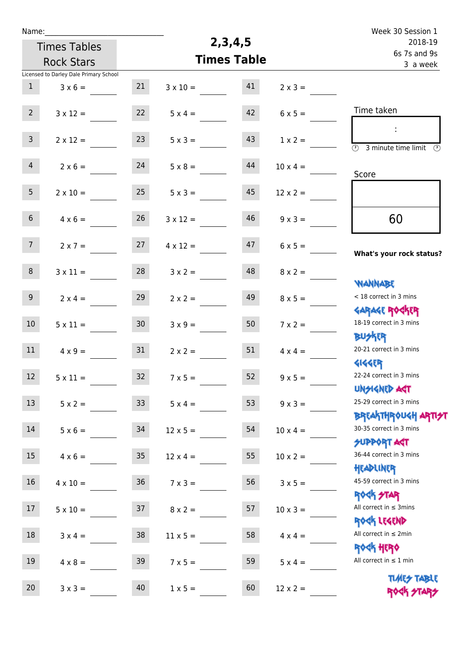| Name:           |                                        |                 |                    | 2,3,4,5                 |                 | Week 30 Session 1                                                  |
|-----------------|----------------------------------------|-----------------|--------------------|-------------------------|-----------------|--------------------------------------------------------------------|
|                 | <b>Times Tables</b>                    |                 |                    | 2018-19<br>6s 7s and 9s |                 |                                                                    |
|                 | <b>Rock Stars</b>                      |                 | <b>Times Table</b> | 3 a week                |                 |                                                                    |
|                 | Licensed to Darley Dale Primary School |                 |                    |                         |                 |                                                                    |
| $\mathbf{1}$    | $3 \times 6 =$                         | 21              | $3 \times 10 =$    | 41                      | $2 \times 3 =$  |                                                                    |
| $2^{\circ}$     | $3 \times 12 =$                        | 22              | $5 \times 4 =$     | 42                      | $6 \times 5 =$  | Time taken                                                         |
| $\overline{3}$  | $2 \times 12 =$                        | 23              | $5 \times 3 =$     | 43                      | $1 \times 2 =$  | $\overline{(\mathcal{V})}$<br>3 minute time limit<br>$\mathcal{O}$ |
| $\overline{4}$  | $2 \times 6 =$                         | 24              | $5 \times 8 =$     | 44                      | $10 \times 4 =$ | Score                                                              |
| 5 <sub>1</sub>  | $2 \times 10 =$                        | 25              | $5 \times 3 =$     | 45                      | $12 \times 2 =$ |                                                                    |
| 6 <sup>1</sup>  | $4 \times 6 =$                         | 26              | $3 \times 12 =$    | 46                      | $9 \times 3 =$  | 60                                                                 |
| 7 <sup>7</sup>  | $2 \times 7 =$                         | 27              | $4 \times 12 =$    | 47                      | $6 \times 5 =$  | What's your rock status?                                           |
| 8               | $3 \times 11 =$                        | 28              | $3 \times 2 =$     | 48                      | $8 \times 2 =$  | <b>NANNABE</b>                                                     |
| 9 <sup>°</sup>  | $2 \times 4 =$                         | 29              | $2 \times 2 =$     | 49                      | $8 \times 5 =$  | < 18 correct in 3 mins<br><b>GARAGE ROCKER</b>                     |
| 10 <sup>°</sup> | $5 \times 11 =$                        | 30 <sup>°</sup> | $3 \times 9 =$     | 50                      | $7 \times 2 =$  | 18-19 correct in 3 mins<br><b>BUSKER</b>                           |
| 11              | $4 \times 9 =$                         | 31              | $2 \times 2 =$     | 51                      | $4 \times 4 =$  | 20-21 correct in 3 mins<br><b>4144EP</b>                           |
| $12$            | $5 \times 11 =$                        | $32$            | $7 \times 5 =$     | 52                      | $9 \times 5 =$  | 22-24 correct in 3 mins<br><b>UNSIGNED AGT</b>                     |
| 13              | $5 \times 2 =$                         | 33 <sup>°</sup> | $5 \times 4 =$     | 53                      | $9 \times 3 =$  | 25-29 correct in 3 mins<br><b>BREAKTHROUGH ARTI<del>S</del>T</b>   |
| 14              | $5 \times 6 =$                         | 34              | $12 \times 5 =$    | 54                      | $10 \times 4 =$ | 30-35 correct in 3 mins<br><b>SUPPORT AGT</b>                      |
| 15              | $4 \times 6 =$                         | 35 <sub>o</sub> | $12 \times 4 =$    | 55                      | $10 \times 2 =$ | 36-44 correct in 3 mins<br>HEADLINER                               |
| 16              | $4 \times 10 =$                        | 36              | $7 \times 3 =$     | 56                      | $3 \times 5 =$  | 45-59 correct in 3 mins<br>ROCK STAR                               |
| 17              | $5 \times 10 =$                        | 37              | $8 \times 2 =$     | 57                      | $10 \times 3 =$ | All correct in $\leq$ 3mins<br>ROCK LEGEND                         |
| 18              | $3 \times 4 =$                         | 38              | $11 \times 5 =$    | 58                      | $4 \times 4 =$  | All correct in $\leq 2$ min                                        |
| 19              | $4 \times 8 =$                         | 39              | $7 \times 5 =$     | 59                      | $5 \times 4 =$  | ROCK HERO<br>All correct in $\leq 1$ min                           |
| $20\,$          | $3 \times 3 =$                         | 40              | $1 \times 5 =$     | 60                      | $12 \times 2 =$ | <b>TIMES TABLE</b><br>ROCK STARS                                   |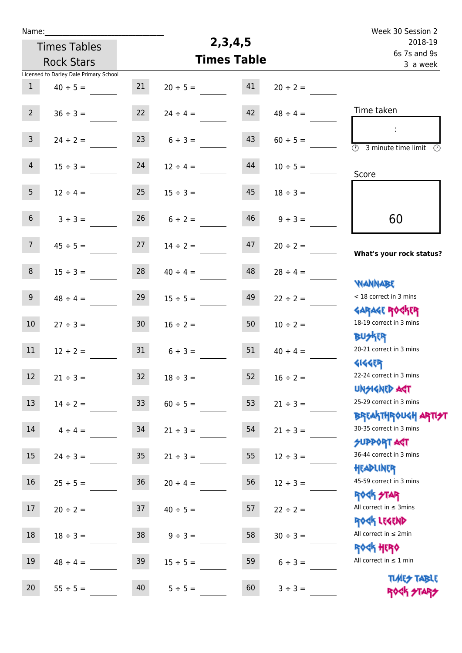| Name:                                    |                                        |                 |               |                    |               | Week 30 Session 2                                                      |
|------------------------------------------|----------------------------------------|-----------------|---------------|--------------------|---------------|------------------------------------------------------------------------|
| <b>Times Tables</b><br><b>Rock Stars</b> |                                        |                 |               | 2, 3, 4, 5         | 2018-19       |                                                                        |
|                                          |                                        |                 |               | <b>Times Table</b> |               | 6s 7s and 9s<br>3 a week                                               |
|                                          | Licensed to Darley Dale Primary School |                 |               |                    |               |                                                                        |
| $\mathbf{1}$                             | $40 \div 5 =$                          | 21              | $20 \div 5 =$ | 41                 | $20 \div 2 =$ |                                                                        |
| $2^{\circ}$                              | $36 \div 3 =$                          | 22              | $24 \div 4 =$ | 42                 | $48 \div 4 =$ | Time taken                                                             |
| 3 <sup>7</sup>                           | $24 \div 2 =$                          | 23              | $6 \div 3 =$  | 43                 | $60 \div 5 =$ | ÷<br>$\overline{\mathcal{O}}$<br>3 minute time limit<br>$\mathcal{O}$  |
| 4                                        | $15 \div 3 =$                          | 24              | $12 \div 4 =$ | 44                 | $10 \div 5 =$ | Score                                                                  |
| 5 <sub>1</sub>                           | $12 \div 4 =$                          | 25              | $15 \div 3 =$ | 45                 | $18 \div 3 =$ |                                                                        |
| 6 <sup>1</sup>                           | $3 ÷ 3 =$                              | 26              | $6 \div 2 =$  | 46                 | $9 ÷ 3 =$     | 60                                                                     |
| 7 <sup>7</sup>                           | $45 \div 5 =$                          | 27              | $14 \div 2 =$ | 47                 | $20 \div 2 =$ | What's your rock status?                                               |
| 8                                        | $15 \div 3 =$                          | 28              | $40 \div 4 =$ | 48                 | $28 \div 4 =$ | <b>NANNABE</b>                                                         |
| 9 <sup>°</sup>                           | $48 \div 4 =$                          | 29              | $15 \div 5 =$ | 49                 | $22 \div 2 =$ | < 18 correct in 3 mins<br><b>GARAGE ROCKER</b>                         |
| 10 <sup>°</sup>                          | $27 \div 3 =$                          | 30 <sub>o</sub> | $16 \div 2 =$ | 50                 | $10 \div 2 =$ | 18-19 correct in 3 mins<br><b>BUSKRR</b>                               |
| 11                                       | $12 \div 2 =$                          | 31              | $6 \div 3 =$  | 51                 | $40 \div 4 =$ | 20-21 correct in 3 mins<br><b>4144ER</b>                               |
| 12 <sup>12</sup>                         | $21 \div 3 =$                          | 32              | $18 \div 3 =$ | 52                 | $16 \div 2 =$ | 22-24 correct in 3 mins<br><b>UNSIGNED AGT</b>                         |
| 13                                       | $14 \div 2 =$                          | 33 <sup>°</sup> | $60 \div 5 =$ | 53                 | $21 \div 3 =$ | 25-29 correct in 3 mins<br>BREAKTHROUGH <mark>ARTI<del>S</del>T</mark> |
| 14                                       | $4 \div 4 =$                           | 34              | $21 \div 3 =$ | 54                 | $21 \div 3 =$ | 30-35 correct in 3 mins<br><b>SUPPORT AGT</b>                          |
| 15                                       | $24 \div 3 =$                          | 35 <sub>2</sub> | $21 \div 3 =$ | 55                 | $12 \div 3 =$ | 36-44 correct in 3 mins<br>HEADLINER                                   |
| 16                                       | $25 \div 5 =$                          | 36              | $20 \div 4 =$ | 56                 | $12 \div 3 =$ | 45-59 correct in 3 mins<br><b>ROCK STAR</b>                            |
| 17                                       | $20 \div 2 =$                          | 37              | $40 \div 5 =$ | 57                 | $22 \div 2 =$ | All correct in $\leq$ 3mins<br>ROCK LEGEND                             |
| 18                                       | $18 \div 3 =$                          | 38              | $9 ÷ 3 =$     | 58                 | $30 \div 3 =$ | All correct in $\leq 2$ min<br><b>ROCK HERO</b>                        |
| 19                                       | $48 \div 4 =$                          | 39              | $15 \div 5 =$ | 59                 | $6 \div 3 =$  | All correct in $\leq 1$ min<br><b>TIMES TABLE</b>                      |
| 20                                       | $55 \div 5 =$                          | 40              | $5 ÷ 5 =$     | 60                 | $3 ÷ 3 =$     | ROGK STARS                                                             |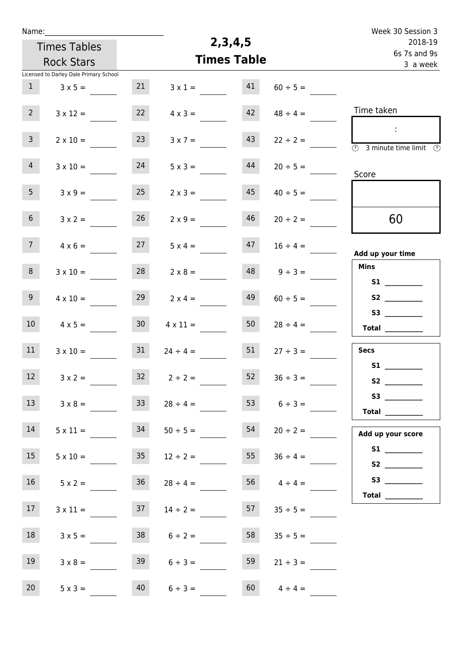| Name:           |                                        |                 |                                    |                    |                    | Week 30 Session 3                                                         |
|-----------------|----------------------------------------|-----------------|------------------------------------|--------------------|--------------------|---------------------------------------------------------------------------|
|                 | <b>Times Tables</b>                    |                 | 2, 3, 4, 5                         | 2018-19            |                    |                                                                           |
|                 | <b>Rock Stars</b>                      |                 |                                    | <b>Times Table</b> |                    | 6s 7s and 9s<br>3 a week                                                  |
|                 | Licensed to Darley Dale Primary School |                 |                                    |                    |                    |                                                                           |
| $\mathbf{1}$    | $3 \times 5 =$                         | 21              | $3 \times 1 =$                     | 41                 | $60 \div 5 =$      |                                                                           |
| $2^{\circ}$     | $3 \times 12 =$                        | 22              | $4 \times 3 =$                     | 42                 | $48 \div 4 =$      | Time taken                                                                |
| $\mathbf{3}$    | $2 \times 10 =$                        | 23              | $3 \times 7 =$                     | 43                 | $22 \div 2 =$      | $\sim$<br>$\overline{(\mathcal{V})}$<br>3 minute time limit $\circled{0}$ |
| 4 <sup>1</sup>  | $3 \times 10 =$                        | 24              | $5 \times 3 =$                     | 44                 | $20 \div 5 =$      | Score                                                                     |
| 5 <sub>1</sub>  | $3 \times 9 =$                         | 25              | $2 \times 3 =$                     | 45                 | $40 \div 5 =$      |                                                                           |
| 6 <sup>1</sup>  | $3 \times 2 =$                         | 26              | $2 \times 9 =$                     | 46                 | $20 \div 2 =$      | 60                                                                        |
| 7 <sup>7</sup>  | $4 \times 6 =$                         | 27              | $5 \times 4 =$                     | 47                 | $16 \div 4 =$      | Add up your time                                                          |
| 8               | $3 \times 10 =$                        | 28              | $2 \times 8 =$                     | 48                 | $9 \div 3 =$       | <b>Mins</b>                                                               |
| 9 <sub>o</sub>  | $4 \times 10 =$                        | 29              | $2 \times 4 =$                     | 49                 | $60 \div 5 =$      | S2                                                                        |
| 10 <sup>°</sup> | $4 \times 5 =$                         | 30 <sup>°</sup> | $4 \times 11 =$                    | 50                 | $28 \div 4 =$      | S3                                                                        |
| 11              | $3 \times 10 =$                        | 31              | $24 \div 4 =$                      | 51                 | $27 \div 3 =$      | <b>Secs</b>                                                               |
| 12              | $3 \times 2 =$                         |                 | $32 \t2 \div 2 =$                  | 52                 | $36 \div 3 =$      |                                                                           |
| 13              | $3 \times 8 =$                         | 33 <sup>7</sup> | $28 \div 4 =$                      |                    | 53 $6 \div 3 =$    | Total $\qquad$                                                            |
| 14              | $5 \times 11 =$                        | 34              | $50 \div 5 =$                      | 54                 | $20 \div 2 =$      | Add up your score                                                         |
| 15              |                                        |                 | $5 \times 10 =$ $35$ $12 \div 2 =$ |                    | 55 $36 \div 4 =$   |                                                                           |
| 16              | $5 \times 2 =$                         | 36              | $28 \div 4 =$                      |                    | $56 \t 4 \div 4 =$ | S3<br>Total $\qquad$                                                      |
| 17              | $3 \times 11 =$                        | 37              | $14 \div 2 =$                      | 57                 | $35 \div 5 =$      |                                                                           |
| 18              | $3 \times 5 =$                         |                 | $38$ $6 \div 2 =$                  | 58                 | $35 \div 5 =$      |                                                                           |
| 19              | $3 \times 8 =$                         | 39              | $6 \div 3 =$                       | 59                 | $21 \div 3 =$      |                                                                           |
| 20 <sub>2</sub> | $5 \times 3 =$                         | 40              | $6 \div 3 =$                       | 60                 | $4 \div 4 =$       |                                                                           |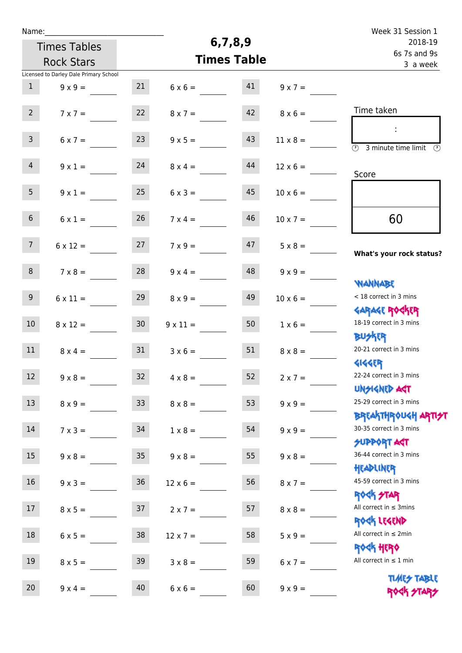| Name:               |                                        |                 |                    |                          |                 | Week 31 Session 1                                                  |
|---------------------|----------------------------------------|-----------------|--------------------|--------------------------|-----------------|--------------------------------------------------------------------|
| <b>Times Tables</b> |                                        |                 | 6,7,8,9            | 2018-19                  |                 |                                                                    |
|                     | <b>Rock Stars</b>                      |                 | <b>Times Table</b> | 6s 7s and 9s<br>3 a week |                 |                                                                    |
|                     | Licensed to Darley Dale Primary School |                 |                    |                          |                 |                                                                    |
| $\mathbf{1}$        | $9 \times 9 =$                         | 21              | $6 \times 6 =$     | 41                       | $9 \times 7 =$  |                                                                    |
| $2^{\circ}$         | $7 \times 7 =$                         | 22              | $8 \times 7 =$     | 42                       | $8 \times 6 =$  | Time taken                                                         |
| $\mathbf{3}$        | $6 \times 7 =$                         | 23              | $9 \times 5 =$     | 43                       | $11 \times 8 =$ | $\overline{(\mathcal{V})}$<br>3 minute time limit<br>$\circled{r}$ |
| $\overline{4}$      | $9 \times 1 =$                         | 24              | $8 \times 4 =$     | 44                       | $12 \times 6 =$ | Score                                                              |
| 5 <sub>1</sub>      | $9 \times 1 =$                         | 25              | $6 \times 3 =$     | 45                       | $10 \times 6 =$ |                                                                    |
| 6 <sup>1</sup>      | $6 \times 1 =$                         | 26              | $7 \times 4 =$     | 46                       | $10 \times 7 =$ | 60                                                                 |
| 7 <sup>7</sup>      | $6 \times 12 =$                        | 27              | $7 \times 9 =$     | 47                       | $5 \times 8 =$  | What's your rock status?                                           |
| 8                   | $7 \times 8 =$                         | 28              | $9 \times 4 =$     | 48                       | $9 \times 9 =$  | <b>NANNABE</b>                                                     |
| 9 <sub>o</sub>      | $6 \times 11 =$                        | 29              | $8 \times 9 =$     | 49                       | $10 \times 6 =$ | < 18 correct in 3 mins<br><b>GARAGE ROCKER</b>                     |
| 10 <sup>°</sup>     | $8 \times 12 =$                        | 30 <sub>2</sub> | $9 \times 11 =$    | 50                       | $1 \times 6 =$  | 18-19 correct in 3 mins<br><b>BUSKRR</b>                           |
| 11                  | $8 \times 4 =$                         | 31              | $3 \times 6 =$     | 51                       | $8 \times 8 =$  | 20-21 correct in 3 mins<br><b>4144EP</b>                           |
| 12                  | $9 \times 8 =$                         | 32              | $4 \times 8 =$     | 52                       | $2 \times 7 =$  | 22-24 correct in 3 mins<br><b>UNSIGNED AGT</b>                     |
| 13                  | $8 \times 9 =$                         | 33 <sup>°</sup> | $8 \times 8 =$     | 53                       | $9 \times 9 =$  | 25-29 correct in 3 mins<br><b>BREAKTHROUGH ARTI<del>S</del>T</b>   |
| 14                  | $7 \times 3 =$                         | 34              | $1 \times 8 =$     | 54                       | $9 \times 9 =$  | 30-35 correct in 3 mins<br><b>SUPPORT AGT</b>                      |
| 15                  | $9 \times 8 =$                         | 35 <sub>o</sub> | $9 \times 8 =$     | 55                       | $9 \times 8 =$  | 36-44 correct in 3 mins<br>HEADLINER                               |
| 16                  | $9 \times 3 =$                         | $36\,$          | $12 \times 6 =$    | 56                       | $8 \times 7 =$  | 45-59 correct in 3 mins<br><b>ROCK STAR</b>                        |
| 17                  | $8 \times 5 =$                         | 37              | $2 \times 7 =$     | 57                       | $8 \times 8 =$  | All correct in $\leq$ 3mins<br>ROCK LEGEND                         |
| 18                  | $6 \times 5 =$                         | 38              | $12 \times 7 =$    | 58                       | $5 \times 9 =$  | All correct in $\leq 2$ min                                        |
| 19                  | $8 \times 5 =$                         | 39              | $3 \times 8 =$     | 59                       | $6 \times 7 =$  | ROCK HERO<br>All correct in $\leq 1$ min                           |
| $20\,$              | $9 \times 4 =$                         | 40              | $6 \times 6 =$     | 60                       | $9 \times 9 =$  | <b>TIMES TABLE</b><br>ROCK STARS                                   |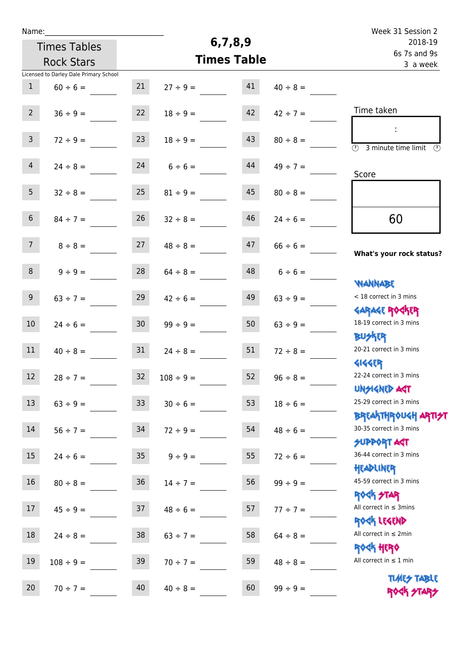| Name:             |                                        |                 |                |                    |                          | Week 31 Session 2                                                |
|-------------------|----------------------------------------|-----------------|----------------|--------------------|--------------------------|------------------------------------------------------------------|
|                   | <b>Times Tables</b>                    |                 |                | 6,7,8,9            | 2018-19                  |                                                                  |
| <b>Rock Stars</b> |                                        |                 |                | <b>Times Table</b> | 6s 7s and 9s<br>3 a week |                                                                  |
|                   | Licensed to Darley Dale Primary School |                 |                |                    |                          |                                                                  |
| $\mathbf{1}$      | $60 \div 6 =$                          | 21              | $27 \div 9 =$  | 41                 | $40 \div 8 =$            |                                                                  |
| 2 <sup>7</sup>    | $36 \div 9 =$                          | 22              | $18 \div 9 =$  | 42                 | $42 \div 7 =$            | Time taken                                                       |
| $\mathbf{3}$      | $72 \div 9 =$                          | 23              | $18 \div 9 =$  | 43                 | $80 \div 8 =$            | ÷<br>$\overline{\mathcal{D}}$<br>3 minute time limit<br>$\odot$  |
| $\overline{4}$    | $24 \div 8 =$                          | 24              | $6 \div 6 =$   | 44                 | $49 \div 7 =$            | Score                                                            |
| 5 <sub>1</sub>    | $32 \div 8 =$                          | 25              | $81 \div 9 =$  | 45                 | $80 \div 8 =$            |                                                                  |
| 6 <sup>1</sup>    | $84 \div 7 =$                          | 26              | $32 \div 8 =$  | 46                 | $24 \div 6 =$            | 60                                                               |
| 7 <sup>7</sup>    | $8 \div 8 =$                           | 27              | $48 \div 8 =$  | 47                 | $66 \div 6 =$            | What's your rock status?                                         |
| 8                 | $9 ÷ 9 =$                              | 28              | $64 \div 8 =$  | 48                 | $6 \div 6 =$             | <b>NANNABE</b>                                                   |
| 9 <sup>°</sup>    | $63 \div 7 =$                          | 29              | $42 \div 6 =$  | 49                 | $63 \div 9 =$            | < 18 correct in 3 mins<br><b>GARAGE ROCKER</b>                   |
| 10 <sup>°</sup>   | $24 \div 6 =$                          | 30 <sub>o</sub> | $99 \div 9 =$  | 50                 | $63 \div 9 =$            | 18-19 correct in 3 mins<br><b>BUSKER</b>                         |
| 11                | $40 \div 8 =$                          | 31              | $24 \div 8 =$  | 51                 | $72 \div 8 =$            | 20-21 correct in 3 mins<br><b>4144EP</b>                         |
| 12 <sup>12</sup>  | $28 \div 7 =$                          | 32              | $108 \div 9 =$ | 52                 | $96 \div 8 =$            | 22-24 correct in 3 mins<br><b>UNSIGNED AST</b>                   |
| 13                | $63 ÷ 9 =$                             | 33              | $30 \div 6 =$  | 53                 | $18 \div 6 =$            | 25-29 correct in 3 mins<br><b>BREAKTHROUGH ARTI<del>S</del>T</b> |
| 14                | $56 \div 7 =$                          | 34              | $72 \div 9 =$  | 54                 | $48 \div 6 =$            | 30-35 correct in 3 mins<br><b>SUPPORT AGT</b>                    |
| 15                | $24 \div 6 =$                          | 35              | $9 \div 9 =$   | 55                 | $72 \div 6 =$            | 36-44 correct in 3 mins<br>HEADLINER                             |
| 16                | $80 \div 8 =$                          | 36              | $14 \div 7 =$  | 56                 | $99 \div 9 =$            | 45-59 correct in 3 mins<br><b>ROCK STAR</b>                      |
| 17                | $45 \div 9 =$                          | 37              | $48 \div 6 =$  | 57                 | $77 \div 7 =$            | All correct in $\leq$ 3mins<br>ROCK LEGEND                       |
| 18                | $24 \div 8 =$                          | 38              | $63 \div 7 =$  | 58                 | $64 \div 8 =$            | All correct in $\leq 2$ min                                      |
| 19                | $108 \div 9 =$                         | 39              | $70 \div 7 =$  | 59                 | $48 \div 8 =$            | <b>ROCK HERO</b><br>All correct in $\leq 1$ min                  |
| 20                | $70 \div 7 =$                          | 40              | $40 \div 8 =$  | 60                 | $99 \div 9 =$            | <b>TIMES TABLE</b><br>ROCK STARS                                 |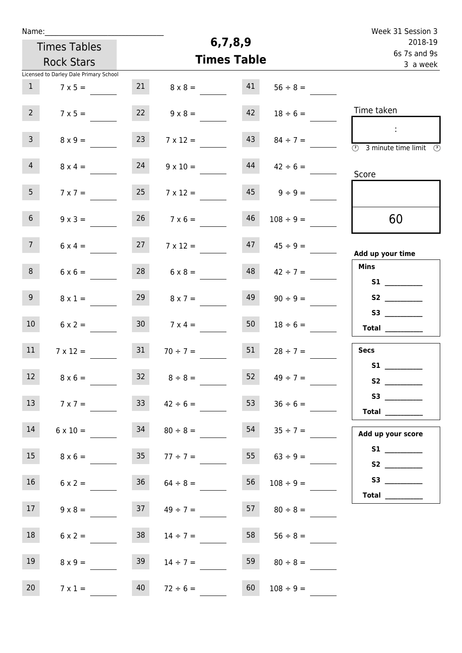| Name:                                  |                            |                       |                          | Week 31 Session 3                                                                              |
|----------------------------------------|----------------------------|-----------------------|--------------------------|------------------------------------------------------------------------------------------------|
| <b>Times Tables</b>                    |                            | 6,7,8,9               | 2018-19                  |                                                                                                |
| <b>Rock Stars</b>                      |                            | <b>Times Table</b>    | 6s 7s and 9s<br>3 a week |                                                                                                |
| Licensed to Darley Dale Primary School |                            |                       |                          |                                                                                                |
| $\mathbf{1}$<br>$7 \times 5 =$         | 21                         | 41<br>$8 \times 8 =$  | $56 \div 8 =$            |                                                                                                |
| $2^{\circ}$<br>$7 \times 5 =$          | 22                         | 42<br>$9 \times 8 =$  | $18 \div 6 =$            | Time taken                                                                                     |
| $\mathbf{3}$<br>$8 \times 9 =$         | 23                         | 43<br>$7 \times 12 =$ | $84 \div 7 =$            | $\mathcal{L}_{\mathcal{A}}$<br>$\overline{(\mathcal{V})}$<br>3 minute time limit $\circled{0}$ |
| $\overline{4}$<br>$8 \times 4 =$       | 24                         | 44<br>$9 \times 10 =$ | $42 \div 6 =$            | Score                                                                                          |
| 5 <sub>1</sub><br>$7 \times 7 =$       | 25                         | 45<br>$7 \times 12 =$ | $9 \div 9 =$             |                                                                                                |
| 6 <sup>1</sup><br>$9 \times 3 =$       | 26                         | 46<br>$7 \times 6 =$  | $108 \div 9 =$           | 60                                                                                             |
| 7 <sup>7</sup><br>$6 \times 4 =$       | 27                         | 47<br>$7 \times 12 =$ | $45 \div 9 =$            | Add up your time                                                                               |
| 8<br>$6 \times 6 =$                    | 28                         | 48<br>$6 \times 8 =$  | $42 \div 7 =$            | <b>Mins</b>                                                                                    |
| 9 <sub>o</sub><br>$8 \times 1 =$       | 29                         | 49<br>$8 \times 7 =$  | $90 \div 9 =$            | S2                                                                                             |
| 10 <sup>°</sup><br>$6 \times 2 =$      | 30 <sub>o</sub>            | 50<br>$7 \times 4 =$  | $18 \div 6 =$            | $\begin{tabular}{c} Total \end{tabular}$                                                       |
| 11<br>$7 \times 12 =$                  | 31                         | 51<br>$70 \div 7 =$   | $28 \div 7 =$            | <b>Secs</b>                                                                                    |
| 12<br>$8 \times 6 =$                   | $32 \t 8 \div 8 =$         | 52                    | $49 \div 7 =$            |                                                                                                |
| 13<br>$7 \times 7 =$                   | 33                         | 53<br>$42 \div 6 =$   | $36 \div 6 =$            | <b>Total</b> __________                                                                        |
| 14<br>$6 \times 10 =$                  | 34                         | 54<br>$80 \div 8 =$   | $35 \div 7 =$            | Add up your score                                                                              |
| 15                                     | $8 \times 6 =$ 35 77 ÷ 7 = |                       | 55 $63 \div 9 =$         | S2 __________                                                                                  |
| 16<br>$6 \times 2 =$                   | 36                         | 56<br>$64 \div 8 =$   | $108 \div 9 =$           | Total $\_\_$                                                                                   |
| 17 <sub>1</sub><br>$9 \times 8 =$      | 37                         | 57<br>$49 \div 7 =$   | $80 \div 8 =$            |                                                                                                |
| 18<br>$6 \times 2 =$                   | 38                         | 58<br>$14 \div 7 =$   | $56 \div 8 =$            |                                                                                                |
| 19<br>$8 \times 9 =$                   | 39                         | 59<br>$14 \div 7 =$   | $80 \div 8 =$            |                                                                                                |
| 20<br>$7 \times 1 =$                   | 40<br>$72 \div 6 =$        | 60                    | $108 \div 9 =$           |                                                                                                |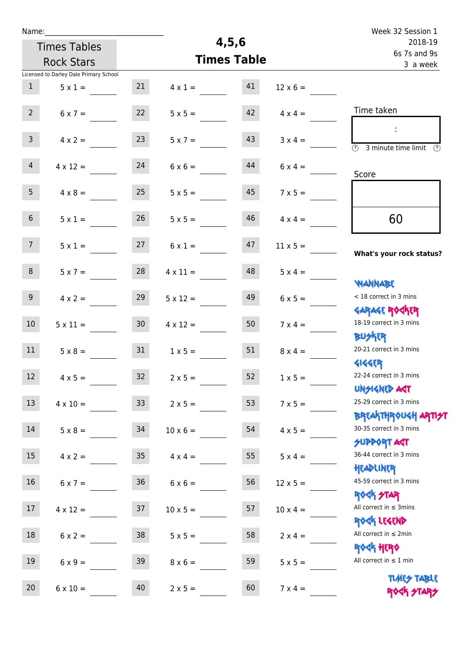| Name:            |                                        |                 |                 |                    |                 | Week 32 Session 1                                                    |
|------------------|----------------------------------------|-----------------|-----------------|--------------------|-----------------|----------------------------------------------------------------------|
|                  | <b>Times Tables</b>                    |                 |                 | 4,5,6              |                 | 2018-19<br>6s 7s and 9s<br>3 a week                                  |
|                  | <b>Rock Stars</b>                      |                 |                 | <b>Times Table</b> |                 |                                                                      |
|                  | Licensed to Darley Dale Primary School |                 |                 |                    |                 |                                                                      |
| $\mathbf{1}$     | $5 \times 1 =$                         | 21              | $4 \times 1 =$  | 41                 | $12 \times 6 =$ |                                                                      |
| $2^{\circ}$      | $6 \times 7 =$                         | 22              | $5 \times 5 =$  | 42                 | $4 \times 4 =$  | Time taken                                                           |
| 3 <sup>7</sup>   | $4 \times 2 =$                         | 23              | $5 \times 7 =$  | 43                 | $3 \times 4 =$  | $\sim$<br>$\overline{(\Omega)}$<br>3 minute time limit $\circled{0}$ |
| $\overline{4}$   | $4 \times 12 =$                        | 24              | $6 \times 6 =$  | 44                 | $6 \times 4 =$  | Score                                                                |
| 5 <sub>1</sub>   | $4 \times 8 =$                         | 25              | $5 \times 5 =$  | 45                 | $7 \times 5 =$  |                                                                      |
| 6 <sup>1</sup>   | $5 \times 1 =$                         | 26              | $5 \times 5 =$  | 46                 | $4 \times 4 =$  | 60                                                                   |
| 7 <sup>7</sup>   | $5 \times 1 =$                         | 27              | $6 \times 1 =$  | 47                 | $11 \times 5 =$ | What's your rock status?                                             |
| 8                | $5 \times 7 =$                         | 28              | $4 \times 11 =$ | 48                 | $5 \times 4 =$  | <b>NANNABE</b>                                                       |
| 9 <sub>o</sub>   | $4 \times 2 =$                         | 29              | $5 \times 12 =$ | 49                 | $6 \times 5 =$  | < 18 correct in 3 mins<br><b>GARAGE ROCKER</b>                       |
| 10 <sup>°</sup>  | $5 \times 11 =$                        | 30 <sub>o</sub> | $4 \times 12 =$ | 50                 | $7 \times 4 =$  | 18-19 correct in 3 mins<br><b>BUSKRR</b>                             |
| 11               | $5 \times 8 =$                         | 31              | $1 \times 5 =$  | 51                 | $8 \times 4 =$  | 20-21 correct in 3 mins<br><b>4144EP</b>                             |
| 12 <sup>12</sup> | $4 \times 5 =$                         | 32              | $2 \times 5 =$  | 52                 | $1 \times 5 =$  | 22-24 correct in 3 mins<br><b>UNSIGNED AST</b>                       |
| 13               | $4 \times 10 =$                        | 33 <sup>°</sup> | $2 \times 5 =$  | 53                 | $7 \times 5 =$  | 25-29 correct in 3 mins                                              |
| 14               | $5 \times 8 =$                         | 34              | $10 \times 6 =$ | 54                 | $4 \times 5 =$  | ΒΡ[Α  THP\0U <h αρ  7 <del="">2 <br/>30-35 correct in 3 mins</h>     |
| 15               | $4 \times 2 =$                         | 35 <sub>1</sub> | $4 \times 4 =$  | 55                 | $5 \times 4 =$  | <b>SUPPORT AGT</b><br>36-44 correct in 3 mins                        |
| 16               | $6 \times 7 =$                         | 36              | $6 \times 6 =$  | 56                 | $12 \times 5 =$ | HEADLINER<br>45-59 correct in 3 mins                                 |
| 17               | $4 \times 12 =$                        | 37              | $10 \times 5 =$ | 57                 | $10 \times 4 =$ | ROCK STAR<br>All correct in $\leq$ 3mins                             |
| 18               | $6 \times 2 =$                         | 38              | $5 \times 5 =$  | 58                 | $2 \times 4 =$  | ROCK LEGEND<br>All correct in $\leq 2$ min                           |
| 19               | $6 \times 9 =$                         | 39              | $8 \times 6 =$  | 59                 | $5 \times 5 =$  | <b>ROCK HERO</b><br>All correct in $\leq 1$ min                      |
| 20               | $6 \times 10 =$                        | 40              | $2 \times 5 =$  | 60                 | $7 \times 4 =$  | <b>TIMES TABLE</b><br>ROCK STARS                                     |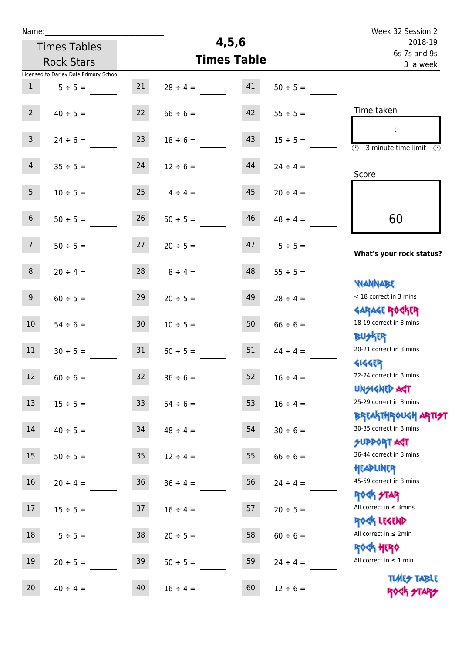| Name:               |                                        |                 |                    |                          |               | Week 32 Session 2                                     |
|---------------------|----------------------------------------|-----------------|--------------------|--------------------------|---------------|-------------------------------------------------------|
| <b>Times Tables</b> |                                        |                 |                    | 4, 5, 6                  | 2018-19       |                                                       |
| <b>Rock Stars</b>   |                                        |                 | <b>Times Table</b> | 6s 7s and 9s<br>3 a week |               |                                                       |
|                     | Licensed to Darley Dale Primary School |                 |                    |                          |               |                                                       |
| $\mathbf{1}$        | $5 ÷ 5 =$                              | 21              | $28 \div 4 =$      | 41                       | $50 \div 5 =$ |                                                       |
|                     |                                        |                 |                    |                          |               |                                                       |
| $2^{\circ}$         | $40 \div 5 =$                          | 22              | $66 \div 6 =$      | 42                       | $55 \div 5 =$ | Time taken                                            |
|                     |                                        |                 |                    |                          |               | ÷                                                     |
| $\mathbf{3}$        | $24 \div 6 =$                          | 23              | $18 \div 6 =$      | 43                       | $15 \div 5 =$ | $\circled{r}$<br>3 minute time limit<br>$\mathcal{O}$ |
|                     |                                        |                 |                    |                          |               |                                                       |
| $\overline{4}$      | $35 ÷ 5 =$                             | 24              | $12 \div 6 =$      | 44                       | $24 \div 4 =$ | Score                                                 |
| 5 <sub>1</sub>      |                                        | 25              |                    | 45                       |               |                                                       |
|                     | $10 \div 5 =$                          |                 | $4 \div 4 =$       |                          | $20 \div 4 =$ |                                                       |
| $6\,$               | $50 \div 5 =$                          | 26              | $50 \div 5 =$      | 46                       | $48 \div 4 =$ | 60                                                    |
|                     |                                        |                 |                    |                          |               |                                                       |
| 7 <sup>7</sup>      | $50 \div 5 =$                          | 27              | $20 \div 5 =$      | 47                       | $5 ÷ 5 =$     |                                                       |
|                     |                                        |                 |                    |                          |               | What's your rock status?                              |
| 8                   | $20 \div 4 =$                          | 28              | $8 \div 4 =$       | 48                       | $55 \div 5 =$ |                                                       |
|                     |                                        |                 |                    |                          |               | <b>NANNABE</b>                                        |
| 9 <sup>°</sup>      | $60 \div 5 =$                          | 29              | $20 \div 5 =$      | 49                       | $28 \div 4 =$ | < 18 correct in 3 mins                                |
|                     |                                        |                 |                    |                          |               | <b>GARAGE ROCKER</b>                                  |
| 10 <sup>°</sup>     | $54 \div 6 =$                          | 30              | $10 \div 5 =$      | 50                       | $66 \div 6 =$ | 18-19 correct in 3 mins                               |
|                     |                                        |                 |                    |                          |               | <b>BUSKRR</b>                                         |
| 11                  | $30 \div 5 =$                          | 31              | $60 \div 5 =$      | 51                       | $44 \div 4 =$ | 20-21 correct in 3 mins                               |
|                     |                                        |                 |                    |                          |               | <b>4144EP</b>                                         |
| 12                  | $60 \div 6 =$                          | 32              | $36 \div 6 =$      | 52                       | $16 \div 4 =$ | 22-24 correct in 3 mins                               |
|                     |                                        |                 |                    |                          |               | <b>UNSIGNED AGT</b><br>25-29 correct in 3 mins        |
| 13                  | $15 \div 5 =$                          | 33 <sup>°</sup> | $54 \div 6 =$      | 53                       | $16 \div 4 =$ | <b>BREAKTHROUGH ARTI<del>S</del>T</b>                 |
| 14                  | $40 \div 5 =$                          | 34              | $48 \div 4 =$      | 54                       | $30 \div 6 =$ | 30-35 correct in 3 mins                               |
|                     |                                        |                 |                    |                          |               | <b>SUPPORT ART</b>                                    |
| 15                  | $50 \div 5 =$                          | 35 <sub>o</sub> | $12 \div 4 =$      | 55                       | $66 \div 6 =$ | 36-44 correct in 3 mins                               |
|                     |                                        |                 |                    |                          |               | HEADLINER                                             |
| 16                  | $20 \div 4 =$                          | 36              | $36 \div 4 =$      | 56                       | $24 \div 4 =$ | 45-59 correct in 3 mins                               |
|                     |                                        |                 |                    |                          |               | <b>ROCK STAR</b>                                      |
| 17                  | $15 \div 5 =$                          | 37              | $16 \div 4 =$      | 57                       | $20 \div 5 =$ | All correct in $\leq$ 3mins                           |
|                     |                                        |                 |                    |                          |               | ROCK LEGEND                                           |
| 18                  | $5 \div 5 =$                           | 38              | $20 \div 5 =$      | 58                       | $60 \div 6 =$ | All correct in $\leq 2$ min                           |
|                     |                                        |                 |                    |                          |               | <b>ROCK HERO</b>                                      |
| 19                  | $20 \div 5 =$                          | 39              | $50 \div 5 =$      | 59                       | $24 \div 4 =$ | All correct in $\leq 1$ min                           |
|                     |                                        |                 |                    |                          |               | <b>TUARS TABLE</b>                                    |
| 20                  | $40 \div 4 =$                          | 40              | $16 \div 4 =$      | 60                       | $12 \div 6 =$ | ROCK STARS                                            |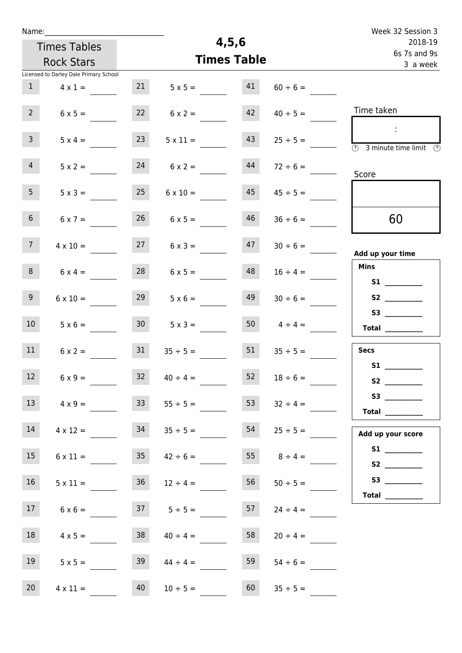| Name:           |                                        |                 |                                         |                          |                 | Week 32 Session 3                                                                       |
|-----------------|----------------------------------------|-----------------|-----------------------------------------|--------------------------|-----------------|-----------------------------------------------------------------------------------------|
|                 | <b>Times Tables</b>                    |                 | 4,5,6                                   | 2018-19                  |                 |                                                                                         |
|                 | <b>Rock Stars</b>                      |                 | <b>Times Table</b>                      | 6s 7s and 9s<br>3 a week |                 |                                                                                         |
|                 | Licensed to Darley Dale Primary School |                 |                                         |                          |                 |                                                                                         |
| $\mathbf{1}$    | $4 \times 1 =$                         | 21              | $5 \times 5 =$                          | 41                       | $60 \div 6 =$   |                                                                                         |
| 2 <sup>7</sup>  | $6 \times 5 =$                         | 22              | $6 \times 2 =$                          | 42                       | $40 \div 5 =$   | Time taken                                                                              |
| 3 <sup>7</sup>  | $5 \times 4 =$                         | 23              | $5 \times 11 =$                         | 43                       | $25 \div 5 =$   | $\sim$<br>$\overline{\textcircled{2}}$ 3 minute time limit $\overline{\textcircled{2}}$ |
| $\overline{4}$  | $5 \times 2 =$                         | 24              | $6 \times 2 =$                          | 44                       | $72 \div 6 =$   | Score                                                                                   |
| 5 <sub>1</sub>  | $5 \times 3 =$                         | 25              | $6 \times 10 =$                         | 45                       | $45 \div 5 =$   |                                                                                         |
| 6 <sup>1</sup>  | $6 \times 7 =$                         | 26              | $6 \times 5 =$                          | 46                       | $36 \div 6 =$   | 60                                                                                      |
| 7 <sup>7</sup>  | $4 \times 10 =$                        | 27              | $6 \times 3 =$                          | 47                       | $30 \div 6 =$   | Add up your time                                                                        |
| 8               | $6 \times 4 =$                         | 28              | $6 \times 5 =$                          | 48                       | $16 \div 4 =$   | <b>Mins</b>                                                                             |
| 9 <sub>o</sub>  | $6 \times 10 =$                        | 29              | $5 \times 6 =$                          | 49                       | $30 \div 6 =$   |                                                                                         |
| 10 <sup>°</sup> | $5 \times 6 =$                         | 30 <sup>°</sup> | $5 \times 3 =$                          | 50                       | $4 \div 4 =$    | Total $\_\_$                                                                            |
| 11              | $6 \times 2 =$                         | 31              | $35 \div 5 =$                           | 51                       | $35 \div 5 =$   | Secs                                                                                    |
| 12              | $6 \times 9 =$                         | 32              | $40 \div 4 =$                           | 52                       | $18 \div 6 =$   | S1                                                                                      |
| 13              | $4 \times 9 =$                         | 33              | $55 \div 5 =$                           | 53                       | $32 \div 4 =$   | Total                                                                                   |
| 14              | $4 \times 12 =$                        | 34              | $35 \div 5 =$                           | 54                       | $25 \div 5 =$   | Add up your score                                                                       |
| 15              |                                        |                 | $6 \times 11 =$ $35 \qquad 42 \div 6 =$ |                          | 55 $8 \div 4 =$ | S1                                                                                      |
| 16              | $5 \times 11 =$                        | 36              | $12 \div 4 =$                           | 56                       | $50 \div 5 =$   |                                                                                         |
| 17 <sup>7</sup> | $6 \times 6 =$                         |                 | $37 \t 5 \div 5 =$                      | 57                       | $24 \div 4 =$   | Total $\_\_$                                                                            |
| 18              | $4 \times 5 =$                         | 38              | $40 \div 4 =$                           | 58                       | $20 \div 4 =$   |                                                                                         |
| 19              | $5 \times 5 =$                         | 39              | $44 \div 4 =$                           | 59                       | $54 \div 6 =$   |                                                                                         |
| 20              | $4 \times 11 =$                        | 40              | $10 \div 5 =$                           | 60                       | $35 \div 5 =$   |                                                                                         |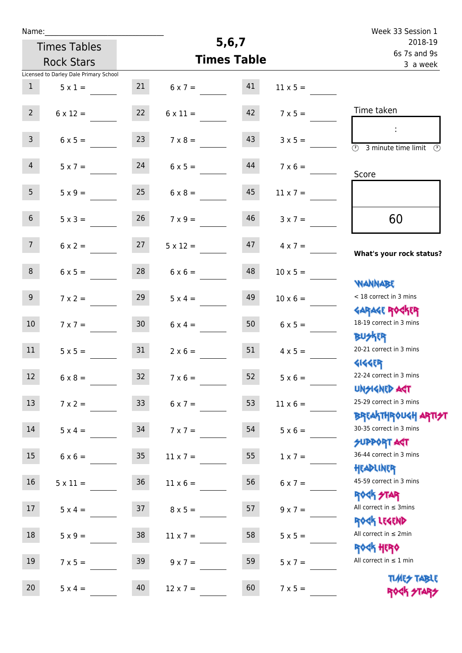| Name:           |                                        |                 |                 |                    |                 | Week 33 Session 1                                                |
|-----------------|----------------------------------------|-----------------|-----------------|--------------------|-----------------|------------------------------------------------------------------|
|                 | <b>Times Tables</b>                    |                 | 5,6,7           | 2018-19            |                 |                                                                  |
|                 | <b>Rock Stars</b>                      |                 |                 | <b>Times Table</b> |                 | 6s 7s and 9s<br>3 a week                                         |
|                 | Licensed to Darley Dale Primary School |                 |                 |                    |                 |                                                                  |
| $\mathbf{1}$    | $5 \times 1 =$                         | 21              | $6 \times 7 =$  | 41                 | $11 \times 5 =$ |                                                                  |
| $2^{\circ}$     | $6 \times 12 =$                        | 22              | $6 \times 11 =$ | 42                 | $7 \times 5 =$  | Time taken                                                       |
| 3 <sup>7</sup>  | $6 \times 5 =$                         | 23              | $7 \times 8 =$  | 43                 | $3 \times 5 =$  | $\overline{(\mathcal{V})}$<br>3 minute time limit $\circled{0}$  |
| $\overline{4}$  | $5 \times 7 =$                         | 24              | $6 \times 5 =$  | 44                 | $7 \times 6 =$  | Score                                                            |
| 5 <sub>1</sub>  | $5 \times 9 =$                         | 25              | $6 \times 8 =$  | 45                 | $11 \times 7 =$ |                                                                  |
| 6 <sup>1</sup>  | $5 \times 3 =$                         | 26              | $7 \times 9 =$  | 46                 | $3 \times 7 =$  | 60                                                               |
| 7 <sup>7</sup>  | $6 \times 2 =$                         | 27              | $5 \times 12 =$ | 47                 | $4 \times 7 =$  | What's your rock status?                                         |
| 8 <sup>°</sup>  | $6 \times 5 =$                         | 28              | $6 \times 6 =$  | 48                 | $10 \times 5 =$ | <b>NANNABE</b>                                                   |
| 9 <sup>1</sup>  | $7 \times 2 =$                         | 29              | $5 \times 4 =$  | 49                 | $10 \times 6 =$ | < 18 correct in 3 mins<br><b>GARAGE ROCKER</b>                   |
| 10 <sup>°</sup> | $7 \times 7 =$                         | 30 <sub>o</sub> | $6 \times 4 =$  | 50                 | $6 \times 5 =$  | 18-19 correct in 3 mins<br><b>BUSKRR</b>                         |
| 11              | $5 \times 5 =$                         | 31              | $2 \times 6 =$  | 51                 | $4 \times 5 =$  | 20-21 correct in 3 mins<br><b>4144EP</b>                         |
| 12 <sup>7</sup> | $6 \times 8 =$                         | 32              | $7 \times 6 =$  | 52                 | $5 \times 6 =$  | 22-24 correct in 3 mins<br>UNSIGNED AGT                          |
| 13              | $7 \times 2 =$                         | 33 <sup>°</sup> | $6 \times 7 =$  | 53                 | $11 \times 6 =$ | 25-29 correct in 3 mins<br><b>BREAKTHROUGH ARTI<del>S</del>T</b> |
| 14              | $5 \times 4 =$                         | 34              | $7 \times 7 =$  | 54                 | $5 \times 6 =$  | 30-35 correct in 3 mins<br><b>SUPPORT AGT</b>                    |
| 15              | $6 \times 6 =$                         | 35 <sub>1</sub> | $11 \times 7 =$ | 55                 | $1 \times 7 =$  | 36-44 correct in 3 mins<br>HEADLINER                             |
| 16              | $5 \times 11 =$                        | 36              | $11 \times 6 =$ | 56                 | $6 \times 7 =$  | 45-59 correct in 3 mins<br>ROCK STAR                             |
| 17              | $5 \times 4 =$                         | 37              | $8 \times 5 =$  | 57                 | $9 \times 7 =$  | All correct in $\leq$ 3mins                                      |
| 18              | $5 \times 9 =$                         | 38              | $11 \times 7 =$ | 58                 | $5 \times 5 =$  | ROCK LEGEND<br>All correct in $\leq 2$ min                       |
| 19              | $7 \times 5 =$                         | 39              | $9 \times 7 =$  | 59                 | $5 \times 7 =$  | ROCK HERO<br>All correct in $\leq 1$ min                         |
| $20\,$          | $5 \times 4 =$                         | 40              | $12 \times 7 =$ | 60                 | $7 \times 5 =$  | <b>TIMES TABLE</b><br>ROCK STARS                                 |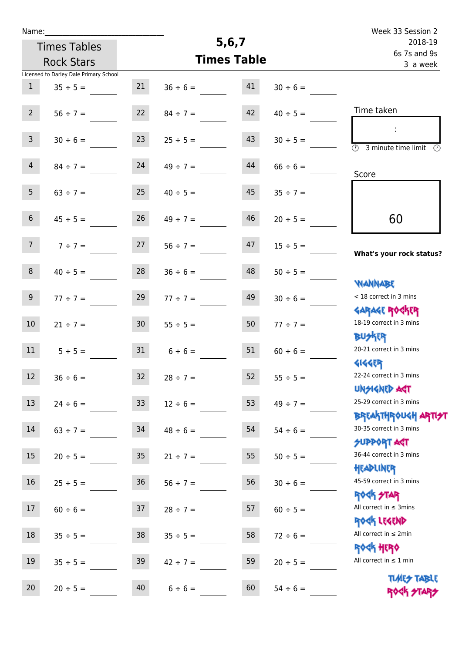| Name:           |                                        |                 |               |                    | Week 33 Session 2 |                                                                  |
|-----------------|----------------------------------------|-----------------|---------------|--------------------|-------------------|------------------------------------------------------------------|
|                 | <b>Times Tables</b>                    |                 |               | 5, 6, 7            |                   | 2018-19                                                          |
|                 | <b>Rock Stars</b>                      |                 |               | <b>Times Table</b> |                   | 6s 7s and 9s<br>3 a week                                         |
|                 | Licensed to Darley Dale Primary School |                 |               |                    |                   |                                                                  |
| $\mathbf{1}$    | $35 \div 5 =$                          | 21              | $36 \div 6 =$ | 41                 | $30 \div 6 =$     |                                                                  |
| 2 <sup>7</sup>  | $56 \div 7 =$                          | 22              | $84 \div 7 =$ | 42                 | $40 \div 5 =$     | Time taken                                                       |
| $\mathbf{3}$    | $30 \div 6 =$                          | 23              | $25 \div 5 =$ | 43                 | $30 \div 5 =$     | $\overline{\mathcal{D}}$<br>3 minute time limit<br>$\odot$       |
| $\overline{4}$  | $84 \div 7 =$                          | 24              | $49 \div 7 =$ | 44                 | $66 \div 6 =$     | Score                                                            |
| 5 <sub>1</sub>  | $63 \div 7 =$                          | 25              | $40 \div 5 =$ | 45                 | $35 \div 7 =$     |                                                                  |
| 6 <sup>1</sup>  | $45 \div 5 =$                          | 26              | $49 \div 7 =$ | 46                 | $20 \div 5 =$     | 60                                                               |
| 7 <sup>7</sup>  | $7 ÷ 7 =$                              | 27              | $56 \div 7 =$ | 47                 | $15 \div 5 =$     | What's your rock status?                                         |
| 8               | $40 \div 5 =$                          | 28              | $36 \div 6 =$ | 48                 | $50 \div 5 =$     | <b>NANNABE</b>                                                   |
| 9               | $77 ÷ 7 =$                             | 29              | $77 ÷ 7 =$    | 49                 | $30 \div 6 =$     | < 18 correct in 3 mins<br><b>GARAGE ROCKER</b>                   |
| 10              | $21 \div 7 =$                          | 30 <sub>2</sub> | $55 \div 5 =$ | 50                 | $77 ÷ 7 =$        | 18-19 correct in 3 mins<br>DU外R                                  |
| 11              | $5 \div 5 =$                           | 31              | $6 \div 6 =$  | 51                 | $60 \div 6 =$     | 20-21 correct in 3 mins<br><b>4144EP</b>                         |
| 12              | $36 \div 6 =$                          | 32              | $28 \div 7 =$ | 52                 | $55 \div 5 =$     | 22-24 correct in 3 mins<br><b>UNSIGNED AST</b>                   |
| 13              | $24 \div 6 =$                          | 33 <sup>°</sup> | $12 \div 6 =$ | 53                 | $49 \div 7 =$     | 25-29 correct in 3 mins<br><b>BREAKTHROUGH ARTI<del>S</del>T</b> |
| 14              | $63 \div 7 =$                          | 34              | $48 \div 6 =$ | 54                 | $54 \div 6 =$     | 30-35 correct in 3 mins<br><b>SUPPORT AGT</b>                    |
| 15 <sub>1</sub> | $20 \div 5 =$                          | 35 <sub>1</sub> | $21 \div 7 =$ | 55                 | $50 \div 5 =$     | 36-44 correct in 3 mins<br>HEADLINER                             |
| 16              | $25 \div 5 =$                          | 36              | $56 \div 7 =$ | 56                 | $30 \div 6 =$     | 45-59 correct in 3 mins<br><b>ROCK STAR</b>                      |
| 17              | $60 \div 6 =$                          | 37              | $28 \div 7 =$ | 57                 | $60 \div 5 =$     | All correct in $\leq$ 3mins<br>ROCK LEGEND                       |
| 18              | $35 \div 5 =$                          | 38              | $35 \div 5 =$ | 58                 | $72 \div 6 =$     | All correct in $\leq 2$ min<br><b>ROCK HERO</b>                  |
| 19              | $35 \div 5 =$                          | 39              | $42 \div 7 =$ | 59                 | $20 \div 5 =$     | All correct in $\leq 1$ min                                      |
| 20              | $20 \div 5 =$                          | 40              | $6 \div 6 =$  | 60                 | $54 \div 6 =$     | <b>TIMES TABLE</b><br>ROCK STARS                                 |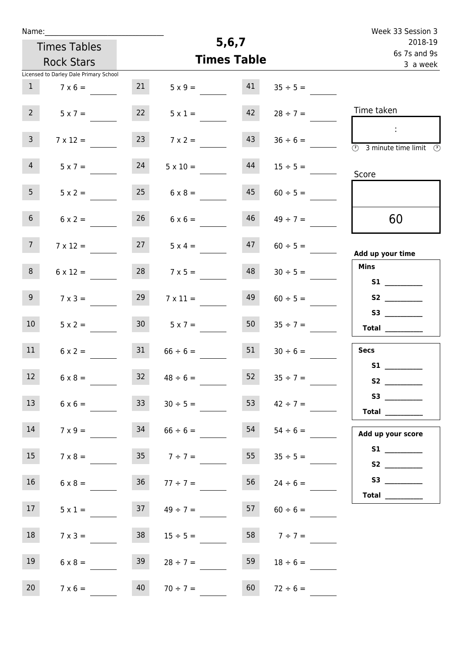| Name:           |                                        |                 |                    |    |                     | Week 33 Session 3                                                                              |
|-----------------|----------------------------------------|-----------------|--------------------|----|---------------------|------------------------------------------------------------------------------------------------|
|                 | <b>Times Tables</b>                    |                 | 5,6,7              |    | 2018-19             |                                                                                                |
|                 | <b>Rock Stars</b>                      |                 | <b>Times Table</b> |    |                     | 6s 7s and 9s<br>3 a week                                                                       |
|                 | Licensed to Darley Dale Primary School |                 |                    |    |                     |                                                                                                |
| 1               | $7 \times 6 =$                         | 21              | $5 \times 9 =$     | 41 | $35 \div 5 =$       |                                                                                                |
| $2^{\circ}$     | $5 \times 7 =$                         | 22              | $5 \times 1 =$     | 42 | $28 \div 7 =$       | Time taken                                                                                     |
| $\mathbf{3}$    | $7 \times 12 =$                        | 23              | $7 \times 2 =$     | 43 | $36 \div 6 =$       | $\mathcal{L}_{\mathcal{A}}$<br>$\overline{(\mathcal{V})}$<br>3 minute time limit $\circled{0}$ |
| $\overline{4}$  | $5 \times 7 =$                         | 24              | $5 \times 10 =$    | 44 | $15 \div 5 =$       | Score                                                                                          |
| 5 <sub>1</sub>  | $5 \times 2 =$                         | 25              | $6 \times 8 =$     | 45 | $60 \div 5 =$       |                                                                                                |
| 6 <sup>1</sup>  | $6 \times 2 =$                         | 26              | $6 \times 6 =$     | 46 | $49 \div 7 =$       | 60                                                                                             |
| 7 <sup>7</sup>  | $7 \times 12 =$                        | 27              | $5 \times 4 =$     | 47 | $60 \div 5 =$       | Add up your time                                                                               |
| 8               | $6 \times 12 =$                        | 28              | $7 \times 5 =$     | 48 | $30 \div 5 =$       | <b>Mins</b>                                                                                    |
| 9 <sup>1</sup>  | $7 \times 3 =$                         | 29              | $7 \times 11 =$    | 49 | $60 \div 5 =$       |                                                                                                |
| 10 <sup>°</sup> | $5 \times 2 =$                         | 30 <sub>1</sub> | $5 \times 7 =$     | 50 | $35 \div 7 =$       | $\begin{tabular}{c} Total \end{tabular}$                                                       |
| 11              | $6 \times 2 =$                         | 31              | $66 \div 6 =$      | 51 | $30 \div 6 =$       | <b>Secs</b>                                                                                    |
| $12$            | $6 \times 8 =$                         | 32              | $48 \div 6 =$      | 52 | $35 \div 7 =$       |                                                                                                |
| 13              | $6 \times 6 =$                         | 33              | $30 \div 5 =$      | 53 |                     |                                                                                                |
| 14              | $7 \times 9 =$                         | 34              | $66 \div 6 =$      | 54 | $54 \div 6 =$       | Add up your score                                                                              |
| 15              | $7 \times 8 =$                         |                 | $7 \div 7 =$       |    | $55 \t 35 \div 5 =$ | S2 __________                                                                                  |
| 16              | $6 \times 8 =$                         | 36              | $77 \div 7 =$      | 56 | $24 \div 6 =$       | Total $\qquad$                                                                                 |
| 17              | $5 \times 1 =$                         | 37              | $49 \div 7 =$      | 57 | $60 \div 6 =$       |                                                                                                |
| 18              | $7 \times 3 =$                         | 38              | $15 \div 5 =$      | 58 | $7 ÷ 7 =$           |                                                                                                |
| 19              | $6 \times 8 =$                         | 39              | $28 \div 7 =$      | 59 | $18 \div 6 =$       |                                                                                                |
| 20              | $7 \times 6 =$                         | 40              | $70 \div 7 =$      | 60 | $72 \div 6 =$       |                                                                                                |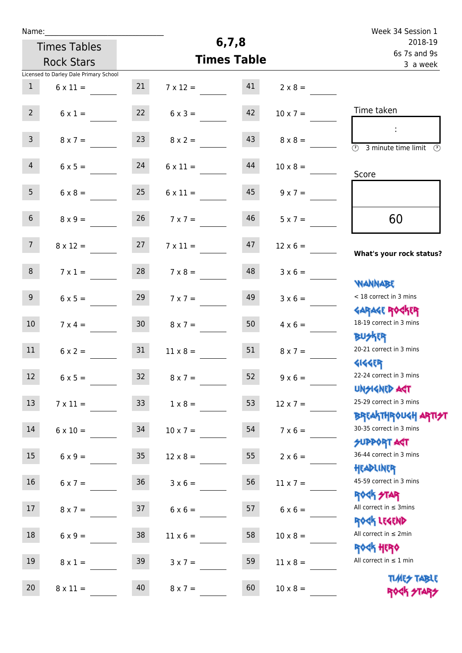| Name:            |                                        |                 |                 |                    |                 | Week 34 Session 1                                                       |
|------------------|----------------------------------------|-----------------|-----------------|--------------------|-----------------|-------------------------------------------------------------------------|
|                  | <b>Times Tables</b>                    |                 |                 | 6, 7, 8            |                 | 2018-19                                                                 |
|                  | <b>Rock Stars</b>                      |                 |                 | <b>Times Table</b> |                 | 6s 7s and 9s<br>3 a week                                                |
|                  | Licensed to Darley Dale Primary School |                 |                 |                    |                 |                                                                         |
| $\mathbf{1}$     | $6 \times 11 =$                        | 21              | $7 \times 12 =$ | 41                 | $2 \times 8 =$  |                                                                         |
| $2^{\circ}$      | $6 \times 1 =$                         | 22              | $6 \times 3 =$  | 42                 | $10 \times 7 =$ | Time taken                                                              |
| $\mathbf{3}$     | $8 \times 7 =$                         | 23              | $8 \times 2 =$  | 43                 | $8 \times 8 =$  | $\overline{\circledcirc}$ 3 minute time limit $\overline{\circledcirc}$ |
| $\overline{4}$   | $6 \times 5 =$                         | 24              | $6 \times 11 =$ | 44                 | $10 \times 8 =$ | Score                                                                   |
| 5 <sub>1</sub>   | $6 \times 8 =$                         | 25              | $6 \times 11 =$ | 45                 | $9 \times 7 =$  |                                                                         |
| 6 <sup>1</sup>   | $8 \times 9 =$                         | 26              | $7 \times 7 =$  | 46                 | $5 \times 7 =$  | 60                                                                      |
| 7 <sup>7</sup>   | $8 \times 12 =$                        | 27              | $7 \times 11 =$ | 47                 | $12 \times 6 =$ | What's your rock status?                                                |
| 8 <sup>°</sup>   | $7 \times 1 =$                         | 28              | $7 \times 8 =$  | 48                 | $3 \times 6 =$  | <b>NANNABE</b>                                                          |
| 9 <sub>o</sub>   | $6 \times 5 =$                         | 29              | $7 \times 7 =$  | 49                 | $3 \times 6 =$  | < 18 correct in 3 mins                                                  |
| 10 <sup>°</sup>  | $7 \times 4 =$                         | 30 <sub>o</sub> | $8 \times 7 =$  | 50                 | $4 \times 6 =$  | <b>GARAGE ROGKER</b><br>18-19 correct in 3 mins<br><b>BUSKRR</b>        |
| 11               | $6 \times 2 =$                         | 31              | $11 \times 8 =$ | 51                 | $8 \times 7 =$  | 20-21 correct in 3 mins                                                 |
| 12 <sup>12</sup> | $6 \times 5 =$                         | 32              | $8 \times 7 =$  | 52                 | $9 \times 6 =$  | <b>4144EP</b><br>22-24 correct in 3 mins<br><b>UNSIGNED AST</b>         |
| 13               | $7 \times 11 =$                        | 33              | $1 \times 8 =$  | 53                 | $12 \times 7 =$ | 25-29 correct in 3 mins                                                 |
| 14               | $6 \times 10 =$                        | 34              | $10 \times 7 =$ | 54                 | $7 \times 6 =$  | <b>BREAKTHROUGH ARTI<del>S</del>T</b><br>30-35 correct in 3 mins        |
| 15               | $6 \times 9 =$                         | 35 <sub>1</sub> | $12 \times 8 =$ | 55                 | $2 \times 6 =$  | <b>SUPPORT AGT</b><br>36-44 correct in 3 mins                           |
| 16               | $6 \times 7 =$                         | 36              | $3 \times 6 =$  | 56                 | $11 \times 7 =$ | HEADLINER<br>45-59 correct in 3 mins                                    |
| 17               | $8 \times 7 =$                         | 37              | $6 \times 6 =$  | 57                 | $6 \times 6 =$  | <b>ROCK STAR</b><br>All correct in $\leq$ 3mins                         |
| 18               | $6 \times 9 =$                         | 38              | $11 \times 6 =$ | 58                 | $10 \times 8 =$ | ROCK LEGEND<br>All correct in $\leq 2$ min                              |
| 19               | $8 \times 1 =$                         | 39              | $3 \times 7 =$  | 59                 | $11 \times 8 =$ | <b>ROCK HERO</b><br>All correct in $\leq 1$ min                         |
| 20               | $8 \times 11 =$                        | 40              | $8 \times 7 =$  | 60                 | $10 \times 8 =$ | <b>TLARES TABLE</b><br>ROCK STARS                                       |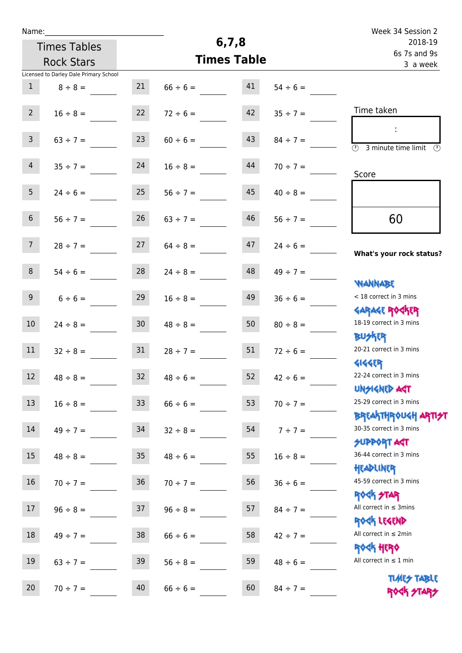| Name:           |                                        |                 |                    |    |               | Week 34 Session 2                                 |
|-----------------|----------------------------------------|-----------------|--------------------|----|---------------|---------------------------------------------------|
|                 | <b>Times Tables</b>                    |                 | 6, 7, 8            |    |               | 2018-19<br>6s 7s and 9s                           |
|                 | <b>Rock Stars</b>                      |                 | <b>Times Table</b> |    | 3 a week      |                                                   |
|                 | Licensed to Darley Dale Primary School | 21              |                    | 41 |               |                                                   |
| $\mathbf{1}$    | $8 \div 8 =$                           |                 | $66 \div 6 =$      |    | $54 \div 6 =$ |                                                   |
| $2^{\circ}$     | $16 \div 8 =$                          | 22              | $72 \div 6 =$      | 42 | $35 \div 7 =$ | Time taken                                        |
|                 |                                        |                 |                    |    |               |                                                   |
| $\mathbf{3}$    | $63 \div 7 =$                          | 23              | $60 \div 6 =$      | 43 | $84 \div 7 =$ | $\overline{(\mathcal{V})}$<br>3 minute time limit |
| $\overline{4}$  | $35 \div 7 =$                          | 24              | $16 \div 8 =$      | 44 | $70 \div 7 =$ |                                                   |
|                 |                                        |                 |                    |    |               | Score                                             |
| 5 <sup>5</sup>  | $24 \div 6 =$                          | 25              | $56 \div 7 =$      | 45 | $40 \div 8 =$ |                                                   |
| $6\overline{6}$ | $56 \div 7 =$                          | 26              | $63 \div 7 =$      | 46 | $56 \div 7 =$ | 60                                                |
|                 |                                        |                 |                    |    |               |                                                   |
| 7 <sup>7</sup>  | $28 \div 7 =$                          | 27              | $64 \div 8 =$      | 47 | $24 \div 6 =$ |                                                   |
|                 |                                        |                 |                    |    |               | What's your rock status?                          |
| 8               | $54 \div 6 =$                          | 28              | $24 \div 8 =$      | 48 | $49 \div 7 =$ | <b>NANNABE</b>                                    |
| 9               | $6 \div 6 =$                           | 29              | $16 \div 8 =$      | 49 | $36 \div 6 =$ | < 18 correct in 3 mins                            |
|                 |                                        |                 |                    |    |               | <b>GARAGE ROGKER</b>                              |
| 10              | $24 \div 8 =$                          | 30 <sup>°</sup> | $48 \div 8 =$      | 50 | $80 \div 8 =$ | 18-19 correct in 3 mins                           |
|                 |                                        |                 |                    |    |               | <b>BUSKER</b>                                     |
| 11              | $32 \div 8 =$                          | 31              | $28 \div 7 =$      | 51 | $72 \div 6 =$ | 20-21 correct in 3 mins<br><b>4144EP</b>          |
| 12              | $48 \div 8 =$                          | 32              | $48 \div 6 =$      | 52 | $42 \div 6 =$ | 22-24 correct in 3 mins                           |
|                 |                                        |                 |                    |    |               | <b>UNSIGNED AST</b>                               |
| 13              | $16 \div 8 =$                          | 33              | $66 \div 6 =$      | 53 | $70 \div 7 =$ | 25-29 correct in 3 mins                           |
|                 |                                        |                 |                    |    |               | <b>BREAKTHROUGH ARTI<del>S</del>T</b>             |
| 14              | $49 \div 7 =$                          | 34              | $32 \div 8 =$      | 54 | $7 \div 7 =$  | 30-35 correct in 3 mins                           |
|                 |                                        |                 |                    |    |               | SUPPORT ART<br>36-44 correct in 3 mins            |
| 15              | $48 \div 8 =$                          | 35 <sub>1</sub> | $48 \div 6 =$      | 55 | $16 \div 8 =$ | HEADLINER                                         |
| 16 <sup>1</sup> | $70 \div 7 =$                          | 36              | $70 \div 7 =$      | 56 | $36 \div 6 =$ | 45-59 correct in 3 mins                           |
|                 |                                        |                 |                    |    |               | <b>ROCK STAR</b>                                  |
| 17              | $96 \div 8 =$                          | 37              | $96 \div 8 =$      | 57 | $84 \div 7 =$ | All correct in $\leq$ 3mins                       |
|                 |                                        |                 |                    |    |               | ROCK LEGEND                                       |
| 18              | $49 \div 7 =$                          | 38              | $66 \div 6 =$      | 58 | $42 \div 7 =$ | All correct in $\leq 2$ min                       |
|                 |                                        |                 |                    |    |               | <b>ROCK HERO</b>                                  |
| 19              | $63 \div 7 =$                          | 39              | $56 \div 8 =$      | 59 | $48 \div 6 =$ | All correct in $\leq 1$ min                       |
| 20 <sub>2</sub> | $70 \div 7 =$                          | 40              | $66 \div 6 =$      | 60 | $84 \div 7 =$ | <b>TIMES TABLE</b>                                |
|                 |                                        |                 |                    |    |               | ROCK STARS                                        |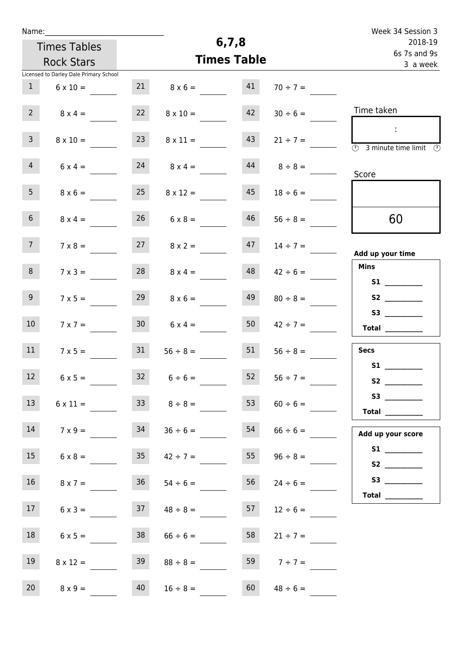| Name:           |                                        |        |                    |                         |                  | Week 34 Session 3                                                                                                                                                                                                                                                                                                                                                                                                                                                                                                                                                                                                   |
|-----------------|----------------------------------------|--------|--------------------|-------------------------|------------------|---------------------------------------------------------------------------------------------------------------------------------------------------------------------------------------------------------------------------------------------------------------------------------------------------------------------------------------------------------------------------------------------------------------------------------------------------------------------------------------------------------------------------------------------------------------------------------------------------------------------|
|                 | <b>Times Tables</b>                    |        | 6, 7, 8            | 2018-19<br>6s 7s and 9s |                  |                                                                                                                                                                                                                                                                                                                                                                                                                                                                                                                                                                                                                     |
|                 | <b>Rock Stars</b>                      |        | <b>Times Table</b> | 3 a week                |                  |                                                                                                                                                                                                                                                                                                                                                                                                                                                                                                                                                                                                                     |
|                 | Licensed to Darley Dale Primary School |        |                    |                         |                  |                                                                                                                                                                                                                                                                                                                                                                                                                                                                                                                                                                                                                     |
| $\mathbf{1}$    | $6 \times 10 =$                        | 21     | $8 \times 6 =$     | 41                      | $70 \div 7 =$    |                                                                                                                                                                                                                                                                                                                                                                                                                                                                                                                                                                                                                     |
| 2 <sup>7</sup>  | $8 \times 4 =$                         | 22     | $8 \times 10 =$    | 42                      | $30 \div 6 =$    | Time taken                                                                                                                                                                                                                                                                                                                                                                                                                                                                                                                                                                                                          |
| $\overline{3}$  | $8 \times 10 =$                        | 23     | $8 \times 11 =$    | 43                      | $21 \div 7 =$    | $\sim$<br>$\overline{\textcircled{2}}$ 3 minute time limit $\overline{\textcircled{2}}$                                                                                                                                                                                                                                                                                                                                                                                                                                                                                                                             |
| $\overline{4}$  | $6 \times 4 =$                         | 24     | $8 \times 4 =$     | 44                      | $8 \div 8 =$     | Score                                                                                                                                                                                                                                                                                                                                                                                                                                                                                                                                                                                                               |
| 5 <sub>1</sub>  | $8 \times 6 =$                         | 25     | $8 \times 12 =$    | 45                      | $18 \div 6 =$    |                                                                                                                                                                                                                                                                                                                                                                                                                                                                                                                                                                                                                     |
| 6 <sup>1</sup>  | $8 \times 4 =$                         | 26     | $6 \times 8 =$     | 46                      | $56 \div 8 =$    | 60                                                                                                                                                                                                                                                                                                                                                                                                                                                                                                                                                                                                                  |
| 7 <sup>7</sup>  | $7 \times 8 =$                         | 27     | $8 \times 2 =$     | 47                      | $14 \div 7 =$    | Add up your time                                                                                                                                                                                                                                                                                                                                                                                                                                                                                                                                                                                                    |
| 8 <sup>°</sup>  | $7 \times 3 =$                         | 28     | $8 \times 4 =$     | 48                      | $42 \div 6 =$    | <b>Mins</b>                                                                                                                                                                                                                                                                                                                                                                                                                                                                                                                                                                                                         |
| 9 <sub>o</sub>  | $7 \times 5 =$                         | 29     | $8 \times 6 =$     | 49                      | $80 \div 8 =$    | S2                                                                                                                                                                                                                                                                                                                                                                                                                                                                                                                                                                                                                  |
| 10 <sup>°</sup> | $7 \times 7 =$                         | $30-1$ | $6 \times 4 =$     | 50                      | $42 \div 7 =$    | Total $\_\_$                                                                                                                                                                                                                                                                                                                                                                                                                                                                                                                                                                                                        |
| 11              | $7 \times 5 =$                         | 31     | $56 \div 8 =$      | 51                      | $56 \div 8 =$    | <b>Secs</b>                                                                                                                                                                                                                                                                                                                                                                                                                                                                                                                                                                                                         |
| 12              | $6 \times 5 =$                         |        | $32 \t 6 \div 6 =$ | 52                      | $56 \div 7 =$    | S1                                                                                                                                                                                                                                                                                                                                                                                                                                                                                                                                                                                                                  |
| 13              | $6 \times 11 =$                        | 33     | $8 \div 8 =$       | 53                      | $60 \div 6 =$    | Total $\_\_$                                                                                                                                                                                                                                                                                                                                                                                                                                                                                                                                                                                                        |
| 14              | $7 \times 9 =$                         | 34     | $36 \div 6 =$      | 54                      | $66 \div 6 =$    | Add up your score                                                                                                                                                                                                                                                                                                                                                                                                                                                                                                                                                                                                   |
| 15              | $6 \times 8 = 35$                      |        | $42 \div 7 =$      |                         | 55 $96 \div 8 =$ | S1<br>S2                                                                                                                                                                                                                                                                                                                                                                                                                                                                                                                                                                                                            |
| 16              | $8 \times 7 =$                         | 36     | $54 \div 6 =$      | 56                      | $24 \div 6 =$    | $\begin{tabular}{c} Total & \underline{\hspace{1cm}} & \underline{\hspace{1cm}} & \underline{\hspace{1cm}} & \underline{\hspace{1cm}} & \underline{\hspace{1cm}} & \underline{\hspace{1cm}} & \underline{\hspace{1cm}} & \underline{\hspace{1cm}} & \underline{\hspace{1cm}} & \underline{\hspace{1cm}} & \underline{\hspace{1cm}} & \underline{\hspace{1cm}} & \underline{\hspace{1cm}} & \underline{\hspace{1cm}} & \underline{\hspace{1cm}} & \underline{\hspace{1cm}} & \underline{\hspace{1cm}} & \underline{\hspace{1cm}} & \underline{\hspace{1cm}} & \underline{\hspace{1cm}} & \underline{\hspace{1cm}} &$ |
| 17 <sup>7</sup> | $6 \times 3 =$                         | 37     | $48 \div 8 =$      | 57                      | $12 \div 6 =$    |                                                                                                                                                                                                                                                                                                                                                                                                                                                                                                                                                                                                                     |
| 18              | $6 \times 5 =$                         | 38     | $66 \div 6 =$      | 58                      | $21 \div 7 =$    |                                                                                                                                                                                                                                                                                                                                                                                                                                                                                                                                                                                                                     |
| 19              | $8 \times 12 =$                        | 39     | $88 \div 8 =$      | 59                      | $7 ÷ 7 =$        |                                                                                                                                                                                                                                                                                                                                                                                                                                                                                                                                                                                                                     |
| 20              | $8 \times 9 =$                         | 40     | $16 \div 8 =$      | 60                      | $48 \div 6 =$    |                                                                                                                                                                                                                                                                                                                                                                                                                                                                                                                                                                                                                     |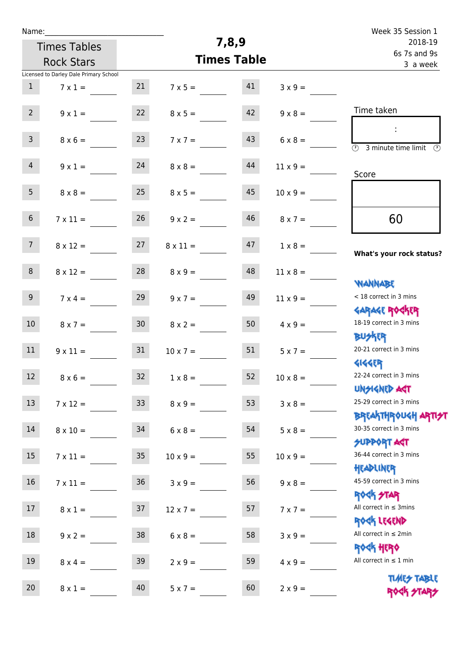| Name:           |                                        |                 |                 |                    |                 | Week 35 Session 1                                                    |
|-----------------|----------------------------------------|-----------------|-----------------|--------------------|-----------------|----------------------------------------------------------------------|
|                 | <b>Times Tables</b>                    |                 | 7,8,9           | 2018-19            |                 |                                                                      |
|                 | <b>Rock Stars</b>                      |                 |                 | <b>Times Table</b> |                 | 6s 7s and 9s<br>3 a week                                             |
|                 | Licensed to Darley Dale Primary School |                 |                 |                    |                 |                                                                      |
| $\mathbf{1}$    | $7 \times 1 =$                         | 21              | $7 \times 5 =$  | 41                 | $3 \times 9 =$  |                                                                      |
| $2^{\circ}$     | $9 \times 1 =$                         | 22              | $8 \times 5 =$  | 42                 | $9 \times 8 =$  | Time taken                                                           |
| 3 <sup>7</sup>  | $8 \times 6 =$                         | 23              | $7 \times 7 =$  | 43                 | $6 \times 8 =$  | ÷<br>$\overline{(\mathcal{V})}$<br>3 minute time limit $\circled{0}$ |
| $\overline{4}$  | $9 \times 1 =$                         | 24              | $8 \times 8 =$  | 44                 | $11 \times 9 =$ | Score                                                                |
| 5 <sub>1</sub>  | $8 \times 8 =$                         | 25              | $8 \times 5 =$  | 45                 | $10 \times 9 =$ |                                                                      |
| 6 <sup>1</sup>  | $7 \times 11 =$                        | 26              | $9 \times 2 =$  | 46                 | $8 \times 7 =$  | 60                                                                   |
| 7 <sup>7</sup>  | $8 \times 12 =$                        | 27              | $8 \times 11 =$ | 47                 | $1 \times 8 =$  | What's your rock status?                                             |
| 8               | $8 \times 12 =$                        | 28              | $8 \times 9 =$  | 48                 | $11 \times 8 =$ | <b>NANNABE</b>                                                       |
| 9 <sup>1</sup>  | $7 \times 4 =$                         | 29              | $9 \times 7 =$  | 49                 | $11 \times 9 =$ | < 18 correct in 3 mins                                               |
| 10 <sup>°</sup> | $8 \times 7 =$                         | 30 <sub>o</sub> | $8 \times 2 =$  | 50                 | $4 \times 9 =$  | <b>GARAGE ROCKER</b><br>18-19 correct in 3 mins<br><b>BUSKRR</b>     |
| 11              | $9 \times 11 =$                        | 31              | $10 \times 7 =$ | 51                 | $5 \times 7 =$  | 20-21 correct in 3 mins<br><b>4144EP</b>                             |
| 12 <sup>7</sup> | $8 \times 6 =$                         | 32              | $1 \times 8 =$  | 52                 | $10 \times 8 =$ | 22-24 correct in 3 mins<br><b>UNSIGNED AGT</b>                       |
| 13              | $7 \times 12 =$                        | 33 <sup>°</sup> | $8 \times 9 =$  | 53                 | $3 \times 8 =$  | 25-29 correct in 3 mins                                              |
| 14              | $8 \times 10 =$                        | 34              | $6 \times 8 =$  | 54                 | $5 \times 8 =$  | <b>BREAKTHROUGH ARTI<del>S</del>T</b><br>30-35 correct in 3 mins     |
| 15              | $7 \times 11 =$                        | 35 <sub>2</sub> | $10 \times 9 =$ | 55                 | $10 \times 9 =$ | <b>SUPPORT AGT</b><br>36-44 correct in 3 mins                        |
| 16              | $7 \times 11 =$                        | 36              | $3 \times 9 =$  | 56                 | $9 \times 8 =$  | HEADLINER<br>45-59 correct in 3 mins                                 |
| 17              | $8 \times 1 =$                         | 37              | $12 \times 7 =$ | 57                 | $7 \times 7 =$  | ROCK STAR<br>All correct in $\leq$ 3mins                             |
| 18              | $9 \times 2 =$                         | 38              | $6 \times 8 =$  | 58                 | $3 \times 9 =$  | ROCK LEGEND<br>All correct in $\leq 2$ min                           |
| 19              | $8 \times 4 =$                         | 39              | $2 \times 9 =$  | 59                 | $4 \times 9 =$  | <b>ROCK HERO</b><br>All correct in $\leq 1$ min                      |
| $20\,$          | $8 \times 1 =$                         | 40              | $5 \times 7 =$  | 60                 | $2 \times 9 =$  | <b>TIMES TABLE</b><br>ROGH STARS                                     |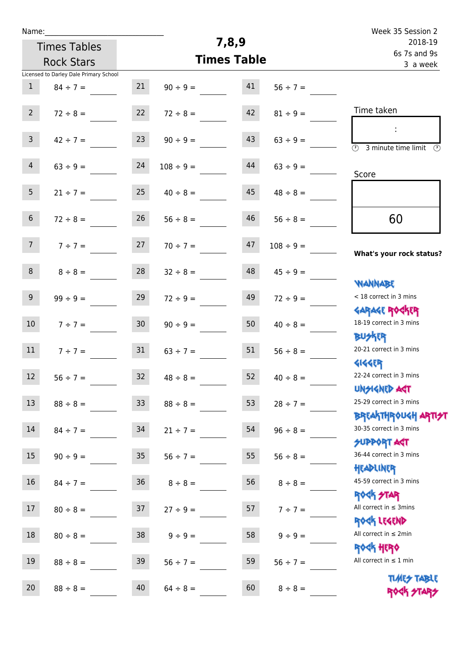| Name:                                    |                                        |                 |                    |                          |                | Week 35 Session 2                                                                       |  |
|------------------------------------------|----------------------------------------|-----------------|--------------------|--------------------------|----------------|-----------------------------------------------------------------------------------------|--|
| <b>Times Tables</b><br><b>Rock Stars</b> |                                        |                 | 7,8,9              | 2018-19                  |                |                                                                                         |  |
|                                          |                                        |                 | <b>Times Table</b> | 6s 7s and 9s<br>3 a week |                |                                                                                         |  |
|                                          | Licensed to Darley Dale Primary School |                 |                    |                          |                |                                                                                         |  |
| $\mathbf{1}$                             | $84 \div 7 =$                          | 21              | $90 \div 9 =$      | 41                       | $56 ÷ 7 =$     |                                                                                         |  |
| 2 <sup>7</sup>                           | $72 \div 8 =$                          | 22              | $72 \div 8 =$      | 42                       | $81 \div 9 =$  | Time taken                                                                              |  |
| $\mathbf{3}$                             | $42 \div 7 =$                          | 23              | $90 \div 9 =$      | 43                       | $63 ÷ 9 =$     | ÷<br>$\overline{(\mathcal{V})}$<br>3 minute time limit<br>$\mathcal{O}$                 |  |
| $\overline{4}$                           | $63 \div 9 =$                          | 24              | $108 \div 9 =$     | 44                       | $63 ÷ 9 =$     | Score                                                                                   |  |
| 5 <sub>1</sub>                           | $21 \div 7 =$                          | 25              | $40 \div 8 =$      | 45                       | $48 \div 8 =$  |                                                                                         |  |
| $6\overline{6}$                          | $72 \div 8 =$                          | 26              | $56 \div 8 =$      | 46                       | $56 \div 8 =$  | 60                                                                                      |  |
| 7 <sup>7</sup>                           | $7 ÷ 7 =$                              | 27              | $70 \div 7 =$      | 47                       | $108 \div 9 =$ | What's your rock status?                                                                |  |
| 8                                        | $8 \div 8 =$                           | 28              | $32 \div 8 =$      | 48                       | $45 \div 9 =$  |                                                                                         |  |
| 9 <sup>°</sup>                           | $99 ÷ 9 =$                             | 29              | $72 \div 9 =$      | 49                       | $72 \div 9 =$  | <b>YIANNABE</b><br>< 18 correct in 3 mins                                               |  |
| 10 <sup>°</sup>                          | $7 ÷ 7 =$                              | 30 <sub>o</sub> | $90 \div 9 =$      | 50                       | $40 \div 8 =$  | <b>GARAGE ROCKER</b><br>18-19 correct in 3 mins                                         |  |
| 11                                       | $7 ÷ 7 =$                              | 31              | $63 \div 7 =$      | 51                       | $56 \div 8 =$  | <b>BUSKER</b><br>20-21 correct in 3 mins                                                |  |
| $12 \overline{ }$                        | $56 \div 7 =$                          | 32              | $48 \div 8 =$      | 52                       | $40 \div 8 =$  | <b>4144EP</b><br>22-24 correct in 3 mins                                                |  |
| 13                                       | $88 \div 8 =$                          | 33 <sup>°</sup> | $88 \div 8 =$      | 53                       | $28 \div 7 =$  | <b>UNSIGNED AGT</b><br>25-29 correct in 3 mins<br><b>BREAKTHROUGH ARTI<del>S</del>T</b> |  |
| 14                                       | $84 \div 7 = 34$                       |                 | $21 \div 7 =$      | 54                       | $96 \div 8 =$  | 30-35 correct in 3 mins<br>SUPPORT AGT                                                  |  |
| 15                                       | $90 \div 9 =$                          | 35 <sub>o</sub> | $56 \div 7 =$      | 55                       | $56 \div 8 =$  | 36-44 correct in 3 mins<br>HEADLINER                                                    |  |
| 16                                       | $84 \div 7 =$                          | 36              | $8 \div 8 =$       | 56                       | $8 \div 8 =$   | 45-59 correct in 3 mins<br><b>ROCK STAR</b>                                             |  |
| 17                                       | $80 \div 8 =$                          | 37              | $27 \div 9 =$      | 57                       | $7 ÷ 7 =$      | All correct in $\leq$ 3mins<br>ROCK LEGEND                                              |  |
| 18                                       | $80 \div 8 =$                          | 38              | $9 \div 9 =$       | 58                       | $9 \div 9 =$   | All correct in $\leq 2$ min<br><b>ROCK HERO</b>                                         |  |
| 19                                       | $88 \div 8 =$                          | 39              | $56 \div 7 =$      | 59                       | $56 \div 7 =$  | All correct in $\leq 1$ min                                                             |  |
| 20                                       | $88 \div 8 =$                          | 40              | $64 \div 8 =$      | 60                       | $8 \div 8 =$   | <b>TUARS TABLE</b><br>ROCK STARS                                                        |  |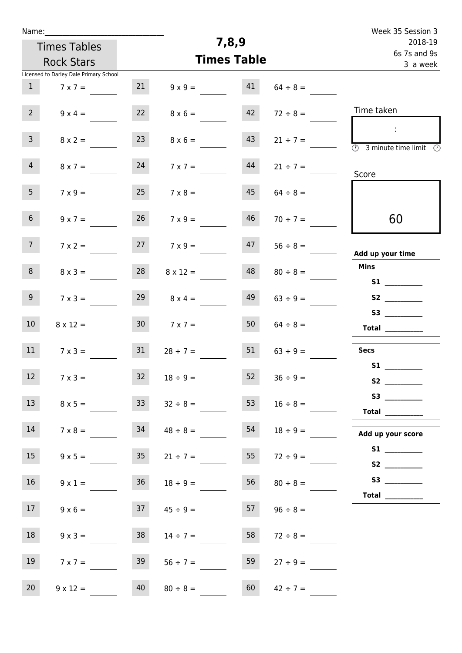| Name:          |                                        |                 |                    |                         |               | Week 35 Session 3                                                                          |
|----------------|----------------------------------------|-----------------|--------------------|-------------------------|---------------|--------------------------------------------------------------------------------------------|
|                | <b>Times Tables</b>                    |                 | 7,8,9              | 2018-19<br>6s 7s and 9s |               |                                                                                            |
|                | <b>Rock Stars</b>                      |                 | <b>Times Table</b> |                         |               | 3 a week                                                                                   |
|                | Licensed to Darley Dale Primary School |                 |                    |                         |               |                                                                                            |
| 1              | $7 \times 7 =$                         | 21              | $9 \times 9 =$     | 41                      | $64 \div 8 =$ |                                                                                            |
| 2 <sup>7</sup> | $9 \times 4 =$                         | 22              | $8 \times 6 =$     | 42                      | $72 \div 8 =$ | Time taken                                                                                 |
| 3 <sup>7</sup> | $8 \times 2 =$                         | 23              | $8 \times 6 =$     | 43                      | $21 \div 7 =$ | $\sim 10$<br>$\overline{\textcircled{2}}$ 3 minute time limit $\overline{\textcircled{2}}$ |
| 4              | $8 \times 7 =$                         | 24              | $7 \times 7 =$     | 44                      | $21 \div 7 =$ | Score                                                                                      |
| 5 <sub>1</sub> | $7 \times 9 =$                         | 25              | $7 \times 8 =$     | 45                      | $64 \div 8 =$ |                                                                                            |
| 6 <sup>1</sup> | $9 \times 7 =$                         | 26              | $7 \times 9 =$     | 46                      | $70 \div 7 =$ | 60                                                                                         |
| 7 <sup>7</sup> | $7 \times 2 =$                         | 27              | $7 \times 9 =$     | 47                      | $56 \div 8 =$ | Add up your time                                                                           |
| 8              | $8 \times 3 =$                         | 28              | $8 \times 12 =$    | 48                      | $80 \div 8 =$ | <b>Mins</b><br>S1                                                                          |
| 9 <sub>o</sub> | $7 \times 3 =$                         | 29              | $8 \times 4 =$     | 49                      | $63 \div 9 =$ |                                                                                            |
| 10             | $8 \times 12 =$                        | 30 <sup>1</sup> | $7 \times 7 =$     | 50                      | $64 \div 8 =$ | Total                                                                                      |
| 11             | $7 \times 3 =$                         | 31              | $28 \div 7 =$      | 51                      | $63 \div 9 =$ | <b>Secs</b>                                                                                |
| 12             | $7 \times 3 =$                         | 32              | $18 \div 9 =$      | 52                      | $36 ÷ 9 =$    | S1                                                                                         |
| 13             | $8 \times 5 =$                         | 33              | $32 \div 8 =$      | 53                      | $16 \div 8 =$ | $53$ ________<br><b>Total</b> __________                                                   |
| 14             | $7 \times 8 =$                         | 34              | $48 \div 8 =$      | 54                      | $18 \div 9 =$ | Add up your score                                                                          |
| 15             | $9 \times 5 =$                         | 35              | $21 \div 7 =$      | 55                      | $72 \div 9 =$ |                                                                                            |
| 16             | $9 \times 1 =$                         | 36              | $18 \div 9 =$      | 56                      | $80 \div 8 =$ | Total $\qquad$                                                                             |
| 17             | $9 \times 6 =$                         | 37              | $45 \div 9 =$      | 57                      | $96 \div 8 =$ |                                                                                            |
| 18             | $9 \times 3 =$                         | 38              | $14 \div 7 =$      | 58                      | $72 \div 8 =$ |                                                                                            |
| 19             | $7 \times 7 =$                         | 39              | $56 \div 7 =$      | 59                      | $27 \div 9 =$ |                                                                                            |
| 20             | $9 \times 12 =$                        | 40              | $80 \div 8 =$      | 60                      | $42 \div 7 =$ |                                                                                            |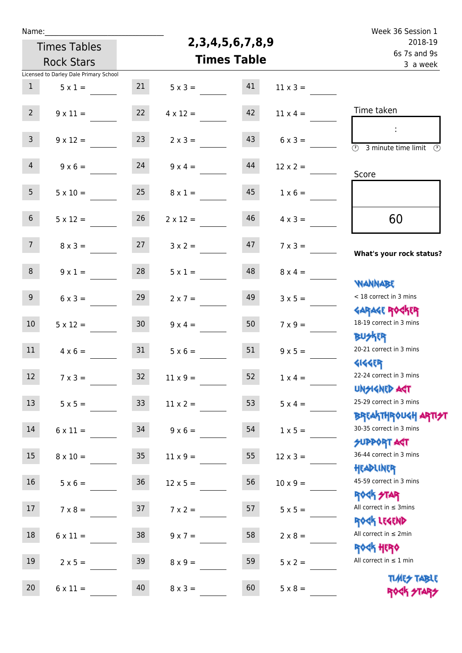| Name:                                    |                                        |                 |                        |                                     |                 | Week 36 Session 1                                                |
|------------------------------------------|----------------------------------------|-----------------|------------------------|-------------------------------------|-----------------|------------------------------------------------------------------|
| <b>Times Tables</b><br><b>Rock Stars</b> |                                        |                 | 2, 3, 4, 5, 6, 7, 8, 9 | 2018-19<br>6s 7s and 9s<br>3 a week |                 |                                                                  |
|                                          |                                        |                 | <b>Times Table</b>     |                                     |                 |                                                                  |
|                                          | Licensed to Darley Dale Primary School |                 |                        |                                     |                 |                                                                  |
| $\mathbf{1}$                             | $5 \times 1 =$                         | 21              | $5 \times 3 =$         | 41                                  | $11 \times 3 =$ |                                                                  |
| 2 <sup>7</sup>                           | $9 \times 11 =$                        | 22              | $4 \times 12 =$        | 42                                  | $11 \times 4 =$ | Time taken                                                       |
| $\mathbf{3}$                             | $9 \times 12 =$                        | 23              | $2 \times 3 =$         | 43                                  | $6 \times 3 =$  | $\overline{\mathcal{O}}$<br>3 minute time limit<br>⊕             |
| $\overline{4}$                           | $9 \times 6 =$                         | 24              | $9 \times 4 =$         | 44                                  | $12 \times 2 =$ | Score                                                            |
| 5 <sub>1</sub>                           | $5 \times 10 =$                        | 25              | $8 \times 1 =$         | 45                                  | $1 \times 6 =$  |                                                                  |
| 6 <sup>1</sup>                           | $5 \times 12 =$                        | 26              | $2 \times 12 =$        | 46                                  | $4 \times 3 =$  | 60                                                               |
| 7 <sup>7</sup>                           | $8 \times 3 =$                         | 27              | $3 \times 2 =$         | 47                                  | $7 \times 3 =$  | What's your rock status?                                         |
| 8                                        | $9 \times 1 =$                         | 28              | $5 \times 1 =$         | 48                                  | $8 \times 4 =$  |                                                                  |
| 9 <sup>°</sup>                           | $6 \times 3 =$                         | 29              | $2 \times 7 =$         | 49                                  | $3 \times 5 =$  | <b>NANNABE</b><br>< 18 correct in 3 mins                         |
| 10 <sup>°</sup>                          | $5 \times 12 =$                        | 30 <sub>o</sub> | $9 \times 4 =$         | 50                                  | $7 \times 9 =$  | <b>GARAGE ROCKER</b><br>18-19 correct in 3 mins                  |
| 11                                       | $4 \times 6 =$                         | 31              | $5 \times 6 =$         | 51                                  | $9 \times 5 =$  | <b>BUSKRR</b><br>20-21 correct in 3 mins                         |
| 12 <sup>12</sup>                         | $7 \times 3 =$                         | 32 <sub>2</sub> | $11 \times 9=$         | 52                                  | $1 \times 4 =$  | <b>4144ER</b><br>22-24 correct in 3 mins<br><b>UNSIGNED AST</b>  |
| 13                                       | $5 \times 5 =$                         | 33 <sup>2</sup> | $11 \times 2 =$        | 53                                  | $5 \times 4 =$  | 25-29 correct in 3 mins                                          |
| 14                                       | $6 \times 11 =$                        | 34              | $9 \times 6 =$         | 54                                  | $1 \times 5 =$  | <b>BREAKTHROUGH ARTI<del>S</del>T</b><br>30-35 correct in 3 mins |
| 15                                       | $8 \times 10 =$                        | 35 <sub>2</sub> | $11 \times 9 =$        | 55                                  | $12 \times 3 =$ | <b>SUPPORT AGT</b><br>36-44 correct in 3 mins                    |
| 16                                       | $5 \times 6 =$                         | 36              | $12 \times 5 =$        | 56                                  | $10 \times 9 =$ | HEADLINER<br>45-59 correct in 3 mins                             |
| 17                                       | $7 \times 8 =$                         | 37              | $7 \times 2 =$         | 57                                  | $5 \times 5 =$  | <b>ROCK STAR</b><br>All correct in $\leq$ 3mins                  |
| 18                                       | $6 \times 11 =$                        | 38              | $9 \times 7 =$         | 58                                  | $2 \times 8 =$  | ROCK LEGEND<br>All correct in $\leq 2$ min                       |
| 19                                       | $2 \times 5 =$                         | 39              | $8 \times 9 =$         | 59                                  | $5 \times 2 =$  | <b>ROCK HERO</b><br>All correct in $\leq 1$ min                  |
| 20                                       | $6 \times 11 =$                        | 40              | $8 \times 3 =$         | 60                                  | $5 \times 8 =$  | <b>TIMES TABLE</b><br>ROCK STARS                                 |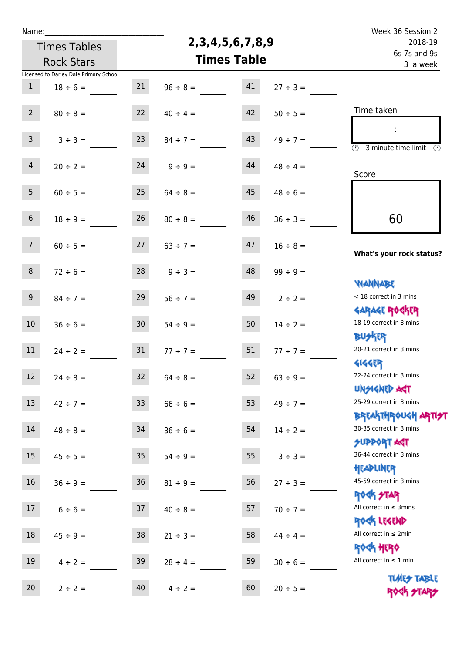| Name:                                    |                                        |                 |                        |                         |               | Week 36 Session 2                                          |
|------------------------------------------|----------------------------------------|-----------------|------------------------|-------------------------|---------------|------------------------------------------------------------|
| <b>Times Tables</b><br><b>Rock Stars</b> |                                        |                 | 2, 3, 4, 5, 6, 7, 8, 9 | 2018-19<br>6s 7s and 9s |               |                                                            |
|                                          |                                        |                 | <b>Times Table</b>     |                         |               |                                                            |
|                                          | Licensed to Darley Dale Primary School |                 |                        |                         |               | 3 a week                                                   |
| $\mathbf{1}$                             | $18 \div 6 =$                          | 21              | $96 \div 8 =$          | 41                      | $27 ÷ 3 =$    |                                                            |
|                                          |                                        |                 |                        |                         |               |                                                            |
| $2^{\circ}$                              | $80 \div 8 =$                          | 22              | $40 \div 4 =$          | 42                      | $50 \div 5 =$ | Time taken                                                 |
|                                          |                                        |                 |                        |                         |               | ÷                                                          |
| $\mathbf{3}$                             | $3 ÷ 3 =$                              | 23              | $84 \div 7 =$          | 43                      | $49 \div 7 =$ | $\overline{\odot}$<br>3 minute time limit<br>$\mathcal{O}$ |
| $\overline{4}$                           | $20 \div 2 =$                          | 24              | $9 ÷ 9 =$              | 44                      | $48 \div 4 =$ |                                                            |
|                                          |                                        |                 |                        |                         |               | Score                                                      |
| 5 <sub>1</sub>                           | $60 \div 5 =$                          | 25              | $64 \div 8 =$          | 45                      | $48 \div 6 =$ |                                                            |
|                                          |                                        |                 |                        |                         |               |                                                            |
| $6\,$                                    | $18 \div 9 =$                          | 26              | $80 \div 8 =$          | 46                      | $36 \div 3 =$ | 60                                                         |
| 7 <sup>7</sup>                           | $60 \div 5 =$                          | 27              | $63 \div 7 =$          | 47                      | $16 \div 8 =$ |                                                            |
|                                          |                                        |                 |                        |                         |               | What's your rock status?                                   |
| 8                                        | $72 \div 6 =$                          | 28              | $9 ÷ 3 =$              | 48                      | $99 \div 9 =$ |                                                            |
|                                          |                                        |                 |                        |                         |               | <b>YIANNABE</b>                                            |
| 9 <sub>o</sub>                           | $84 \div 7 =$                          | 29              | $56 ÷ 7 =$             | 49                      | $2 \div 2 =$  | < 18 correct in 3 mins                                     |
|                                          |                                        |                 |                        |                         |               | <b>GARAGE ROCKER</b>                                       |
| 10 <sup>°</sup>                          | $36 \div 6 =$                          | 30 <sub>o</sub> | $54 \div 9 =$          | 50                      | $14 \div 2 =$ | 18-19 correct in 3 mins<br><b>BUSKER</b>                   |
| 11                                       | $24 \div 2 =$                          | 31              | $77 \div 7 =$          | 51                      | $77 ÷ 7 =$    | 20-21 correct in 3 mins                                    |
|                                          |                                        |                 |                        |                         |               | <b>4144EP</b>                                              |
| 12                                       | $24 \div 8 =$                          | 32              | $64 \div 8 =$          | 52                      | $63 ÷ 9 =$    | 22-24 correct in 3 mins                                    |
|                                          |                                        |                 |                        |                         |               | <b>UNSIGNED AST</b>                                        |
| 13                                       | $42 \div 7 =$                          | 33              | $66 \div 6 =$          | 53                      | $49 \div 7 =$ | 25-29 correct in 3 mins                                    |
|                                          |                                        |                 |                        |                         |               | <b>BREAKTHROUGH ARTI<del>S</del>T</b>                      |
| 14                                       | $48 \div 8 =$                          | 34              | $36 \div 6 =$          | 54                      | $14 \div 2 =$ | 30-35 correct in 3 mins<br><b>SUPPORT ART</b>              |
| 15                                       | $45 \div 5 =$                          | 35 <sub>2</sub> | $54 \div 9 =$          | 55                      | $3 ÷ 3 =$     | 36-44 correct in 3 mins                                    |
|                                          |                                        |                 |                        |                         |               | HEADLINER                                                  |
| 16                                       | $36 ÷ 9 =$                             | 36              | $81 \div 9 =$          | 56                      | $27 \div 3 =$ | 45-59 correct in 3 mins                                    |
|                                          |                                        |                 |                        |                         |               | <b>ROCK STAR</b>                                           |
| 17 <sup>7</sup>                          | $6 \div 6 =$                           | 37              | $40 \div 8 =$          | 57                      | $70 \div 7 =$ | All correct in $\leq$ 3mins                                |
|                                          |                                        |                 |                        |                         |               | ROCK LEGEND<br>All correct in $\leq 2$ min                 |
| 18                                       | $45 \div 9 =$                          | 38              | $21 \div 3 =$          | 58                      | $44 \div 4 =$ | <b>ROCK HERO</b>                                           |
| 19                                       | $4 \div 2 =$                           | 39              | $28 \div 4 =$          | 59                      | $30 \div 6 =$ | All correct in $\leq 1$ min                                |
|                                          |                                        |                 |                        |                         |               | <b>TUARS TABLE</b>                                         |
| 20                                       | $2 \div 2 =$                           | 40              | $4 \div 2 =$           | 60                      | $20 \div 5 =$ | ROCK STARS                                                 |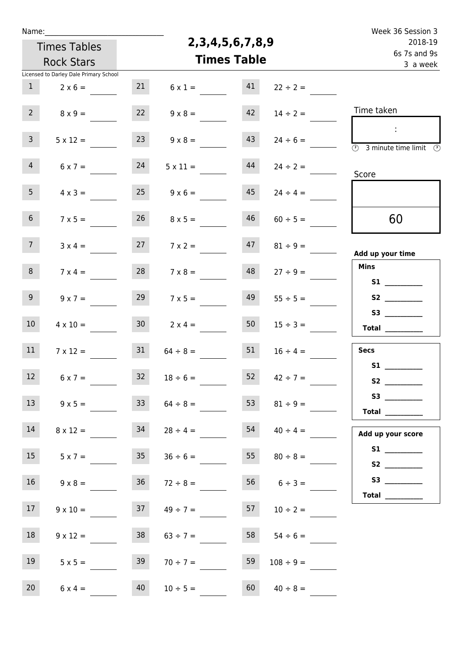| Name:               |                                        |                    |                        |                         |                     | Week 36 Session 3                                                                       |
|---------------------|----------------------------------------|--------------------|------------------------|-------------------------|---------------------|-----------------------------------------------------------------------------------------|
| <b>Times Tables</b> |                                        |                    | 2, 3, 4, 5, 6, 7, 8, 9 | 2018-19<br>6s 7s and 9s |                     |                                                                                         |
|                     | <b>Rock Stars</b>                      | <b>Times Table</b> |                        |                         |                     | 3 a week                                                                                |
|                     | Licensed to Darley Dale Primary School |                    |                        |                         |                     |                                                                                         |
| $\mathbf{1}$        | $2 \times 6 =$                         | 21                 | $6 \times 1 =$         | 41                      | $22 \div 2 =$       |                                                                                         |
| 2 <sup>7</sup>      | $8 \times 9 =$                         | 22                 | $9 \times 8 =$         | 42                      | $14 \div 2 =$       | Time taken                                                                              |
| $\mathbf{3}$        | $5 \times 12 =$                        | 23                 | $9 \times 8 =$         | 43                      | $24 \div 6 =$       | $\sim$<br>$\overline{\textcircled{2}}$ 3 minute time limit $\overline{\textcircled{2}}$ |
| $\overline{4}$      | $6 \times 7 =$                         | 24                 | $5 \times 11 =$        | 44                      | $24 \div 2 =$       | Score                                                                                   |
| 5 <sub>1</sub>      | $4 \times 3 =$                         | 25                 | $9 \times 6 =$         | 45                      | $24 \div 4 =$       |                                                                                         |
| 6 <sup>1</sup>      | $7 \times 5 =$                         | 26                 | $8 \times 5 =$         | 46                      | $60 \div 5 =$       | 60                                                                                      |
| 7 <sup>7</sup>      | $3 \times 4 =$                         | 27                 | $7 \times 2 =$         | 47                      | $81 \div 9 =$       | Add up your time                                                                        |
| 8                   | $7 \times 4 =$                         | 28                 | $7 \times 8 =$         | 48                      | $27 \div 9 =$       | Mins<br>S1                                                                              |
| 9 <sub>o</sub>      | $9 \times 7 =$                         | 29                 | $7 \times 5 =$         | 49                      | $55 \div 5 =$       |                                                                                         |
| 10 <sup>°</sup>     | $4 \times 10 =$                        | 30 <sub>2</sub>    | $2 \times 4 =$         | 50                      | $15 \div 3 =$       | <b>S3</b><br>Total                                                                      |
| 11                  | $7 \times 12 =$                        | 31                 | $64 \div 8 =$          | 51                      | $16 \div 4 =$       | <b>Secs</b>                                                                             |
| 12 <sup>7</sup>     | $6 \times 7 =$                         | 32                 | $18 \div 6 =$          | 52                      | $42 \div 7 =$       | S1                                                                                      |
| 13                  | $9 \times 5 =$                         | 33 <sup>°</sup>    | $64 \div 8 =$          | 53                      | $81 \div 9 =$       | $53$ ________                                                                           |
| 14                  | $8 \times 12 =$                        | 34                 | $28 \div 4 =$          | 54                      | $40 \div 4 =$       | Add up your score                                                                       |
| 15                  | $5 \times 7 =$                         |                    | $35 \t 36 \div 6 =$    |                         | $55 \t 80 \div 8 =$ |                                                                                         |
| 16                  | $9 \times 8 =$                         | 36                 | $72 \div 8 =$          |                         | $56 \t 6 \div 3 =$  | Total $\qquad$                                                                          |
| 17 <sup>7</sup>     | $9 \times 10 =$                        | 37                 | $49 \div 7 =$          | 57                      | $10 \div 2 =$       |                                                                                         |
| 18                  | $9 \times 12 =$                        | 38                 | $63 \div 7 =$          | 58                      | $54 \div 6 =$       |                                                                                         |
| 19                  | $5 \times 5 =$                         | 39                 | $70 \div 7 =$          | 59                      | $108 \div 9 =$      |                                                                                         |
| 20 <sub>2</sub>     | $6 \times 4 =$                         | 40                 | $10 \div 5 =$          | 60                      | $40 \div 8 =$       |                                                                                         |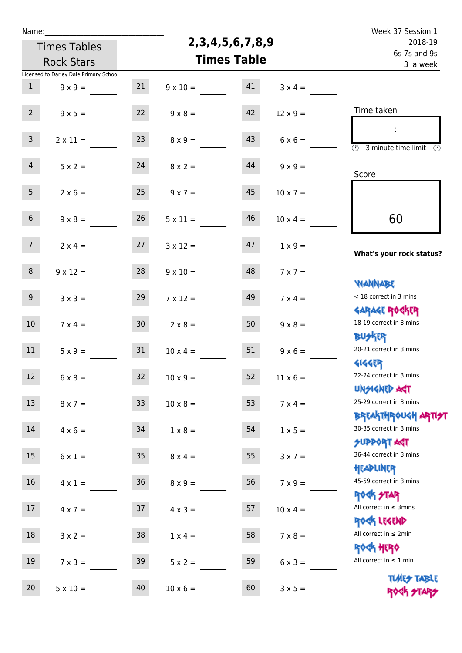| Name:                                    |                                        |                 |                        |                                     |                 | Week 37 Session 1                                                |
|------------------------------------------|----------------------------------------|-----------------|------------------------|-------------------------------------|-----------------|------------------------------------------------------------------|
| <b>Times Tables</b><br><b>Rock Stars</b> |                                        |                 | 2, 3, 4, 5, 6, 7, 8, 9 | 2018-19<br>6s 7s and 9s<br>3 a week |                 |                                                                  |
|                                          |                                        |                 | <b>Times Table</b>     |                                     |                 |                                                                  |
|                                          | Licensed to Darley Dale Primary School |                 |                        |                                     |                 |                                                                  |
| $\mathbf{1}$                             | $9 \times 9 =$                         | 21              | $9 \times 10 =$        | 41                                  | $3 \times 4 =$  |                                                                  |
| $2^{\circ}$                              | $9 \times 5 =$                         | 22              | $9 \times 8 =$         | 42                                  | $12 \times 9 =$ | Time taken                                                       |
|                                          |                                        |                 |                        |                                     |                 |                                                                  |
| $\mathbf{3}$                             | $2 \times 11 =$                        | 23              | $8 \times 9 =$         | 43                                  | $6 \times 6 =$  | $\overline{\mathcal{O}}$<br>3 minute time limit<br>$\mathcal{O}$ |
| $\overline{4}$                           | $5 \times 2 =$                         | 24              | $8 \times 2 =$         | 44                                  | $9 \times 9 =$  | Score                                                            |
| 5 <sub>1</sub>                           | $2 \times 6 =$                         | 25              | $9 \times 7 =$         | 45                                  | $10 \times 7 =$ |                                                                  |
| 6 <sup>1</sup>                           | $9 \times 8 =$                         | 26              | $5 \times 11 =$        | 46                                  | $10 \times 4 =$ | 60                                                               |
| 7 <sup>1</sup>                           | $2 \times 4 =$                         | 27              | $3 \times 12 =$        | 47                                  | $1 \times 9 =$  | What's your rock status?                                         |
| 8                                        | $9 \times 12 =$                        | 28              | $9 \times 10 =$        | 48                                  | $7 \times 7 =$  |                                                                  |
| 9                                        | $3 \times 3 =$                         | 29              | $7 \times 12 =$        | 49                                  | $7 \times 4 =$  | <b>WANNABE</b><br>< 18 correct in 3 mins                         |
| 10 <sup>°</sup>                          | $7 \times 4 =$                         | 30 <sub>o</sub> | $2 \times 8 =$         | 50                                  | $9 \times 8 =$  | <b>GARAGE ROCKER</b><br>18-19 correct in 3 mins                  |
| 11                                       | $5 \times 9 =$                         | 31              | $10 \times 4 =$        | 51                                  | $9 \times 6 =$  | <b>BUSKER</b><br>20-21 correct in 3 mins                         |
| 12 <sub>1</sub>                          | $6 \times 8 =$                         | 32              | $10 \times 9 =$        | 52                                  | $11 \times 6 =$ | <b>414469</b><br>22-24 correct in 3 mins                         |
| 13                                       | $8 \times 7 =$                         | 33 <sup>°</sup> | $10 \times 8 =$        | 53                                  | $7 \times 4 =$  | <b>UNSIGNED AST</b><br>25-29 correct in 3 mins                   |
| 14                                       | $4 \times 6 =$                         | 34              | $1 \times 8 =$         | 54                                  | $1 \times 5 =$  | ΒΡ[AhTHP0U <h apti<del="">21<br/>30-35 correct in 3 mins</h>     |
| 15 <sub>15</sub>                         | $6 \times 1 =$                         | 35              | $8 \times 4 =$         | 55                                  | $3 \times 7 =$  | <b>SUPPORT AGT</b><br>36-44 correct in 3 mins                    |
| 16                                       | $4 \times 1 =$                         | 36              | $8 \times 9 =$         | 56                                  | $7 \times 9 =$  | HEADLINER<br>45-59 correct in 3 mins                             |
| 17                                       | $4 \times 7 =$                         | 37              | $4 \times 3 =$         | 57                                  | $10 \times 4 =$ | <b>ROCK STAR</b><br>All correct in $\leq$ 3mins                  |
| 18                                       | $3 \times 2 =$                         | 38              | $1 \times 4 =$         | 58                                  | $7 \times 8 =$  | ROCK LEGEND<br>All correct in $\leq 2$ min                       |
| 19                                       | $7 \times 3 =$                         | 39              | $5 \times 2 =$         | 59                                  | $6 \times 3 =$  | <b>ROCK HERO</b><br>All correct in $\leq 1$ min                  |
| 20 <sub>2</sub>                          | $5 \times 10 =$                        | 40              | $10 \times 6 =$        | 60                                  | $3 \times 5 =$  | <b>TUARS TABLE</b><br>ROCK STARS                                 |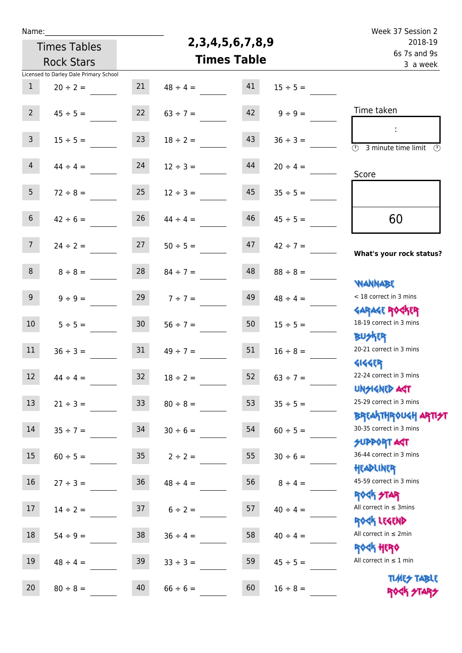| Name: |                                                                                          |                                                                                                                                                                                                    |                                                                |                                                                                                                                                                                                                                               |  |
|-------|------------------------------------------------------------------------------------------|----------------------------------------------------------------------------------------------------------------------------------------------------------------------------------------------------|----------------------------------------------------------------|-----------------------------------------------------------------------------------------------------------------------------------------------------------------------------------------------------------------------------------------------|--|
|       |                                                                                          | 2018-19<br>6s 7s and 9s<br>3 a week                                                                                                                                                                |                                                                |                                                                                                                                                                                                                                               |  |
|       |                                                                                          |                                                                                                                                                                                                    |                                                                |                                                                                                                                                                                                                                               |  |
|       |                                                                                          |                                                                                                                                                                                                    |                                                                |                                                                                                                                                                                                                                               |  |
| 21    | $48 \div 4 =$                                                                            | 41                                                                                                                                                                                                 | $15 \div 5 =$                                                  |                                                                                                                                                                                                                                               |  |
|       |                                                                                          |                                                                                                                                                                                                    |                                                                | Time taken                                                                                                                                                                                                                                    |  |
|       |                                                                                          |                                                                                                                                                                                                    |                                                                |                                                                                                                                                                                                                                               |  |
|       |                                                                                          |                                                                                                                                                                                                    |                                                                |                                                                                                                                                                                                                                               |  |
|       |                                                                                          |                                                                                                                                                                                                    |                                                                | $\circled{r}$<br>3 minute time limit<br>$\mathcal{O}$                                                                                                                                                                                         |  |
| 24    | $12 \div 3 =$                                                                            | 44                                                                                                                                                                                                 | $20 \div 4 =$                                                  |                                                                                                                                                                                                                                               |  |
|       |                                                                                          |                                                                                                                                                                                                    |                                                                | Score                                                                                                                                                                                                                                         |  |
| 25    | $12 \div 3 =$                                                                            | 45                                                                                                                                                                                                 | $35 \div 5 =$                                                  |                                                                                                                                                                                                                                               |  |
|       |                                                                                          |                                                                                                                                                                                                    |                                                                |                                                                                                                                                                                                                                               |  |
| 26    | $44 \div 4 =$                                                                            | 46                                                                                                                                                                                                 | $45 \div 5 =$                                                  | 60                                                                                                                                                                                                                                            |  |
|       |                                                                                          |                                                                                                                                                                                                    |                                                                |                                                                                                                                                                                                                                               |  |
|       | $50 \div 5 =$                                                                            |                                                                                                                                                                                                    | $42 \div 7 =$                                                  | What's your rock status?                                                                                                                                                                                                                      |  |
|       |                                                                                          |                                                                                                                                                                                                    |                                                                |                                                                                                                                                                                                                                               |  |
|       |                                                                                          |                                                                                                                                                                                                    |                                                                |                                                                                                                                                                                                                                               |  |
|       |                                                                                          |                                                                                                                                                                                                    |                                                                | <b>WANNABE</b><br>< 18 correct in 3 mins                                                                                                                                                                                                      |  |
|       |                                                                                          |                                                                                                                                                                                                    |                                                                | <b>GARAGE ROCKER</b>                                                                                                                                                                                                                          |  |
|       |                                                                                          |                                                                                                                                                                                                    |                                                                | 18-19 correct in 3 mins                                                                                                                                                                                                                       |  |
|       |                                                                                          |                                                                                                                                                                                                    |                                                                | <b>BUSKER</b>                                                                                                                                                                                                                                 |  |
|       |                                                                                          |                                                                                                                                                                                                    |                                                                | 20-21 correct in 3 mins                                                                                                                                                                                                                       |  |
|       |                                                                                          |                                                                                                                                                                                                    |                                                                | <b>4144EP</b>                                                                                                                                                                                                                                 |  |
| 32    |                                                                                          | 52                                                                                                                                                                                                 |                                                                | 22-24 correct in 3 mins                                                                                                                                                                                                                       |  |
|       |                                                                                          |                                                                                                                                                                                                    |                                                                | <b>UNSIGNED AGT</b>                                                                                                                                                                                                                           |  |
| 33    | $80 \div 8 =$                                                                            | 53                                                                                                                                                                                                 | $35 \div 5 =$                                                  | 25-29 correct in 3 mins                                                                                                                                                                                                                       |  |
|       |                                                                                          |                                                                                                                                                                                                    |                                                                | ΒΡΓΑΚΤΗΡΟUGH ΑΡΤΙ <del>2</del> Τ                                                                                                                                                                                                              |  |
| 34    | $30 \div 6 =$                                                                            | 54                                                                                                                                                                                                 | $60 \div 5 =$                                                  | 30-35 correct in 3 mins                                                                                                                                                                                                                       |  |
|       |                                                                                          |                                                                                                                                                                                                    |                                                                | <b>SUPPORT AGT</b>                                                                                                                                                                                                                            |  |
|       |                                                                                          |                                                                                                                                                                                                    |                                                                | 36-44 correct in 3 mins                                                                                                                                                                                                                       |  |
|       |                                                                                          |                                                                                                                                                                                                    |                                                                | HEADLINER<br>45-59 correct in 3 mins                                                                                                                                                                                                          |  |
|       |                                                                                          |                                                                                                                                                                                                    |                                                                | <b>ROCK STAR</b>                                                                                                                                                                                                                              |  |
|       |                                                                                          |                                                                                                                                                                                                    |                                                                | All correct in $\leq$ 3mins                                                                                                                                                                                                                   |  |
|       |                                                                                          |                                                                                                                                                                                                    |                                                                | ROCK LEGEND                                                                                                                                                                                                                                   |  |
|       |                                                                                          |                                                                                                                                                                                                    |                                                                | All correct in $\leq 2$ min                                                                                                                                                                                                                   |  |
|       |                                                                                          |                                                                                                                                                                                                    |                                                                | <b>ROCK HERO</b>                                                                                                                                                                                                                              |  |
| 39    |                                                                                          | 59                                                                                                                                                                                                 |                                                                | All correct in $\leq 1$ min                                                                                                                                                                                                                   |  |
|       |                                                                                          |                                                                                                                                                                                                    |                                                                | <b>TUARS TABLE</b>                                                                                                                                                                                                                            |  |
| 40    | $66 \div 6 =$                                                                            | 60                                                                                                                                                                                                 | $16 \div 8 =$                                                  | ROCK STARS                                                                                                                                                                                                                                    |  |
|       | 22<br>23<br>27<br>28<br>29<br>30 <sub>o</sub><br>31<br>35 <sub>o</sub><br>36<br>37<br>38 | $63 \div 7 =$<br>$18 \div 2 =$<br>$84 \div 7 =$<br>$7 ÷ 7 =$<br>$56 \div 7 =$<br>$49 \div 7 =$<br>$18 \div 2 =$<br>$2 \div 2 =$<br>$48 \div 4 =$<br>$6 \div 2 =$<br>$36 \div 4 =$<br>$33 \div 3 =$ | 42<br>43<br>47<br>48<br>49<br>50<br>51<br>55<br>56<br>57<br>58 | 2, 3, 4, 5, 6, 7, 8, 9<br><b>Times Table</b><br>$9 ÷ 9 =$<br>$36 ÷ 3 =$<br>$88 \div 8 =$<br>$48 \div 4 =$<br>$15 \div 5 =$<br>$16 \div 8 =$<br>$63 ÷ 7 =$<br>$30 \div 6 =$<br>$8 \div 4 =$<br>$40 \div 4 =$<br>$40 \div 4 =$<br>$45 \div 5 =$ |  |